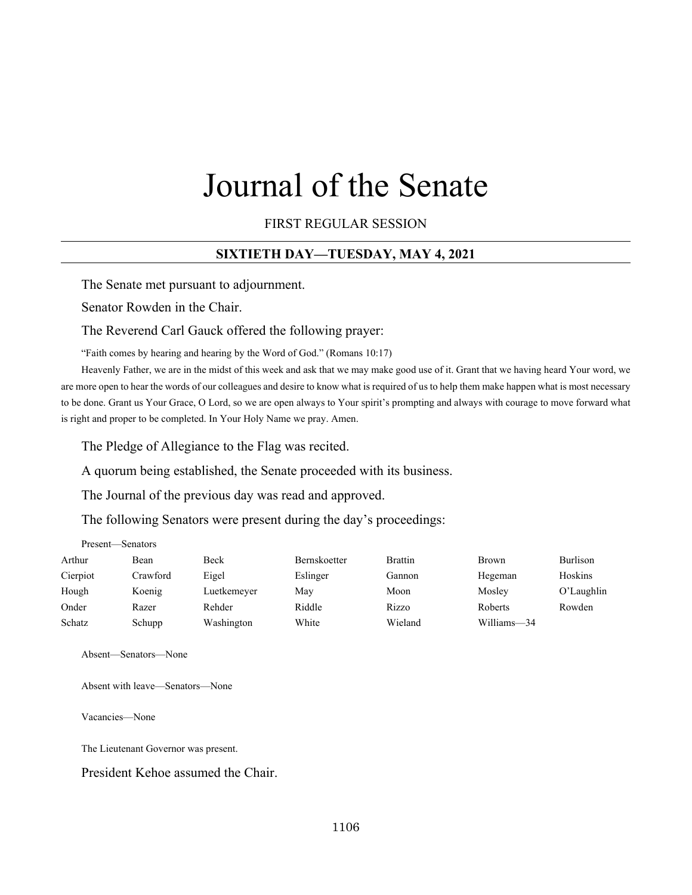# Journal of the Senate

#### FIRST REGULAR SESSION

#### **SIXTIETH DAY—TUESDAY, MAY 4, 2021**

The Senate met pursuant to adjournment.

Senator Rowden in the Chair.

The Reverend Carl Gauck offered the following prayer:

"Faith comes by hearing and hearing by the Word of God." (Romans 10:17)

Heavenly Father, we are in the midst of this week and ask that we may make good use of it. Grant that we having heard Your word, we are more open to hear the words of our colleagues and desire to know what is required of us to help them make happen what is most necessary to be done. Grant us Your Grace, O Lord, so we are open always to Your spirit's prompting and always with courage to move forward what is right and proper to be completed. In Your Holy Name we pray. Amen.

The Pledge of Allegiance to the Flag was recited.

A quorum being established, the Senate proceeded with its business.

The Journal of the previous day was read and approved.

The following Senators were present during the day's proceedings:

| Present—Senators |          |             |                     |                |             |               |  |
|------------------|----------|-------------|---------------------|----------------|-------------|---------------|--|
| Arthur           | Bean     | Beck        | <b>Bernskoetter</b> | <b>Brattin</b> | Brown       | Burlison      |  |
| Cierpiot         | Crawford | Eigel       | Eslinger            | Gannon         | Hegeman     | Hoskins       |  |
| Hough            | Koenig   | Luetkemeyer | Mav                 | Moon           | Mosley      | $O'$ Laughlin |  |
| Onder            | Razer    | Rehder      | Riddle              | Rizzo          | Roberts     | Rowden        |  |
| Schatz           | Schupp   | Washington  | White               | Wieland        | Williams-34 |               |  |

Absent—Senators—None

Absent with leave—Senators—None

Vacancies—None

The Lieutenant Governor was present.

President Kehoe assumed the Chair.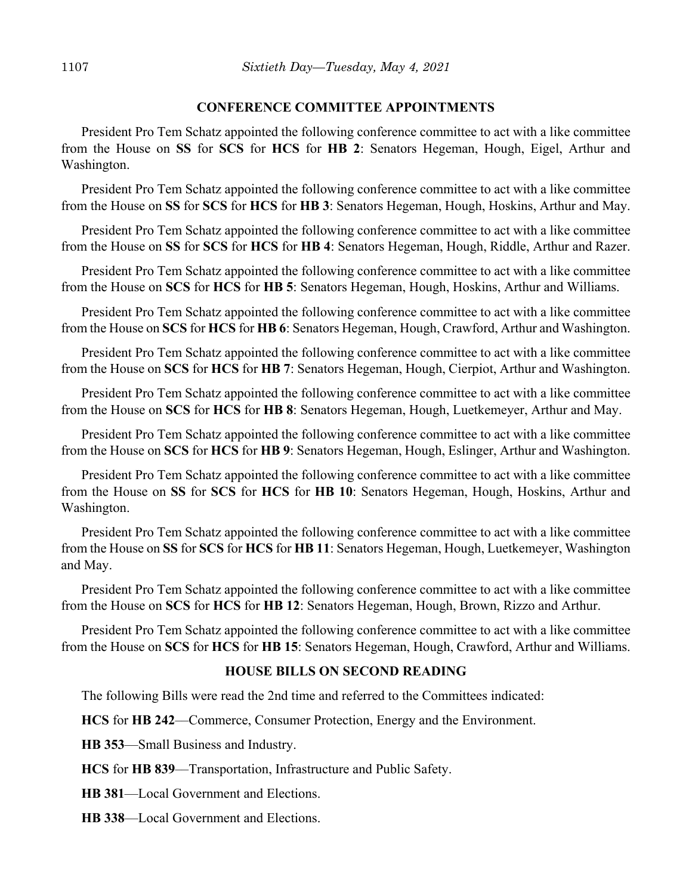# **CONFERENCE COMMITTEE APPOINTMENTS**

President Pro Tem Schatz appointed the following conference committee to act with a like committee from the House on **SS** for **SCS** for **HCS** for **HB 2**: Senators Hegeman, Hough, Eigel, Arthur and Washington.

President Pro Tem Schatz appointed the following conference committee to act with a like committee from the House on **SS** for **SCS** for **HCS** for **HB 3**: Senators Hegeman, Hough, Hoskins, Arthur and May.

President Pro Tem Schatz appointed the following conference committee to act with a like committee from the House on **SS** for **SCS** for **HCS** for **HB 4**: Senators Hegeman, Hough, Riddle, Arthur and Razer.

President Pro Tem Schatz appointed the following conference committee to act with a like committee from the House on **SCS** for **HCS** for **HB 5**: Senators Hegeman, Hough, Hoskins, Arthur and Williams.

President Pro Tem Schatz appointed the following conference committee to act with a like committee from the House on **SCS** for **HCS** for **HB 6**: Senators Hegeman, Hough, Crawford, Arthur and Washington.

President Pro Tem Schatz appointed the following conference committee to act with a like committee from the House on **SCS** for **HCS** for **HB 7**: Senators Hegeman, Hough, Cierpiot, Arthur and Washington.

President Pro Tem Schatz appointed the following conference committee to act with a like committee from the House on **SCS** for **HCS** for **HB 8**: Senators Hegeman, Hough, Luetkemeyer, Arthur and May.

President Pro Tem Schatz appointed the following conference committee to act with a like committee from the House on **SCS** for **HCS** for **HB 9**: Senators Hegeman, Hough, Eslinger, Arthur and Washington.

President Pro Tem Schatz appointed the following conference committee to act with a like committee from the House on **SS** for **SCS** for **HCS** for **HB 10**: Senators Hegeman, Hough, Hoskins, Arthur and Washington.

President Pro Tem Schatz appointed the following conference committee to act with a like committee from the House on **SS** for **SCS** for **HCS** for **HB 11**: Senators Hegeman, Hough, Luetkemeyer, Washington and May.

President Pro Tem Schatz appointed the following conference committee to act with a like committee from the House on **SCS** for **HCS** for **HB 12**: Senators Hegeman, Hough, Brown, Rizzo and Arthur.

President Pro Tem Schatz appointed the following conference committee to act with a like committee from the House on **SCS** for **HCS** for **HB 15**: Senators Hegeman, Hough, Crawford, Arthur and Williams.

# **HOUSE BILLS ON SECOND READING**

The following Bills were read the 2nd time and referred to the Committees indicated:

**HCS** for **HB 242**––Commerce, Consumer Protection, Energy and the Environment.

**HB 353**––Small Business and Industry.

**HCS** for **HB 839**––Transportation, Infrastructure and Public Safety.

**HB 381**––Local Government and Elections.

**HB 338**––Local Government and Elections.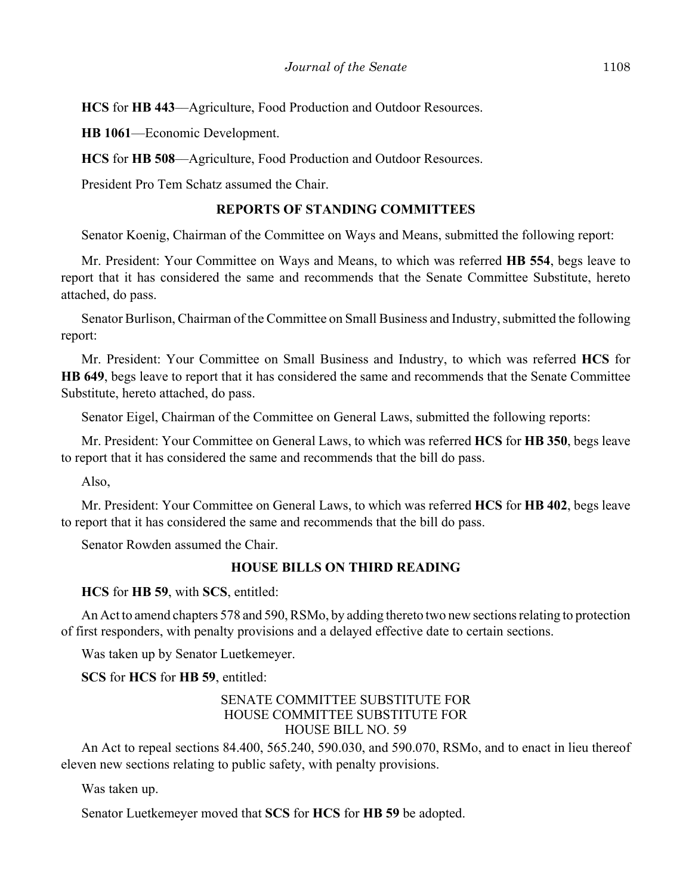**HCS** for **HB 443**––Agriculture, Food Production and Outdoor Resources.

**HB 1061**––Economic Development.

**HCS** for **HB 508**––Agriculture, Food Production and Outdoor Resources.

President Pro Tem Schatz assumed the Chair.

#### **REPORTS OF STANDING COMMITTEES**

Senator Koenig, Chairman of the Committee on Ways and Means, submitted the following report:

Mr. President: Your Committee on Ways and Means, to which was referred **HB 554**, begs leave to report that it has considered the same and recommends that the Senate Committee Substitute, hereto attached, do pass.

Senator Burlison, Chairman of the Committee on Small Business and Industry, submitted the following report:

Mr. President: Your Committee on Small Business and Industry, to which was referred **HCS** for **HB 649**, begs leave to report that it has considered the same and recommends that the Senate Committee Substitute, hereto attached, do pass.

Senator Eigel, Chairman of the Committee on General Laws, submitted the following reports:

Mr. President: Your Committee on General Laws, to which was referred **HCS** for **HB 350**, begs leave to report that it has considered the same and recommends that the bill do pass.

Also,

Mr. President: Your Committee on General Laws, to which was referred **HCS** for **HB 402**, begs leave to report that it has considered the same and recommends that the bill do pass.

Senator Rowden assumed the Chair.

#### **HOUSE BILLS ON THIRD READING**

**HCS** for **HB 59**, with **SCS**, entitled:

An Act to amend chapters 578 and 590, RSMo, by adding thereto two new sections relating to protection of first responders, with penalty provisions and a delayed effective date to certain sections.

Was taken up by Senator Luetkemeyer.

**SCS** for **HCS** for **HB 59**, entitled:

#### SENATE COMMITTEE SUBSTITUTE FOR HOUSE COMMITTEE SUBSTITUTE FOR HOUSE BILL NO. 59

An Act to repeal sections 84.400, 565.240, 590.030, and 590.070, RSMo, and to enact in lieu thereof eleven new sections relating to public safety, with penalty provisions.

Was taken up.

Senator Luetkemeyer moved that **SCS** for **HCS** for **HB 59** be adopted.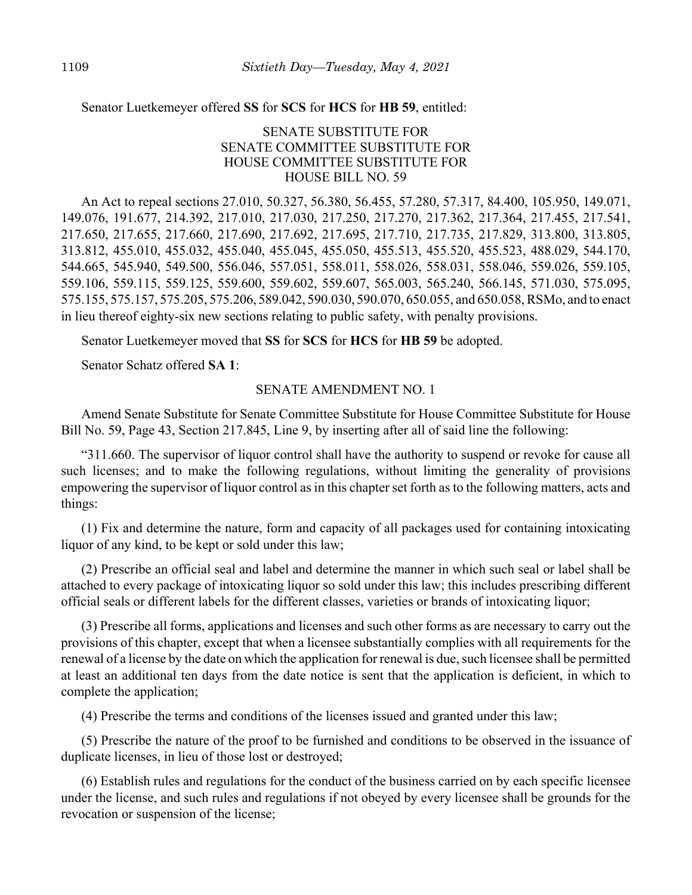#### Senator Luetkemeyer offered **SS** for **SCS** for **HCS** for **HB 59**, entitled:

#### SENATE SUBSTITUTE FOR SENATE COMMITTEE SUBSTITUTE FOR HOUSE COMMITTEE SUBSTITUTE FOR HOUSE BILL NO. 59

An Act to repeal sections 27.010, 50.327, 56.380, 56.455, 57.280, 57.317, 84.400, 105.950, 149.071, 149.076, 191.677, 214.392, 217.010, 217.030, 217.250, 217.270, 217.362, 217.364, 217.455, 217.541, 217.650, 217.655, 217.660, 217.690, 217.692, 217.695, 217.710, 217.735, 217.829, 313.800, 313.805, 313.812, 455.010, 455.032, 455.040, 455.045, 455.050, 455.513, 455.520, 455.523, 488.029, 544.170, 544.665, 545.940, 549.500, 556.046, 557.051, 558.011, 558.026, 558.031, 558.046, 559.026, 559.105, 559.106, 559.115, 559.125, 559.600, 559.602, 559.607, 565.003, 565.240, 566.145, 571.030, 575.095, 575.155, 575.157, 575.205, 575.206, 589.042, 590.030, 590.070, 650.055, and 650.058, RSMo, and to enact in lieu thereof eighty-six new sections relating to public safety, with penalty provisions.

Senator Luetkemeyer moved that **SS** for **SCS** for **HCS** for **HB 59** be adopted.

Senator Schatz offered **SA 1**:

#### SENATE AMENDMENT NO. 1

Amend Senate Substitute for Senate Committee Substitute for House Committee Substitute for House Bill No. 59, Page 43, Section 217.845, Line 9, by inserting after all of said line the following:

"311.660. The supervisor of liquor control shall have the authority to suspend or revoke for cause all such licenses; and to make the following regulations, without limiting the generality of provisions empowering the supervisor of liquor control as in this chapter set forth as to the following matters, acts and things:

(1) Fix and determine the nature, form and capacity of all packages used for containing intoxicating liquor of any kind, to be kept or sold under this law;

(2) Prescribe an official seal and label and determine the manner in which such seal or label shall be attached to every package of intoxicating liquor so sold under this law; this includes prescribing different official seals or different labels for the different classes, varieties or brands of intoxicating liquor;

(3) Prescribe all forms, applications and licenses and such other forms as are necessary to carry out the provisions of this chapter, except that when a licensee substantially complies with all requirements for the renewal of a license by the date on which the application for renewal is due, such licensee shall be permitted at least an additional ten days from the date notice is sent that the application is deficient, in which to complete the application;

(4) Prescribe the terms and conditions of the licenses issued and granted under this law;

(5) Prescribe the nature of the proof to be furnished and conditions to be observed in the issuance of duplicate licenses, in lieu of those lost or destroyed;

(6) Establish rules and regulations for the conduct of the business carried on by each specific licensee under the license, and such rules and regulations if not obeyed by every licensee shall be grounds for the revocation or suspension of the license;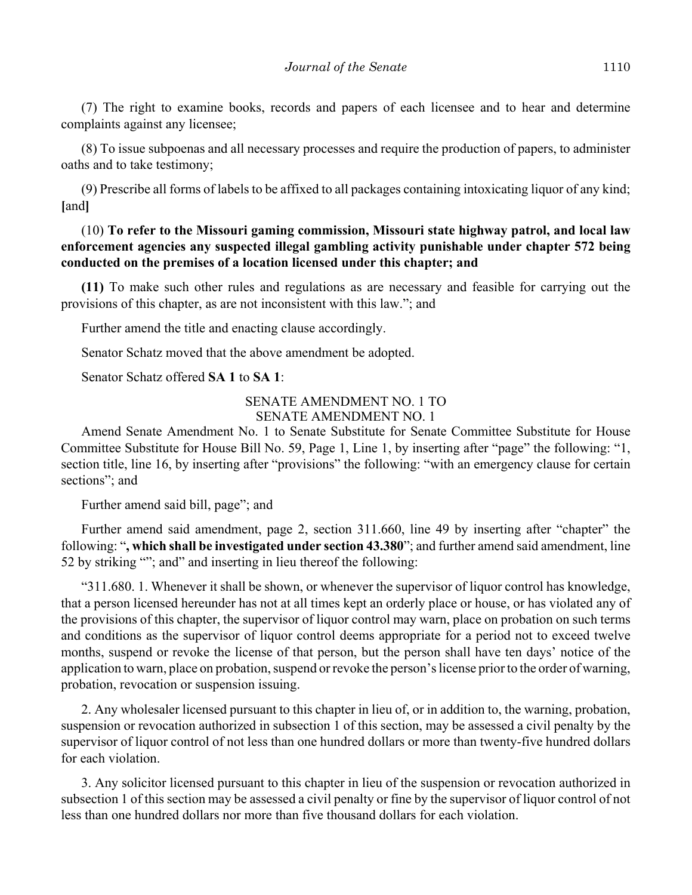(7) The right to examine books, records and papers of each licensee and to hear and determine complaints against any licensee;

(8) To issue subpoenas and all necessary processes and require the production of papers, to administer oaths and to take testimony;

(9) Prescribe all forms of labels to be affixed to all packages containing intoxicating liquor of any kind; **[**and**]**

# (10) **To refer to the Missouri gaming commission, Missouri state highway patrol, and local law enforcement agencies any suspected illegal gambling activity punishable under chapter 572 being conducted on the premises of a location licensed under this chapter; and**

**(11)** To make such other rules and regulations as are necessary and feasible for carrying out the provisions of this chapter, as are not inconsistent with this law."; and

Further amend the title and enacting clause accordingly.

Senator Schatz moved that the above amendment be adopted.

Senator Schatz offered **SA 1** to **SA 1**:

#### SENATE AMENDMENT NO. 1 TO SENATE AMENDMENT NO. 1

Amend Senate Amendment No. 1 to Senate Substitute for Senate Committee Substitute for House Committee Substitute for House Bill No. 59, Page 1, Line 1, by inserting after "page" the following: "1, section title, line 16, by inserting after "provisions" the following: "with an emergency clause for certain sections"; and

Further amend said bill, page"; and

Further amend said amendment, page 2, section 311.660, line 49 by inserting after "chapter" the following: "**, which shall be investigated under section 43.380**"; and further amend said amendment, line 52 by striking ""; and" and inserting in lieu thereof the following:

"311.680. 1. Whenever it shall be shown, or whenever the supervisor of liquor control has knowledge, that a person licensed hereunder has not at all times kept an orderly place or house, or has violated any of the provisions of this chapter, the supervisor of liquor control may warn, place on probation on such terms and conditions as the supervisor of liquor control deems appropriate for a period not to exceed twelve months, suspend or revoke the license of that person, but the person shall have ten days' notice of the application to warn, place on probation, suspend or revoke the person's license prior to the order of warning, probation, revocation or suspension issuing.

2. Any wholesaler licensed pursuant to this chapter in lieu of, or in addition to, the warning, probation, suspension or revocation authorized in subsection 1 of this section, may be assessed a civil penalty by the supervisor of liquor control of not less than one hundred dollars or more than twenty-five hundred dollars for each violation.

3. Any solicitor licensed pursuant to this chapter in lieu of the suspension or revocation authorized in subsection 1 of this section may be assessed a civil penalty or fine by the supervisor of liquor control of not less than one hundred dollars nor more than five thousand dollars for each violation.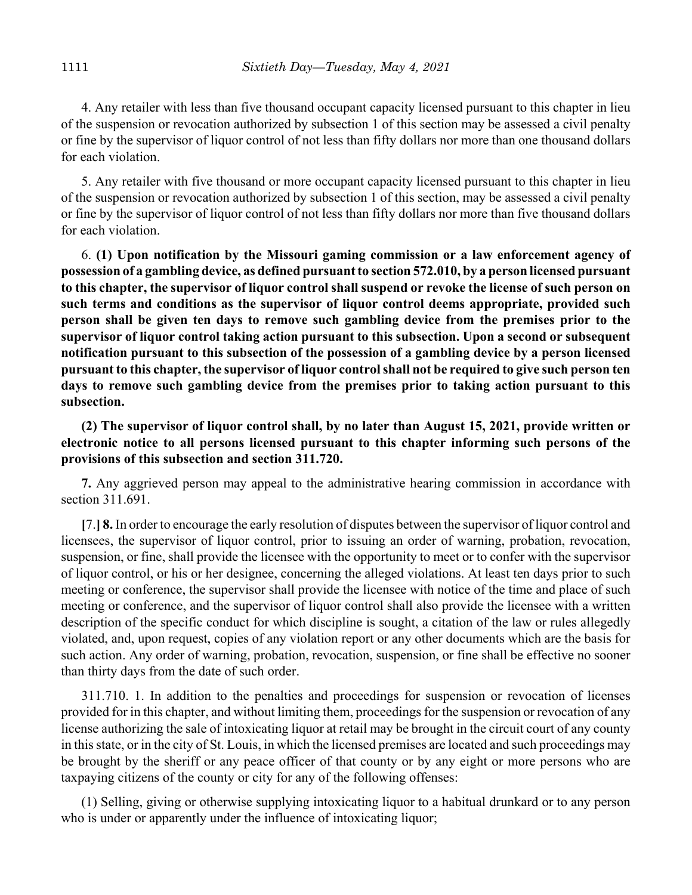4. Any retailer with less than five thousand occupant capacity licensed pursuant to this chapter in lieu of the suspension or revocation authorized by subsection 1 of this section may be assessed a civil penalty or fine by the supervisor of liquor control of not less than fifty dollars nor more than one thousand dollars for each violation.

5. Any retailer with five thousand or more occupant capacity licensed pursuant to this chapter in lieu of the suspension or revocation authorized by subsection 1 of this section, may be assessed a civil penalty or fine by the supervisor of liquor control of not less than fifty dollars nor more than five thousand dollars for each violation.

6. **(1) Upon notification by the Missouri gaming commission or a law enforcement agency of possession of a gambling device, as defined pursuant to section 572.010, by a person licensed pursuant to this chapter, the supervisor of liquor control shall suspend or revoke the license of such person on such terms and conditions as the supervisor of liquor control deems appropriate, provided such person shall be given ten days to remove such gambling device from the premises prior to the supervisor of liquor control taking action pursuant to this subsection. Upon a second or subsequent notification pursuant to this subsection of the possession of a gambling device by a person licensed pursuant to this chapter, the supervisor of liquor control shall not be required to give such person ten days to remove such gambling device from the premises prior to taking action pursuant to this subsection.**

**(2) The supervisor of liquor control shall, by no later than August 15, 2021, provide written or electronic notice to all persons licensed pursuant to this chapter informing such persons of the provisions of this subsection and section 311.720.**

**7.** Any aggrieved person may appeal to the administrative hearing commission in accordance with section 311.691.

**[**7.**] 8.** In order to encourage the early resolution of disputes between the supervisor of liquor control and licensees, the supervisor of liquor control, prior to issuing an order of warning, probation, revocation, suspension, or fine, shall provide the licensee with the opportunity to meet or to confer with the supervisor of liquor control, or his or her designee, concerning the alleged violations. At least ten days prior to such meeting or conference, the supervisor shall provide the licensee with notice of the time and place of such meeting or conference, and the supervisor of liquor control shall also provide the licensee with a written description of the specific conduct for which discipline is sought, a citation of the law or rules allegedly violated, and, upon request, copies of any violation report or any other documents which are the basis for such action. Any order of warning, probation, revocation, suspension, or fine shall be effective no sooner than thirty days from the date of such order.

311.710. 1. In addition to the penalties and proceedings for suspension or revocation of licenses provided for in this chapter, and without limiting them, proceedings for the suspension or revocation of any license authorizing the sale of intoxicating liquor at retail may be brought in the circuit court of any county in this state, or in the city of St. Louis, in which the licensed premises are located and such proceedings may be brought by the sheriff or any peace officer of that county or by any eight or more persons who are taxpaying citizens of the county or city for any of the following offenses:

(1) Selling, giving or otherwise supplying intoxicating liquor to a habitual drunkard or to any person who is under or apparently under the influence of intoxicating liquor;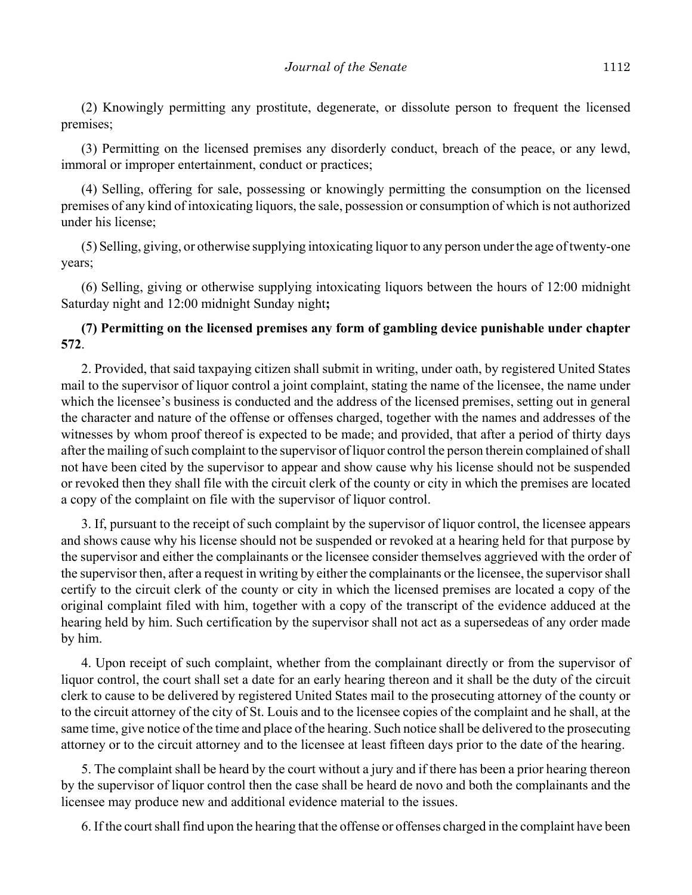(2) Knowingly permitting any prostitute, degenerate, or dissolute person to frequent the licensed premises;

(3) Permitting on the licensed premises any disorderly conduct, breach of the peace, or any lewd, immoral or improper entertainment, conduct or practices;

(4) Selling, offering for sale, possessing or knowingly permitting the consumption on the licensed premises of any kind of intoxicating liquors, the sale, possession or consumption of which is not authorized under his license;

(5) Selling, giving, or otherwise supplying intoxicating liquor to any person under the age of twenty-one years;

(6) Selling, giving or otherwise supplying intoxicating liquors between the hours of 12:00 midnight Saturday night and 12:00 midnight Sunday night**;**

# **(7) Permitting on the licensed premises any form of gambling device punishable under chapter 572**.

2. Provided, that said taxpaying citizen shall submit in writing, under oath, by registered United States mail to the supervisor of liquor control a joint complaint, stating the name of the licensee, the name under which the licensee's business is conducted and the address of the licensed premises, setting out in general the character and nature of the offense or offenses charged, together with the names and addresses of the witnesses by whom proof thereof is expected to be made; and provided, that after a period of thirty days after the mailing of such complaint to the supervisor of liquor control the person therein complained of shall not have been cited by the supervisor to appear and show cause why his license should not be suspended or revoked then they shall file with the circuit clerk of the county or city in which the premises are located a copy of the complaint on file with the supervisor of liquor control.

3. If, pursuant to the receipt of such complaint by the supervisor of liquor control, the licensee appears and shows cause why his license should not be suspended or revoked at a hearing held for that purpose by the supervisor and either the complainants or the licensee consider themselves aggrieved with the order of the supervisor then, after a request in writing by either the complainants or the licensee, the supervisor shall certify to the circuit clerk of the county or city in which the licensed premises are located a copy of the original complaint filed with him, together with a copy of the transcript of the evidence adduced at the hearing held by him. Such certification by the supervisor shall not act as a supersedeas of any order made by him.

4. Upon receipt of such complaint, whether from the complainant directly or from the supervisor of liquor control, the court shall set a date for an early hearing thereon and it shall be the duty of the circuit clerk to cause to be delivered by registered United States mail to the prosecuting attorney of the county or to the circuit attorney of the city of St. Louis and to the licensee copies of the complaint and he shall, at the same time, give notice of the time and place of the hearing. Such notice shall be delivered to the prosecuting attorney or to the circuit attorney and to the licensee at least fifteen days prior to the date of the hearing.

5. The complaint shall be heard by the court without a jury and if there has been a prior hearing thereon by the supervisor of liquor control then the case shall be heard de novo and both the complainants and the licensee may produce new and additional evidence material to the issues.

6. If the court shall find upon the hearing that the offense or offenses charged in the complaint have been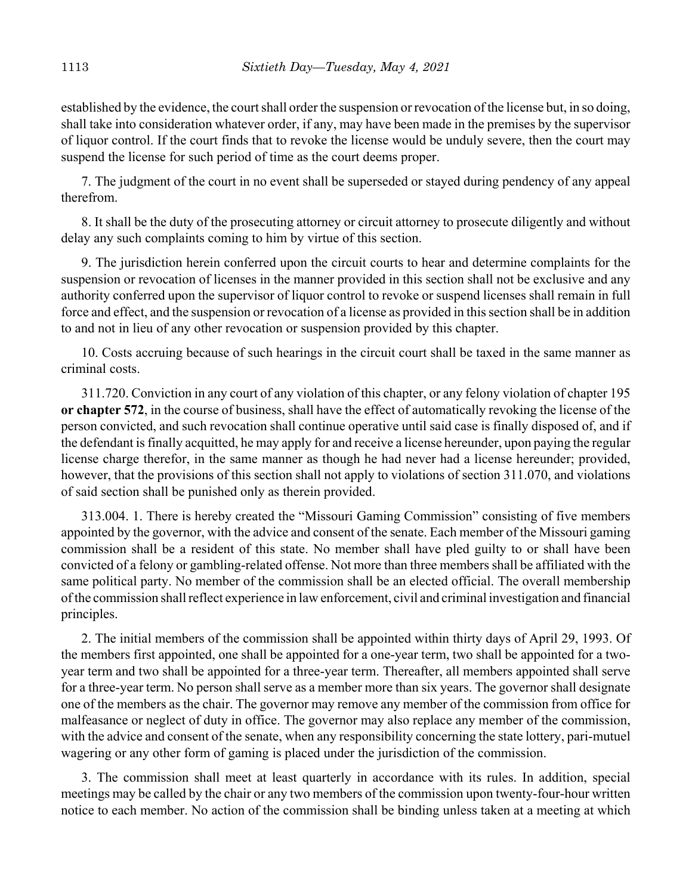established by the evidence, the court shall order the suspension or revocation of the license but, in so doing, shall take into consideration whatever order, if any, may have been made in the premises by the supervisor of liquor control. If the court finds that to revoke the license would be unduly severe, then the court may suspend the license for such period of time as the court deems proper.

7. The judgment of the court in no event shall be superseded or stayed during pendency of any appeal therefrom.

8. It shall be the duty of the prosecuting attorney or circuit attorney to prosecute diligently and without delay any such complaints coming to him by virtue of this section.

9. The jurisdiction herein conferred upon the circuit courts to hear and determine complaints for the suspension or revocation of licenses in the manner provided in this section shall not be exclusive and any authority conferred upon the supervisor of liquor control to revoke or suspend licenses shall remain in full force and effect, and the suspension or revocation of a license as provided in this section shall be in addition to and not in lieu of any other revocation or suspension provided by this chapter.

10. Costs accruing because of such hearings in the circuit court shall be taxed in the same manner as criminal costs.

311.720. Conviction in any court of any violation of this chapter, or any felony violation of chapter 195 **or chapter 572**, in the course of business, shall have the effect of automatically revoking the license of the person convicted, and such revocation shall continue operative until said case is finally disposed of, and if the defendant is finally acquitted, he may apply for and receive a license hereunder, upon paying the regular license charge therefor, in the same manner as though he had never had a license hereunder; provided, however, that the provisions of this section shall not apply to violations of section 311.070, and violations of said section shall be punished only as therein provided.

313.004. 1. There is hereby created the "Missouri Gaming Commission" consisting of five members appointed by the governor, with the advice and consent of the senate. Each member of the Missouri gaming commission shall be a resident of this state. No member shall have pled guilty to or shall have been convicted of a felony or gambling-related offense. Not more than three members shall be affiliated with the same political party. No member of the commission shall be an elected official. The overall membership of the commission shall reflect experience in law enforcement, civil and criminal investigation and financial principles.

2. The initial members of the commission shall be appointed within thirty days of April 29, 1993. Of the members first appointed, one shall be appointed for a one-year term, two shall be appointed for a twoyear term and two shall be appointed for a three-year term. Thereafter, all members appointed shall serve for a three-year term. No person shall serve as a member more than six years. The governor shall designate one of the members as the chair. The governor may remove any member of the commission from office for malfeasance or neglect of duty in office. The governor may also replace any member of the commission, with the advice and consent of the senate, when any responsibility concerning the state lottery, pari-mutuel wagering or any other form of gaming is placed under the jurisdiction of the commission.

3. The commission shall meet at least quarterly in accordance with its rules. In addition, special meetings may be called by the chair or any two members of the commission upon twenty-four-hour written notice to each member. No action of the commission shall be binding unless taken at a meeting at which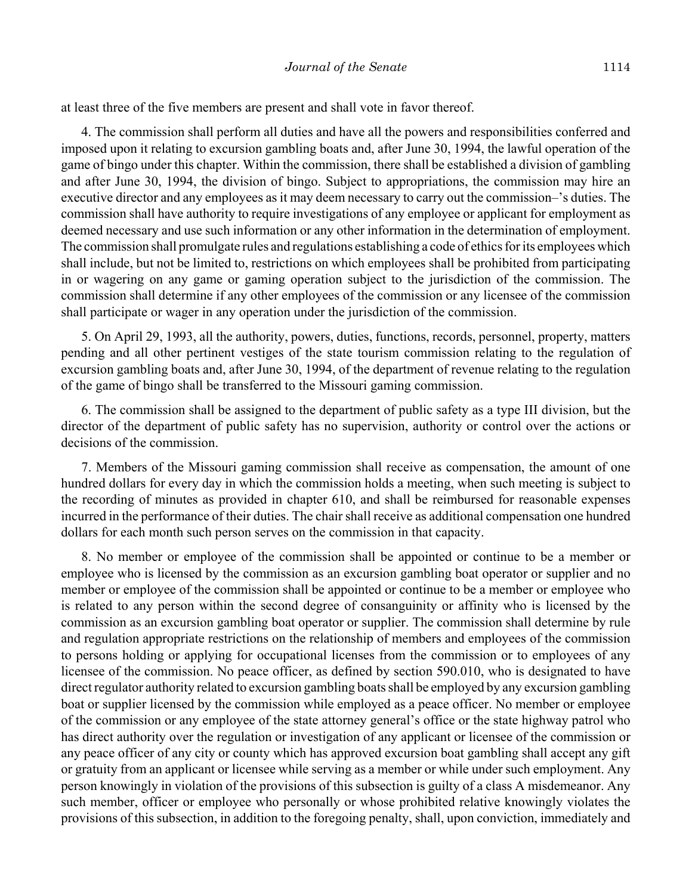at least three of the five members are present and shall vote in favor thereof.

4. The commission shall perform all duties and have all the powers and responsibilities conferred and imposed upon it relating to excursion gambling boats and, after June 30, 1994, the lawful operation of the game of bingo under this chapter. Within the commission, there shall be established a division of gambling and after June 30, 1994, the division of bingo. Subject to appropriations, the commission may hire an executive director and any employees as it may deem necessary to carry out the commission–'s duties. The commission shall have authority to require investigations of any employee or applicant for employment as deemed necessary and use such information or any other information in the determination of employment. The commission shall promulgate rules and regulations establishing a code of ethics for its employees which shall include, but not be limited to, restrictions on which employees shall be prohibited from participating in or wagering on any game or gaming operation subject to the jurisdiction of the commission. The commission shall determine if any other employees of the commission or any licensee of the commission shall participate or wager in any operation under the jurisdiction of the commission.

5. On April 29, 1993, all the authority, powers, duties, functions, records, personnel, property, matters pending and all other pertinent vestiges of the state tourism commission relating to the regulation of excursion gambling boats and, after June 30, 1994, of the department of revenue relating to the regulation of the game of bingo shall be transferred to the Missouri gaming commission.

6. The commission shall be assigned to the department of public safety as a type III division, but the director of the department of public safety has no supervision, authority or control over the actions or decisions of the commission.

7. Members of the Missouri gaming commission shall receive as compensation, the amount of one hundred dollars for every day in which the commission holds a meeting, when such meeting is subject to the recording of minutes as provided in chapter 610, and shall be reimbursed for reasonable expenses incurred in the performance of their duties. The chair shall receive as additional compensation one hundred dollars for each month such person serves on the commission in that capacity.

8. No member or employee of the commission shall be appointed or continue to be a member or employee who is licensed by the commission as an excursion gambling boat operator or supplier and no member or employee of the commission shall be appointed or continue to be a member or employee who is related to any person within the second degree of consanguinity or affinity who is licensed by the commission as an excursion gambling boat operator or supplier. The commission shall determine by rule and regulation appropriate restrictions on the relationship of members and employees of the commission to persons holding or applying for occupational licenses from the commission or to employees of any licensee of the commission. No peace officer, as defined by section 590.010, who is designated to have direct regulator authority related to excursion gambling boats shall be employed by any excursion gambling boat or supplier licensed by the commission while employed as a peace officer. No member or employee of the commission or any employee of the state attorney general's office or the state highway patrol who has direct authority over the regulation or investigation of any applicant or licensee of the commission or any peace officer of any city or county which has approved excursion boat gambling shall accept any gift or gratuity from an applicant or licensee while serving as a member or while under such employment. Any person knowingly in violation of the provisions of this subsection is guilty of a class A misdemeanor. Any such member, officer or employee who personally or whose prohibited relative knowingly violates the provisions of this subsection, in addition to the foregoing penalty, shall, upon conviction, immediately and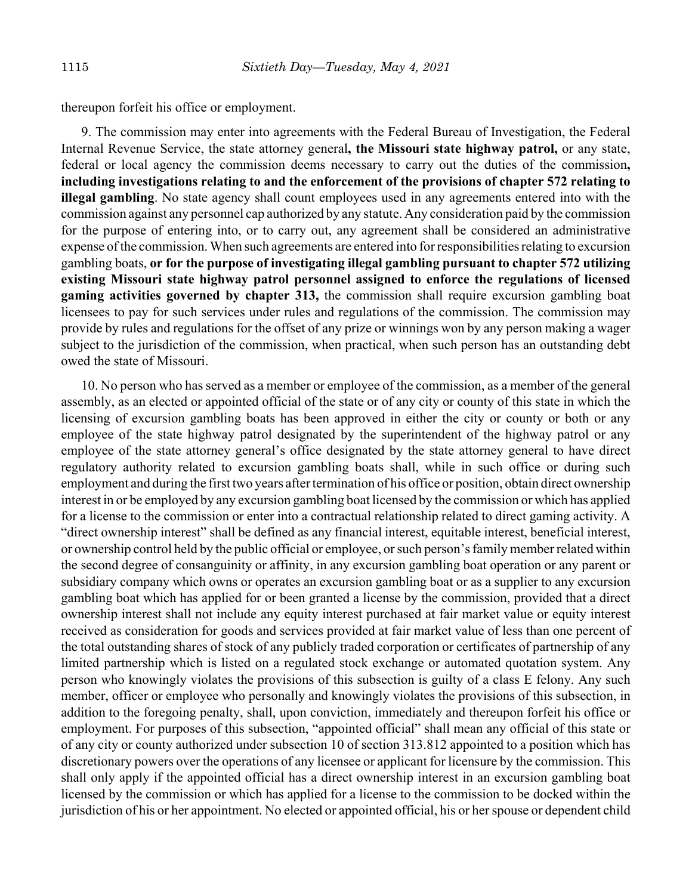thereupon forfeit his office or employment.

9. The commission may enter into agreements with the Federal Bureau of Investigation, the Federal Internal Revenue Service, the state attorney general**, the Missouri state highway patrol,** or any state, federal or local agency the commission deems necessary to carry out the duties of the commission**, including investigations relating to and the enforcement of the provisions of chapter 572 relating to illegal gambling**. No state agency shall count employees used in any agreements entered into with the commission against any personnel cap authorized by any statute. Any consideration paid by the commission for the purpose of entering into, or to carry out, any agreement shall be considered an administrative expense of the commission. When such agreements are entered into for responsibilities relating to excursion gambling boats, **or for the purpose of investigating illegal gambling pursuant to chapter 572 utilizing existing Missouri state highway patrol personnel assigned to enforce the regulations of licensed gaming activities governed by chapter 313,** the commission shall require excursion gambling boat licensees to pay for such services under rules and regulations of the commission. The commission may provide by rules and regulations for the offset of any prize or winnings won by any person making a wager subject to the jurisdiction of the commission, when practical, when such person has an outstanding debt owed the state of Missouri.

10. No person who has served as a member or employee of the commission, as a member of the general assembly, as an elected or appointed official of the state or of any city or county of this state in which the licensing of excursion gambling boats has been approved in either the city or county or both or any employee of the state highway patrol designated by the superintendent of the highway patrol or any employee of the state attorney general's office designated by the state attorney general to have direct regulatory authority related to excursion gambling boats shall, while in such office or during such employment and during the first two years after termination of his office or position, obtain direct ownership interest in or be employed by any excursion gambling boat licensed by the commission or which has applied for a license to the commission or enter into a contractual relationship related to direct gaming activity. A "direct ownership interest" shall be defined as any financial interest, equitable interest, beneficial interest, or ownership control held by the public official or employee, or such person's family member related within the second degree of consanguinity or affinity, in any excursion gambling boat operation or any parent or subsidiary company which owns or operates an excursion gambling boat or as a supplier to any excursion gambling boat which has applied for or been granted a license by the commission, provided that a direct ownership interest shall not include any equity interest purchased at fair market value or equity interest received as consideration for goods and services provided at fair market value of less than one percent of the total outstanding shares of stock of any publicly traded corporation or certificates of partnership of any limited partnership which is listed on a regulated stock exchange or automated quotation system. Any person who knowingly violates the provisions of this subsection is guilty of a class E felony. Any such member, officer or employee who personally and knowingly violates the provisions of this subsection, in addition to the foregoing penalty, shall, upon conviction, immediately and thereupon forfeit his office or employment. For purposes of this subsection, "appointed official" shall mean any official of this state or of any city or county authorized under subsection 10 of section 313.812 appointed to a position which has discretionary powers over the operations of any licensee or applicant for licensure by the commission. This shall only apply if the appointed official has a direct ownership interest in an excursion gambling boat licensed by the commission or which has applied for a license to the commission to be docked within the jurisdiction of his or her appointment. No elected or appointed official, his or her spouse or dependent child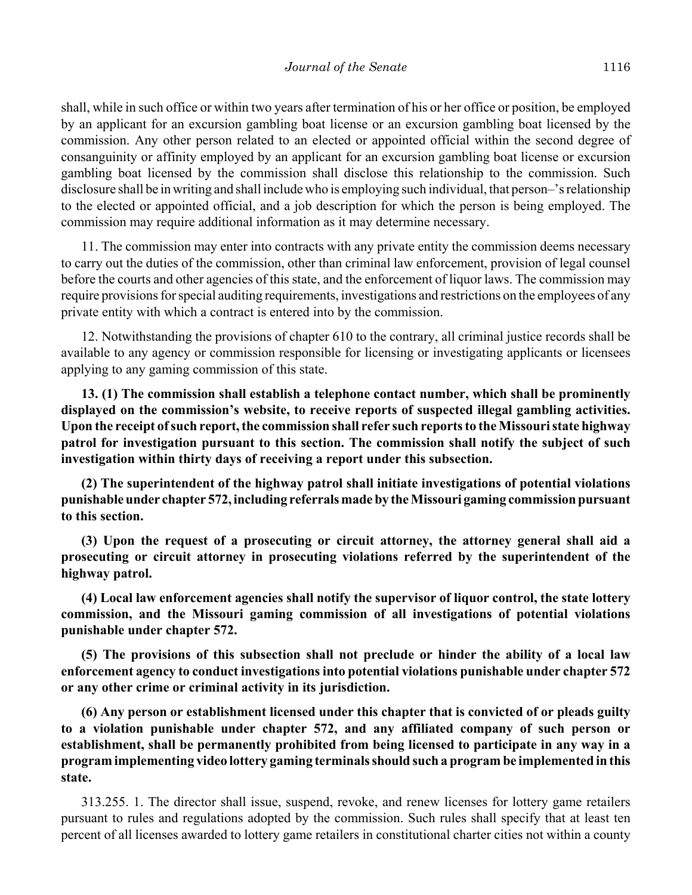shall, while in such office or within two years after termination of his or her office or position, be employed by an applicant for an excursion gambling boat license or an excursion gambling boat licensed by the commission. Any other person related to an elected or appointed official within the second degree of consanguinity or affinity employed by an applicant for an excursion gambling boat license or excursion gambling boat licensed by the commission shall disclose this relationship to the commission. Such disclosure shall be in writing and shall include who is employing such individual, that person–'s relationship to the elected or appointed official, and a job description for which the person is being employed. The commission may require additional information as it may determine necessary.

11. The commission may enter into contracts with any private entity the commission deems necessary to carry out the duties of the commission, other than criminal law enforcement, provision of legal counsel before the courts and other agencies of this state, and the enforcement of liquor laws. The commission may require provisions for special auditing requirements, investigations and restrictions on the employees of any private entity with which a contract is entered into by the commission.

12. Notwithstanding the provisions of chapter 610 to the contrary, all criminal justice records shall be available to any agency or commission responsible for licensing or investigating applicants or licensees applying to any gaming commission of this state.

**13. (1) The commission shall establish a telephone contact number, which shall be prominently displayed on the commission's website, to receive reports of suspected illegal gambling activities. Upon the receipt of such report, the commission shall refer such reports to the Missouri state highway patrol for investigation pursuant to this section. The commission shall notify the subject of such investigation within thirty days of receiving a report under this subsection.**

**(2) The superintendent of the highway patrol shall initiate investigations of potential violations punishable under chapter 572, including referrals made by the Missouri gaming commission pursuant to this section.**

**(3) Upon the request of a prosecuting or circuit attorney, the attorney general shall aid a prosecuting or circuit attorney in prosecuting violations referred by the superintendent of the highway patrol.**

**(4) Local law enforcement agencies shall notify the supervisor of liquor control, the state lottery commission, and the Missouri gaming commission of all investigations of potential violations punishable under chapter 572.**

**(5) The provisions of this subsection shall not preclude or hinder the ability of a local law enforcement agency to conduct investigations into potential violations punishable under chapter 572 or any other crime or criminal activity in its jurisdiction.**

**(6) Any person or establishment licensed under this chapter that is convicted of or pleads guilty to a violation punishable under chapter 572, and any affiliated company of such person or establishment, shall be permanently prohibited from being licensed to participate in any way in a program implementing video lottery gaming terminals should such a program be implemented in this state.**

313.255. 1. The director shall issue, suspend, revoke, and renew licenses for lottery game retailers pursuant to rules and regulations adopted by the commission. Such rules shall specify that at least ten percent of all licenses awarded to lottery game retailers in constitutional charter cities not within a county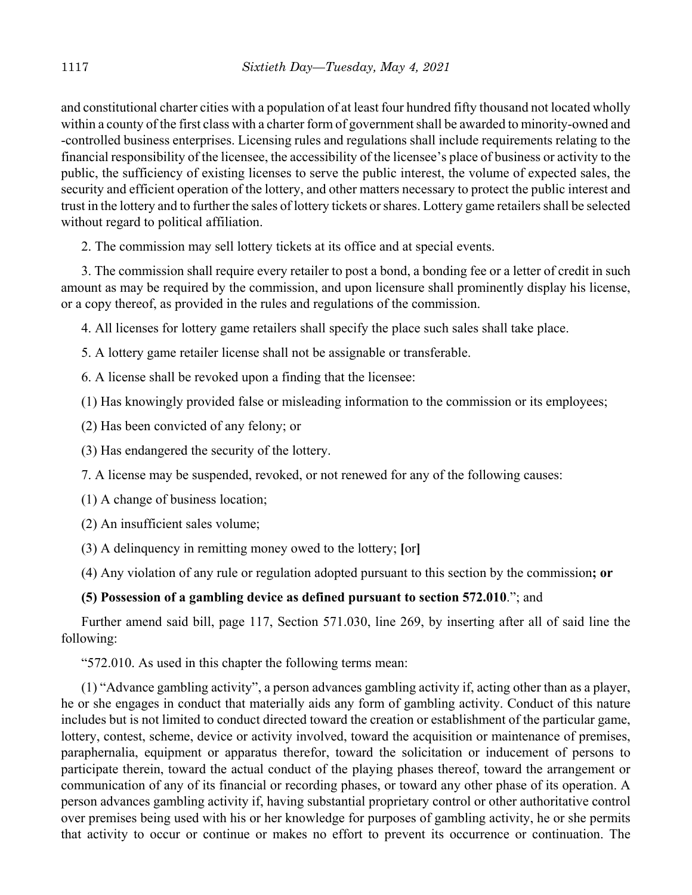and constitutional charter cities with a population of at least four hundred fifty thousand not located wholly within a county of the first class with a charter form of government shall be awarded to minority-owned and -controlled business enterprises. Licensing rules and regulations shall include requirements relating to the financial responsibility of the licensee, the accessibility of the licensee's place of business or activity to the public, the sufficiency of existing licenses to serve the public interest, the volume of expected sales, the security and efficient operation of the lottery, and other matters necessary to protect the public interest and trust in the lottery and to further the sales of lottery tickets or shares. Lottery game retailers shall be selected without regard to political affiliation.

2. The commission may sell lottery tickets at its office and at special events.

3. The commission shall require every retailer to post a bond, a bonding fee or a letter of credit in such amount as may be required by the commission, and upon licensure shall prominently display his license, or a copy thereof, as provided in the rules and regulations of the commission.

4. All licenses for lottery game retailers shall specify the place such sales shall take place.

5. A lottery game retailer license shall not be assignable or transferable.

6. A license shall be revoked upon a finding that the licensee:

(1) Has knowingly provided false or misleading information to the commission or its employees;

(2) Has been convicted of any felony; or

(3) Has endangered the security of the lottery.

7. A license may be suspended, revoked, or not renewed for any of the following causes:

(1) A change of business location;

(2) An insufficient sales volume;

(3) A delinquency in remitting money owed to the lottery; **[**or**]**

(4) Any violation of any rule or regulation adopted pursuant to this section by the commission**; or**

# **(5) Possession of a gambling device as defined pursuant to section 572.010**."; and

Further amend said bill, page 117, Section 571.030, line 269, by inserting after all of said line the following:

"572.010. As used in this chapter the following terms mean:

(1) "Advance gambling activity", a person advances gambling activity if, acting other than as a player, he or she engages in conduct that materially aids any form of gambling activity. Conduct of this nature includes but is not limited to conduct directed toward the creation or establishment of the particular game, lottery, contest, scheme, device or activity involved, toward the acquisition or maintenance of premises, paraphernalia, equipment or apparatus therefor, toward the solicitation or inducement of persons to participate therein, toward the actual conduct of the playing phases thereof, toward the arrangement or communication of any of its financial or recording phases, or toward any other phase of its operation. A person advances gambling activity if, having substantial proprietary control or other authoritative control over premises being used with his or her knowledge for purposes of gambling activity, he or she permits that activity to occur or continue or makes no effort to prevent its occurrence or continuation. The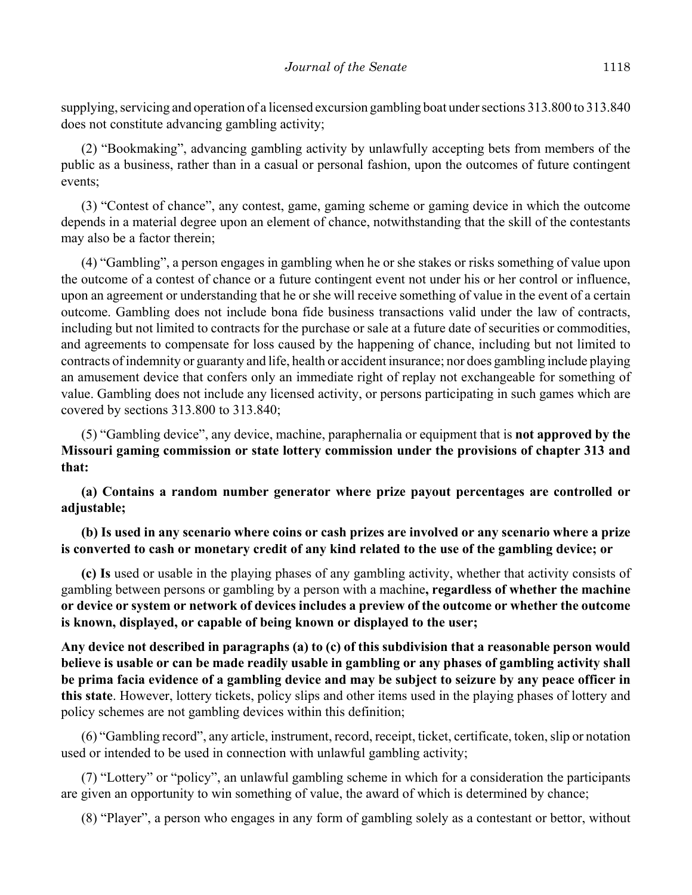supplying, servicing and operation of a licensed excursion gambling boat under sections 313.800 to 313.840 does not constitute advancing gambling activity;

(2) "Bookmaking", advancing gambling activity by unlawfully accepting bets from members of the public as a business, rather than in a casual or personal fashion, upon the outcomes of future contingent events;

(3) "Contest of chance", any contest, game, gaming scheme or gaming device in which the outcome depends in a material degree upon an element of chance, notwithstanding that the skill of the contestants may also be a factor therein;

(4) "Gambling", a person engages in gambling when he or she stakes or risks something of value upon the outcome of a contest of chance or a future contingent event not under his or her control or influence, upon an agreement or understanding that he or she will receive something of value in the event of a certain outcome. Gambling does not include bona fide business transactions valid under the law of contracts, including but not limited to contracts for the purchase or sale at a future date of securities or commodities, and agreements to compensate for loss caused by the happening of chance, including but not limited to contracts of indemnity or guaranty and life, health or accident insurance; nor does gambling include playing an amusement device that confers only an immediate right of replay not exchangeable for something of value. Gambling does not include any licensed activity, or persons participating in such games which are covered by sections 313.800 to 313.840;

(5) "Gambling device", any device, machine, paraphernalia or equipment that is **not approved by the Missouri gaming commission or state lottery commission under the provisions of chapter 313 and that:**

**(a) Contains a random number generator where prize payout percentages are controlled or adjustable;**

**(b) Is used in any scenario where coins or cash prizes are involved or any scenario where a prize is converted to cash or monetary credit of any kind related to the use of the gambling device; or**

**(c) Is** used or usable in the playing phases of any gambling activity, whether that activity consists of gambling between persons or gambling by a person with a machine**, regardless of whether the machine or device or system or network of devices includes a preview of the outcome or whether the outcome is known, displayed, or capable of being known or displayed to the user;**

**Any device not described in paragraphs (a) to (c) of this subdivision that a reasonable person would believe is usable or can be made readily usable in gambling or any phases of gambling activity shall be prima facia evidence of a gambling device and may be subject to seizure by any peace officer in this state**. However, lottery tickets, policy slips and other items used in the playing phases of lottery and policy schemes are not gambling devices within this definition;

(6) "Gambling record", any article, instrument, record, receipt, ticket, certificate, token, slip or notation used or intended to be used in connection with unlawful gambling activity;

(7) "Lottery" or "policy", an unlawful gambling scheme in which for a consideration the participants are given an opportunity to win something of value, the award of which is determined by chance;

(8) "Player", a person who engages in any form of gambling solely as a contestant or bettor, without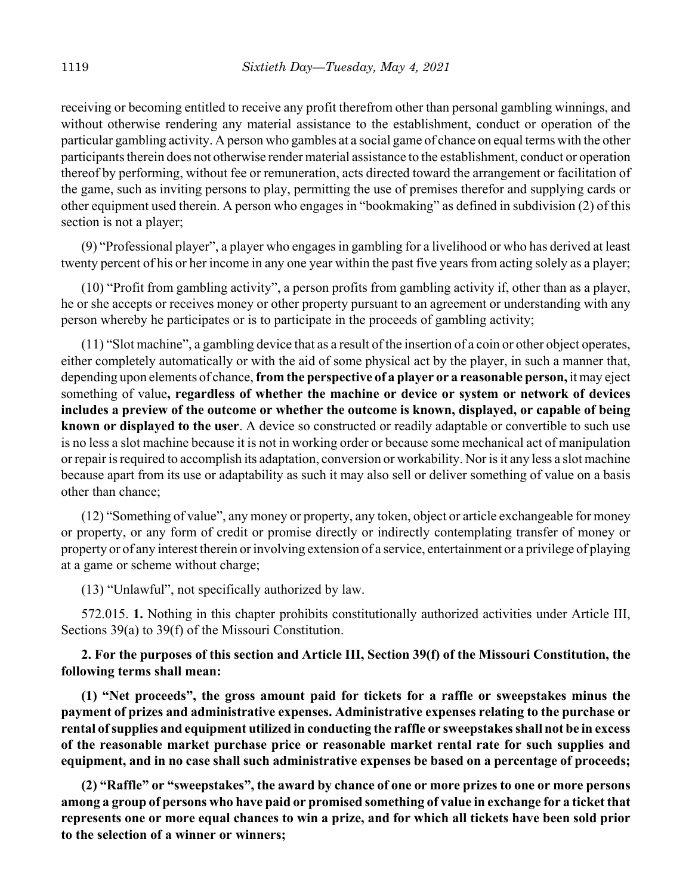receiving or becoming entitled to receive any profit therefrom other than personal gambling winnings, and without otherwise rendering any material assistance to the establishment, conduct or operation of the particular gambling activity. A person who gambles at a social game of chance on equal terms with the other participants therein does not otherwise render material assistance to the establishment, conduct or operation thereof by performing, without fee or remuneration, acts directed toward the arrangement or facilitation of the game, such as inviting persons to play, permitting the use of premises therefor and supplying cards or other equipment used therein. A person who engages in "bookmaking" as defined in subdivision (2) of this section is not a player;

(9) "Professional player", a player who engages in gambling for a livelihood or who has derived at least twenty percent of his or her income in any one year within the past five years from acting solely as a player;

(10) "Profit from gambling activity", a person profits from gambling activity if, other than as a player, he or she accepts or receives money or other property pursuant to an agreement or understanding with any person whereby he participates or is to participate in the proceeds of gambling activity;

(11) "Slot machine", a gambling device that as a result of the insertion of a coin or other object operates, either completely automatically or with the aid of some physical act by the player, in such a manner that, depending upon elements of chance, **from the perspective of a player or a reasonable person,** it may eject something of value**, regardless of whether the machine or device or system or network of devices includes a preview of the outcome or whether the outcome is known, displayed, or capable of being known or displayed to the user**. A device so constructed or readily adaptable or convertible to such use is no less a slot machine because it is not in working order or because some mechanical act of manipulation or repair is required to accomplish its adaptation, conversion or workability. Nor is it any less a slot machine because apart from its use or adaptability as such it may also sell or deliver something of value on a basis other than chance;

(12) "Something of value", any money or property, any token, object or article exchangeable for money or property, or any form of credit or promise directly or indirectly contemplating transfer of money or property or of any interest therein or involving extension of a service, entertainment or a privilege of playing at a game or scheme without charge;

(13) "Unlawful", not specifically authorized by law.

572.015. **1.** Nothing in this chapter prohibits constitutionally authorized activities under Article III, Sections 39(a) to 39(f) of the Missouri Constitution.

**2. For the purposes of this section and Article III, Section 39(f) of the Missouri Constitution, the following terms shall mean:**

**(1) "Net proceeds", the gross amount paid for tickets for a raffle or sweepstakes minus the payment of prizes and administrative expenses. Administrative expenses relating to the purchase or rental of supplies and equipment utilized in conducting the raffle or sweepstakes shall not be in excess of the reasonable market purchase price or reasonable market rental rate for such supplies and equipment, and in no case shall such administrative expenses be based on a percentage of proceeds;**

**(2) "Raffle" or "sweepstakes", the award by chance of one or more prizes to one or more persons among a group of persons who have paid or promised something of value in exchange for a ticket that represents one or more equal chances to win a prize, and for which all tickets have been sold prior to the selection of a winner or winners;**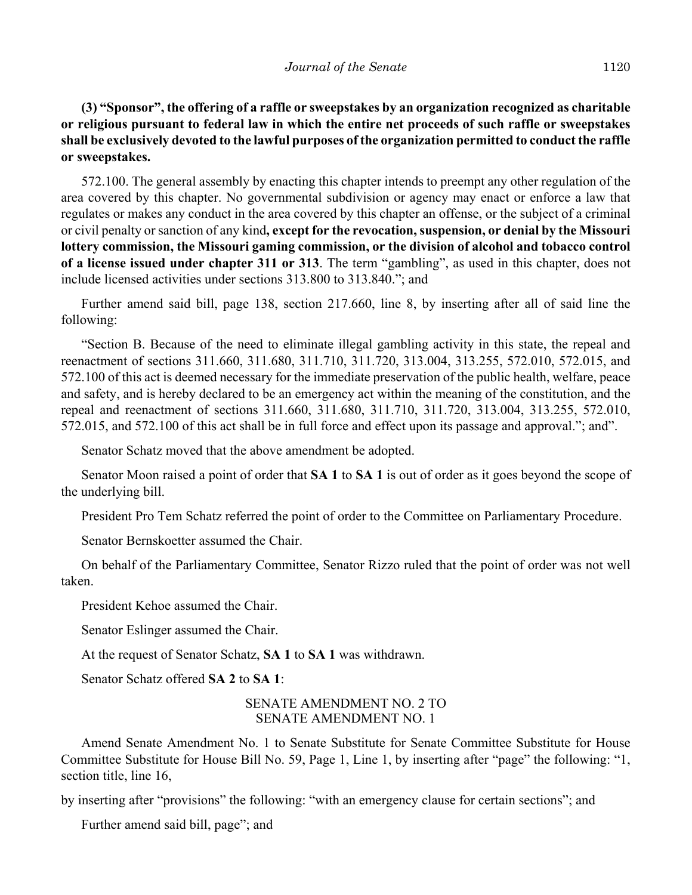**(3) "Sponsor", the offering of a raffle or sweepstakes by an organization recognized as charitable or religious pursuant to federal law in which the entire net proceeds of such raffle or sweepstakes shall be exclusively devoted to the lawful purposes of the organization permitted to conduct the raffle or sweepstakes.**

572.100. The general assembly by enacting this chapter intends to preempt any other regulation of the area covered by this chapter. No governmental subdivision or agency may enact or enforce a law that regulates or makes any conduct in the area covered by this chapter an offense, or the subject of a criminal or civil penalty or sanction of any kind**, except for the revocation, suspension, or denial by the Missouri lottery commission, the Missouri gaming commission, or the division of alcohol and tobacco control of a license issued under chapter 311 or 313**. The term "gambling", as used in this chapter, does not include licensed activities under sections 313.800 to 313.840."; and

Further amend said bill, page 138, section 217.660, line 8, by inserting after all of said line the following:

"Section B. Because of the need to eliminate illegal gambling activity in this state, the repeal and reenactment of sections 311.660, 311.680, 311.710, 311.720, 313.004, 313.255, 572.010, 572.015, and 572.100 of this act is deemed necessary for the immediate preservation of the public health, welfare, peace and safety, and is hereby declared to be an emergency act within the meaning of the constitution, and the repeal and reenactment of sections 311.660, 311.680, 311.710, 311.720, 313.004, 313.255, 572.010, 572.015, and 572.100 of this act shall be in full force and effect upon its passage and approval."; and".

Senator Schatz moved that the above amendment be adopted.

Senator Moon raised a point of order that **SA 1** to **SA 1** is out of order as it goes beyond the scope of the underlying bill.

President Pro Tem Schatz referred the point of order to the Committee on Parliamentary Procedure.

Senator Bernskoetter assumed the Chair.

On behalf of the Parliamentary Committee, Senator Rizzo ruled that the point of order was not well taken.

President Kehoe assumed the Chair.

Senator Eslinger assumed the Chair.

At the request of Senator Schatz, **SA 1** to **SA 1** was withdrawn.

Senator Schatz offered **SA 2** to **SA 1**:

#### SENATE AMENDMENT NO. 2 TO SENATE AMENDMENT NO. 1

Amend Senate Amendment No. 1 to Senate Substitute for Senate Committee Substitute for House Committee Substitute for House Bill No. 59, Page 1, Line 1, by inserting after "page" the following: "1, section title, line 16,

by inserting after "provisions" the following: "with an emergency clause for certain sections"; and

Further amend said bill, page"; and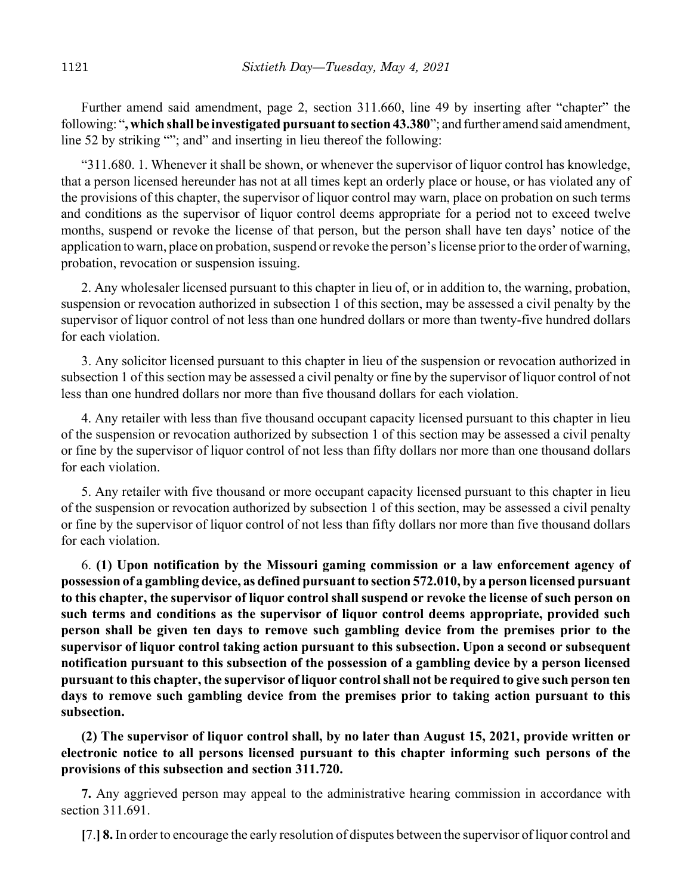Further amend said amendment, page 2, section 311.660, line 49 by inserting after "chapter" the following: "**, which shall be investigated pursuant to section 43.380**"; and further amend said amendment, line 52 by striking ""; and" and inserting in lieu thereof the following:

"311.680. 1. Whenever it shall be shown, or whenever the supervisor of liquor control has knowledge, that a person licensed hereunder has not at all times kept an orderly place or house, or has violated any of the provisions of this chapter, the supervisor of liquor control may warn, place on probation on such terms and conditions as the supervisor of liquor control deems appropriate for a period not to exceed twelve months, suspend or revoke the license of that person, but the person shall have ten days' notice of the application to warn, place on probation, suspend or revoke the person's license prior to the order of warning, probation, revocation or suspension issuing.

2. Any wholesaler licensed pursuant to this chapter in lieu of, or in addition to, the warning, probation, suspension or revocation authorized in subsection 1 of this section, may be assessed a civil penalty by the supervisor of liquor control of not less than one hundred dollars or more than twenty-five hundred dollars for each violation.

3. Any solicitor licensed pursuant to this chapter in lieu of the suspension or revocation authorized in subsection 1 of this section may be assessed a civil penalty or fine by the supervisor of liquor control of not less than one hundred dollars nor more than five thousand dollars for each violation.

4. Any retailer with less than five thousand occupant capacity licensed pursuant to this chapter in lieu of the suspension or revocation authorized by subsection 1 of this section may be assessed a civil penalty or fine by the supervisor of liquor control of not less than fifty dollars nor more than one thousand dollars for each violation.

5. Any retailer with five thousand or more occupant capacity licensed pursuant to this chapter in lieu of the suspension or revocation authorized by subsection 1 of this section, may be assessed a civil penalty or fine by the supervisor of liquor control of not less than fifty dollars nor more than five thousand dollars for each violation.

6. **(1) Upon notification by the Missouri gaming commission or a law enforcement agency of possession of a gambling device, as defined pursuant to section 572.010, by a person licensed pursuant to this chapter, the supervisor of liquor control shall suspend or revoke the license of such person on such terms and conditions as the supervisor of liquor control deems appropriate, provided such person shall be given ten days to remove such gambling device from the premises prior to the supervisor of liquor control taking action pursuant to this subsection. Upon a second or subsequent notification pursuant to this subsection of the possession of a gambling device by a person licensed pursuant to this chapter, the supervisor of liquor control shall not be required to give such person ten days to remove such gambling device from the premises prior to taking action pursuant to this subsection.**

**(2) The supervisor of liquor control shall, by no later than August 15, 2021, provide written or electronic notice to all persons licensed pursuant to this chapter informing such persons of the provisions of this subsection and section 311.720.**

**7.** Any aggrieved person may appeal to the administrative hearing commission in accordance with section 311.691.

**[**7.**] 8.** In order to encourage the early resolution of disputes between the supervisor of liquor control and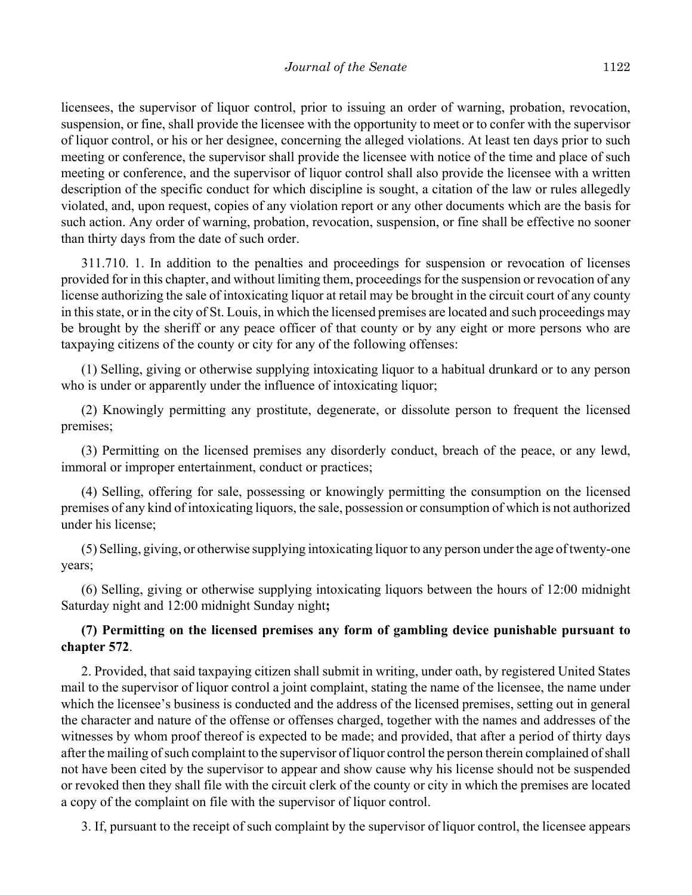licensees, the supervisor of liquor control, prior to issuing an order of warning, probation, revocation, suspension, or fine, shall provide the licensee with the opportunity to meet or to confer with the supervisor of liquor control, or his or her designee, concerning the alleged violations. At least ten days prior to such meeting or conference, the supervisor shall provide the licensee with notice of the time and place of such meeting or conference, and the supervisor of liquor control shall also provide the licensee with a written description of the specific conduct for which discipline is sought, a citation of the law or rules allegedly violated, and, upon request, copies of any violation report or any other documents which are the basis for such action. Any order of warning, probation, revocation, suspension, or fine shall be effective no sooner than thirty days from the date of such order.

311.710. 1. In addition to the penalties and proceedings for suspension or revocation of licenses provided for in this chapter, and without limiting them, proceedings for the suspension or revocation of any license authorizing the sale of intoxicating liquor at retail may be brought in the circuit court of any county in this state, or in the city of St. Louis, in which the licensed premises are located and such proceedings may be brought by the sheriff or any peace officer of that county or by any eight or more persons who are taxpaying citizens of the county or city for any of the following offenses:

(1) Selling, giving or otherwise supplying intoxicating liquor to a habitual drunkard or to any person who is under or apparently under the influence of intoxicating liquor;

(2) Knowingly permitting any prostitute, degenerate, or dissolute person to frequent the licensed premises;

(3) Permitting on the licensed premises any disorderly conduct, breach of the peace, or any lewd, immoral or improper entertainment, conduct or practices;

(4) Selling, offering for sale, possessing or knowingly permitting the consumption on the licensed premises of any kind of intoxicating liquors, the sale, possession or consumption of which is not authorized under his license;

(5) Selling, giving, or otherwise supplying intoxicating liquor to any person under the age of twenty-one years;

(6) Selling, giving or otherwise supplying intoxicating liquors between the hours of 12:00 midnight Saturday night and 12:00 midnight Sunday night**;**

# **(7) Permitting on the licensed premises any form of gambling device punishable pursuant to chapter 572**.

2. Provided, that said taxpaying citizen shall submit in writing, under oath, by registered United States mail to the supervisor of liquor control a joint complaint, stating the name of the licensee, the name under which the licensee's business is conducted and the address of the licensed premises, setting out in general the character and nature of the offense or offenses charged, together with the names and addresses of the witnesses by whom proof thereof is expected to be made; and provided, that after a period of thirty days after the mailing of such complaint to the supervisor of liquor control the person therein complained of shall not have been cited by the supervisor to appear and show cause why his license should not be suspended or revoked then they shall file with the circuit clerk of the county or city in which the premises are located a copy of the complaint on file with the supervisor of liquor control.

3. If, pursuant to the receipt of such complaint by the supervisor of liquor control, the licensee appears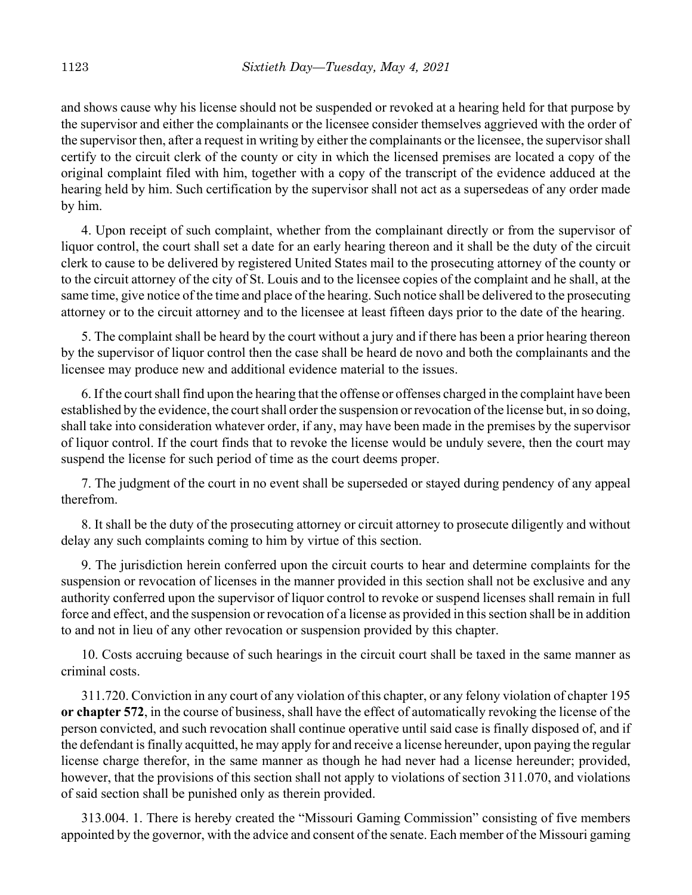and shows cause why his license should not be suspended or revoked at a hearing held for that purpose by the supervisor and either the complainants or the licensee consider themselves aggrieved with the order of the supervisor then, after a request in writing by either the complainants or the licensee, the supervisor shall certify to the circuit clerk of the county or city in which the licensed premises are located a copy of the original complaint filed with him, together with a copy of the transcript of the evidence adduced at the hearing held by him. Such certification by the supervisor shall not act as a supersedeas of any order made by him.

4. Upon receipt of such complaint, whether from the complainant directly or from the supervisor of liquor control, the court shall set a date for an early hearing thereon and it shall be the duty of the circuit clerk to cause to be delivered by registered United States mail to the prosecuting attorney of the county or to the circuit attorney of the city of St. Louis and to the licensee copies of the complaint and he shall, at the same time, give notice of the time and place of the hearing. Such notice shall be delivered to the prosecuting attorney or to the circuit attorney and to the licensee at least fifteen days prior to the date of the hearing.

5. The complaint shall be heard by the court without a jury and if there has been a prior hearing thereon by the supervisor of liquor control then the case shall be heard de novo and both the complainants and the licensee may produce new and additional evidence material to the issues.

6. If the court shall find upon the hearing that the offense or offenses charged in the complaint have been established by the evidence, the court shall order the suspension or revocation of the license but, in so doing, shall take into consideration whatever order, if any, may have been made in the premises by the supervisor of liquor control. If the court finds that to revoke the license would be unduly severe, then the court may suspend the license for such period of time as the court deems proper.

7. The judgment of the court in no event shall be superseded or stayed during pendency of any appeal therefrom.

8. It shall be the duty of the prosecuting attorney or circuit attorney to prosecute diligently and without delay any such complaints coming to him by virtue of this section.

9. The jurisdiction herein conferred upon the circuit courts to hear and determine complaints for the suspension or revocation of licenses in the manner provided in this section shall not be exclusive and any authority conferred upon the supervisor of liquor control to revoke or suspend licenses shall remain in full force and effect, and the suspension or revocation of a license as provided in this section shall be in addition to and not in lieu of any other revocation or suspension provided by this chapter.

10. Costs accruing because of such hearings in the circuit court shall be taxed in the same manner as criminal costs.

311.720. Conviction in any court of any violation of this chapter, or any felony violation of chapter 195 **or chapter 572**, in the course of business, shall have the effect of automatically revoking the license of the person convicted, and such revocation shall continue operative until said case is finally disposed of, and if the defendant is finally acquitted, he may apply for and receive a license hereunder, upon paying the regular license charge therefor, in the same manner as though he had never had a license hereunder; provided, however, that the provisions of this section shall not apply to violations of section 311.070, and violations of said section shall be punished only as therein provided.

313.004. 1. There is hereby created the "Missouri Gaming Commission" consisting of five members appointed by the governor, with the advice and consent of the senate. Each member of the Missouri gaming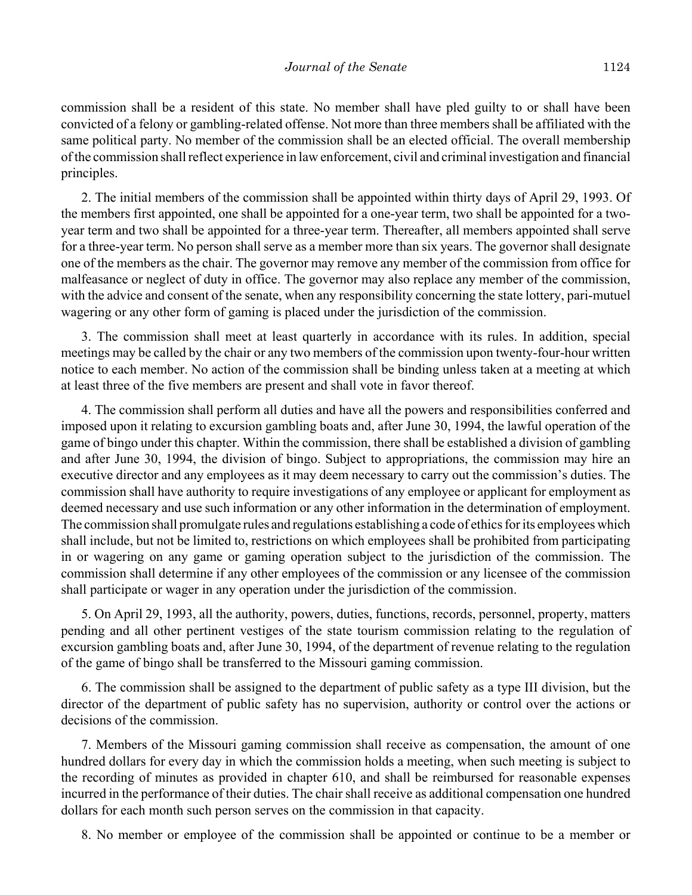commission shall be a resident of this state. No member shall have pled guilty to or shall have been convicted of a felony or gambling-related offense. Not more than three members shall be affiliated with the same political party. No member of the commission shall be an elected official. The overall membership of the commission shall reflect experience in law enforcement, civil and criminal investigation and financial principles.

2. The initial members of the commission shall be appointed within thirty days of April 29, 1993. Of the members first appointed, one shall be appointed for a one-year term, two shall be appointed for a twoyear term and two shall be appointed for a three-year term. Thereafter, all members appointed shall serve for a three-year term. No person shall serve as a member more than six years. The governor shall designate one of the members as the chair. The governor may remove any member of the commission from office for malfeasance or neglect of duty in office. The governor may also replace any member of the commission, with the advice and consent of the senate, when any responsibility concerning the state lottery, pari-mutuel wagering or any other form of gaming is placed under the jurisdiction of the commission.

3. The commission shall meet at least quarterly in accordance with its rules. In addition, special meetings may be called by the chair or any two members of the commission upon twenty-four-hour written notice to each member. No action of the commission shall be binding unless taken at a meeting at which at least three of the five members are present and shall vote in favor thereof.

4. The commission shall perform all duties and have all the powers and responsibilities conferred and imposed upon it relating to excursion gambling boats and, after June 30, 1994, the lawful operation of the game of bingo under this chapter. Within the commission, there shall be established a division of gambling and after June 30, 1994, the division of bingo. Subject to appropriations, the commission may hire an executive director and any employees as it may deem necessary to carry out the commission's duties. The commission shall have authority to require investigations of any employee or applicant for employment as deemed necessary and use such information or any other information in the determination of employment. The commission shall promulgate rules and regulations establishing a code of ethics for its employees which shall include, but not be limited to, restrictions on which employees shall be prohibited from participating in or wagering on any game or gaming operation subject to the jurisdiction of the commission. The commission shall determine if any other employees of the commission or any licensee of the commission shall participate or wager in any operation under the jurisdiction of the commission.

5. On April 29, 1993, all the authority, powers, duties, functions, records, personnel, property, matters pending and all other pertinent vestiges of the state tourism commission relating to the regulation of excursion gambling boats and, after June 30, 1994, of the department of revenue relating to the regulation of the game of bingo shall be transferred to the Missouri gaming commission.

6. The commission shall be assigned to the department of public safety as a type III division, but the director of the department of public safety has no supervision, authority or control over the actions or decisions of the commission.

7. Members of the Missouri gaming commission shall receive as compensation, the amount of one hundred dollars for every day in which the commission holds a meeting, when such meeting is subject to the recording of minutes as provided in chapter 610, and shall be reimbursed for reasonable expenses incurred in the performance of their duties. The chair shall receive as additional compensation one hundred dollars for each month such person serves on the commission in that capacity.

8. No member or employee of the commission shall be appointed or continue to be a member or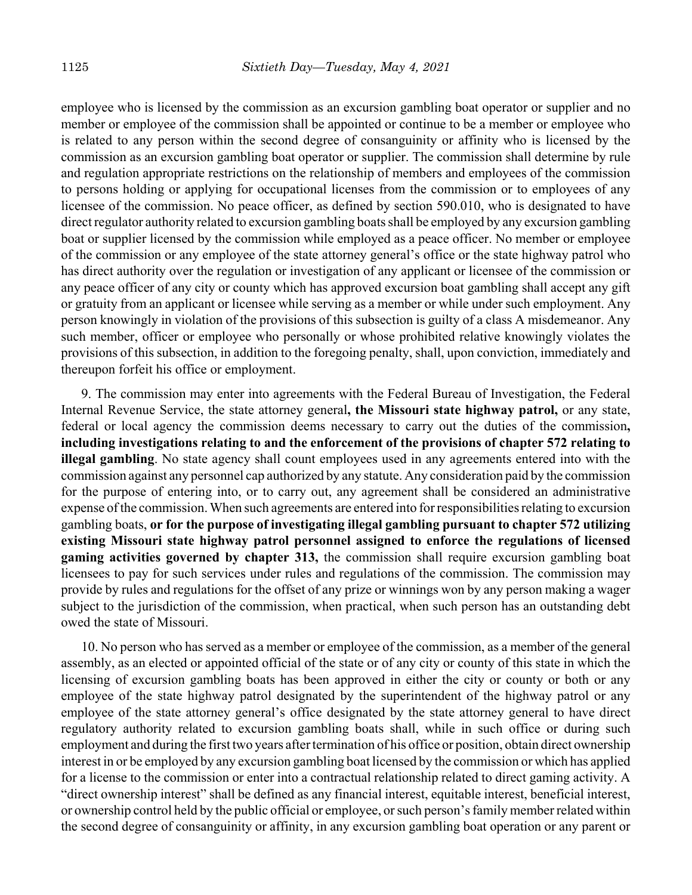employee who is licensed by the commission as an excursion gambling boat operator or supplier and no member or employee of the commission shall be appointed or continue to be a member or employee who is related to any person within the second degree of consanguinity or affinity who is licensed by the commission as an excursion gambling boat operator or supplier. The commission shall determine by rule and regulation appropriate restrictions on the relationship of members and employees of the commission to persons holding or applying for occupational licenses from the commission or to employees of any licensee of the commission. No peace officer, as defined by section 590.010, who is designated to have direct regulator authority related to excursion gambling boats shall be employed by any excursion gambling boat or supplier licensed by the commission while employed as a peace officer. No member or employee of the commission or any employee of the state attorney general's office or the state highway patrol who has direct authority over the regulation or investigation of any applicant or licensee of the commission or any peace officer of any city or county which has approved excursion boat gambling shall accept any gift or gratuity from an applicant or licensee while serving as a member or while under such employment. Any person knowingly in violation of the provisions of this subsection is guilty of a class A misdemeanor. Any such member, officer or employee who personally or whose prohibited relative knowingly violates the provisions of this subsection, in addition to the foregoing penalty, shall, upon conviction, immediately and thereupon forfeit his office or employment.

9. The commission may enter into agreements with the Federal Bureau of Investigation, the Federal Internal Revenue Service, the state attorney general**, the Missouri state highway patrol,** or any state, federal or local agency the commission deems necessary to carry out the duties of the commission**, including investigations relating to and the enforcement of the provisions of chapter 572 relating to illegal gambling**. No state agency shall count employees used in any agreements entered into with the commission against any personnel cap authorized by any statute. Any consideration paid by the commission for the purpose of entering into, or to carry out, any agreement shall be considered an administrative expense of the commission. When such agreements are entered into for responsibilities relating to excursion gambling boats, **or for the purpose of investigating illegal gambling pursuant to chapter 572 utilizing existing Missouri state highway patrol personnel assigned to enforce the regulations of licensed gaming activities governed by chapter 313,** the commission shall require excursion gambling boat licensees to pay for such services under rules and regulations of the commission. The commission may provide by rules and regulations for the offset of any prize or winnings won by any person making a wager subject to the jurisdiction of the commission, when practical, when such person has an outstanding debt owed the state of Missouri.

10. No person who has served as a member or employee of the commission, as a member of the general assembly, as an elected or appointed official of the state or of any city or county of this state in which the licensing of excursion gambling boats has been approved in either the city or county or both or any employee of the state highway patrol designated by the superintendent of the highway patrol or any employee of the state attorney general's office designated by the state attorney general to have direct regulatory authority related to excursion gambling boats shall, while in such office or during such employment and during the first two years after termination of his office or position, obtain direct ownership interest in or be employed by any excursion gambling boat licensed by the commission or which has applied for a license to the commission or enter into a contractual relationship related to direct gaming activity. A "direct ownership interest" shall be defined as any financial interest, equitable interest, beneficial interest, or ownership control held by the public official or employee, or such person's family member related within the second degree of consanguinity or affinity, in any excursion gambling boat operation or any parent or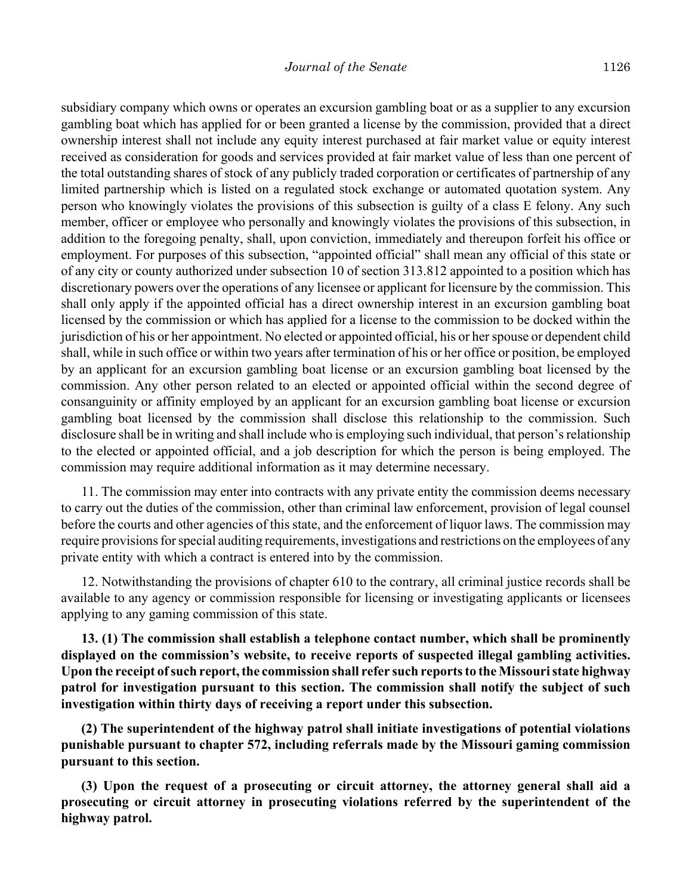subsidiary company which owns or operates an excursion gambling boat or as a supplier to any excursion gambling boat which has applied for or been granted a license by the commission, provided that a direct ownership interest shall not include any equity interest purchased at fair market value or equity interest received as consideration for goods and services provided at fair market value of less than one percent of the total outstanding shares of stock of any publicly traded corporation or certificates of partnership of any limited partnership which is listed on a regulated stock exchange or automated quotation system. Any person who knowingly violates the provisions of this subsection is guilty of a class E felony. Any such member, officer or employee who personally and knowingly violates the provisions of this subsection, in addition to the foregoing penalty, shall, upon conviction, immediately and thereupon forfeit his office or employment. For purposes of this subsection, "appointed official" shall mean any official of this state or of any city or county authorized under subsection 10 of section 313.812 appointed to a position which has discretionary powers over the operations of any licensee or applicant for licensure by the commission. This shall only apply if the appointed official has a direct ownership interest in an excursion gambling boat licensed by the commission or which has applied for a license to the commission to be docked within the jurisdiction of his or her appointment. No elected or appointed official, his or her spouse or dependent child shall, while in such office or within two years after termination of his or her office or position, be employed by an applicant for an excursion gambling boat license or an excursion gambling boat licensed by the commission. Any other person related to an elected or appointed official within the second degree of consanguinity or affinity employed by an applicant for an excursion gambling boat license or excursion gambling boat licensed by the commission shall disclose this relationship to the commission. Such disclosure shall be in writing and shall include who is employing such individual, that person's relationship to the elected or appointed official, and a job description for which the person is being employed. The commission may require additional information as it may determine necessary.

11. The commission may enter into contracts with any private entity the commission deems necessary to carry out the duties of the commission, other than criminal law enforcement, provision of legal counsel before the courts and other agencies of this state, and the enforcement of liquor laws. The commission may require provisions for special auditing requirements, investigations and restrictions on the employees of any private entity with which a contract is entered into by the commission.

12. Notwithstanding the provisions of chapter 610 to the contrary, all criminal justice records shall be available to any agency or commission responsible for licensing or investigating applicants or licensees applying to any gaming commission of this state.

**13. (1) The commission shall establish a telephone contact number, which shall be prominently displayed on the commission's website, to receive reports of suspected illegal gambling activities. Upon the receipt of such report, the commission shall refer such reports to the Missouri state highway patrol for investigation pursuant to this section. The commission shall notify the subject of such investigation within thirty days of receiving a report under this subsection.**

**(2) The superintendent of the highway patrol shall initiate investigations of potential violations punishable pursuant to chapter 572, including referrals made by the Missouri gaming commission pursuant to this section.**

**(3) Upon the request of a prosecuting or circuit attorney, the attorney general shall aid a prosecuting or circuit attorney in prosecuting violations referred by the superintendent of the highway patrol.**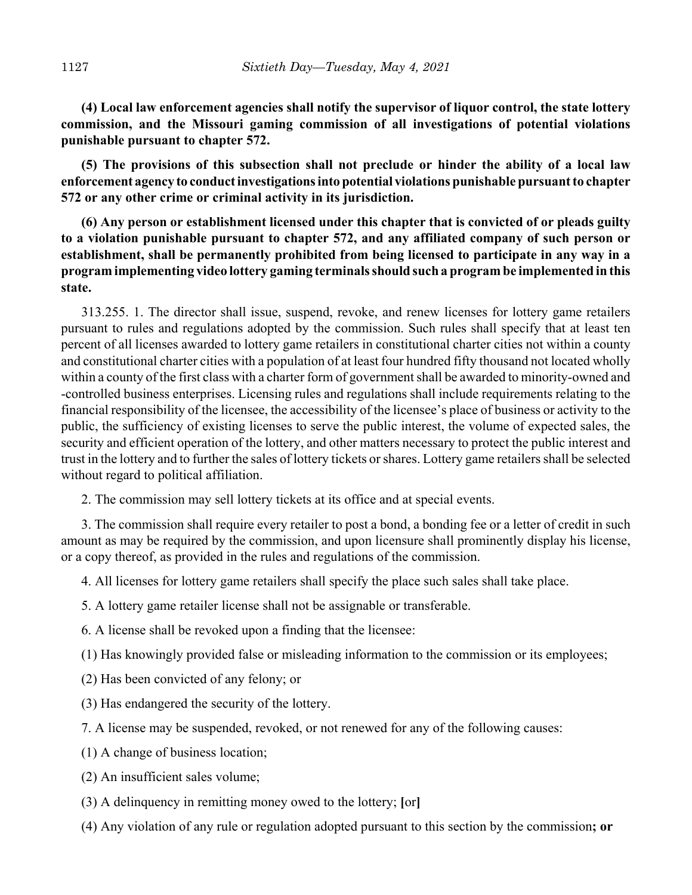**(4) Local law enforcement agencies shall notify the supervisor of liquor control, the state lottery commission, and the Missouri gaming commission of all investigations of potential violations punishable pursuant to chapter 572.**

**(5) The provisions of this subsection shall not preclude or hinder the ability of a local law enforcement agency to conduct investigations into potential violations punishable pursuant to chapter 572 or any other crime or criminal activity in its jurisdiction.**

**(6) Any person or establishment licensed under this chapter that is convicted of or pleads guilty to a violation punishable pursuant to chapter 572, and any affiliated company of such person or establishment, shall be permanently prohibited from being licensed to participate in any way in a program implementing video lottery gaming terminals should such a program be implemented in this state.**

313.255. 1. The director shall issue, suspend, revoke, and renew licenses for lottery game retailers pursuant to rules and regulations adopted by the commission. Such rules shall specify that at least ten percent of all licenses awarded to lottery game retailers in constitutional charter cities not within a county and constitutional charter cities with a population of at least four hundred fifty thousand not located wholly within a county of the first class with a charter form of government shall be awarded to minority-owned and -controlled business enterprises. Licensing rules and regulations shall include requirements relating to the financial responsibility of the licensee, the accessibility of the licensee's place of business or activity to the public, the sufficiency of existing licenses to serve the public interest, the volume of expected sales, the security and efficient operation of the lottery, and other matters necessary to protect the public interest and trust in the lottery and to further the sales of lottery tickets or shares. Lottery game retailers shall be selected without regard to political affiliation.

2. The commission may sell lottery tickets at its office and at special events.

3. The commission shall require every retailer to post a bond, a bonding fee or a letter of credit in such amount as may be required by the commission, and upon licensure shall prominently display his license, or a copy thereof, as provided in the rules and regulations of the commission.

4. All licenses for lottery game retailers shall specify the place such sales shall take place.

5. A lottery game retailer license shall not be assignable or transferable.

6. A license shall be revoked upon a finding that the licensee:

(1) Has knowingly provided false or misleading information to the commission or its employees;

- (2) Has been convicted of any felony; or
- (3) Has endangered the security of the lottery.
- 7. A license may be suspended, revoked, or not renewed for any of the following causes:
- (1) A change of business location;
- (2) An insufficient sales volume;
- (3) A delinquency in remitting money owed to the lottery; **[**or**]**
- (4) Any violation of any rule or regulation adopted pursuant to this section by the commission**; or**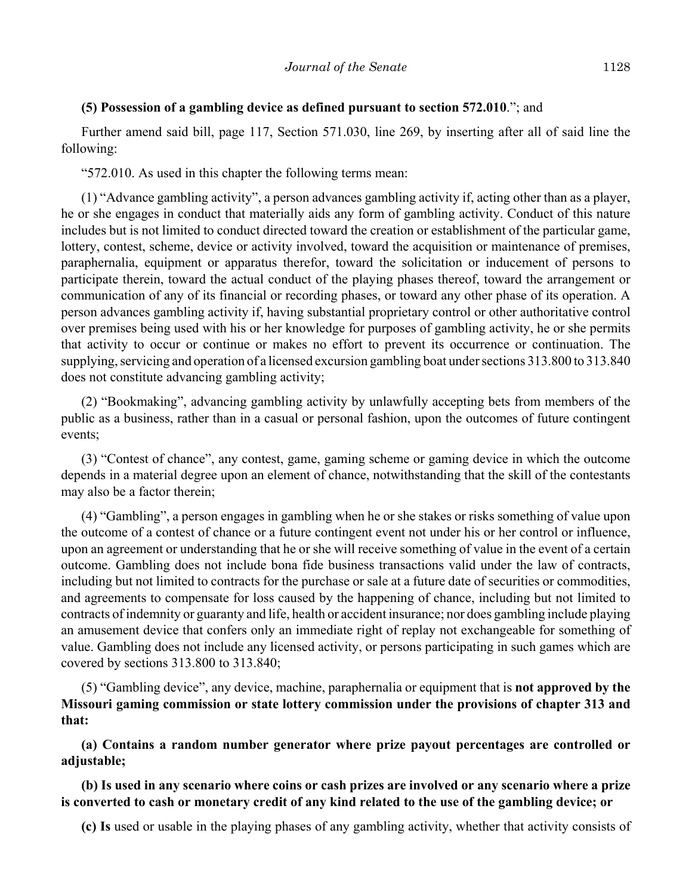#### **(5) Possession of a gambling device as defined pursuant to section 572.010**."; and

Further amend said bill, page 117, Section 571.030, line 269, by inserting after all of said line the following:

"572.010. As used in this chapter the following terms mean:

(1) "Advance gambling activity", a person advances gambling activity if, acting other than as a player, he or she engages in conduct that materially aids any form of gambling activity. Conduct of this nature includes but is not limited to conduct directed toward the creation or establishment of the particular game, lottery, contest, scheme, device or activity involved, toward the acquisition or maintenance of premises, paraphernalia, equipment or apparatus therefor, toward the solicitation or inducement of persons to participate therein, toward the actual conduct of the playing phases thereof, toward the arrangement or communication of any of its financial or recording phases, or toward any other phase of its operation. A person advances gambling activity if, having substantial proprietary control or other authoritative control over premises being used with his or her knowledge for purposes of gambling activity, he or she permits that activity to occur or continue or makes no effort to prevent its occurrence or continuation. The supplying, servicing and operation of a licensed excursion gambling boat under sections 313.800 to 313.840 does not constitute advancing gambling activity;

(2) "Bookmaking", advancing gambling activity by unlawfully accepting bets from members of the public as a business, rather than in a casual or personal fashion, upon the outcomes of future contingent events;

(3) "Contest of chance", any contest, game, gaming scheme or gaming device in which the outcome depends in a material degree upon an element of chance, notwithstanding that the skill of the contestants may also be a factor therein;

(4) "Gambling", a person engages in gambling when he or she stakes or risks something of value upon the outcome of a contest of chance or a future contingent event not under his or her control or influence, upon an agreement or understanding that he or she will receive something of value in the event of a certain outcome. Gambling does not include bona fide business transactions valid under the law of contracts, including but not limited to contracts for the purchase or sale at a future date of securities or commodities, and agreements to compensate for loss caused by the happening of chance, including but not limited to contracts of indemnity or guaranty and life, health or accident insurance; nor does gambling include playing an amusement device that confers only an immediate right of replay not exchangeable for something of value. Gambling does not include any licensed activity, or persons participating in such games which are covered by sections 313.800 to 313.840;

(5) "Gambling device", any device, machine, paraphernalia or equipment that is **not approved by the Missouri gaming commission or state lottery commission under the provisions of chapter 313 and that:**

**(a) Contains a random number generator where prize payout percentages are controlled or adjustable;**

**(b) Is used in any scenario where coins or cash prizes are involved or any scenario where a prize is converted to cash or monetary credit of any kind related to the use of the gambling device; or**

**(c) Is** used or usable in the playing phases of any gambling activity, whether that activity consists of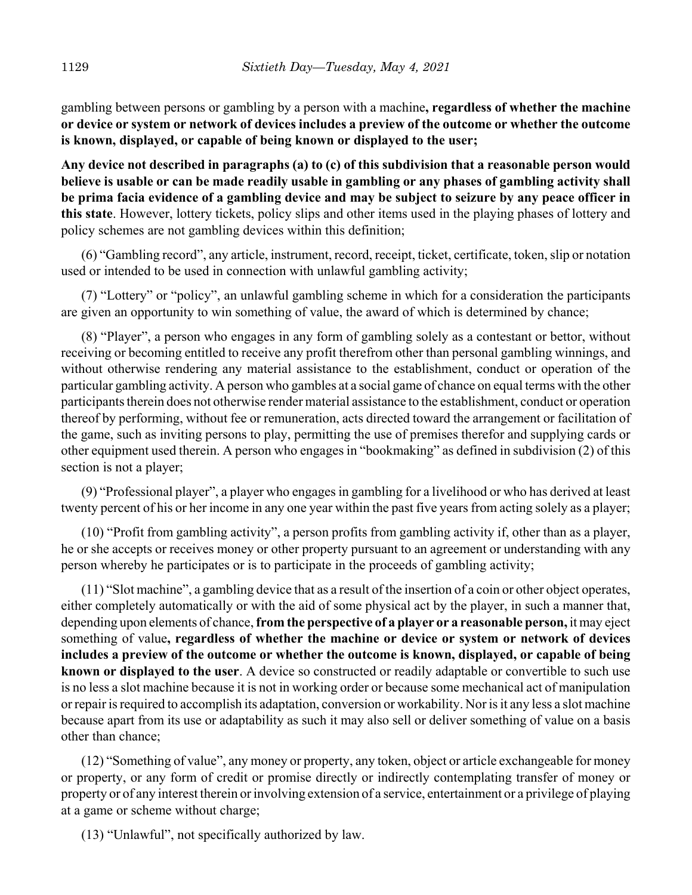gambling between persons or gambling by a person with a machine**, regardless of whether the machine or device or system or network of devices includes a preview of the outcome or whether the outcome is known, displayed, or capable of being known or displayed to the user;**

**Any device not described in paragraphs (a) to (c) of this subdivision that a reasonable person would believe is usable or can be made readily usable in gambling or any phases of gambling activity shall be prima facia evidence of a gambling device and may be subject to seizure by any peace officer in this state**. However, lottery tickets, policy slips and other items used in the playing phases of lottery and policy schemes are not gambling devices within this definition;

(6) "Gambling record", any article, instrument, record, receipt, ticket, certificate, token, slip or notation used or intended to be used in connection with unlawful gambling activity;

(7) "Lottery" or "policy", an unlawful gambling scheme in which for a consideration the participants are given an opportunity to win something of value, the award of which is determined by chance;

(8) "Player", a person who engages in any form of gambling solely as a contestant or bettor, without receiving or becoming entitled to receive any profit therefrom other than personal gambling winnings, and without otherwise rendering any material assistance to the establishment, conduct or operation of the particular gambling activity. A person who gambles at a social game of chance on equal terms with the other participants therein does not otherwise render material assistance to the establishment, conduct or operation thereof by performing, without fee or remuneration, acts directed toward the arrangement or facilitation of the game, such as inviting persons to play, permitting the use of premises therefor and supplying cards or other equipment used therein. A person who engages in "bookmaking" as defined in subdivision (2) of this section is not a player;

(9) "Professional player", a player who engages in gambling for a livelihood or who has derived at least twenty percent of his or her income in any one year within the past five years from acting solely as a player;

(10) "Profit from gambling activity", a person profits from gambling activity if, other than as a player, he or she accepts or receives money or other property pursuant to an agreement or understanding with any person whereby he participates or is to participate in the proceeds of gambling activity;

(11) "Slot machine", a gambling device that as a result of the insertion of a coin or other object operates, either completely automatically or with the aid of some physical act by the player, in such a manner that, depending upon elements of chance, **from the perspective of a player or a reasonable person,** it may eject something of value**, regardless of whether the machine or device or system or network of devices includes a preview of the outcome or whether the outcome is known, displayed, or capable of being known or displayed to the user**. A device so constructed or readily adaptable or convertible to such use is no less a slot machine because it is not in working order or because some mechanical act of manipulation or repair is required to accomplish its adaptation, conversion or workability. Nor is it any less a slot machine because apart from its use or adaptability as such it may also sell or deliver something of value on a basis other than chance;

(12) "Something of value", any money or property, any token, object or article exchangeable for money or property, or any form of credit or promise directly or indirectly contemplating transfer of money or property or of any interest therein or involving extension of a service, entertainment or a privilege of playing at a game or scheme without charge;

(13) "Unlawful", not specifically authorized by law.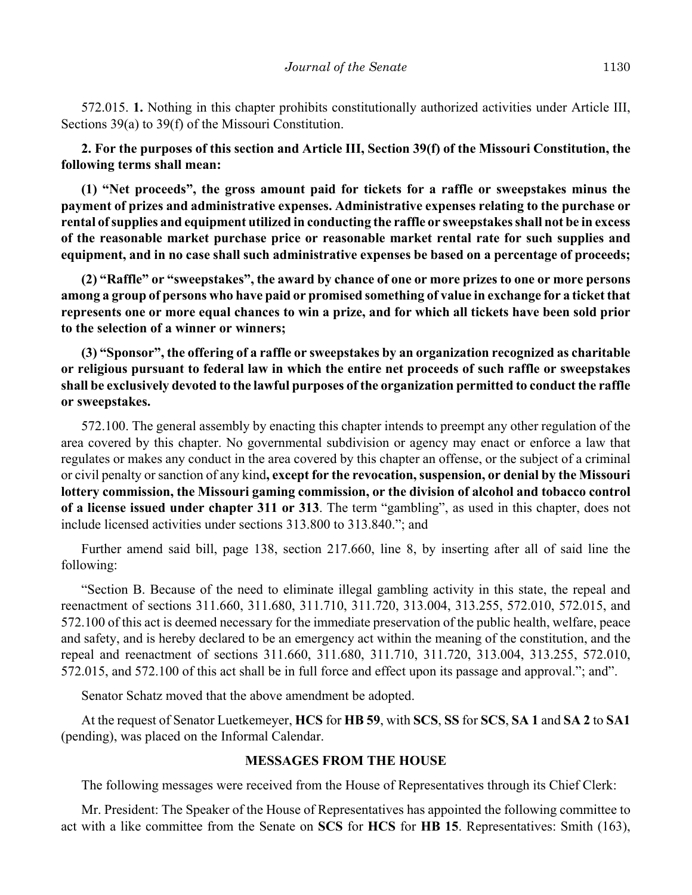572.015. **1.** Nothing in this chapter prohibits constitutionally authorized activities under Article III, Sections 39(a) to 39(f) of the Missouri Constitution.

**2. For the purposes of this section and Article III, Section 39(f) of the Missouri Constitution, the following terms shall mean:**

**(1) "Net proceeds", the gross amount paid for tickets for a raffle or sweepstakes minus the payment of prizes and administrative expenses. Administrative expenses relating to the purchase or rental of supplies and equipment utilized in conducting the raffle or sweepstakes shall not be in excess of the reasonable market purchase price or reasonable market rental rate for such supplies and equipment, and in no case shall such administrative expenses be based on a percentage of proceeds;**

**(2) "Raffle" or "sweepstakes", the award by chance of one or more prizes to one or more persons among a group of persons who have paid or promised something of value in exchange for a ticket that represents one or more equal chances to win a prize, and for which all tickets have been sold prior to the selection of a winner or winners;**

**(3) "Sponsor", the offering of a raffle or sweepstakes by an organization recognized as charitable or religious pursuant to federal law in which the entire net proceeds of such raffle or sweepstakes shall be exclusively devoted to the lawful purposes of the organization permitted to conduct the raffle or sweepstakes.**

572.100. The general assembly by enacting this chapter intends to preempt any other regulation of the area covered by this chapter. No governmental subdivision or agency may enact or enforce a law that regulates or makes any conduct in the area covered by this chapter an offense, or the subject of a criminal or civil penalty or sanction of any kind**, except for the revocation, suspension, or denial by the Missouri lottery commission, the Missouri gaming commission, or the division of alcohol and tobacco control of a license issued under chapter 311 or 313**. The term "gambling", as used in this chapter, does not include licensed activities under sections 313.800 to 313.840."; and

Further amend said bill, page 138, section 217.660, line 8, by inserting after all of said line the following:

"Section B. Because of the need to eliminate illegal gambling activity in this state, the repeal and reenactment of sections 311.660, 311.680, 311.710, 311.720, 313.004, 313.255, 572.010, 572.015, and 572.100 of this act is deemed necessary for the immediate preservation of the public health, welfare, peace and safety, and is hereby declared to be an emergency act within the meaning of the constitution, and the repeal and reenactment of sections 311.660, 311.680, 311.710, 311.720, 313.004, 313.255, 572.010, 572.015, and 572.100 of this act shall be in full force and effect upon its passage and approval."; and".

Senator Schatz moved that the above amendment be adopted.

At the request of Senator Luetkemeyer, **HCS** for **HB 59**, with **SCS**, **SS** for **SCS**, **SA 1** and **SA 2** to **SA1** (pending), was placed on the Informal Calendar.

#### **MESSAGES FROM THE HOUSE**

The following messages were received from the House of Representatives through its Chief Clerk:

Mr. President: The Speaker of the House of Representatives has appointed the following committee to act with a like committee from the Senate on **SCS** for **HCS** for **HB 15**. Representatives: Smith (163),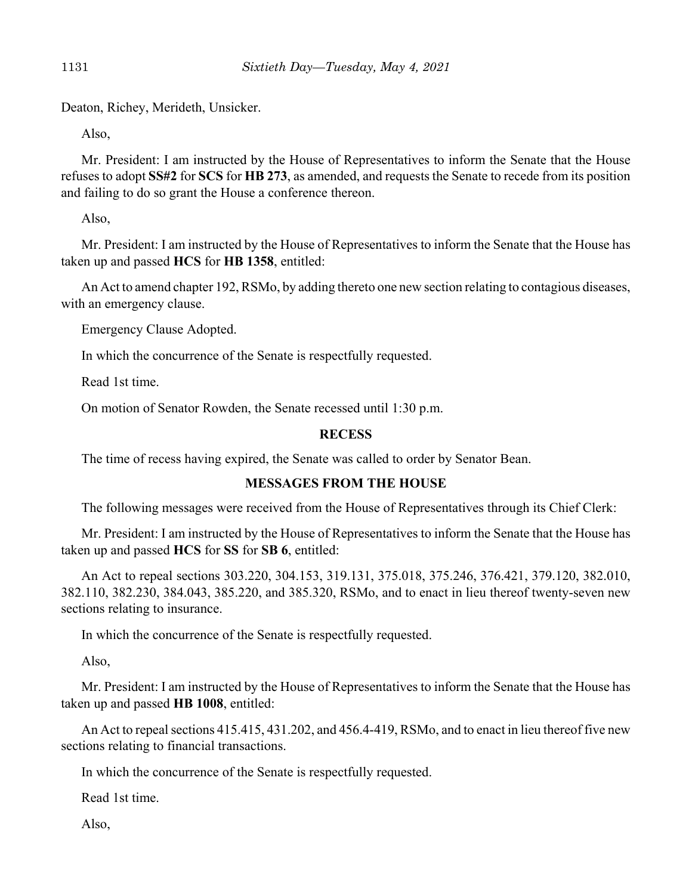Deaton, Richey, Merideth, Unsicker.

Also,

Mr. President: I am instructed by the House of Representatives to inform the Senate that the House refuses to adopt **SS#2** for **SCS** for **HB 273**, as amended, and requests the Senate to recede from its position and failing to do so grant the House a conference thereon.

Also,

Mr. President: I am instructed by the House of Representatives to inform the Senate that the House has taken up and passed **HCS** for **HB 1358**, entitled:

An Act to amend chapter 192, RSMo, by adding thereto one new section relating to contagious diseases, with an emergency clause.

Emergency Clause Adopted.

In which the concurrence of the Senate is respectfully requested.

Read 1st time.

On motion of Senator Rowden, the Senate recessed until 1:30 p.m.

# **RECESS**

The time of recess having expired, the Senate was called to order by Senator Bean.

# **MESSAGES FROM THE HOUSE**

The following messages were received from the House of Representatives through its Chief Clerk:

Mr. President: I am instructed by the House of Representatives to inform the Senate that the House has taken up and passed **HCS** for **SS** for **SB 6**, entitled:

An Act to repeal sections 303.220, 304.153, 319.131, 375.018, 375.246, 376.421, 379.120, 382.010, 382.110, 382.230, 384.043, 385.220, and 385.320, RSMo, and to enact in lieu thereof twenty-seven new sections relating to insurance.

In which the concurrence of the Senate is respectfully requested.

Also,

Mr. President: I am instructed by the House of Representatives to inform the Senate that the House has taken up and passed **HB 1008**, entitled:

An Act to repeal sections 415.415, 431.202, and 456.4-419, RSMo, and to enact in lieu thereof five new sections relating to financial transactions.

In which the concurrence of the Senate is respectfully requested.

Read 1st time.

Also,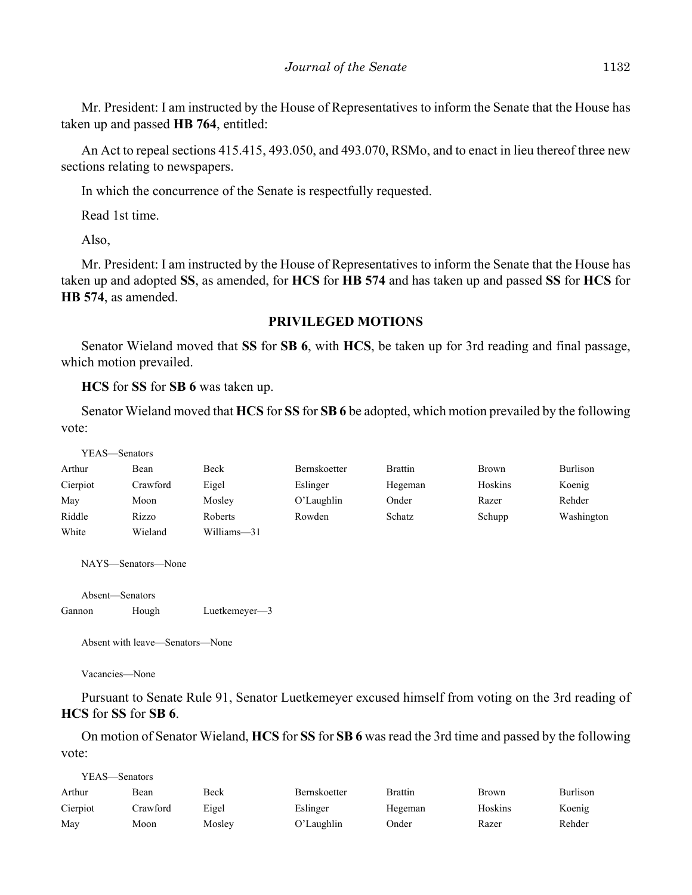Mr. President: I am instructed by the House of Representatives to inform the Senate that the House has taken up and passed **HB 764**, entitled:

An Act to repeal sections 415.415, 493.050, and 493.070, RSMo, and to enact in lieu thereof three new sections relating to newspapers.

In which the concurrence of the Senate is respectfully requested.

Read 1st time.

Also,

Mr. President: I am instructed by the House of Representatives to inform the Senate that the House has taken up and adopted **SS**, as amended, for **HCS** for **HB 574** and has taken up and passed **SS** for **HCS** for **HB 574**, as amended.

#### **PRIVILEGED MOTIONS**

Senator Wieland moved that **SS** for **SB 6**, with **HCS**, be taken up for 3rd reading and final passage, which motion prevailed.

**HCS** for **SS** for **SB 6** was taken up.

Senator Wieland moved that **HCS** for **SS** for **SB 6** be adopted, which motion prevailed by the following vote:

| YEAS—Senators |          |             |              |                |              |            |  |
|---------------|----------|-------------|--------------|----------------|--------------|------------|--|
| Arthur        | Bean     | Beck        | Bernskoetter | <b>Brattin</b> | <b>Brown</b> | Burlison   |  |
| Cierpiot      | Crawford | Eigel       | Eslinger     | Hegeman        | Hoskins      | Koenig     |  |
| May           | Moon     | Mosley      | O'Laughlin   | Onder          | Razer        | Rehder     |  |
| Riddle        | Rizzo    | Roberts     | Rowden       | Schatz         | Schupp       | Washington |  |
| White         | Wieland  | Williams-31 |              |                |              |            |  |

NAYS—Senators—None

Absent—Senators Gannon Hough Luetkemeyer—3

Absent with leave—Senators—None

Vacancies—None

Pursuant to Senate Rule 91, Senator Luetkemeyer excused himself from voting on the 3rd reading of **HCS** for **SS** for **SB 6**.

On motion of Senator Wieland, **HCS** for **SS** for **SB 6** was read the 3rd time and passed by the following vote:

| YEAS—Senators |          |             |                     |                |         |          |  |
|---------------|----------|-------------|---------------------|----------------|---------|----------|--|
| Arthur        | Bean     | <b>Beck</b> | <b>Bernskoetter</b> | <b>Brattin</b> | Brown   | Burlison |  |
| Cierpiot      | Crawford | Eigel       | Eslinger            | Hegeman        | Hoskins | Koenig   |  |
| May           | Moon     | Mosley      | O'Laughlin          | Onder          | Razer   | Rehder   |  |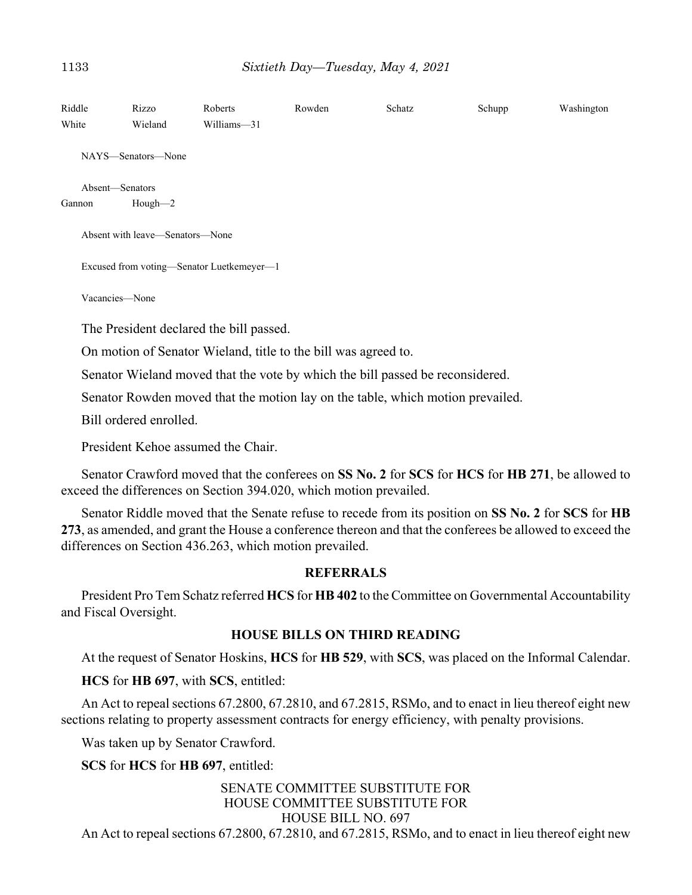| Riddle<br>White                           | Rizzo<br>Wieland   | Roberts<br>Williams-31                  | Rowden | Schatz | Schupp | Washington |  |  |
|-------------------------------------------|--------------------|-----------------------------------------|--------|--------|--------|------------|--|--|
|                                           | NAYS—Senators—None |                                         |        |        |        |            |  |  |
| Absent-Senators<br>Gannon                 | $Hough - 2$        |                                         |        |        |        |            |  |  |
| Absent with leave—Senators—None           |                    |                                         |        |        |        |            |  |  |
| Excused from voting-Senator Luetkemeyer-1 |                    |                                         |        |        |        |            |  |  |
| Vacancies-None                            |                    |                                         |        |        |        |            |  |  |
|                                           |                    | The President declared the bill passed. |        |        |        |            |  |  |

On motion of Senator Wieland, title to the bill was agreed to.

Senator Wieland moved that the vote by which the bill passed be reconsidered.

Senator Rowden moved that the motion lay on the table, which motion prevailed.

Bill ordered enrolled.

President Kehoe assumed the Chair.

Senator Crawford moved that the conferees on **SS No. 2** for **SCS** for **HCS** for **HB 271**, be allowed to exceed the differences on Section 394.020, which motion prevailed.

Senator Riddle moved that the Senate refuse to recede from its position on **SS No. 2** for **SCS** for **HB 273**, as amended, and grant the House a conference thereon and that the conferees be allowed to exceed the differences on Section 436.263, which motion prevailed.

# **REFERRALS**

President Pro Tem Schatz referred **HCS** for **HB 402** to the Committee on Governmental Accountability and Fiscal Oversight.

# **HOUSE BILLS ON THIRD READING**

At the request of Senator Hoskins, **HCS** for **HB 529**, with **SCS**, was placed on the Informal Calendar.

**HCS** for **HB 697**, with **SCS**, entitled:

An Act to repeal sections 67.2800, 67.2810, and 67.2815, RSMo, and to enact in lieu thereof eight new sections relating to property assessment contracts for energy efficiency, with penalty provisions.

Was taken up by Senator Crawford.

**SCS** for **HCS** for **HB 697**, entitled:

# SENATE COMMITTEE SUBSTITUTE FOR HOUSE COMMITTEE SUBSTITUTE FOR HOUSE BILL NO. 697

An Act to repeal sections 67.2800, 67.2810, and 67.2815, RSMo, and to enact in lieu thereof eight new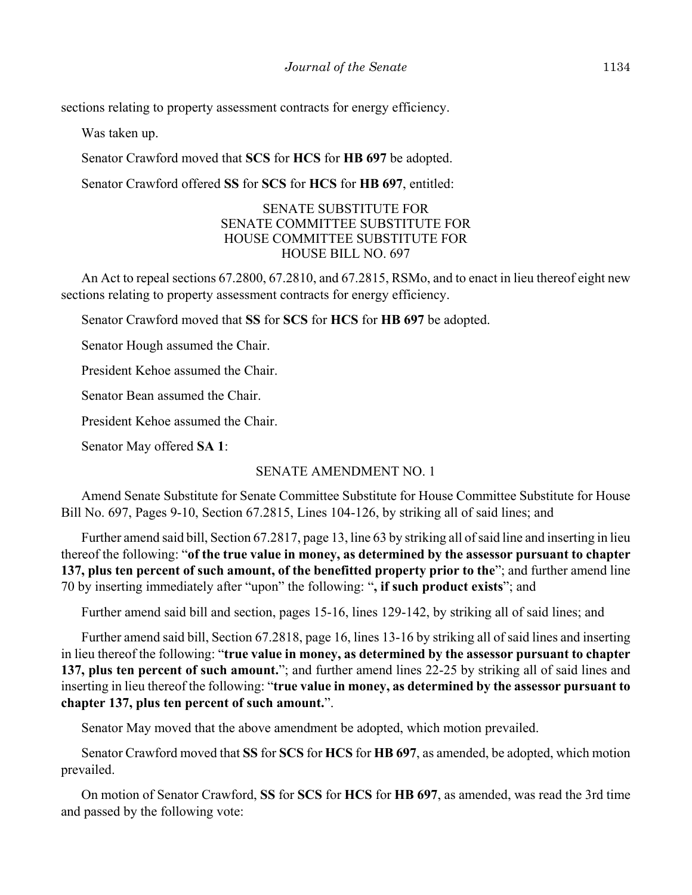sections relating to property assessment contracts for energy efficiency.

Was taken up.

Senator Crawford moved that **SCS** for **HCS** for **HB 697** be adopted.

Senator Crawford offered **SS** for **SCS** for **HCS** for **HB 697**, entitled:

# SENATE SUBSTITUTE FOR SENATE COMMITTEE SUBSTITUTE FOR HOUSE COMMITTEE SUBSTITUTE FOR HOUSE BILL NO. 697

An Act to repeal sections 67.2800, 67.2810, and 67.2815, RSMo, and to enact in lieu thereof eight new sections relating to property assessment contracts for energy efficiency.

Senator Crawford moved that **SS** for **SCS** for **HCS** for **HB 697** be adopted.

Senator Hough assumed the Chair.

President Kehoe assumed the Chair.

Senator Bean assumed the Chair.

President Kehoe assumed the Chair.

Senator May offered **SA 1**:

#### SENATE AMENDMENT NO. 1

Amend Senate Substitute for Senate Committee Substitute for House Committee Substitute for House Bill No. 697, Pages 9-10, Section 67.2815, Lines 104-126, by striking all of said lines; and

Further amend said bill, Section 67.2817, page 13, line 63 by striking all of said line and inserting in lieu thereof the following: "**of the true value in money, as determined by the assessor pursuant to chapter 137, plus ten percent of such amount, of the benefitted property prior to the**"; and further amend line 70 by inserting immediately after "upon" the following: "**, if such product exists**"; and

Further amend said bill and section, pages 15-16, lines 129-142, by striking all of said lines; and

Further amend said bill, Section 67.2818, page 16, lines 13-16 by striking all of said lines and inserting in lieu thereof the following: "**true value in money, as determined by the assessor pursuant to chapter 137, plus ten percent of such amount.**"; and further amend lines 22-25 by striking all of said lines and inserting in lieu thereof the following: "**true value in money, as determined by the assessor pursuant to chapter 137, plus ten percent of such amount.**".

Senator May moved that the above amendment be adopted, which motion prevailed.

Senator Crawford moved that **SS** for **SCS** for **HCS** for **HB 697**, as amended, be adopted, which motion prevailed.

On motion of Senator Crawford, **SS** for **SCS** for **HCS** for **HB 697**, as amended, was read the 3rd time and passed by the following vote: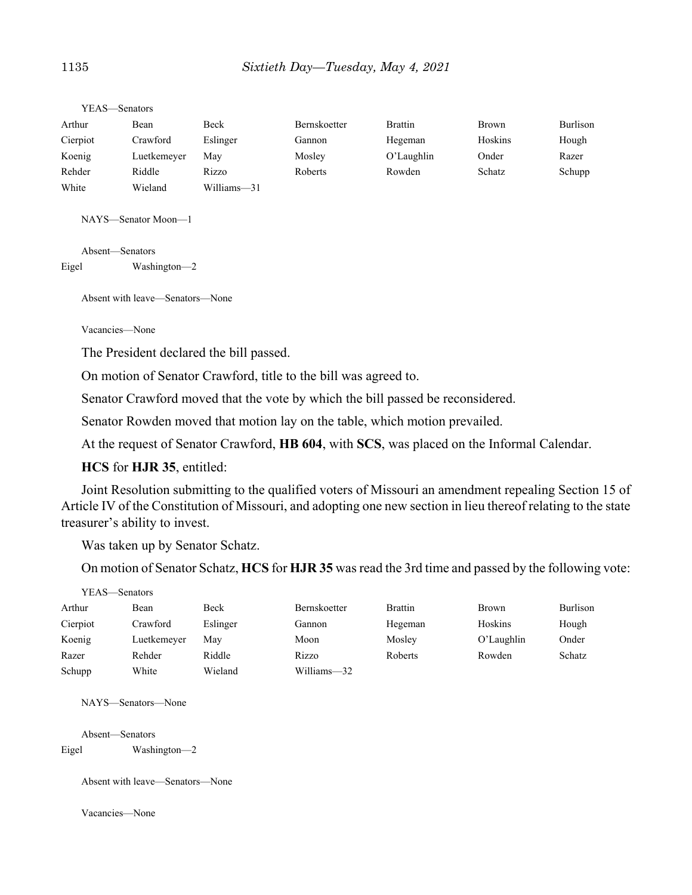|          | YEAS—Senators |             |                     |                |              |          |
|----------|---------------|-------------|---------------------|----------------|--------------|----------|
| Arthur   | Bean          | Beck        | <b>Bernskoetter</b> | <b>Brattin</b> | <b>Brown</b> | Burlison |
| Cierpiot | Crawford      | Eslinger    | Gannon              | Hegeman        | Hoskins      | Hough    |
| Koenig   | Luetkemeyer   | Mav         | Mosley              | $O'$ Laughlin  | Onder        | Razer    |
| Rehder   | Riddle        | Rizzo       | Roberts             | Rowden         | Schatz       | Schupp   |
| White    | Wieland       | Williams-31 |                     |                |              |          |

NAYS—Senator Moon—1

Absent—Senators

Eigel Washington—2

Absent with leave—Senators—None

Vacancies—None

The President declared the bill passed.

On motion of Senator Crawford, title to the bill was agreed to.

Senator Crawford moved that the vote by which the bill passed be reconsidered.

Senator Rowden moved that motion lay on the table, which motion prevailed.

At the request of Senator Crawford, **HB 604**, with **SCS**, was placed on the Informal Calendar.

**HCS** for **HJR 35**, entitled:

Joint Resolution submitting to the qualified voters of Missouri an amendment repealing Section 15 of Article IV of the Constitution of Missouri, and adopting one new section in lieu thereof relating to the state treasurer's ability to invest.

Was taken up by Senator Schatz.

On motion of Senator Schatz, **HCS** for **HJR 35** was read the 3rd time and passed by the following vote:

| YEAS—Senators |             |          |                     |                |              |          |
|---------------|-------------|----------|---------------------|----------------|--------------|----------|
| Arthur        | Bean        | Beck     | <b>Bernskoetter</b> | <b>Brattin</b> | <b>Brown</b> | Burlison |
| Cierpiot      | Crawford    | Eslinger | Gannon              | Hegeman        | Hoskins      | Hough    |
| Koenig        | Luetkemeyer | May      | Moon                | Mosley         | O'Laughlin   | Onder    |
| Razer         | Rehder      | Riddle   | Rizzo               | Roberts        | Rowden       | Schatz   |
| Schupp        | White       | Wieland  | Williams-32         |                |              |          |

NAYS—Senators—None

Absent—Senators

 $Y_{\text{H}}$   $\alpha$   $\alpha$ 

Eigel Washington—2

Absent with leave—Senators—None

Vacancies—None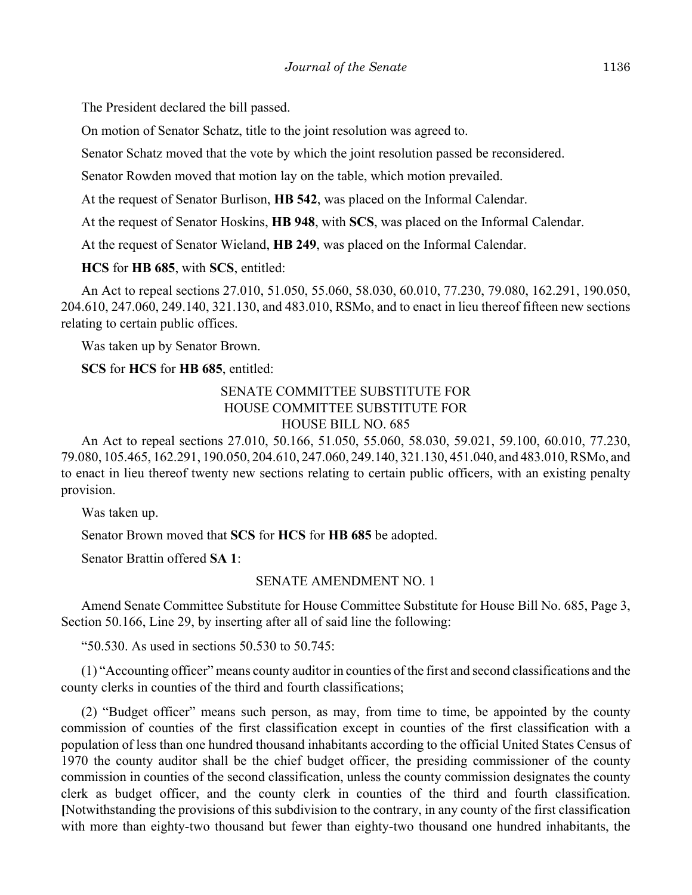The President declared the bill passed.

On motion of Senator Schatz, title to the joint resolution was agreed to.

Senator Schatz moved that the vote by which the joint resolution passed be reconsidered.

Senator Rowden moved that motion lay on the table, which motion prevailed.

At the request of Senator Burlison, **HB 542**, was placed on the Informal Calendar.

At the request of Senator Hoskins, **HB 948**, with **SCS**, was placed on the Informal Calendar.

At the request of Senator Wieland, **HB 249**, was placed on the Informal Calendar.

**HCS** for **HB 685**, with **SCS**, entitled:

An Act to repeal sections 27.010, 51.050, 55.060, 58.030, 60.010, 77.230, 79.080, 162.291, 190.050, 204.610, 247.060, 249.140, 321.130, and 483.010, RSMo, and to enact in lieu thereof fifteen new sections relating to certain public offices.

Was taken up by Senator Brown.

**SCS** for **HCS** for **HB 685**, entitled:

# SENATE COMMITTEE SUBSTITUTE FOR HOUSE COMMITTEE SUBSTITUTE FOR HOUSE BILL NO. 685

An Act to repeal sections 27.010, 50.166, 51.050, 55.060, 58.030, 59.021, 59.100, 60.010, 77.230, 79.080, 105.465, 162.291, 190.050, 204.610, 247.060, 249.140, 321.130, 451.040, and 483.010, RSMo, and to enact in lieu thereof twenty new sections relating to certain public officers, with an existing penalty provision.

Was taken up.

Senator Brown moved that **SCS** for **HCS** for **HB 685** be adopted.

Senator Brattin offered **SA 1**:

#### SENATE AMENDMENT NO. 1

Amend Senate Committee Substitute for House Committee Substitute for House Bill No. 685, Page 3, Section 50.166, Line 29, by inserting after all of said line the following:

"50.530. As used in sections 50.530 to 50.745:

(1) "Accounting officer" means county auditor in counties of the first and second classifications and the county clerks in counties of the third and fourth classifications;

(2) "Budget officer" means such person, as may, from time to time, be appointed by the county commission of counties of the first classification except in counties of the first classification with a population of less than one hundred thousand inhabitants according to the official United States Census of 1970 the county auditor shall be the chief budget officer, the presiding commissioner of the county commission in counties of the second classification, unless the county commission designates the county clerk as budget officer, and the county clerk in counties of the third and fourth classification. **[**Notwithstanding the provisions of this subdivision to the contrary, in any county of the first classification with more than eighty-two thousand but fewer than eighty-two thousand one hundred inhabitants, the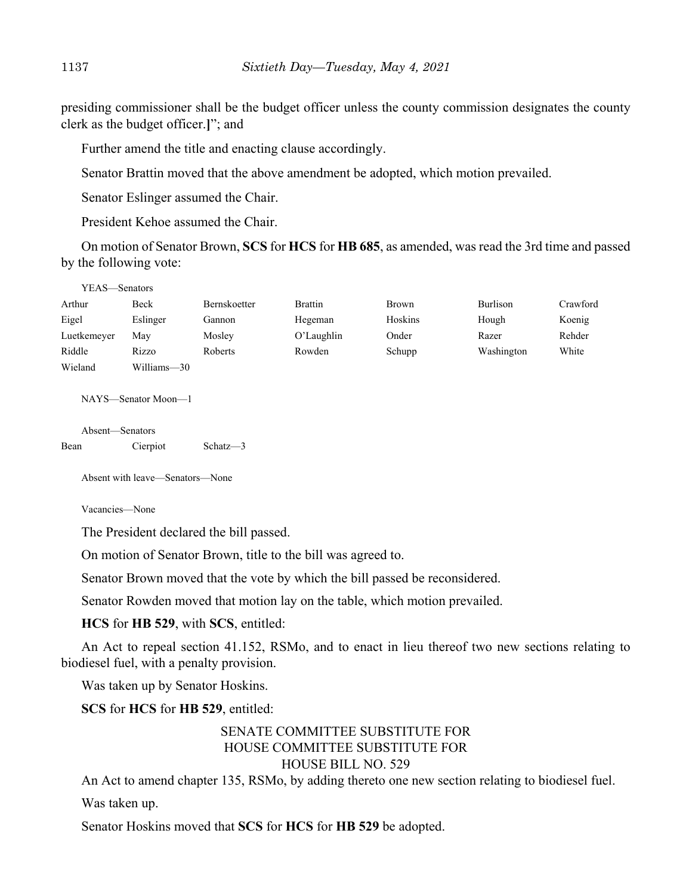presiding commissioner shall be the budget officer unless the county commission designates the county clerk as the budget officer.**]**"; and

Further amend the title and enacting clause accordingly.

Senator Brattin moved that the above amendment be adopted, which motion prevailed.

Senator Eslinger assumed the Chair.

President Kehoe assumed the Chair.

On motion of Senator Brown, **SCS** for **HCS** for **HB 685**, as amended, was read the 3rd time and passed by the following vote:

| YEAS—Senators |             |                     |                |         |            |          |
|---------------|-------------|---------------------|----------------|---------|------------|----------|
| Arthur        | Beck        | <b>Bernskoetter</b> | <b>Brattin</b> | Brown   | Burlison   | Crawford |
| Eigel         | Eslinger    | Gannon              | Hegeman        | Hoskins | Hough      | Koenig   |
| Luetkemeyer   | May         | Mosley              | O'Laughlin     | Onder   | Razer      | Rehder   |
| Riddle        | Rizzo       | Roberts             | Rowden         | Schupp  | Washington | White    |
| Wieland       | Williams-30 |                     |                |         |            |          |
|               |             |                     |                |         |            |          |
|               |             |                     |                |         |            |          |

NAYS—Senator Moon—1

Absent—Senators Bean Cierpiot Schatz—3

Absent with leave—Senators—None

Vacancies—None

The President declared the bill passed.

On motion of Senator Brown, title to the bill was agreed to.

Senator Brown moved that the vote by which the bill passed be reconsidered.

Senator Rowden moved that motion lay on the table, which motion prevailed.

# **HCS** for **HB 529**, with **SCS**, entitled:

An Act to repeal section 41.152, RSMo, and to enact in lieu thereof two new sections relating to biodiesel fuel, with a penalty provision.

Was taken up by Senator Hoskins.

**SCS** for **HCS** for **HB 529**, entitled:

# SENATE COMMITTEE SUBSTITUTE FOR HOUSE COMMITTEE SUBSTITUTE FOR HOUSE BILL NO. 529

An Act to amend chapter 135, RSMo, by adding thereto one new section relating to biodiesel fuel. Was taken up.

Senator Hoskins moved that **SCS** for **HCS** for **HB 529** be adopted.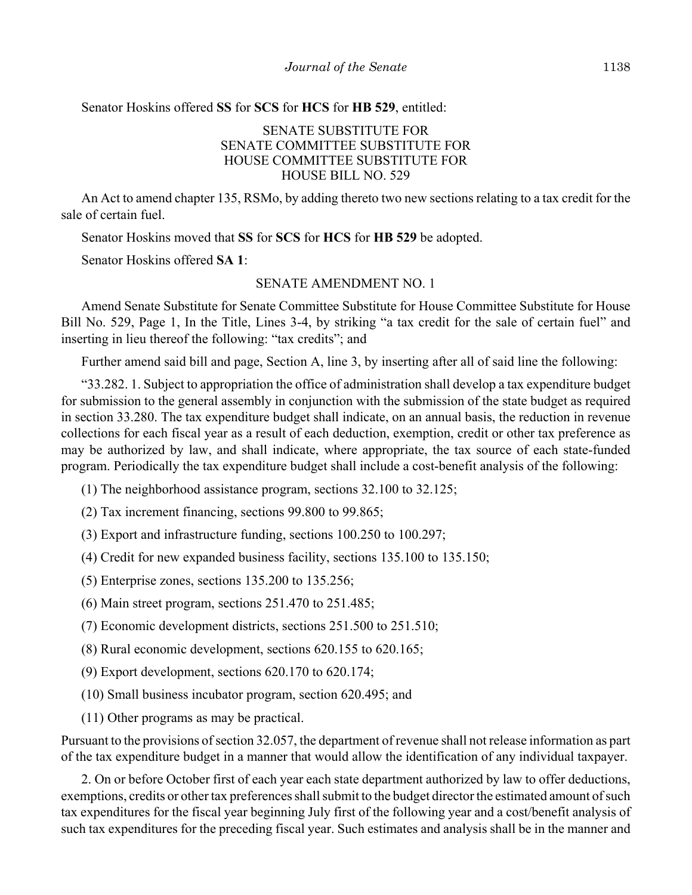Senator Hoskins offered **SS** for **SCS** for **HCS** for **HB 529**, entitled:

# SENATE SUBSTITUTE FOR SENATE COMMITTEE SUBSTITUTE FOR HOUSE COMMITTEE SUBSTITUTE FOR HOUSE BILL NO. 529

An Act to amend chapter 135, RSMo, by adding thereto two new sections relating to a tax credit for the sale of certain fuel.

Senator Hoskins moved that **SS** for **SCS** for **HCS** for **HB 529** be adopted.

Senator Hoskins offered **SA 1**:

# SENATE AMENDMENT NO. 1

Amend Senate Substitute for Senate Committee Substitute for House Committee Substitute for House Bill No. 529, Page 1, In the Title, Lines 3-4, by striking "a tax credit for the sale of certain fuel" and inserting in lieu thereof the following: "tax credits"; and

Further amend said bill and page, Section A, line 3, by inserting after all of said line the following:

"33.282. 1. Subject to appropriation the office of administration shall develop a tax expenditure budget for submission to the general assembly in conjunction with the submission of the state budget as required in section 33.280. The tax expenditure budget shall indicate, on an annual basis, the reduction in revenue collections for each fiscal year as a result of each deduction, exemption, credit or other tax preference as may be authorized by law, and shall indicate, where appropriate, the tax source of each state-funded program. Periodically the tax expenditure budget shall include a cost-benefit analysis of the following:

- (1) The neighborhood assistance program, sections 32.100 to 32.125;
- (2) Tax increment financing, sections 99.800 to 99.865;
- (3) Export and infrastructure funding, sections 100.250 to 100.297;
- (4) Credit for new expanded business facility, sections 135.100 to 135.150;
- (5) Enterprise zones, sections 135.200 to 135.256;
- (6) Main street program, sections 251.470 to 251.485;
- (7) Economic development districts, sections 251.500 to 251.510;
- (8) Rural economic development, sections 620.155 to 620.165;
- (9) Export development, sections 620.170 to 620.174;
- (10) Small business incubator program, section 620.495; and
- (11) Other programs as may be practical.

Pursuant to the provisions of section 32.057, the department of revenue shall not release information as part of the tax expenditure budget in a manner that would allow the identification of any individual taxpayer.

2. On or before October first of each year each state department authorized by law to offer deductions, exemptions, credits or other tax preferences shall submit to the budget director the estimated amount of such tax expenditures for the fiscal year beginning July first of the following year and a cost/benefit analysis of such tax expenditures for the preceding fiscal year. Such estimates and analysis shall be in the manner and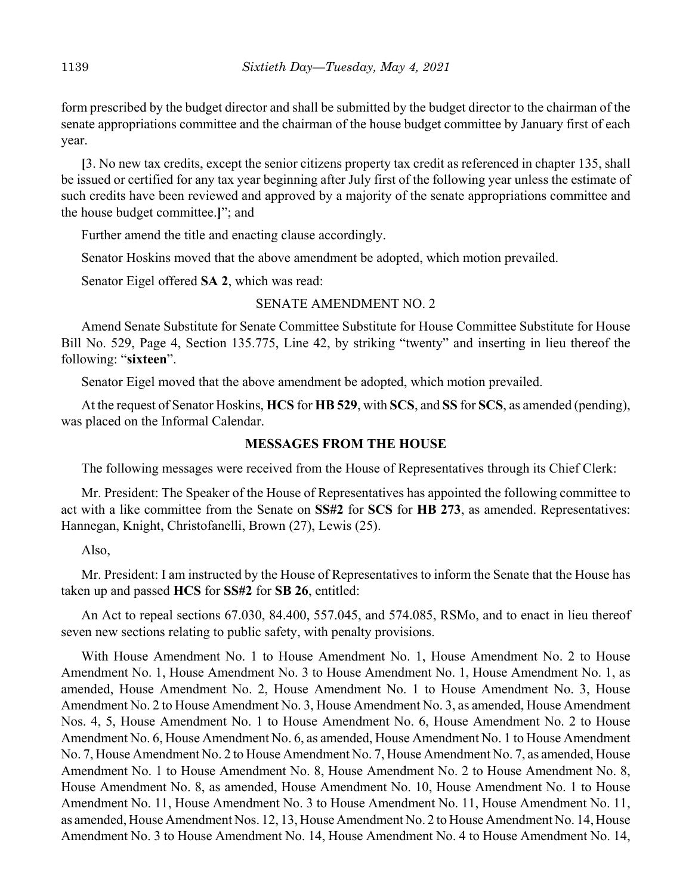form prescribed by the budget director and shall be submitted by the budget director to the chairman of the senate appropriations committee and the chairman of the house budget committee by January first of each year.

**[**3. No new tax credits, except the senior citizens property tax credit as referenced in chapter 135, shall be issued or certified for any tax year beginning after July first of the following year unless the estimate of such credits have been reviewed and approved by a majority of the senate appropriations committee and the house budget committee.**]**"; and

Further amend the title and enacting clause accordingly.

Senator Hoskins moved that the above amendment be adopted, which motion prevailed.

Senator Eigel offered **SA 2**, which was read:

# SENATE AMENDMENT NO. 2

Amend Senate Substitute for Senate Committee Substitute for House Committee Substitute for House Bill No. 529, Page 4, Section 135.775, Line 42, by striking "twenty" and inserting in lieu thereof the following: "**sixteen**".

Senator Eigel moved that the above amendment be adopted, which motion prevailed.

At the request of Senator Hoskins, **HCS** for **HB 529**, with **SCS**, and **SS** for **SCS**, as amended (pending), was placed on the Informal Calendar.

# **MESSAGES FROM THE HOUSE**

The following messages were received from the House of Representatives through its Chief Clerk:

Mr. President: The Speaker of the House of Representatives has appointed the following committee to act with a like committee from the Senate on **SS#2** for **SCS** for **HB 273**, as amended. Representatives: Hannegan, Knight, Christofanelli, Brown (27), Lewis (25).

Also,

Mr. President: I am instructed by the House of Representatives to inform the Senate that the House has taken up and passed **HCS** for **SS#2** for **SB 26**, entitled:

An Act to repeal sections 67.030, 84.400, 557.045, and 574.085, RSMo, and to enact in lieu thereof seven new sections relating to public safety, with penalty provisions.

With House Amendment No. 1 to House Amendment No. 1, House Amendment No. 2 to House Amendment No. 1, House Amendment No. 3 to House Amendment No. 1, House Amendment No. 1, as amended, House Amendment No. 2, House Amendment No. 1 to House Amendment No. 3, House Amendment No. 2 to House Amendment No. 3, House Amendment No. 3, as amended, House Amendment Nos. 4, 5, House Amendment No. 1 to House Amendment No. 6, House Amendment No. 2 to House Amendment No. 6, House Amendment No. 6, as amended, House Amendment No. 1 to House Amendment No. 7, House Amendment No. 2 to House Amendment No. 7, House Amendment No. 7, as amended, House Amendment No. 1 to House Amendment No. 8, House Amendment No. 2 to House Amendment No. 8, House Amendment No. 8, as amended, House Amendment No. 10, House Amendment No. 1 to House Amendment No. 11, House Amendment No. 3 to House Amendment No. 11, House Amendment No. 11, as amended, House Amendment Nos. 12, 13, House Amendment No. 2 to House Amendment No. 14, House Amendment No. 3 to House Amendment No. 14, House Amendment No. 4 to House Amendment No. 14,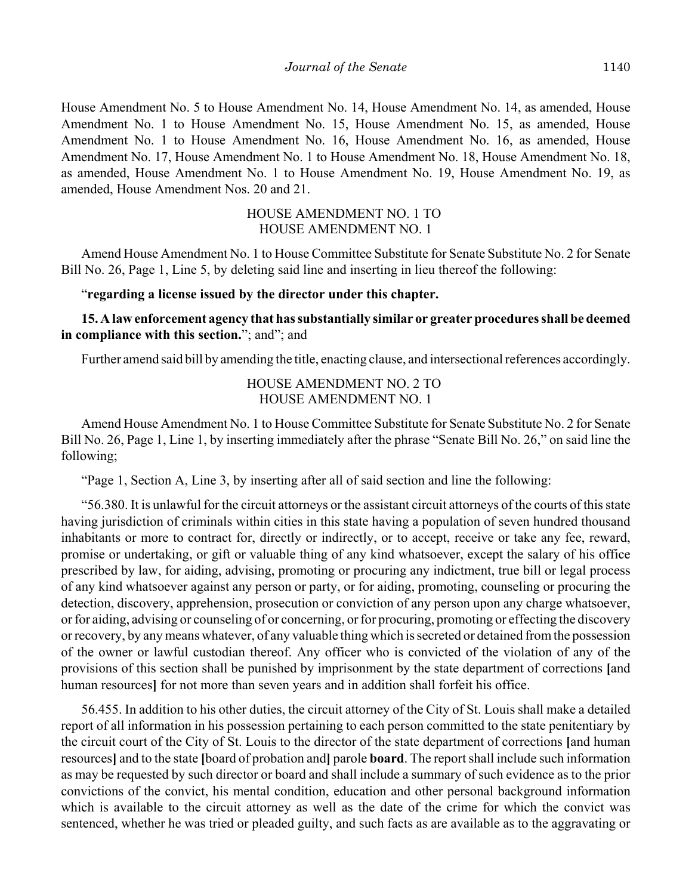House Amendment No. 5 to House Amendment No. 14, House Amendment No. 14, as amended, House Amendment No. 1 to House Amendment No. 15, House Amendment No. 15, as amended, House Amendment No. 1 to House Amendment No. 16, House Amendment No. 16, as amended, House Amendment No. 17, House Amendment No. 1 to House Amendment No. 18, House Amendment No. 18, as amended, House Amendment No. 1 to House Amendment No. 19, House Amendment No. 19, as amended, House Amendment Nos. 20 and 21.

#### HOUSE AMENDMENT NO. 1 TO HOUSE AMENDMENT NO. 1

Amend House Amendment No. 1 to House Committee Substitute for Senate Substitute No. 2 for Senate Bill No. 26, Page 1, Line 5, by deleting said line and inserting in lieu thereof the following:

#### "**regarding a license issued by the director under this chapter.**

**15. A law enforcement agency that has substantially similar or greater procedures shall be deemed in compliance with this section.**"; and"; and

Further amend said bill by amending the title, enacting clause, and intersectional references accordingly.

HOUSE AMENDMENT NO. 2 TO HOUSE AMENDMENT NO. 1

Amend House Amendment No. 1 to House Committee Substitute for Senate Substitute No. 2 for Senate Bill No. 26, Page 1, Line 1, by inserting immediately after the phrase "Senate Bill No. 26," on said line the following;

"Page 1, Section A, Line 3, by inserting after all of said section and line the following:

"56.380. It is unlawful for the circuit attorneys or the assistant circuit attorneys of the courts of this state having jurisdiction of criminals within cities in this state having a population of seven hundred thousand inhabitants or more to contract for, directly or indirectly, or to accept, receive or take any fee, reward, promise or undertaking, or gift or valuable thing of any kind whatsoever, except the salary of his office prescribed by law, for aiding, advising, promoting or procuring any indictment, true bill or legal process of any kind whatsoever against any person or party, or for aiding, promoting, counseling or procuring the detection, discovery, apprehension, prosecution or conviction of any person upon any charge whatsoever, or for aiding, advising or counseling of or concerning, or for procuring, promoting or effecting the discovery or recovery, by any means whatever, of any valuable thing which is secreted or detained from the possession of the owner or lawful custodian thereof. Any officer who is convicted of the violation of any of the provisions of this section shall be punished by imprisonment by the state department of corrections **[**and human resources**]** for not more than seven years and in addition shall forfeit his office.

56.455. In addition to his other duties, the circuit attorney of the City of St. Louis shall make a detailed report of all information in his possession pertaining to each person committed to the state penitentiary by the circuit court of the City of St. Louis to the director of the state department of corrections **[**and human resources**]** and to the state **[**board of probation and**]** parole **board**. The report shall include such information as may be requested by such director or board and shall include a summary of such evidence as to the prior convictions of the convict, his mental condition, education and other personal background information which is available to the circuit attorney as well as the date of the crime for which the convict was sentenced, whether he was tried or pleaded guilty, and such facts as are available as to the aggravating or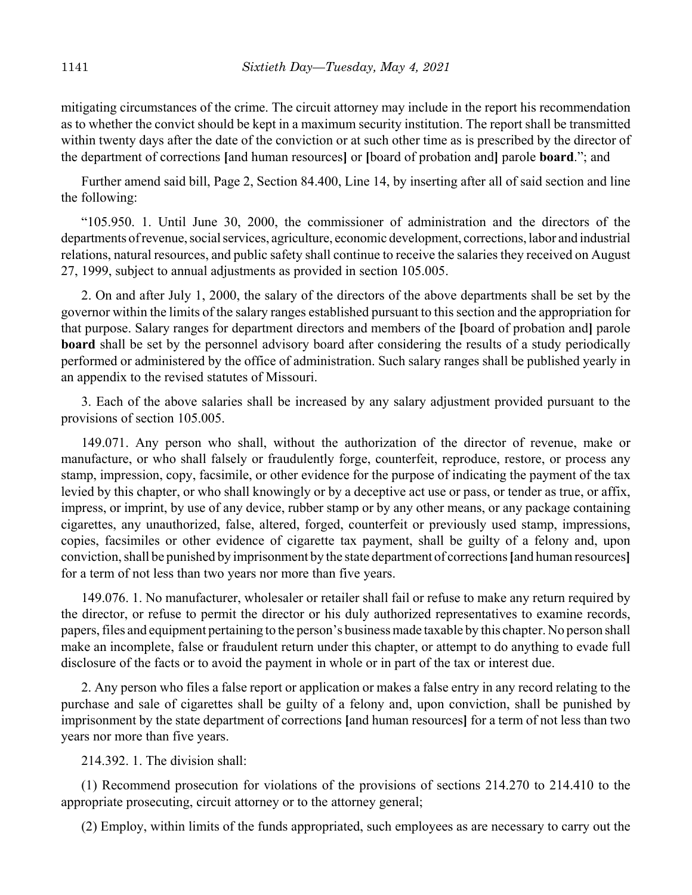mitigating circumstances of the crime. The circuit attorney may include in the report his recommendation as to whether the convict should be kept in a maximum security institution. The report shall be transmitted within twenty days after the date of the conviction or at such other time as is prescribed by the director of the department of corrections **[**and human resources**]** or **[**board of probation and**]** parole **board**."; and

Further amend said bill, Page 2, Section 84.400, Line 14, by inserting after all of said section and line the following:

"105.950. 1. Until June 30, 2000, the commissioner of administration and the directors of the departments of revenue, social services, agriculture, economic development, corrections, labor and industrial relations, natural resources, and public safety shall continue to receive the salaries they received on August 27, 1999, subject to annual adjustments as provided in section 105.005.

2. On and after July 1, 2000, the salary of the directors of the above departments shall be set by the governor within the limits of the salary ranges established pursuant to this section and the appropriation for that purpose. Salary ranges for department directors and members of the **[**board of probation and**]** parole **board** shall be set by the personnel advisory board after considering the results of a study periodically performed or administered by the office of administration. Such salary ranges shall be published yearly in an appendix to the revised statutes of Missouri.

3. Each of the above salaries shall be increased by any salary adjustment provided pursuant to the provisions of section 105.005.

149.071. Any person who shall, without the authorization of the director of revenue, make or manufacture, or who shall falsely or fraudulently forge, counterfeit, reproduce, restore, or process any stamp, impression, copy, facsimile, or other evidence for the purpose of indicating the payment of the tax levied by this chapter, or who shall knowingly or by a deceptive act use or pass, or tender as true, or affix, impress, or imprint, by use of any device, rubber stamp or by any other means, or any package containing cigarettes, any unauthorized, false, altered, forged, counterfeit or previously used stamp, impressions, copies, facsimiles or other evidence of cigarette tax payment, shall be guilty of a felony and, upon conviction, shall be punished by imprisonment by the state department of corrections **[**and human resources**]** for a term of not less than two years nor more than five years.

149.076. 1. No manufacturer, wholesaler or retailer shall fail or refuse to make any return required by the director, or refuse to permit the director or his duly authorized representatives to examine records, papers, files and equipment pertaining to the person's business made taxable by this chapter. No person shall make an incomplete, false or fraudulent return under this chapter, or attempt to do anything to evade full disclosure of the facts or to avoid the payment in whole or in part of the tax or interest due.

2. Any person who files a false report or application or makes a false entry in any record relating to the purchase and sale of cigarettes shall be guilty of a felony and, upon conviction, shall be punished by imprisonment by the state department of corrections **[**and human resources**]** for a term of not less than two years nor more than five years.

214.392. 1. The division shall:

(1) Recommend prosecution for violations of the provisions of sections 214.270 to 214.410 to the appropriate prosecuting, circuit attorney or to the attorney general;

(2) Employ, within limits of the funds appropriated, such employees as are necessary to carry out the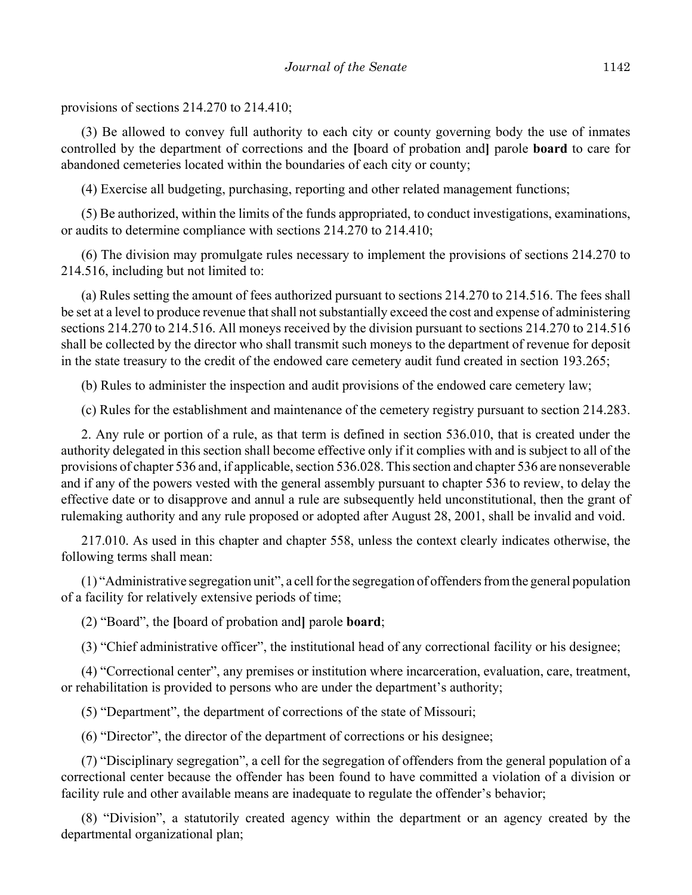provisions of sections 214.270 to 214.410;

(3) Be allowed to convey full authority to each city or county governing body the use of inmates controlled by the department of corrections and the **[**board of probation and**]** parole **board** to care for abandoned cemeteries located within the boundaries of each city or county;

(4) Exercise all budgeting, purchasing, reporting and other related management functions;

(5) Be authorized, within the limits of the funds appropriated, to conduct investigations, examinations, or audits to determine compliance with sections 214.270 to 214.410;

(6) The division may promulgate rules necessary to implement the provisions of sections 214.270 to 214.516, including but not limited to:

(a) Rules setting the amount of fees authorized pursuant to sections 214.270 to 214.516. The fees shall be set at a level to produce revenue that shall not substantially exceed the cost and expense of administering sections 214.270 to 214.516. All moneys received by the division pursuant to sections 214.270 to 214.516 shall be collected by the director who shall transmit such moneys to the department of revenue for deposit in the state treasury to the credit of the endowed care cemetery audit fund created in section 193.265;

(b) Rules to administer the inspection and audit provisions of the endowed care cemetery law;

(c) Rules for the establishment and maintenance of the cemetery registry pursuant to section 214.283.

2. Any rule or portion of a rule, as that term is defined in section 536.010, that is created under the authority delegated in this section shall become effective only if it complies with and is subject to all of the provisions of chapter 536 and, if applicable, section 536.028. This section and chapter 536 are nonseverable and if any of the powers vested with the general assembly pursuant to chapter 536 to review, to delay the effective date or to disapprove and annul a rule are subsequently held unconstitutional, then the grant of rulemaking authority and any rule proposed or adopted after August 28, 2001, shall be invalid and void.

217.010. As used in this chapter and chapter 558, unless the context clearly indicates otherwise, the following terms shall mean:

(1) "Administrative segregation unit", a cell for the segregation of offenders from the general population of a facility for relatively extensive periods of time;

(2) "Board", the **[**board of probation and**]** parole **board**;

(3) "Chief administrative officer", the institutional head of any correctional facility or his designee;

(4) "Correctional center", any premises or institution where incarceration, evaluation, care, treatment, or rehabilitation is provided to persons who are under the department's authority;

(5) "Department", the department of corrections of the state of Missouri;

(6) "Director", the director of the department of corrections or his designee;

(7) "Disciplinary segregation", a cell for the segregation of offenders from the general population of a correctional center because the offender has been found to have committed a violation of a division or facility rule and other available means are inadequate to regulate the offender's behavior;

(8) "Division", a statutorily created agency within the department or an agency created by the departmental organizational plan;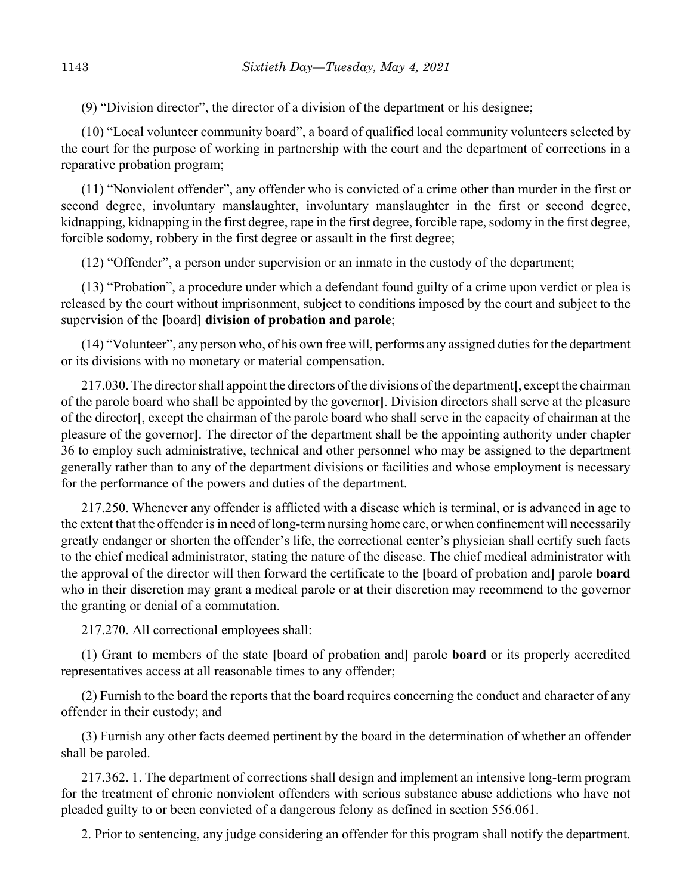(9) "Division director", the director of a division of the department or his designee;

(10) "Local volunteer community board", a board of qualified local community volunteers selected by the court for the purpose of working in partnership with the court and the department of corrections in a reparative probation program;

(11) "Nonviolent offender", any offender who is convicted of a crime other than murder in the first or second degree, involuntary manslaughter, involuntary manslaughter in the first or second degree, kidnapping, kidnapping in the first degree, rape in the first degree, forcible rape, sodomy in the first degree, forcible sodomy, robbery in the first degree or assault in the first degree;

(12) "Offender", a person under supervision or an inmate in the custody of the department;

(13) "Probation", a procedure under which a defendant found guilty of a crime upon verdict or plea is released by the court without imprisonment, subject to conditions imposed by the court and subject to the supervision of the **[**board**] division of probation and parole**;

(14) "Volunteer", any person who, of his own free will, performs any assigned duties for the department or its divisions with no monetary or material compensation.

217.030. The director shall appoint the directors of the divisions of the department**[**, except the chairman of the parole board who shall be appointed by the governor**]**. Division directors shall serve at the pleasure of the director**[**, except the chairman of the parole board who shall serve in the capacity of chairman at the pleasure of the governor**]**. The director of the department shall be the appointing authority under chapter 36 to employ such administrative, technical and other personnel who may be assigned to the department generally rather than to any of the department divisions or facilities and whose employment is necessary for the performance of the powers and duties of the department.

217.250. Whenever any offender is afflicted with a disease which is terminal, or is advanced in age to the extent that the offender is in need of long-term nursing home care, or when confinement will necessarily greatly endanger or shorten the offender's life, the correctional center's physician shall certify such facts to the chief medical administrator, stating the nature of the disease. The chief medical administrator with the approval of the director will then forward the certificate to the **[**board of probation and**]** parole **board** who in their discretion may grant a medical parole or at their discretion may recommend to the governor the granting or denial of a commutation.

217.270. All correctional employees shall:

(1) Grant to members of the state **[**board of probation and**]** parole **board** or its properly accredited representatives access at all reasonable times to any offender;

(2) Furnish to the board the reports that the board requires concerning the conduct and character of any offender in their custody; and

(3) Furnish any other facts deemed pertinent by the board in the determination of whether an offender shall be paroled.

217.362. 1. The department of corrections shall design and implement an intensive long-term program for the treatment of chronic nonviolent offenders with serious substance abuse addictions who have not pleaded guilty to or been convicted of a dangerous felony as defined in section 556.061.

2. Prior to sentencing, any judge considering an offender for this program shall notify the department.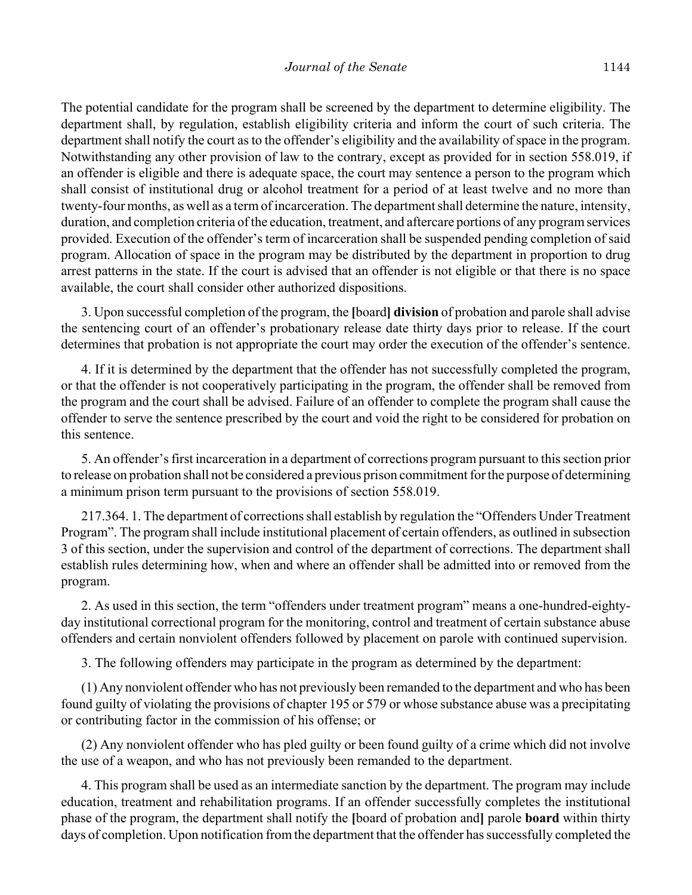The potential candidate for the program shall be screened by the department to determine eligibility. The department shall, by regulation, establish eligibility criteria and inform the court of such criteria. The department shall notify the court as to the offender's eligibility and the availability of space in the program. Notwithstanding any other provision of law to the contrary, except as provided for in section 558.019, if an offender is eligible and there is adequate space, the court may sentence a person to the program which shall consist of institutional drug or alcohol treatment for a period of at least twelve and no more than twenty-four months, as well as a term of incarceration. The department shall determine the nature, intensity, duration, and completion criteria of the education, treatment, and aftercare portions of any program services provided. Execution of the offender's term of incarceration shall be suspended pending completion of said program. Allocation of space in the program may be distributed by the department in proportion to drug arrest patterns in the state. If the court is advised that an offender is not eligible or that there is no space available, the court shall consider other authorized dispositions.

3. Upon successful completion of the program, the **[**board**] division** of probation and parole shall advise the sentencing court of an offender's probationary release date thirty days prior to release. If the court determines that probation is not appropriate the court may order the execution of the offender's sentence.

4. If it is determined by the department that the offender has not successfully completed the program, or that the offender is not cooperatively participating in the program, the offender shall be removed from the program and the court shall be advised. Failure of an offender to complete the program shall cause the offender to serve the sentence prescribed by the court and void the right to be considered for probation on this sentence.

5. An offender's first incarceration in a department of corrections program pursuant to this section prior to release on probation shall not be considered a previous prison commitment for the purpose of determining a minimum prison term pursuant to the provisions of section 558.019.

217.364. 1. The department of corrections shall establish by regulation the "Offenders Under Treatment Program". The program shall include institutional placement of certain offenders, as outlined in subsection 3 of this section, under the supervision and control of the department of corrections. The department shall establish rules determining how, when and where an offender shall be admitted into or removed from the program.

2. As used in this section, the term "offenders under treatment program" means a one-hundred-eightyday institutional correctional program for the monitoring, control and treatment of certain substance abuse offenders and certain nonviolent offenders followed by placement on parole with continued supervision.

3. The following offenders may participate in the program as determined by the department:

(1) Any nonviolent offender who has not previously been remanded to the department and who has been found guilty of violating the provisions of chapter 195 or 579 or whose substance abuse was a precipitating or contributing factor in the commission of his offense; or

(2) Any nonviolent offender who has pled guilty or been found guilty of a crime which did not involve the use of a weapon, and who has not previously been remanded to the department.

4. This program shall be used as an intermediate sanction by the department. The program may include education, treatment and rehabilitation programs. If an offender successfully completes the institutional phase of the program, the department shall notify the **[**board of probation and**]** parole **board** within thirty days of completion. Upon notification from the department that the offender has successfully completed the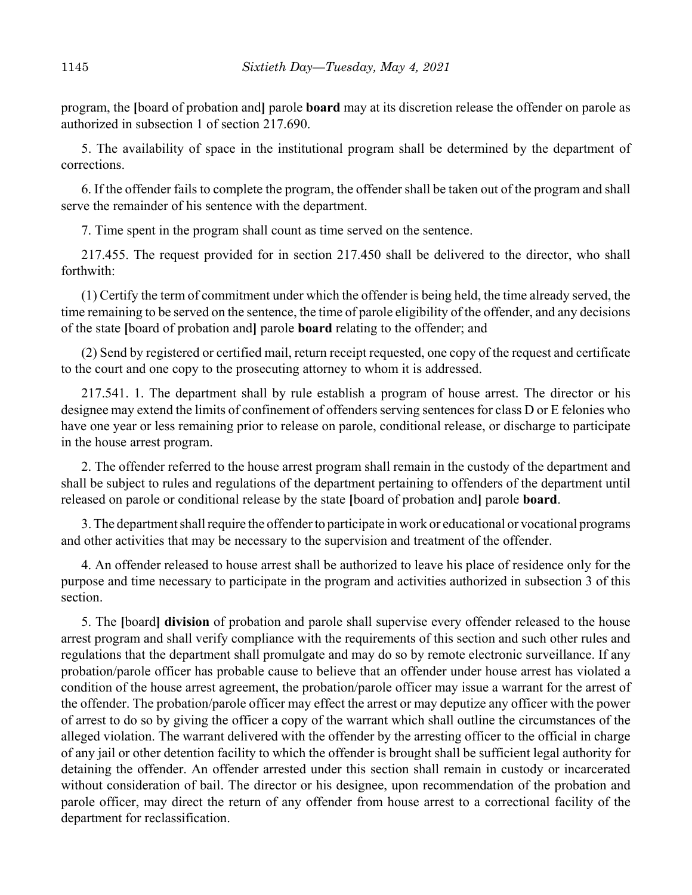program, the **[**board of probation and**]** parole **board** may at its discretion release the offender on parole as authorized in subsection 1 of section 217.690.

5. The availability of space in the institutional program shall be determined by the department of corrections.

6. If the offender fails to complete the program, the offender shall be taken out of the program and shall serve the remainder of his sentence with the department.

7. Time spent in the program shall count as time served on the sentence.

217.455. The request provided for in section 217.450 shall be delivered to the director, who shall forthwith:

(1) Certify the term of commitment under which the offender is being held, the time already served, the time remaining to be served on the sentence, the time of parole eligibility of the offender, and any decisions of the state **[**board of probation and**]** parole **board** relating to the offender; and

(2) Send by registered or certified mail, return receipt requested, one copy of the request and certificate to the court and one copy to the prosecuting attorney to whom it is addressed.

217.541. 1. The department shall by rule establish a program of house arrest. The director or his designee may extend the limits of confinement of offenders serving sentences for class D or E felonies who have one year or less remaining prior to release on parole, conditional release, or discharge to participate in the house arrest program.

2. The offender referred to the house arrest program shall remain in the custody of the department and shall be subject to rules and regulations of the department pertaining to offenders of the department until released on parole or conditional release by the state **[**board of probation and**]** parole **board**.

3. The department shall require the offender to participate in work or educational or vocational programs and other activities that may be necessary to the supervision and treatment of the offender.

4. An offender released to house arrest shall be authorized to leave his place of residence only for the purpose and time necessary to participate in the program and activities authorized in subsection 3 of this section.

5. The **[**board**] division** of probation and parole shall supervise every offender released to the house arrest program and shall verify compliance with the requirements of this section and such other rules and regulations that the department shall promulgate and may do so by remote electronic surveillance. If any probation/parole officer has probable cause to believe that an offender under house arrest has violated a condition of the house arrest agreement, the probation/parole officer may issue a warrant for the arrest of the offender. The probation/parole officer may effect the arrest or may deputize any officer with the power of arrest to do so by giving the officer a copy of the warrant which shall outline the circumstances of the alleged violation. The warrant delivered with the offender by the arresting officer to the official in charge of any jail or other detention facility to which the offender is brought shall be sufficient legal authority for detaining the offender. An offender arrested under this section shall remain in custody or incarcerated without consideration of bail. The director or his designee, upon recommendation of the probation and parole officer, may direct the return of any offender from house arrest to a correctional facility of the department for reclassification.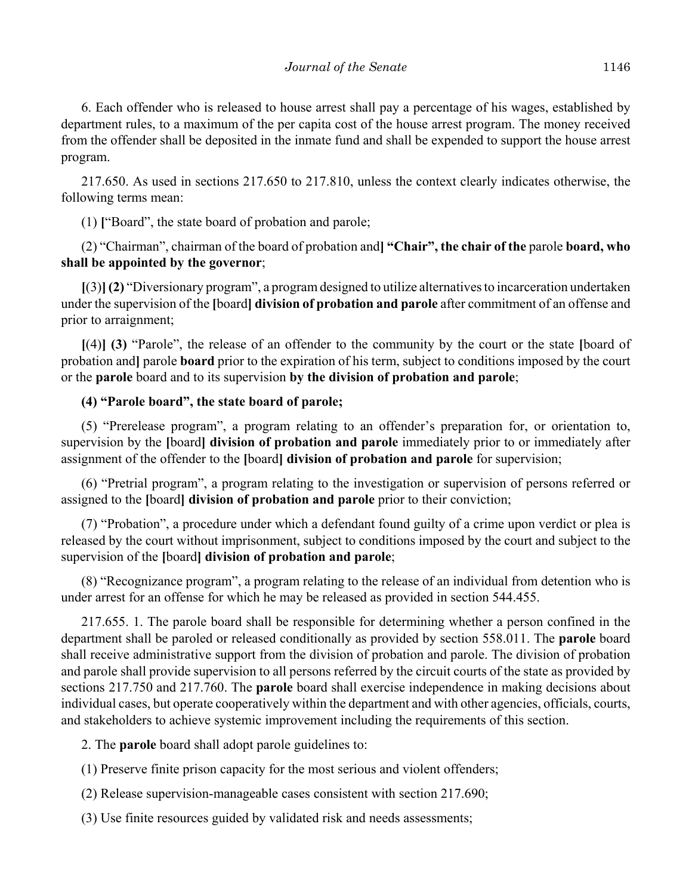6. Each offender who is released to house arrest shall pay a percentage of his wages, established by department rules, to a maximum of the per capita cost of the house arrest program. The money received from the offender shall be deposited in the inmate fund and shall be expended to support the house arrest program.

217.650. As used in sections 217.650 to 217.810, unless the context clearly indicates otherwise, the following terms mean:

(1) **[**"Board", the state board of probation and parole;

(2) "Chairman", chairman of the board of probation and**] "Chair", the chair of the** parole **board, who shall be appointed by the governor**;

**[**(3)**] (2)** "Diversionary program", a program designed to utilize alternatives to incarceration undertaken under the supervision of the **[**board**] division of probation and parole** after commitment of an offense and prior to arraignment;

**[**(4)**] (3)** "Parole", the release of an offender to the community by the court or the state **[**board of probation and**]** parole **board** prior to the expiration of his term, subject to conditions imposed by the court or the **parole** board and to its supervision **by the division of probation and parole**;

# **(4) "Parole board", the state board of parole;**

(5) "Prerelease program", a program relating to an offender's preparation for, or orientation to, supervision by the **[**board**] division of probation and parole** immediately prior to or immediately after assignment of the offender to the **[**board**] division of probation and parole** for supervision;

(6) "Pretrial program", a program relating to the investigation or supervision of persons referred or assigned to the **[**board**] division of probation and parole** prior to their conviction;

(7) "Probation", a procedure under which a defendant found guilty of a crime upon verdict or plea is released by the court without imprisonment, subject to conditions imposed by the court and subject to the supervision of the **[**board**] division of probation and parole**;

(8) "Recognizance program", a program relating to the release of an individual from detention who is under arrest for an offense for which he may be released as provided in section 544.455.

217.655. 1. The parole board shall be responsible for determining whether a person confined in the department shall be paroled or released conditionally as provided by section 558.011. The **parole** board shall receive administrative support from the division of probation and parole. The division of probation and parole shall provide supervision to all persons referred by the circuit courts of the state as provided by sections 217.750 and 217.760. The **parole** board shall exercise independence in making decisions about individual cases, but operate cooperatively within the department and with other agencies, officials, courts, and stakeholders to achieve systemic improvement including the requirements of this section.

2. The **parole** board shall adopt parole guidelines to:

(1) Preserve finite prison capacity for the most serious and violent offenders;

(2) Release supervision-manageable cases consistent with section 217.690;

(3) Use finite resources guided by validated risk and needs assessments;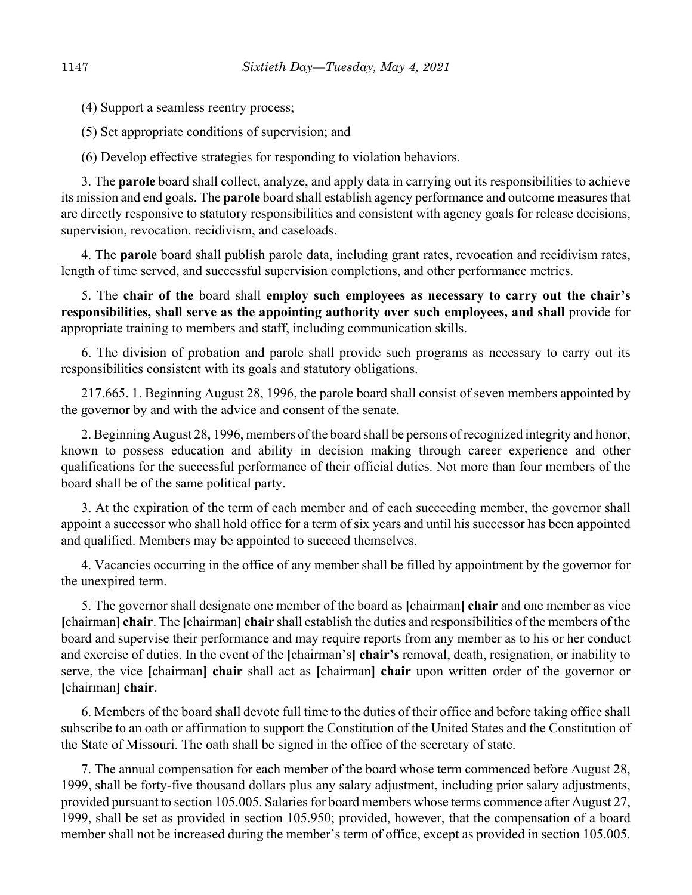(4) Support a seamless reentry process;

(5) Set appropriate conditions of supervision; and

(6) Develop effective strategies for responding to violation behaviors.

3. The **parole** board shall collect, analyze, and apply data in carrying out its responsibilities to achieve its mission and end goals. The **parole** board shall establish agency performance and outcome measures that are directly responsive to statutory responsibilities and consistent with agency goals for release decisions, supervision, revocation, recidivism, and caseloads.

4. The **parole** board shall publish parole data, including grant rates, revocation and recidivism rates, length of time served, and successful supervision completions, and other performance metrics.

5. The **chair of the** board shall **employ such employees as necessary to carry out the chair's responsibilities, shall serve as the appointing authority over such employees, and shall** provide for appropriate training to members and staff, including communication skills.

6. The division of probation and parole shall provide such programs as necessary to carry out its responsibilities consistent with its goals and statutory obligations.

217.665. 1. Beginning August 28, 1996, the parole board shall consist of seven members appointed by the governor by and with the advice and consent of the senate.

2. Beginning August 28, 1996, members of the board shall be persons of recognized integrity and honor, known to possess education and ability in decision making through career experience and other qualifications for the successful performance of their official duties. Not more than four members of the board shall be of the same political party.

3. At the expiration of the term of each member and of each succeeding member, the governor shall appoint a successor who shall hold office for a term of six years and until his successor has been appointed and qualified. Members may be appointed to succeed themselves.

4. Vacancies occurring in the office of any member shall be filled by appointment by the governor for the unexpired term.

5. The governor shall designate one member of the board as **[**chairman**] chair** and one member as vice **[**chairman**] chair**. The **[**chairman**] chair** shall establish the duties and responsibilities of the members of the board and supervise their performance and may require reports from any member as to his or her conduct and exercise of duties. In the event of the **[**chairman's**] chair's** removal, death, resignation, or inability to serve, the vice **[**chairman**] chair** shall act as **[**chairman**] chair** upon written order of the governor or **[**chairman**] chair**.

6. Members of the board shall devote full time to the duties of their office and before taking office shall subscribe to an oath or affirmation to support the Constitution of the United States and the Constitution of the State of Missouri. The oath shall be signed in the office of the secretary of state.

7. The annual compensation for each member of the board whose term commenced before August 28, 1999, shall be forty-five thousand dollars plus any salary adjustment, including prior salary adjustments, provided pursuant to section 105.005. Salaries for board members whose terms commence after August 27, 1999, shall be set as provided in section 105.950; provided, however, that the compensation of a board member shall not be increased during the member's term of office, except as provided in section 105.005.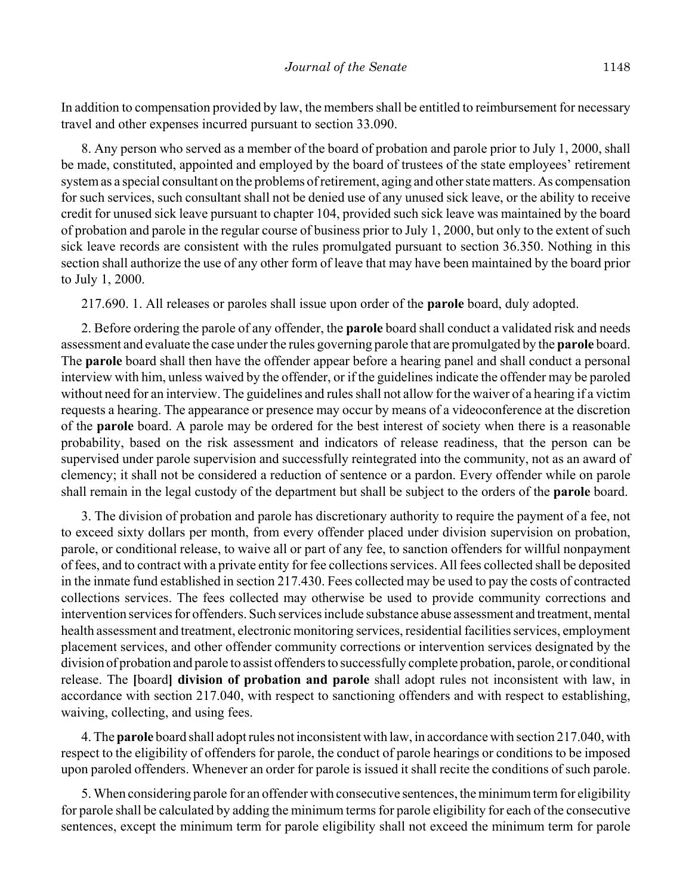In addition to compensation provided by law, the members shall be entitled to reimbursement for necessary travel and other expenses incurred pursuant to section 33.090.

8. Any person who served as a member of the board of probation and parole prior to July 1, 2000, shall be made, constituted, appointed and employed by the board of trustees of the state employees' retirement system as a special consultant on the problems of retirement, aging and other state matters. As compensation for such services, such consultant shall not be denied use of any unused sick leave, or the ability to receive credit for unused sick leave pursuant to chapter 104, provided such sick leave was maintained by the board of probation and parole in the regular course of business prior to July 1, 2000, but only to the extent of such sick leave records are consistent with the rules promulgated pursuant to section 36.350. Nothing in this section shall authorize the use of any other form of leave that may have been maintained by the board prior to July 1, 2000.

217.690. 1. All releases or paroles shall issue upon order of the **parole** board, duly adopted.

2. Before ordering the parole of any offender, the **parole** board shall conduct a validated risk and needs assessment and evaluate the case under the rules governing parole that are promulgated by the **parole** board. The **parole** board shall then have the offender appear before a hearing panel and shall conduct a personal interview with him, unless waived by the offender, or if the guidelines indicate the offender may be paroled without need for an interview. The guidelines and rules shall not allow for the waiver of a hearing if a victim requests a hearing. The appearance or presence may occur by means of a videoconference at the discretion of the **parole** board. A parole may be ordered for the best interest of society when there is a reasonable probability, based on the risk assessment and indicators of release readiness, that the person can be supervised under parole supervision and successfully reintegrated into the community, not as an award of clemency; it shall not be considered a reduction of sentence or a pardon. Every offender while on parole shall remain in the legal custody of the department but shall be subject to the orders of the **parole** board.

3. The division of probation and parole has discretionary authority to require the payment of a fee, not to exceed sixty dollars per month, from every offender placed under division supervision on probation, parole, or conditional release, to waive all or part of any fee, to sanction offenders for willful nonpayment of fees, and to contract with a private entity for fee collections services. All fees collected shall be deposited in the inmate fund established in section 217.430. Fees collected may be used to pay the costs of contracted collections services. The fees collected may otherwise be used to provide community corrections and intervention services for offenders. Such services include substance abuse assessment and treatment, mental health assessment and treatment, electronic monitoring services, residential facilities services, employment placement services, and other offender community corrections or intervention services designated by the division of probation and parole to assist offenders to successfully complete probation, parole, or conditional release. The **[**board**] division of probation and parole** shall adopt rules not inconsistent with law, in accordance with section 217.040, with respect to sanctioning offenders and with respect to establishing, waiving, collecting, and using fees.

4. The **parole** board shall adopt rules not inconsistent with law, in accordance with section 217.040, with respect to the eligibility of offenders for parole, the conduct of parole hearings or conditions to be imposed upon paroled offenders. Whenever an order for parole is issued it shall recite the conditions of such parole.

5. When considering parole for an offender with consecutive sentences, the minimum term for eligibility for parole shall be calculated by adding the minimum terms for parole eligibility for each of the consecutive sentences, except the minimum term for parole eligibility shall not exceed the minimum term for parole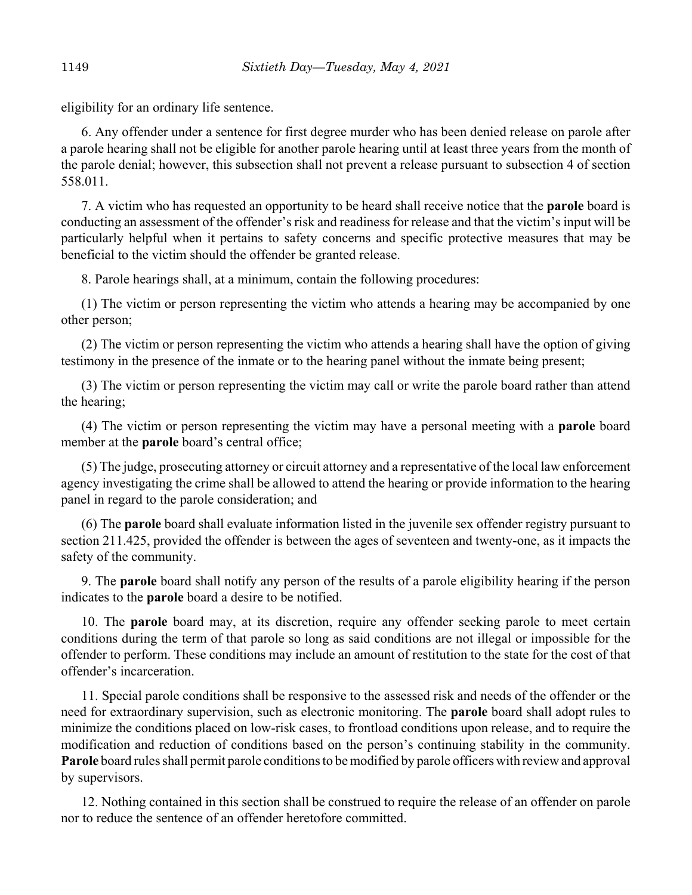eligibility for an ordinary life sentence.

6. Any offender under a sentence for first degree murder who has been denied release on parole after a parole hearing shall not be eligible for another parole hearing until at least three years from the month of the parole denial; however, this subsection shall not prevent a release pursuant to subsection 4 of section 558.011.

7. A victim who has requested an opportunity to be heard shall receive notice that the **parole** board is conducting an assessment of the offender's risk and readiness for release and that the victim's input will be particularly helpful when it pertains to safety concerns and specific protective measures that may be beneficial to the victim should the offender be granted release.

8. Parole hearings shall, at a minimum, contain the following procedures:

(1) The victim or person representing the victim who attends a hearing may be accompanied by one other person;

(2) The victim or person representing the victim who attends a hearing shall have the option of giving testimony in the presence of the inmate or to the hearing panel without the inmate being present;

(3) The victim or person representing the victim may call or write the parole board rather than attend the hearing;

(4) The victim or person representing the victim may have a personal meeting with a **parole** board member at the **parole** board's central office;

(5) The judge, prosecuting attorney or circuit attorney and a representative of the local law enforcement agency investigating the crime shall be allowed to attend the hearing or provide information to the hearing panel in regard to the parole consideration; and

(6) The **parole** board shall evaluate information listed in the juvenile sex offender registry pursuant to section 211.425, provided the offender is between the ages of seventeen and twenty-one, as it impacts the safety of the community.

9. The **parole** board shall notify any person of the results of a parole eligibility hearing if the person indicates to the **parole** board a desire to be notified.

10. The **parole** board may, at its discretion, require any offender seeking parole to meet certain conditions during the term of that parole so long as said conditions are not illegal or impossible for the offender to perform. These conditions may include an amount of restitution to the state for the cost of that offender's incarceration.

11. Special parole conditions shall be responsive to the assessed risk and needs of the offender or the need for extraordinary supervision, such as electronic monitoring. The **parole** board shall adopt rules to minimize the conditions placed on low-risk cases, to frontload conditions upon release, and to require the modification and reduction of conditions based on the person's continuing stability in the community. **Parole** board rules shall permit parole conditions to be modified by parole officers with review and approval by supervisors.

12. Nothing contained in this section shall be construed to require the release of an offender on parole nor to reduce the sentence of an offender heretofore committed.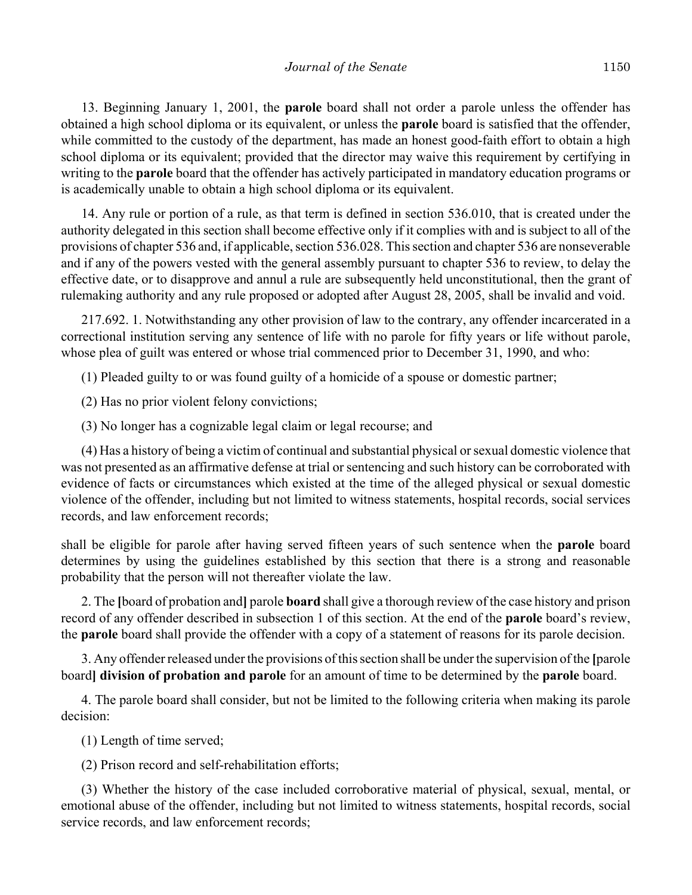13. Beginning January 1, 2001, the **parole** board shall not order a parole unless the offender has obtained a high school diploma or its equivalent, or unless the **parole** board is satisfied that the offender, while committed to the custody of the department, has made an honest good-faith effort to obtain a high school diploma or its equivalent; provided that the director may waive this requirement by certifying in writing to the **parole** board that the offender has actively participated in mandatory education programs or is academically unable to obtain a high school diploma or its equivalent.

14. Any rule or portion of a rule, as that term is defined in section 536.010, that is created under the authority delegated in this section shall become effective only if it complies with and is subject to all of the provisions of chapter 536 and, if applicable, section 536.028. This section and chapter 536 are nonseverable and if any of the powers vested with the general assembly pursuant to chapter 536 to review, to delay the effective date, or to disapprove and annul a rule are subsequently held unconstitutional, then the grant of rulemaking authority and any rule proposed or adopted after August 28, 2005, shall be invalid and void.

217.692. 1. Notwithstanding any other provision of law to the contrary, any offender incarcerated in a correctional institution serving any sentence of life with no parole for fifty years or life without parole, whose plea of guilt was entered or whose trial commenced prior to December 31, 1990, and who:

(1) Pleaded guilty to or was found guilty of a homicide of a spouse or domestic partner;

(2) Has no prior violent felony convictions;

(3) No longer has a cognizable legal claim or legal recourse; and

(4) Has a history of being a victim of continual and substantial physical or sexual domestic violence that was not presented as an affirmative defense at trial or sentencing and such history can be corroborated with evidence of facts or circumstances which existed at the time of the alleged physical or sexual domestic violence of the offender, including but not limited to witness statements, hospital records, social services records, and law enforcement records;

shall be eligible for parole after having served fifteen years of such sentence when the **parole** board determines by using the guidelines established by this section that there is a strong and reasonable probability that the person will not thereafter violate the law.

2. The **[**board of probation and**]** parole **board** shall give a thorough review of the case history and prison record of any offender described in subsection 1 of this section. At the end of the **parole** board's review, the **parole** board shall provide the offender with a copy of a statement of reasons for its parole decision.

3. Any offender released under the provisions of this section shall be under the supervision of the **[**parole board**] division of probation and parole** for an amount of time to be determined by the **parole** board.

4. The parole board shall consider, but not be limited to the following criteria when making its parole decision:

(1) Length of time served;

(2) Prison record and self-rehabilitation efforts;

(3) Whether the history of the case included corroborative material of physical, sexual, mental, or emotional abuse of the offender, including but not limited to witness statements, hospital records, social service records, and law enforcement records;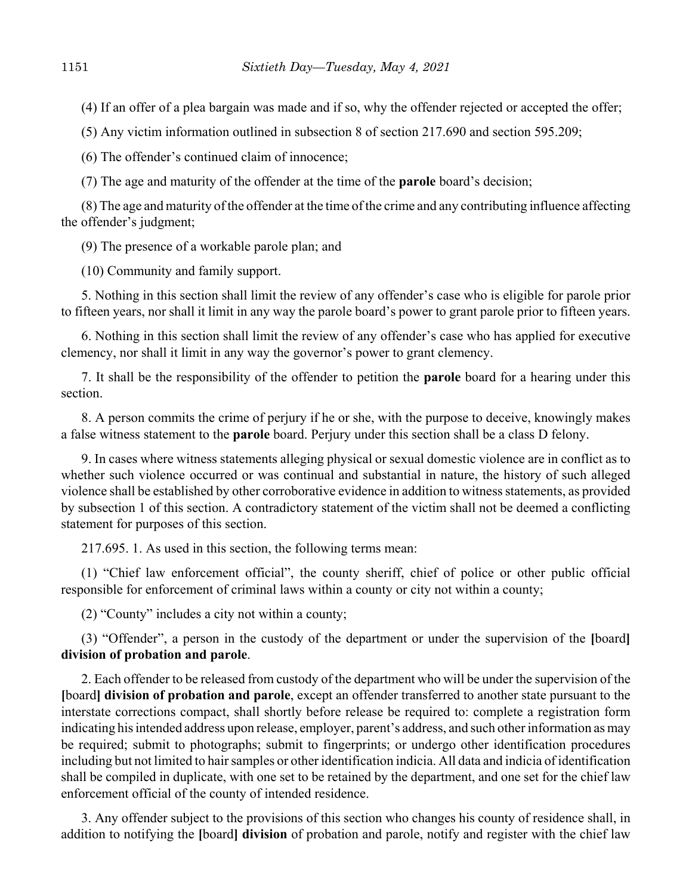(4) If an offer of a plea bargain was made and if so, why the offender rejected or accepted the offer;

(5) Any victim information outlined in subsection 8 of section 217.690 and section 595.209;

(6) The offender's continued claim of innocence;

(7) The age and maturity of the offender at the time of the **parole** board's decision;

(8) The age and maturity of the offender at the time of the crime and any contributing influence affecting the offender's judgment;

(9) The presence of a workable parole plan; and

(10) Community and family support.

5. Nothing in this section shall limit the review of any offender's case who is eligible for parole prior to fifteen years, nor shall it limit in any way the parole board's power to grant parole prior to fifteen years.

6. Nothing in this section shall limit the review of any offender's case who has applied for executive clemency, nor shall it limit in any way the governor's power to grant clemency.

7. It shall be the responsibility of the offender to petition the **parole** board for a hearing under this section.

8. A person commits the crime of perjury if he or she, with the purpose to deceive, knowingly makes a false witness statement to the **parole** board. Perjury under this section shall be a class D felony.

9. In cases where witness statements alleging physical or sexual domestic violence are in conflict as to whether such violence occurred or was continual and substantial in nature, the history of such alleged violence shall be established by other corroborative evidence in addition to witness statements, as provided by subsection 1 of this section. A contradictory statement of the victim shall not be deemed a conflicting statement for purposes of this section.

217.695. 1. As used in this section, the following terms mean:

(1) "Chief law enforcement official", the county sheriff, chief of police or other public official responsible for enforcement of criminal laws within a county or city not within a county;

(2) "County" includes a city not within a county;

(3) "Offender", a person in the custody of the department or under the supervision of the **[**board**] division of probation and parole**.

2. Each offender to be released from custody of the department who will be under the supervision of the **[**board**] division of probation and parole**, except an offender transferred to another state pursuant to the interstate corrections compact, shall shortly before release be required to: complete a registration form indicating his intended address upon release, employer, parent's address, and such other information as may be required; submit to photographs; submit to fingerprints; or undergo other identification procedures including but not limited to hair samples or other identification indicia. All data and indicia of identification shall be compiled in duplicate, with one set to be retained by the department, and one set for the chief law enforcement official of the county of intended residence.

3. Any offender subject to the provisions of this section who changes his county of residence shall, in addition to notifying the **[**board**] division** of probation and parole, notify and register with the chief law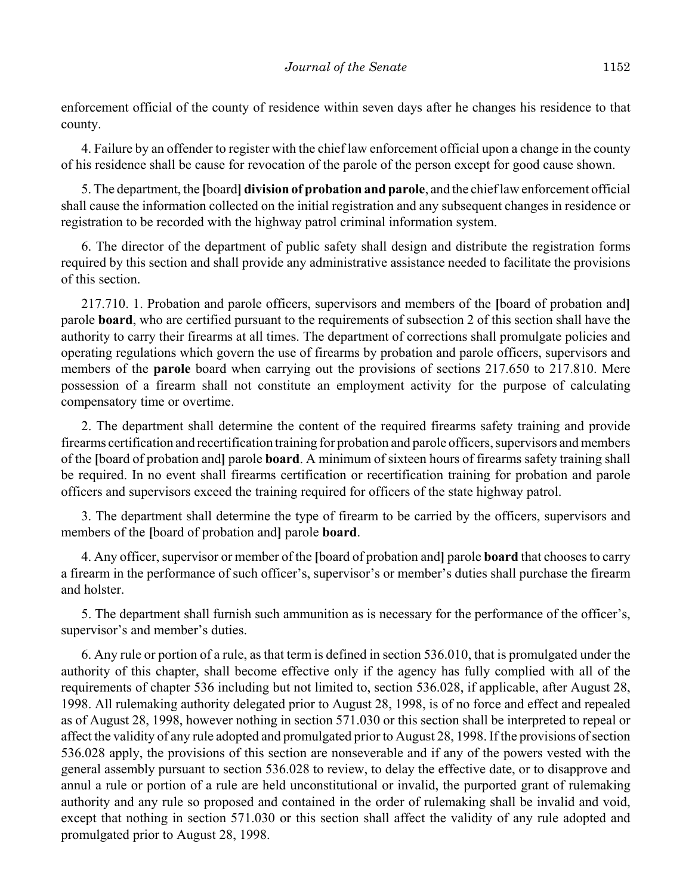4. Failure by an offender to register with the chief law enforcement official upon a change in the county of his residence shall be cause for revocation of the parole of the person except for good cause shown.

5. The department, the **[**board**] division of probation and parole**, and the chief law enforcement official shall cause the information collected on the initial registration and any subsequent changes in residence or registration to be recorded with the highway patrol criminal information system.

6. The director of the department of public safety shall design and distribute the registration forms required by this section and shall provide any administrative assistance needed to facilitate the provisions of this section.

217.710. 1. Probation and parole officers, supervisors and members of the **[**board of probation and**]** parole **board**, who are certified pursuant to the requirements of subsection 2 of this section shall have the authority to carry their firearms at all times. The department of corrections shall promulgate policies and operating regulations which govern the use of firearms by probation and parole officers, supervisors and members of the **parole** board when carrying out the provisions of sections 217.650 to 217.810. Mere possession of a firearm shall not constitute an employment activity for the purpose of calculating compensatory time or overtime.

2. The department shall determine the content of the required firearms safety training and provide firearms certification and recertification training for probation and parole officers, supervisors and members of the **[**board of probation and**]** parole **board**. A minimum of sixteen hours of firearms safety training shall be required. In no event shall firearms certification or recertification training for probation and parole officers and supervisors exceed the training required for officers of the state highway patrol.

3. The department shall determine the type of firearm to be carried by the officers, supervisors and members of the **[**board of probation and**]** parole **board**.

4. Any officer, supervisor or member of the **[**board of probation and**]** parole **board** that chooses to carry a firearm in the performance of such officer's, supervisor's or member's duties shall purchase the firearm and holster.

5. The department shall furnish such ammunition as is necessary for the performance of the officer's, supervisor's and member's duties.

6. Any rule or portion of a rule, as that term is defined in section 536.010, that is promulgated under the authority of this chapter, shall become effective only if the agency has fully complied with all of the requirements of chapter 536 including but not limited to, section 536.028, if applicable, after August 28, 1998. All rulemaking authority delegated prior to August 28, 1998, is of no force and effect and repealed as of August 28, 1998, however nothing in section 571.030 or this section shall be interpreted to repeal or affect the validity of any rule adopted and promulgated prior to August 28, 1998. If the provisions of section 536.028 apply, the provisions of this section are nonseverable and if any of the powers vested with the general assembly pursuant to section 536.028 to review, to delay the effective date, or to disapprove and annul a rule or portion of a rule are held unconstitutional or invalid, the purported grant of rulemaking authority and any rule so proposed and contained in the order of rulemaking shall be invalid and void, except that nothing in section 571.030 or this section shall affect the validity of any rule adopted and promulgated prior to August 28, 1998.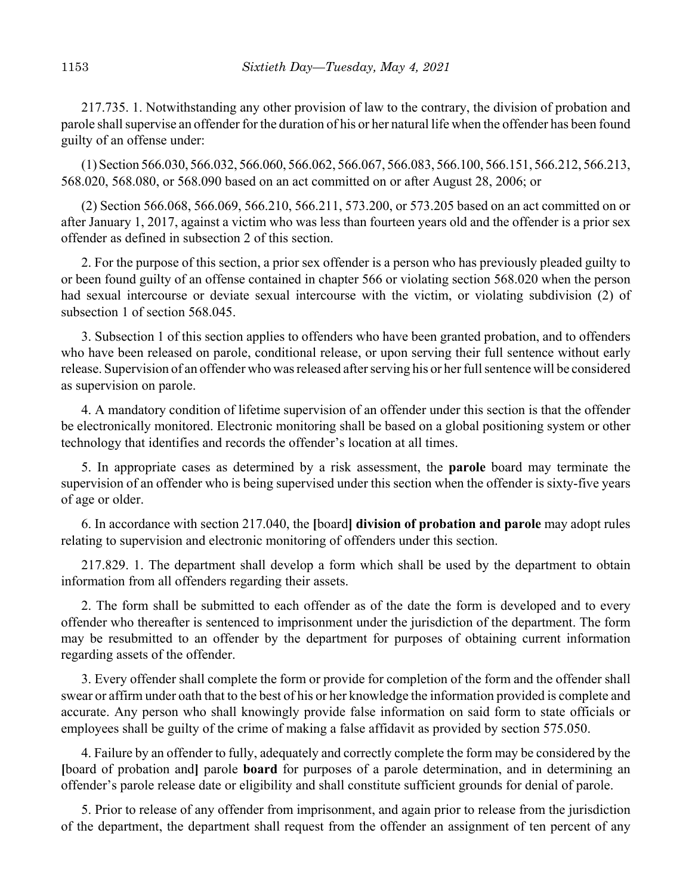217.735. 1. Notwithstanding any other provision of law to the contrary, the division of probation and parole shall supervise an offender for the duration of his or her natural life when the offender has been found guilty of an offense under:

(1) Section 566.030, 566.032, 566.060, 566.062, 566.067, 566.083, 566.100, 566.151, 566.212, 566.213, 568.020, 568.080, or 568.090 based on an act committed on or after August 28, 2006; or

(2) Section 566.068, 566.069, 566.210, 566.211, 573.200, or 573.205 based on an act committed on or after January 1, 2017, against a victim who was less than fourteen years old and the offender is a prior sex offender as defined in subsection 2 of this section.

2. For the purpose of this section, a prior sex offender is a person who has previously pleaded guilty to or been found guilty of an offense contained in chapter 566 or violating section 568.020 when the person had sexual intercourse or deviate sexual intercourse with the victim, or violating subdivision (2) of subsection 1 of section 568.045.

3. Subsection 1 of this section applies to offenders who have been granted probation, and to offenders who have been released on parole, conditional release, or upon serving their full sentence without early release. Supervision of an offender who was released after serving his or her full sentence will be considered as supervision on parole.

4. A mandatory condition of lifetime supervision of an offender under this section is that the offender be electronically monitored. Electronic monitoring shall be based on a global positioning system or other technology that identifies and records the offender's location at all times.

5. In appropriate cases as determined by a risk assessment, the **parole** board may terminate the supervision of an offender who is being supervised under this section when the offender is sixty-five years of age or older.

6. In accordance with section 217.040, the **[**board**] division of probation and parole** may adopt rules relating to supervision and electronic monitoring of offenders under this section.

217.829. 1. The department shall develop a form which shall be used by the department to obtain information from all offenders regarding their assets.

2. The form shall be submitted to each offender as of the date the form is developed and to every offender who thereafter is sentenced to imprisonment under the jurisdiction of the department. The form may be resubmitted to an offender by the department for purposes of obtaining current information regarding assets of the offender.

3. Every offender shall complete the form or provide for completion of the form and the offender shall swear or affirm under oath that to the best of his or her knowledge the information provided is complete and accurate. Any person who shall knowingly provide false information on said form to state officials or employees shall be guilty of the crime of making a false affidavit as provided by section 575.050.

4. Failure by an offender to fully, adequately and correctly complete the form may be considered by the **[**board of probation and**]** parole **board** for purposes of a parole determination, and in determining an offender's parole release date or eligibility and shall constitute sufficient grounds for denial of parole.

5. Prior to release of any offender from imprisonment, and again prior to release from the jurisdiction of the department, the department shall request from the offender an assignment of ten percent of any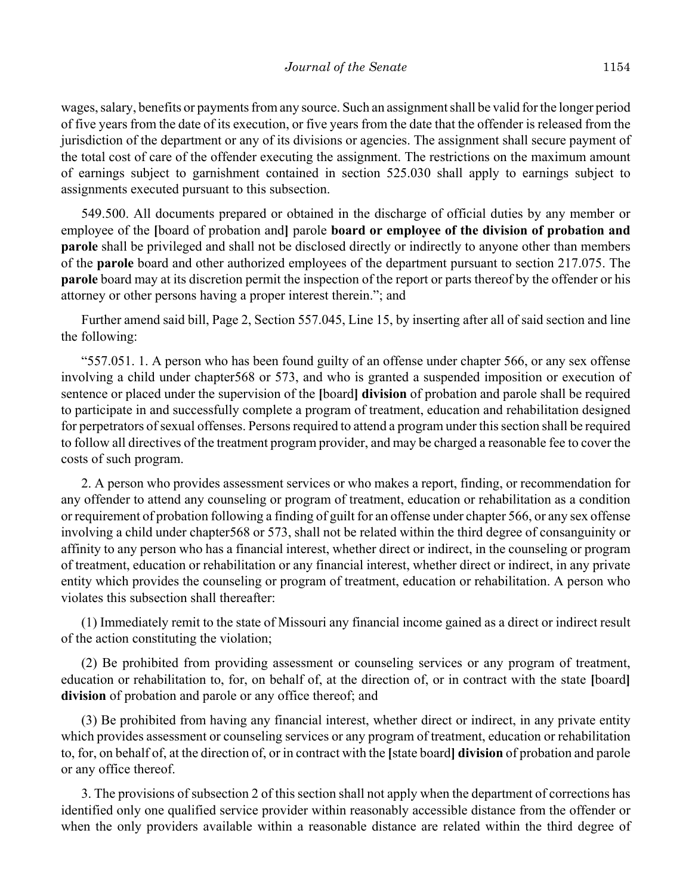wages, salary, benefits or payments from any source. Such an assignment shall be valid for the longer period of five years from the date of its execution, or five years from the date that the offender is released from the jurisdiction of the department or any of its divisions or agencies. The assignment shall secure payment of the total cost of care of the offender executing the assignment. The restrictions on the maximum amount of earnings subject to garnishment contained in section 525.030 shall apply to earnings subject to assignments executed pursuant to this subsection.

549.500. All documents prepared or obtained in the discharge of official duties by any member or employee of the **[**board of probation and**]** parole **board or employee of the division of probation and parole** shall be privileged and shall not be disclosed directly or indirectly to anyone other than members of the **parole** board and other authorized employees of the department pursuant to section 217.075. The **parole** board may at its discretion permit the inspection of the report or parts thereof by the offender or his attorney or other persons having a proper interest therein."; and

Further amend said bill, Page 2, Section 557.045, Line 15, by inserting after all of said section and line the following:

"557.051. 1. A person who has been found guilty of an offense under chapter 566, or any sex offense involving a child under chapter568 or 573, and who is granted a suspended imposition or execution of sentence or placed under the supervision of the **[**board**] division** of probation and parole shall be required to participate in and successfully complete a program of treatment, education and rehabilitation designed for perpetrators of sexual offenses. Persons required to attend a program under this section shall be required to follow all directives of the treatment program provider, and may be charged a reasonable fee to cover the costs of such program.

2. A person who provides assessment services or who makes a report, finding, or recommendation for any offender to attend any counseling or program of treatment, education or rehabilitation as a condition or requirement of probation following a finding of guilt for an offense under chapter 566, or any sex offense involving a child under chapter568 or 573, shall not be related within the third degree of consanguinity or affinity to any person who has a financial interest, whether direct or indirect, in the counseling or program of treatment, education or rehabilitation or any financial interest, whether direct or indirect, in any private entity which provides the counseling or program of treatment, education or rehabilitation. A person who violates this subsection shall thereafter:

(1) Immediately remit to the state of Missouri any financial income gained as a direct or indirect result of the action constituting the violation;

(2) Be prohibited from providing assessment or counseling services or any program of treatment, education or rehabilitation to, for, on behalf of, at the direction of, or in contract with the state **[**board**] division** of probation and parole or any office thereof; and

(3) Be prohibited from having any financial interest, whether direct or indirect, in any private entity which provides assessment or counseling services or any program of treatment, education or rehabilitation to, for, on behalf of, at the direction of, or in contract with the **[**state board**] division** of probation and parole or any office thereof.

3. The provisions of subsection 2 of this section shall not apply when the department of corrections has identified only one qualified service provider within reasonably accessible distance from the offender or when the only providers available within a reasonable distance are related within the third degree of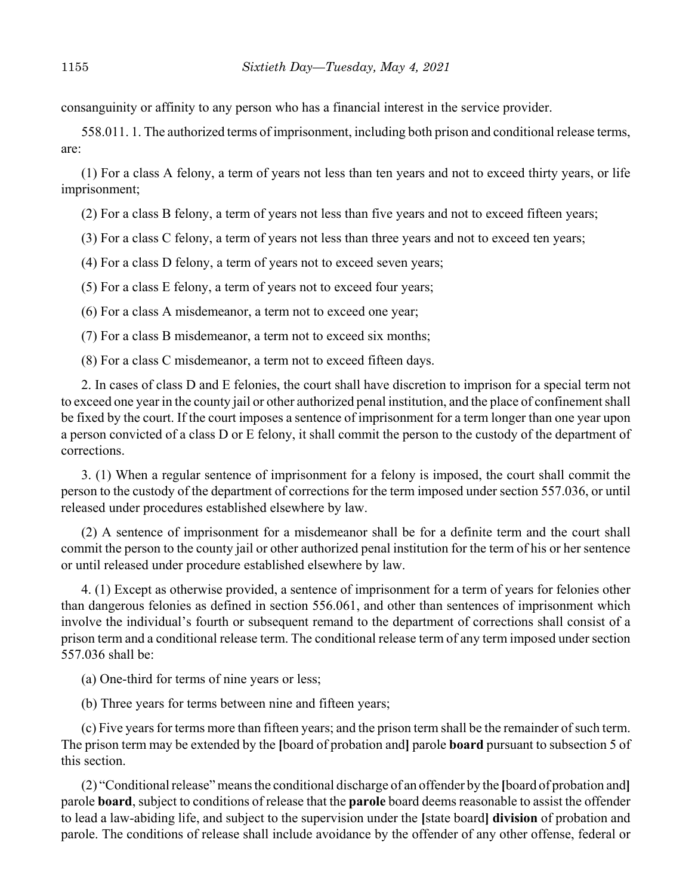consanguinity or affinity to any person who has a financial interest in the service provider.

558.011. 1. The authorized terms of imprisonment, including both prison and conditional release terms, are:

(1) For a class A felony, a term of years not less than ten years and not to exceed thirty years, or life imprisonment;

(2) For a class B felony, a term of years not less than five years and not to exceed fifteen years;

(3) For a class C felony, a term of years not less than three years and not to exceed ten years;

(4) For a class D felony, a term of years not to exceed seven years;

(5) For a class E felony, a term of years not to exceed four years;

(6) For a class A misdemeanor, a term not to exceed one year;

(7) For a class B misdemeanor, a term not to exceed six months;

(8) For a class C misdemeanor, a term not to exceed fifteen days.

2. In cases of class D and E felonies, the court shall have discretion to imprison for a special term not to exceed one year in the county jail or other authorized penal institution, and the place of confinement shall be fixed by the court. If the court imposes a sentence of imprisonment for a term longer than one year upon a person convicted of a class D or E felony, it shall commit the person to the custody of the department of corrections.

3. (1) When a regular sentence of imprisonment for a felony is imposed, the court shall commit the person to the custody of the department of corrections for the term imposed under section 557.036, or until released under procedures established elsewhere by law.

(2) A sentence of imprisonment for a misdemeanor shall be for a definite term and the court shall commit the person to the county jail or other authorized penal institution for the term of his or her sentence or until released under procedure established elsewhere by law.

4. (1) Except as otherwise provided, a sentence of imprisonment for a term of years for felonies other than dangerous felonies as defined in section 556.061, and other than sentences of imprisonment which involve the individual's fourth or subsequent remand to the department of corrections shall consist of a prison term and a conditional release term. The conditional release term of any term imposed under section 557.036 shall be:

(a) One-third for terms of nine years or less;

(b) Three years for terms between nine and fifteen years;

(c) Five years for terms more than fifteen years; and the prison term shall be the remainder of such term. The prison term may be extended by the **[**board of probation and**]** parole **board** pursuant to subsection 5 of this section.

(2) "Conditional release" means the conditional discharge of an offender by the **[**board of probation and**]** parole **board**, subject to conditions of release that the **parole** board deems reasonable to assist the offender to lead a law-abiding life, and subject to the supervision under the **[**state board**] division** of probation and parole. The conditions of release shall include avoidance by the offender of any other offense, federal or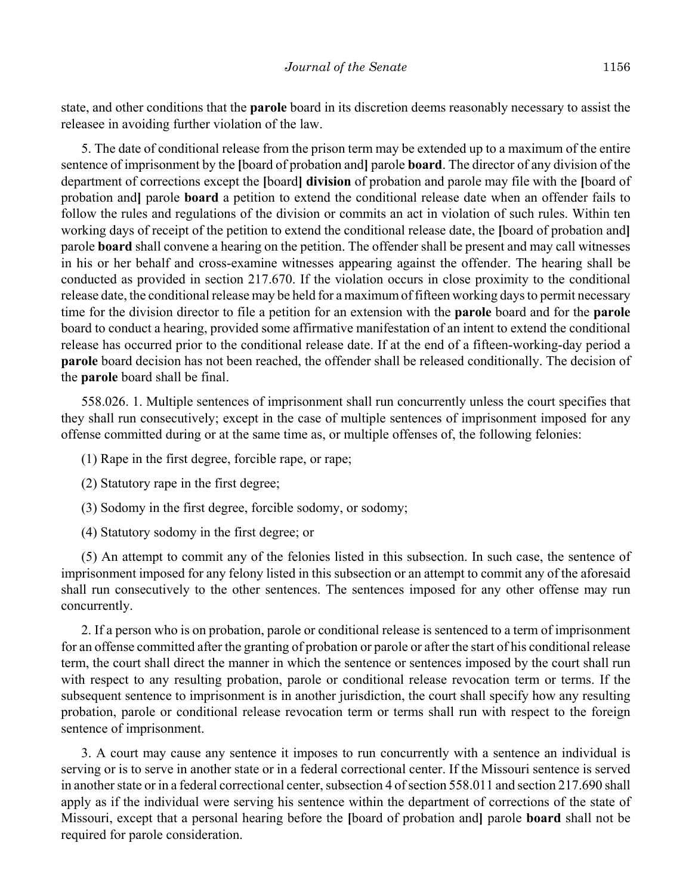state, and other conditions that the **parole** board in its discretion deems reasonably necessary to assist the releasee in avoiding further violation of the law.

5. The date of conditional release from the prison term may be extended up to a maximum of the entire sentence of imprisonment by the **[**board of probation and**]** parole **board**. The director of any division of the department of corrections except the **[**board**] division** of probation and parole may file with the **[**board of probation and**]** parole **board** a petition to extend the conditional release date when an offender fails to follow the rules and regulations of the division or commits an act in violation of such rules. Within ten working days of receipt of the petition to extend the conditional release date, the **[**board of probation and**]** parole **board** shall convene a hearing on the petition. The offender shall be present and may call witnesses in his or her behalf and cross-examine witnesses appearing against the offender. The hearing shall be conducted as provided in section 217.670. If the violation occurs in close proximity to the conditional release date, the conditional release may be held for a maximum of fifteen working days to permit necessary time for the division director to file a petition for an extension with the **parole** board and for the **parole** board to conduct a hearing, provided some affirmative manifestation of an intent to extend the conditional release has occurred prior to the conditional release date. If at the end of a fifteen-working-day period a **parole** board decision has not been reached, the offender shall be released conditionally. The decision of the **parole** board shall be final.

558.026. 1. Multiple sentences of imprisonment shall run concurrently unless the court specifies that they shall run consecutively; except in the case of multiple sentences of imprisonment imposed for any offense committed during or at the same time as, or multiple offenses of, the following felonies:

- (1) Rape in the first degree, forcible rape, or rape;
- (2) Statutory rape in the first degree;
- (3) Sodomy in the first degree, forcible sodomy, or sodomy;
- (4) Statutory sodomy in the first degree; or

(5) An attempt to commit any of the felonies listed in this subsection. In such case, the sentence of imprisonment imposed for any felony listed in this subsection or an attempt to commit any of the aforesaid shall run consecutively to the other sentences. The sentences imposed for any other offense may run concurrently.

2. If a person who is on probation, parole or conditional release is sentenced to a term of imprisonment for an offense committed after the granting of probation or parole or after the start of his conditional release term, the court shall direct the manner in which the sentence or sentences imposed by the court shall run with respect to any resulting probation, parole or conditional release revocation term or terms. If the subsequent sentence to imprisonment is in another jurisdiction, the court shall specify how any resulting probation, parole or conditional release revocation term or terms shall run with respect to the foreign sentence of imprisonment.

3. A court may cause any sentence it imposes to run concurrently with a sentence an individual is serving or is to serve in another state or in a federal correctional center. If the Missouri sentence is served in another state or in a federal correctional center, subsection 4 of section 558.011 and section 217.690 shall apply as if the individual were serving his sentence within the department of corrections of the state of Missouri, except that a personal hearing before the **[**board of probation and**]** parole **board** shall not be required for parole consideration.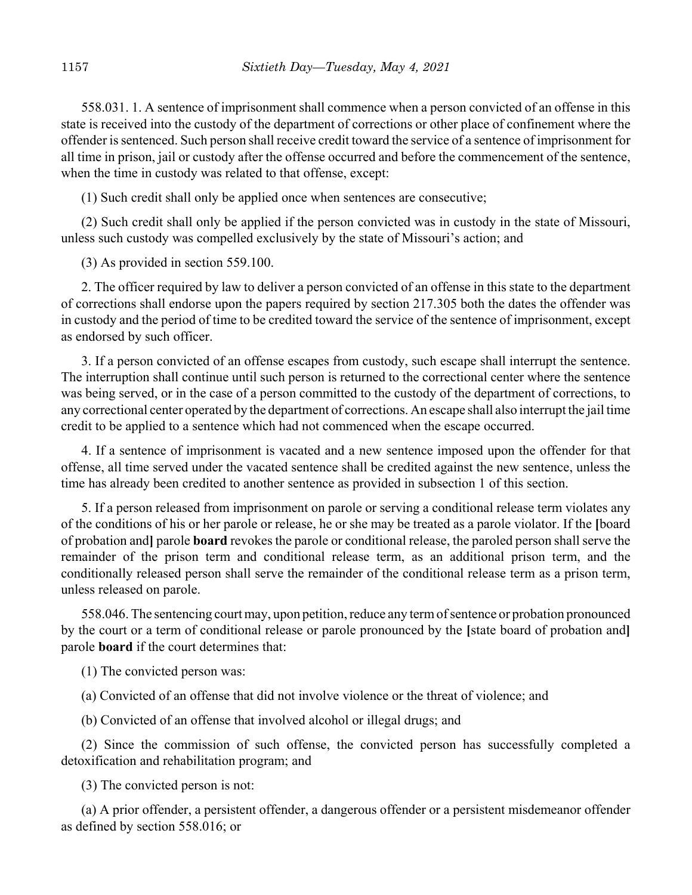558.031. 1. A sentence of imprisonment shall commence when a person convicted of an offense in this state is received into the custody of the department of corrections or other place of confinement where the offender is sentenced. Such person shall receive credit toward the service of a sentence of imprisonment for all time in prison, jail or custody after the offense occurred and before the commencement of the sentence, when the time in custody was related to that offense, except:

(1) Such credit shall only be applied once when sentences are consecutive;

(2) Such credit shall only be applied if the person convicted was in custody in the state of Missouri, unless such custody was compelled exclusively by the state of Missouri's action; and

(3) As provided in section 559.100.

2. The officer required by law to deliver a person convicted of an offense in this state to the department of corrections shall endorse upon the papers required by section 217.305 both the dates the offender was in custody and the period of time to be credited toward the service of the sentence of imprisonment, except as endorsed by such officer.

3. If a person convicted of an offense escapes from custody, such escape shall interrupt the sentence. The interruption shall continue until such person is returned to the correctional center where the sentence was being served, or in the case of a person committed to the custody of the department of corrections, to any correctional center operated by the department of corrections. An escape shall also interrupt the jail time credit to be applied to a sentence which had not commenced when the escape occurred.

4. If a sentence of imprisonment is vacated and a new sentence imposed upon the offender for that offense, all time served under the vacated sentence shall be credited against the new sentence, unless the time has already been credited to another sentence as provided in subsection 1 of this section.

5. If a person released from imprisonment on parole or serving a conditional release term violates any of the conditions of his or her parole or release, he or she may be treated as a parole violator. If the **[**board of probation and**]** parole **board** revokes the parole or conditional release, the paroled person shall serve the remainder of the prison term and conditional release term, as an additional prison term, and the conditionally released person shall serve the remainder of the conditional release term as a prison term, unless released on parole.

558.046. The sentencing court may, upon petition, reduce any term of sentence or probation pronounced by the court or a term of conditional release or parole pronounced by the **[**state board of probation and**]** parole **board** if the court determines that:

(1) The convicted person was:

(a) Convicted of an offense that did not involve violence or the threat of violence; and

(b) Convicted of an offense that involved alcohol or illegal drugs; and

(2) Since the commission of such offense, the convicted person has successfully completed a detoxification and rehabilitation program; and

(3) The convicted person is not:

(a) A prior offender, a persistent offender, a dangerous offender or a persistent misdemeanor offender as defined by section 558.016; or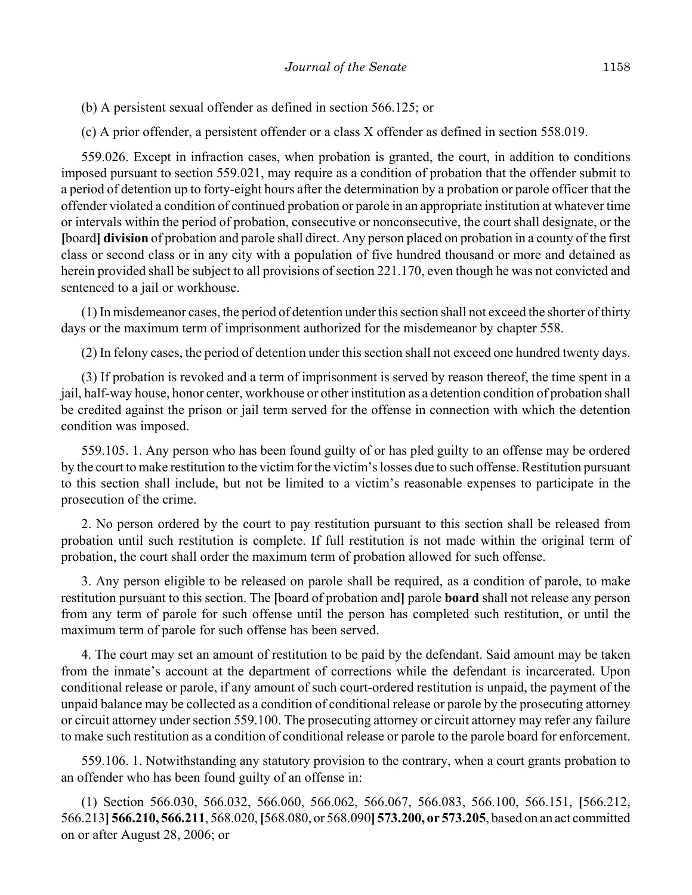(b) A persistent sexual offender as defined in section 566.125; or

(c) A prior offender, a persistent offender or a class X offender as defined in section 558.019.

559.026. Except in infraction cases, when probation is granted, the court, in addition to conditions imposed pursuant to section 559.021, may require as a condition of probation that the offender submit to a period of detention up to forty-eight hours after the determination by a probation or parole officer that the offender violated a condition of continued probation or parole in an appropriate institution at whatever time or intervals within the period of probation, consecutive or nonconsecutive, the court shall designate, or the **[**board**] division** of probation and parole shall direct. Any person placed on probation in a county of the first class or second class or in any city with a population of five hundred thousand or more and detained as herein provided shall be subject to all provisions of section 221.170, even though he was not convicted and sentenced to a jail or workhouse.

(1) In misdemeanor cases, the period of detention under this section shall not exceed the shorter of thirty days or the maximum term of imprisonment authorized for the misdemeanor by chapter 558.

(2) In felony cases, the period of detention under this section shall not exceed one hundred twenty days.

(3) If probation is revoked and a term of imprisonment is served by reason thereof, the time spent in a jail, half-way house, honor center, workhouse or other institution as a detention condition of probation shall be credited against the prison or jail term served for the offense in connection with which the detention condition was imposed.

559.105. 1. Any person who has been found guilty of or has pled guilty to an offense may be ordered by the court to make restitution to the victim for the victim's losses due to such offense. Restitution pursuant to this section shall include, but not be limited to a victim's reasonable expenses to participate in the prosecution of the crime.

2. No person ordered by the court to pay restitution pursuant to this section shall be released from probation until such restitution is complete. If full restitution is not made within the original term of probation, the court shall order the maximum term of probation allowed for such offense.

3. Any person eligible to be released on parole shall be required, as a condition of parole, to make restitution pursuant to this section. The **[**board of probation and**]** parole **board** shall not release any person from any term of parole for such offense until the person has completed such restitution, or until the maximum term of parole for such offense has been served.

4. The court may set an amount of restitution to be paid by the defendant. Said amount may be taken from the inmate's account at the department of corrections while the defendant is incarcerated. Upon conditional release or parole, if any amount of such court-ordered restitution is unpaid, the payment of the unpaid balance may be collected as a condition of conditional release or parole by the prosecuting attorney or circuit attorney under section 559.100. The prosecuting attorney or circuit attorney may refer any failure to make such restitution as a condition of conditional release or parole to the parole board for enforcement.

559.106. 1. Notwithstanding any statutory provision to the contrary, when a court grants probation to an offender who has been found guilty of an offense in:

(1) Section 566.030, 566.032, 566.060, 566.062, 566.067, 566.083, 566.100, 566.151, **[**566.212, 566.213**] 566.210, 566.211**, 568.020, **[**568.080, or 568.090**] 573.200, or 573.205**, based on an act committed on or after August 28, 2006; or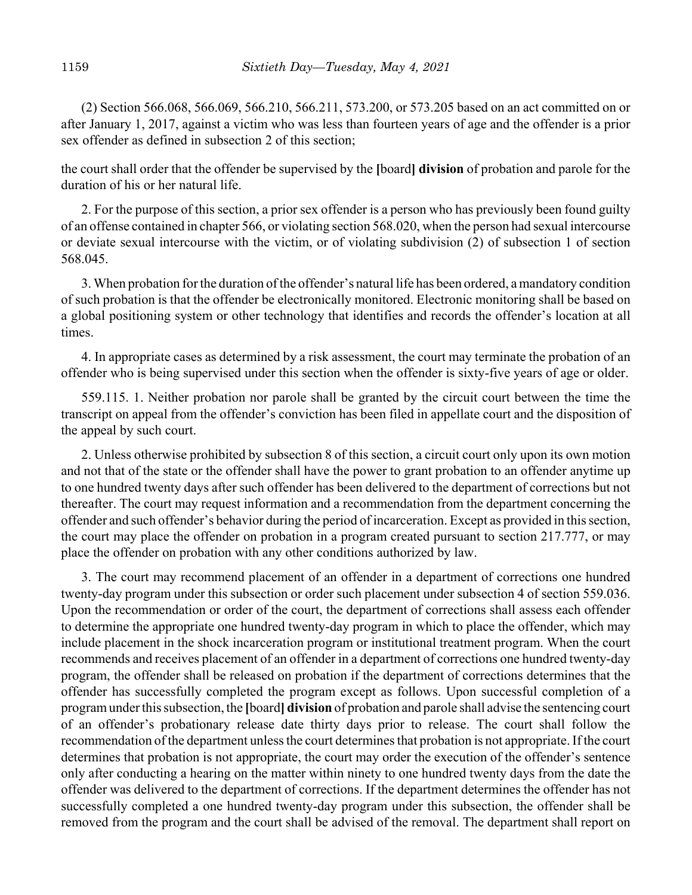(2) Section 566.068, 566.069, 566.210, 566.211, 573.200, or 573.205 based on an act committed on or after January 1, 2017, against a victim who was less than fourteen years of age and the offender is a prior sex offender as defined in subsection 2 of this section;

the court shall order that the offender be supervised by the **[**board**] division** of probation and parole for the duration of his or her natural life.

2. For the purpose of this section, a prior sex offender is a person who has previously been found guilty of an offense contained in chapter 566, or violating section 568.020, when the person had sexual intercourse or deviate sexual intercourse with the victim, or of violating subdivision (2) of subsection 1 of section 568.045.

3. When probation for the duration of the offender's natural life has been ordered, a mandatory condition of such probation is that the offender be electronically monitored. Electronic monitoring shall be based on a global positioning system or other technology that identifies and records the offender's location at all times.

4. In appropriate cases as determined by a risk assessment, the court may terminate the probation of an offender who is being supervised under this section when the offender is sixty-five years of age or older.

559.115. 1. Neither probation nor parole shall be granted by the circuit court between the time the transcript on appeal from the offender's conviction has been filed in appellate court and the disposition of the appeal by such court.

2. Unless otherwise prohibited by subsection 8 of this section, a circuit court only upon its own motion and not that of the state or the offender shall have the power to grant probation to an offender anytime up to one hundred twenty days after such offender has been delivered to the department of corrections but not thereafter. The court may request information and a recommendation from the department concerning the offender and such offender's behavior during the period of incarceration. Except as provided in this section, the court may place the offender on probation in a program created pursuant to section 217.777, or may place the offender on probation with any other conditions authorized by law.

3. The court may recommend placement of an offender in a department of corrections one hundred twenty-day program under this subsection or order such placement under subsection 4 of section 559.036. Upon the recommendation or order of the court, the department of corrections shall assess each offender to determine the appropriate one hundred twenty-day program in which to place the offender, which may include placement in the shock incarceration program or institutional treatment program. When the court recommends and receives placement of an offender in a department of corrections one hundred twenty-day program, the offender shall be released on probation if the department of corrections determines that the offender has successfully completed the program except as follows. Upon successful completion of a program under this subsection, the **[**board**] division** of probation and parole shall advise the sentencing court of an offender's probationary release date thirty days prior to release. The court shall follow the recommendation of the department unless the court determines that probation is not appropriate. If the court determines that probation is not appropriate, the court may order the execution of the offender's sentence only after conducting a hearing on the matter within ninety to one hundred twenty days from the date the offender was delivered to the department of corrections. If the department determines the offender has not successfully completed a one hundred twenty-day program under this subsection, the offender shall be removed from the program and the court shall be advised of the removal. The department shall report on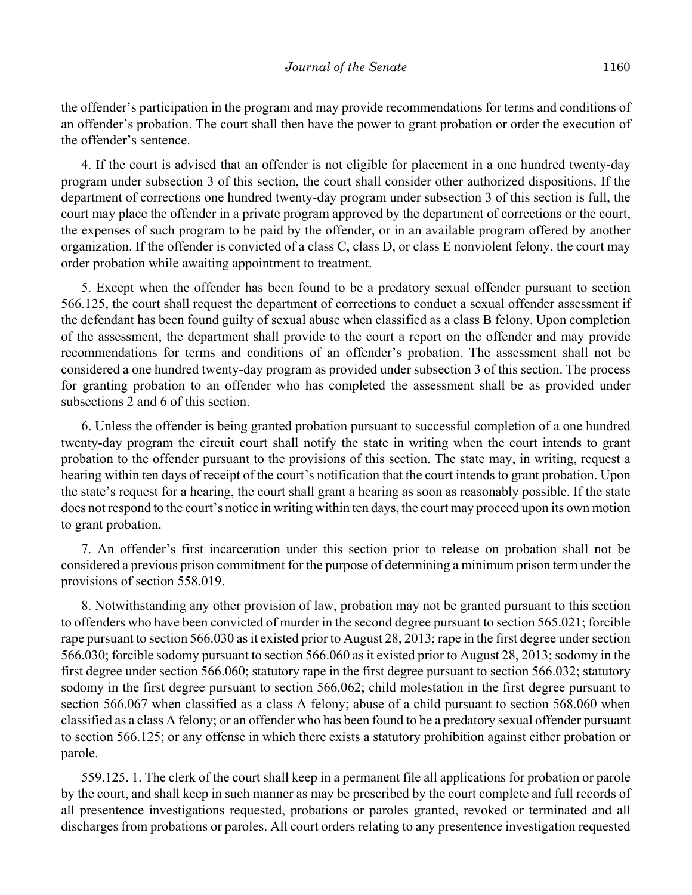the offender's participation in the program and may provide recommendations for terms and conditions of an offender's probation. The court shall then have the power to grant probation or order the execution of the offender's sentence.

4. If the court is advised that an offender is not eligible for placement in a one hundred twenty-day program under subsection 3 of this section, the court shall consider other authorized dispositions. If the department of corrections one hundred twenty-day program under subsection 3 of this section is full, the court may place the offender in a private program approved by the department of corrections or the court, the expenses of such program to be paid by the offender, or in an available program offered by another organization. If the offender is convicted of a class C, class D, or class E nonviolent felony, the court may order probation while awaiting appointment to treatment.

5. Except when the offender has been found to be a predatory sexual offender pursuant to section 566.125, the court shall request the department of corrections to conduct a sexual offender assessment if the defendant has been found guilty of sexual abuse when classified as a class B felony. Upon completion of the assessment, the department shall provide to the court a report on the offender and may provide recommendations for terms and conditions of an offender's probation. The assessment shall not be considered a one hundred twenty-day program as provided under subsection 3 of this section. The process for granting probation to an offender who has completed the assessment shall be as provided under subsections 2 and 6 of this section.

6. Unless the offender is being granted probation pursuant to successful completion of a one hundred twenty-day program the circuit court shall notify the state in writing when the court intends to grant probation to the offender pursuant to the provisions of this section. The state may, in writing, request a hearing within ten days of receipt of the court's notification that the court intends to grant probation. Upon the state's request for a hearing, the court shall grant a hearing as soon as reasonably possible. If the state does not respond to the court's notice in writing within ten days, the court may proceed upon its own motion to grant probation.

7. An offender's first incarceration under this section prior to release on probation shall not be considered a previous prison commitment for the purpose of determining a minimum prison term under the provisions of section 558.019.

8. Notwithstanding any other provision of law, probation may not be granted pursuant to this section to offenders who have been convicted of murder in the second degree pursuant to section 565.021; forcible rape pursuant to section 566.030 as it existed prior to August 28, 2013; rape in the first degree under section 566.030; forcible sodomy pursuant to section 566.060 as it existed prior to August 28, 2013; sodomy in the first degree under section 566.060; statutory rape in the first degree pursuant to section 566.032; statutory sodomy in the first degree pursuant to section 566.062; child molestation in the first degree pursuant to section 566.067 when classified as a class A felony; abuse of a child pursuant to section 568.060 when classified as a class A felony; or an offender who has been found to be a predatory sexual offender pursuant to section 566.125; or any offense in which there exists a statutory prohibition against either probation or parole.

559.125. 1. The clerk of the court shall keep in a permanent file all applications for probation or parole by the court, and shall keep in such manner as may be prescribed by the court complete and full records of all presentence investigations requested, probations or paroles granted, revoked or terminated and all discharges from probations or paroles. All court orders relating to any presentence investigation requested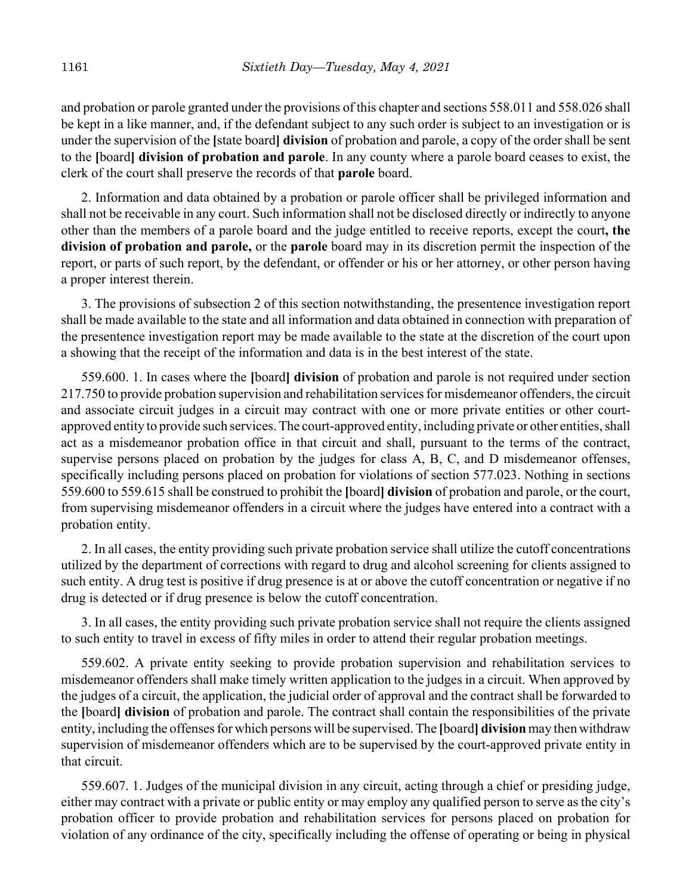and probation or parole granted under the provisions of this chapter and sections 558.011 and 558.026 shall be kept in a like manner, and, if the defendant subject to any such order is subject to an investigation or is under the supervision of the **[**state board**] division** of probation and parole, a copy of the order shall be sent to the **[**board**] division of probation and parole**. In any county where a parole board ceases to exist, the clerk of the court shall preserve the records of that **parole** board.

2. Information and data obtained by a probation or parole officer shall be privileged information and shall not be receivable in any court. Such information shall not be disclosed directly or indirectly to anyone other than the members of a parole board and the judge entitled to receive reports, except the court**, the division of probation and parole,** or the **parole** board may in its discretion permit the inspection of the report, or parts of such report, by the defendant, or offender or his or her attorney, or other person having a proper interest therein.

3. The provisions of subsection 2 of this section notwithstanding, the presentence investigation report shall be made available to the state and all information and data obtained in connection with preparation of the presentence investigation report may be made available to the state at the discretion of the court upon a showing that the receipt of the information and data is in the best interest of the state.

559.600. 1. In cases where the **[**board**] division** of probation and parole is not required under section 217.750 to provide probation supervision and rehabilitation services for misdemeanor offenders, the circuit and associate circuit judges in a circuit may contract with one or more private entities or other courtapproved entity to provide such services. The court-approved entity, including private or other entities, shall act as a misdemeanor probation office in that circuit and shall, pursuant to the terms of the contract, supervise persons placed on probation by the judges for class A, B, C, and D misdemeanor offenses, specifically including persons placed on probation for violations of section 577.023. Nothing in sections 559.600 to 559.615 shall be construed to prohibit the **[**board**] division** of probation and parole, or the court, from supervising misdemeanor offenders in a circuit where the judges have entered into a contract with a probation entity.

2. In all cases, the entity providing such private probation service shall utilize the cutoff concentrations utilized by the department of corrections with regard to drug and alcohol screening for clients assigned to such entity. A drug test is positive if drug presence is at or above the cutoff concentration or negative if no drug is detected or if drug presence is below the cutoff concentration.

3. In all cases, the entity providing such private probation service shall not require the clients assigned to such entity to travel in excess of fifty miles in order to attend their regular probation meetings.

559.602. A private entity seeking to provide probation supervision and rehabilitation services to misdemeanor offenders shall make timely written application to the judges in a circuit. When approved by the judges of a circuit, the application, the judicial order of approval and the contract shall be forwarded to the **[**board**] division** of probation and parole. The contract shall contain the responsibilities of the private entity, including the offenses for which persons will be supervised. The **[**board**] division** may then withdraw supervision of misdemeanor offenders which are to be supervised by the court-approved private entity in that circuit.

559.607. 1. Judges of the municipal division in any circuit, acting through a chief or presiding judge, either may contract with a private or public entity or may employ any qualified person to serve as the city's probation officer to provide probation and rehabilitation services for persons placed on probation for violation of any ordinance of the city, specifically including the offense of operating or being in physical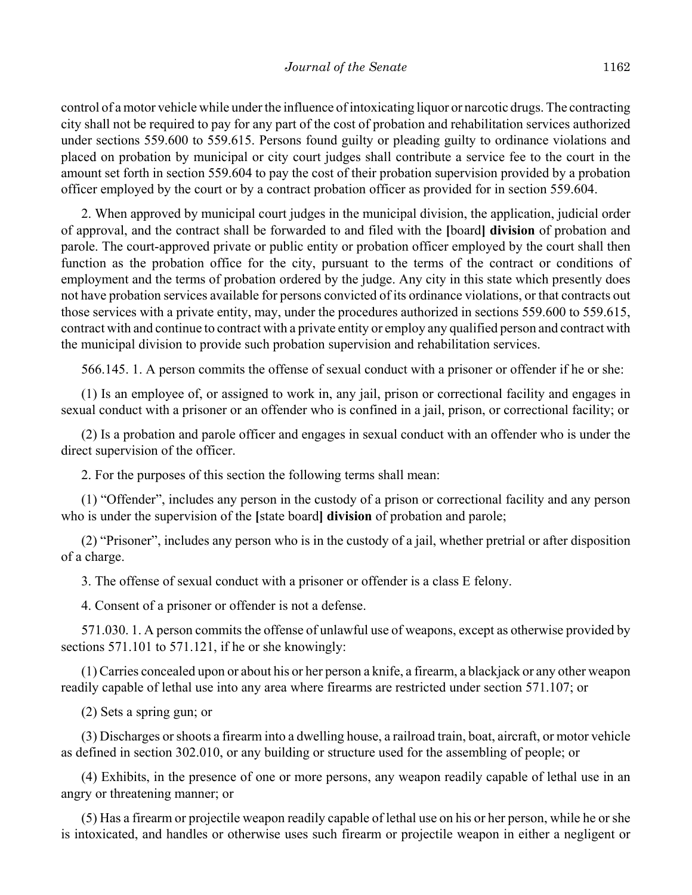control of a motor vehicle while under the influence of intoxicating liquor or narcotic drugs. The contracting city shall not be required to pay for any part of the cost of probation and rehabilitation services authorized under sections 559.600 to 559.615. Persons found guilty or pleading guilty to ordinance violations and placed on probation by municipal or city court judges shall contribute a service fee to the court in the amount set forth in section 559.604 to pay the cost of their probation supervision provided by a probation officer employed by the court or by a contract probation officer as provided for in section 559.604.

2. When approved by municipal court judges in the municipal division, the application, judicial order of approval, and the contract shall be forwarded to and filed with the **[**board**] division** of probation and parole. The court-approved private or public entity or probation officer employed by the court shall then function as the probation office for the city, pursuant to the terms of the contract or conditions of employment and the terms of probation ordered by the judge. Any city in this state which presently does not have probation services available for persons convicted of its ordinance violations, or that contracts out those services with a private entity, may, under the procedures authorized in sections 559.600 to 559.615, contract with and continue to contract with a private entity or employ any qualified person and contract with the municipal division to provide such probation supervision and rehabilitation services.

566.145. 1. A person commits the offense of sexual conduct with a prisoner or offender if he or she:

(1) Is an employee of, or assigned to work in, any jail, prison or correctional facility and engages in sexual conduct with a prisoner or an offender who is confined in a jail, prison, or correctional facility; or

(2) Is a probation and parole officer and engages in sexual conduct with an offender who is under the direct supervision of the officer.

2. For the purposes of this section the following terms shall mean:

(1) "Offender", includes any person in the custody of a prison or correctional facility and any person who is under the supervision of the **[**state board**] division** of probation and parole;

(2) "Prisoner", includes any person who is in the custody of a jail, whether pretrial or after disposition of a charge.

3. The offense of sexual conduct with a prisoner or offender is a class E felony.

4. Consent of a prisoner or offender is not a defense.

571.030. 1. A person commits the offense of unlawful use of weapons, except as otherwise provided by sections 571.101 to 571.121, if he or she knowingly:

(1) Carries concealed upon or about his or her person a knife, a firearm, a blackjack or any other weapon readily capable of lethal use into any area where firearms are restricted under section 571.107; or

(2) Sets a spring gun; or

(3) Discharges or shoots a firearm into a dwelling house, a railroad train, boat, aircraft, or motor vehicle as defined in section 302.010, or any building or structure used for the assembling of people; or

(4) Exhibits, in the presence of one or more persons, any weapon readily capable of lethal use in an angry or threatening manner; or

(5) Has a firearm or projectile weapon readily capable of lethal use on his or her person, while he or she is intoxicated, and handles or otherwise uses such firearm or projectile weapon in either a negligent or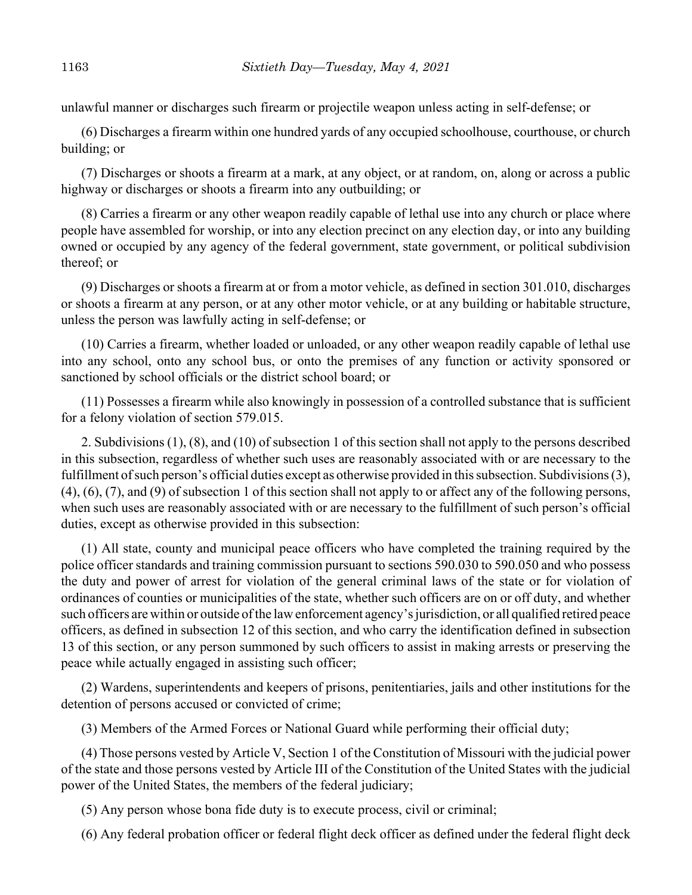unlawful manner or discharges such firearm or projectile weapon unless acting in self-defense; or

(6) Discharges a firearm within one hundred yards of any occupied schoolhouse, courthouse, or church building; or

(7) Discharges or shoots a firearm at a mark, at any object, or at random, on, along or across a public highway or discharges or shoots a firearm into any outbuilding; or

(8) Carries a firearm or any other weapon readily capable of lethal use into any church or place where people have assembled for worship, or into any election precinct on any election day, or into any building owned or occupied by any agency of the federal government, state government, or political subdivision thereof; or

(9) Discharges or shoots a firearm at or from a motor vehicle, as defined in section 301.010, discharges or shoots a firearm at any person, or at any other motor vehicle, or at any building or habitable structure, unless the person was lawfully acting in self-defense; or

(10) Carries a firearm, whether loaded or unloaded, or any other weapon readily capable of lethal use into any school, onto any school bus, or onto the premises of any function or activity sponsored or sanctioned by school officials or the district school board; or

(11) Possesses a firearm while also knowingly in possession of a controlled substance that is sufficient for a felony violation of section 579.015.

2. Subdivisions (1), (8), and (10) of subsection 1 of this section shall not apply to the persons described in this subsection, regardless of whether such uses are reasonably associated with or are necessary to the fulfillment of such person's official duties except as otherwise provided in this subsection. Subdivisions (3), (4), (6), (7), and (9) of subsection 1 of this section shall not apply to or affect any of the following persons, when such uses are reasonably associated with or are necessary to the fulfillment of such person's official duties, except as otherwise provided in this subsection:

(1) All state, county and municipal peace officers who have completed the training required by the police officer standards and training commission pursuant to sections 590.030 to 590.050 and who possess the duty and power of arrest for violation of the general criminal laws of the state or for violation of ordinances of counties or municipalities of the state, whether such officers are on or off duty, and whether such officers are within or outside of the law enforcement agency's jurisdiction, or all qualified retired peace officers, as defined in subsection 12 of this section, and who carry the identification defined in subsection 13 of this section, or any person summoned by such officers to assist in making arrests or preserving the peace while actually engaged in assisting such officer;

(2) Wardens, superintendents and keepers of prisons, penitentiaries, jails and other institutions for the detention of persons accused or convicted of crime;

(3) Members of the Armed Forces or National Guard while performing their official duty;

(4) Those persons vested by Article V, Section 1 of the Constitution of Missouri with the judicial power of the state and those persons vested by Article III of the Constitution of the United States with the judicial power of the United States, the members of the federal judiciary;

(5) Any person whose bona fide duty is to execute process, civil or criminal;

(6) Any federal probation officer or federal flight deck officer as defined under the federal flight deck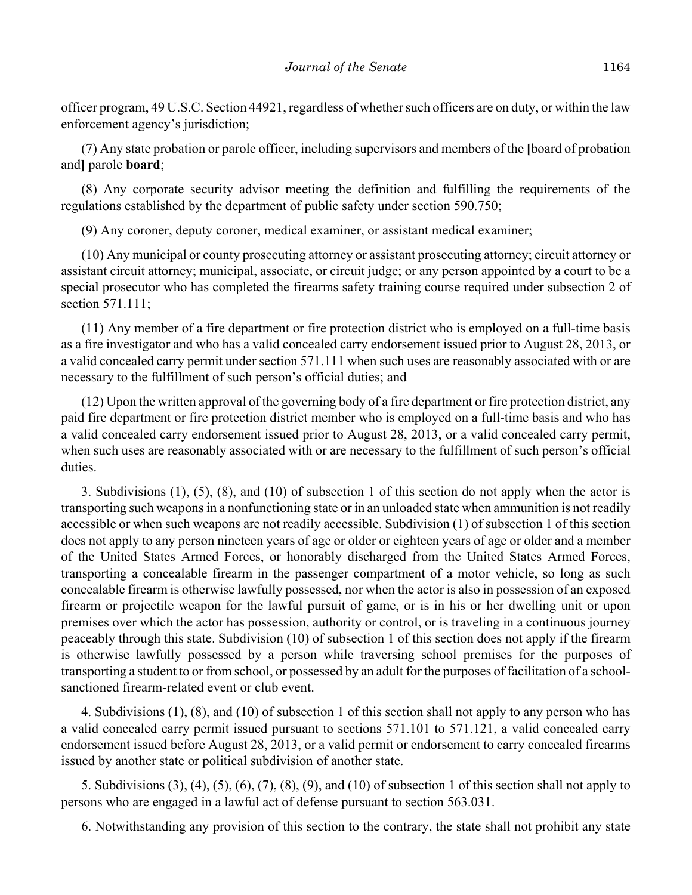officer program, 49 U.S.C. Section 44921, regardless of whether such officers are on duty, or within the law enforcement agency's jurisdiction;

(7) Any state probation or parole officer, including supervisors and members of the **[**board of probation and**]** parole **board**;

(8) Any corporate security advisor meeting the definition and fulfilling the requirements of the regulations established by the department of public safety under section 590.750;

(9) Any coroner, deputy coroner, medical examiner, or assistant medical examiner;

(10) Any municipal or county prosecuting attorney or assistant prosecuting attorney; circuit attorney or assistant circuit attorney; municipal, associate, or circuit judge; or any person appointed by a court to be a special prosecutor who has completed the firearms safety training course required under subsection 2 of section 571.111;

(11) Any member of a fire department or fire protection district who is employed on a full-time basis as a fire investigator and who has a valid concealed carry endorsement issued prior to August 28, 2013, or a valid concealed carry permit under section 571.111 when such uses are reasonably associated with or are necessary to the fulfillment of such person's official duties; and

(12) Upon the written approval of the governing body of a fire department or fire protection district, any paid fire department or fire protection district member who is employed on a full-time basis and who has a valid concealed carry endorsement issued prior to August 28, 2013, or a valid concealed carry permit, when such uses are reasonably associated with or are necessary to the fulfillment of such person's official duties.

3. Subdivisions (1), (5), (8), and (10) of subsection 1 of this section do not apply when the actor is transporting such weapons in a nonfunctioning state or in an unloaded state when ammunition is not readily accessible or when such weapons are not readily accessible. Subdivision (1) of subsection 1 of this section does not apply to any person nineteen years of age or older or eighteen years of age or older and a member of the United States Armed Forces, or honorably discharged from the United States Armed Forces, transporting a concealable firearm in the passenger compartment of a motor vehicle, so long as such concealable firearm is otherwise lawfully possessed, nor when the actor is also in possession of an exposed firearm or projectile weapon for the lawful pursuit of game, or is in his or her dwelling unit or upon premises over which the actor has possession, authority or control, or is traveling in a continuous journey peaceably through this state. Subdivision (10) of subsection 1 of this section does not apply if the firearm is otherwise lawfully possessed by a person while traversing school premises for the purposes of transporting a student to or from school, or possessed by an adult for the purposes of facilitation of a schoolsanctioned firearm-related event or club event.

4. Subdivisions (1), (8), and (10) of subsection 1 of this section shall not apply to any person who has a valid concealed carry permit issued pursuant to sections 571.101 to 571.121, a valid concealed carry endorsement issued before August 28, 2013, or a valid permit or endorsement to carry concealed firearms issued by another state or political subdivision of another state.

5. Subdivisions (3), (4), (5), (6), (7), (8), (9), and (10) of subsection 1 of this section shall not apply to persons who are engaged in a lawful act of defense pursuant to section 563.031.

6. Notwithstanding any provision of this section to the contrary, the state shall not prohibit any state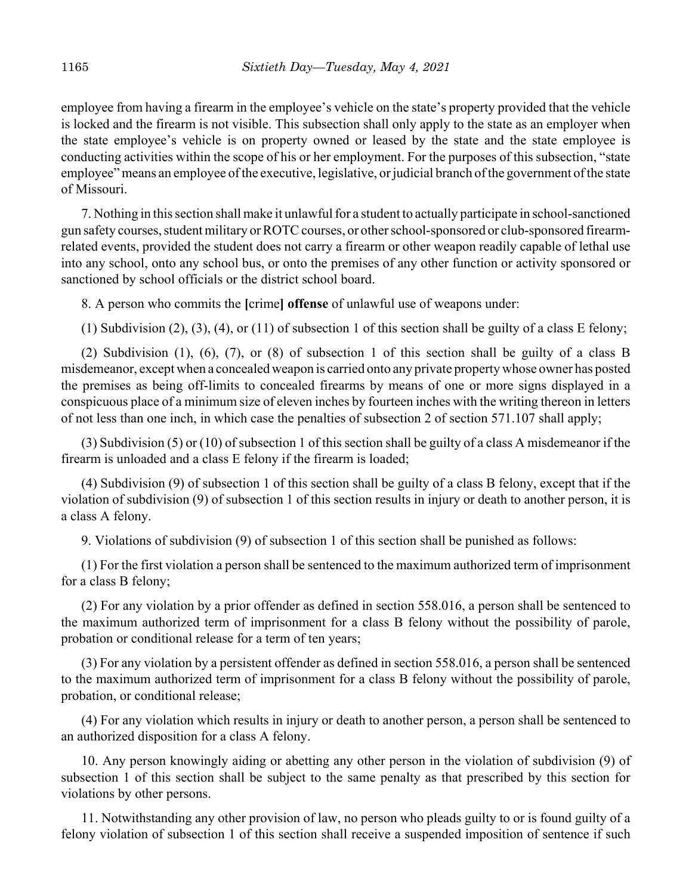employee from having a firearm in the employee's vehicle on the state's property provided that the vehicle is locked and the firearm is not visible. This subsection shall only apply to the state as an employer when the state employee's vehicle is on property owned or leased by the state and the state employee is conducting activities within the scope of his or her employment. For the purposes of this subsection, "state employee" means an employee of the executive, legislative, or judicial branch of the government of the state of Missouri.

7. Nothing in this section shall make it unlawful for a student to actually participate in school-sanctioned gun safety courses, student military or ROTC courses, or other school-sponsored or club-sponsored firearmrelated events, provided the student does not carry a firearm or other weapon readily capable of lethal use into any school, onto any school bus, or onto the premises of any other function or activity sponsored or sanctioned by school officials or the district school board.

8. A person who commits the **[**crime**] offense** of unlawful use of weapons under:

(1) Subdivision (2), (3), (4), or (11) of subsection 1 of this section shall be guilty of a class E felony;

(2) Subdivision (1), (6), (7), or (8) of subsection 1 of this section shall be guilty of a class B misdemeanor, except when a concealed weapon is carried onto any private property whose owner has posted the premises as being off-limits to concealed firearms by means of one or more signs displayed in a conspicuous place of a minimum size of eleven inches by fourteen inches with the writing thereon in letters of not less than one inch, in which case the penalties of subsection 2 of section 571.107 shall apply;

(3) Subdivision (5) or (10) of subsection 1 of this section shall be guilty of a class A misdemeanor if the firearm is unloaded and a class E felony if the firearm is loaded;

(4) Subdivision (9) of subsection 1 of this section shall be guilty of a class B felony, except that if the violation of subdivision (9) of subsection 1 of this section results in injury or death to another person, it is a class A felony.

9. Violations of subdivision (9) of subsection 1 of this section shall be punished as follows:

(1) For the first violation a person shall be sentenced to the maximum authorized term of imprisonment for a class B felony;

(2) For any violation by a prior offender as defined in section 558.016, a person shall be sentenced to the maximum authorized term of imprisonment for a class B felony without the possibility of parole, probation or conditional release for a term of ten years;

(3) For any violation by a persistent offender as defined in section 558.016, a person shall be sentenced to the maximum authorized term of imprisonment for a class B felony without the possibility of parole, probation, or conditional release;

(4) For any violation which results in injury or death to another person, a person shall be sentenced to an authorized disposition for a class A felony.

10. Any person knowingly aiding or abetting any other person in the violation of subdivision (9) of subsection 1 of this section shall be subject to the same penalty as that prescribed by this section for violations by other persons.

11. Notwithstanding any other provision of law, no person who pleads guilty to or is found guilty of a felony violation of subsection 1 of this section shall receive a suspended imposition of sentence if such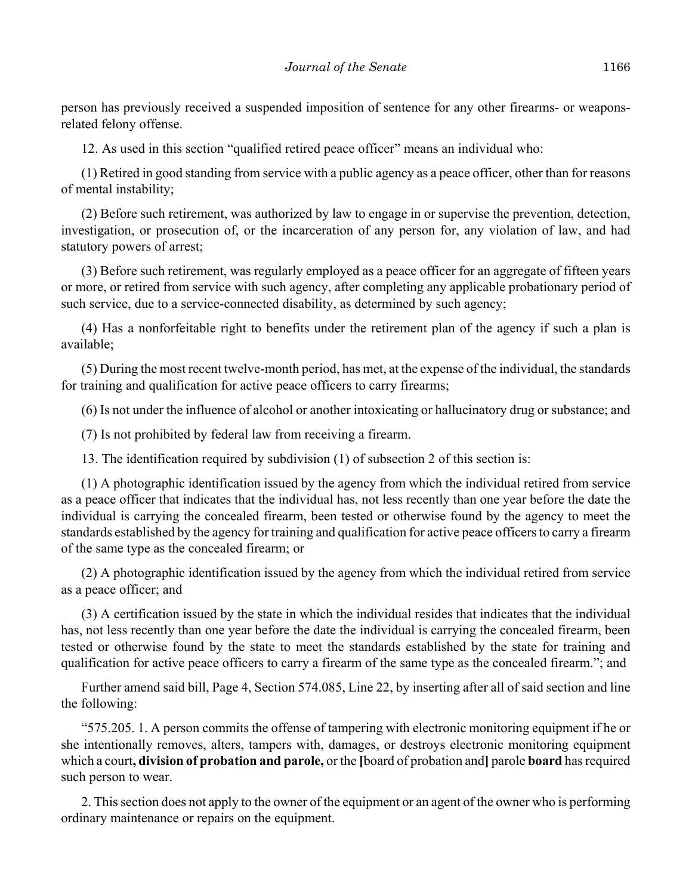person has previously received a suspended imposition of sentence for any other firearms- or weaponsrelated felony offense.

12. As used in this section "qualified retired peace officer" means an individual who:

(1) Retired in good standing from service with a public agency as a peace officer, other than for reasons of mental instability;

(2) Before such retirement, was authorized by law to engage in or supervise the prevention, detection, investigation, or prosecution of, or the incarceration of any person for, any violation of law, and had statutory powers of arrest;

(3) Before such retirement, was regularly employed as a peace officer for an aggregate of fifteen years or more, or retired from service with such agency, after completing any applicable probationary period of such service, due to a service-connected disability, as determined by such agency;

(4) Has a nonforfeitable right to benefits under the retirement plan of the agency if such a plan is available;

(5) During the most recent twelve-month period, has met, at the expense of the individual, the standards for training and qualification for active peace officers to carry firearms;

(6) Is not under the influence of alcohol or another intoxicating or hallucinatory drug or substance; and

(7) Is not prohibited by federal law from receiving a firearm.

13. The identification required by subdivision (1) of subsection 2 of this section is:

(1) A photographic identification issued by the agency from which the individual retired from service as a peace officer that indicates that the individual has, not less recently than one year before the date the individual is carrying the concealed firearm, been tested or otherwise found by the agency to meet the standards established by the agency for training and qualification for active peace officers to carry a firearm of the same type as the concealed firearm; or

(2) A photographic identification issued by the agency from which the individual retired from service as a peace officer; and

(3) A certification issued by the state in which the individual resides that indicates that the individual has, not less recently than one year before the date the individual is carrying the concealed firearm, been tested or otherwise found by the state to meet the standards established by the state for training and qualification for active peace officers to carry a firearm of the same type as the concealed firearm."; and

Further amend said bill, Page 4, Section 574.085, Line 22, by inserting after all of said section and line the following:

"575.205. 1. A person commits the offense of tampering with electronic monitoring equipment if he or she intentionally removes, alters, tampers with, damages, or destroys electronic monitoring equipment which a court**, division of probation and parole,** or the **[**board of probation and**]** parole **board** has required such person to wear.

2. This section does not apply to the owner of the equipment or an agent of the owner who is performing ordinary maintenance or repairs on the equipment.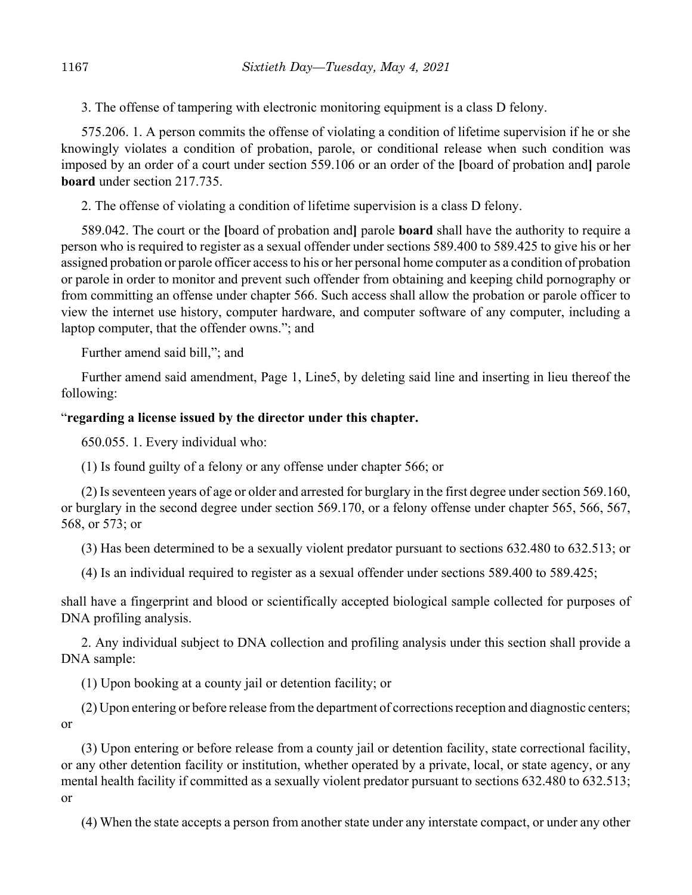3. The offense of tampering with electronic monitoring equipment is a class D felony.

575.206. 1. A person commits the offense of violating a condition of lifetime supervision if he or she knowingly violates a condition of probation, parole, or conditional release when such condition was imposed by an order of a court under section 559.106 or an order of the **[**board of probation and**]** parole **board** under section 217.735.

2. The offense of violating a condition of lifetime supervision is a class D felony.

589.042. The court or the **[**board of probation and**]** parole **board** shall have the authority to require a person who is required to register as a sexual offender under sections 589.400 to 589.425 to give his or her assigned probation or parole officer access to his or her personal home computer as a condition of probation or parole in order to monitor and prevent such offender from obtaining and keeping child pornography or from committing an offense under chapter 566. Such access shall allow the probation or parole officer to view the internet use history, computer hardware, and computer software of any computer, including a laptop computer, that the offender owns."; and

Further amend said bill,"; and

Further amend said amendment, Page 1, Line5, by deleting said line and inserting in lieu thereof the following:

## "**regarding a license issued by the director under this chapter.**

650.055. 1. Every individual who:

(1) Is found guilty of a felony or any offense under chapter 566; or

(2) Is seventeen years of age or older and arrested for burglary in the first degree under section 569.160, or burglary in the second degree under section 569.170, or a felony offense under chapter 565, 566, 567, 568, or 573; or

(3) Has been determined to be a sexually violent predator pursuant to sections 632.480 to 632.513; or

(4) Is an individual required to register as a sexual offender under sections 589.400 to 589.425;

shall have a fingerprint and blood or scientifically accepted biological sample collected for purposes of DNA profiling analysis.

2. Any individual subject to DNA collection and profiling analysis under this section shall provide a DNA sample:

(1) Upon booking at a county jail or detention facility; or

(2) Upon entering or before release from the department of corrections reception and diagnostic centers; or

(3) Upon entering or before release from a county jail or detention facility, state correctional facility, or any other detention facility or institution, whether operated by a private, local, or state agency, or any mental health facility if committed as a sexually violent predator pursuant to sections 632.480 to 632.513; or

(4) When the state accepts a person from another state under any interstate compact, or under any other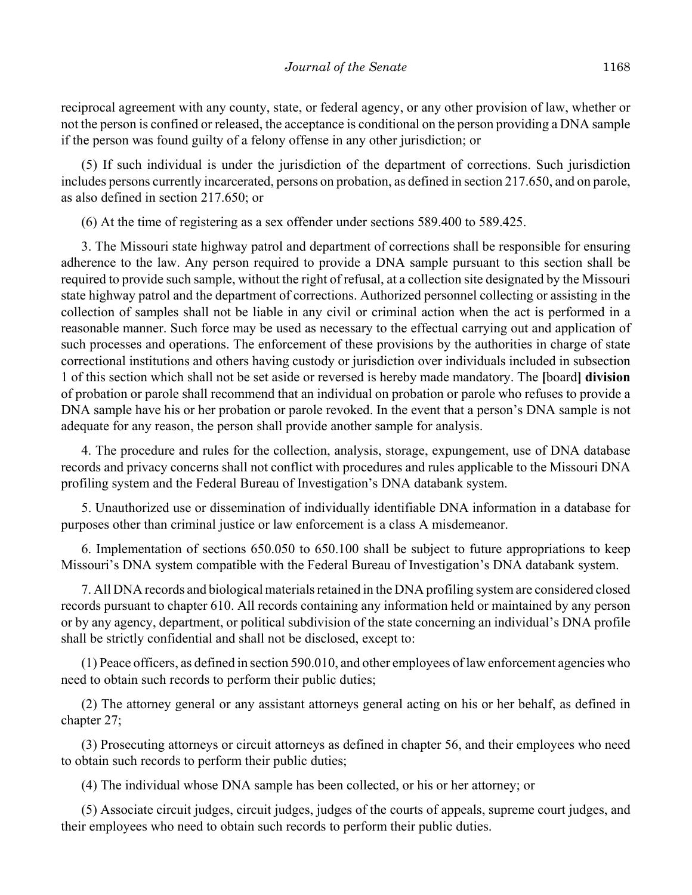reciprocal agreement with any county, state, or federal agency, or any other provision of law, whether or not the person is confined or released, the acceptance is conditional on the person providing a DNA sample if the person was found guilty of a felony offense in any other jurisdiction; or

(5) If such individual is under the jurisdiction of the department of corrections. Such jurisdiction includes persons currently incarcerated, persons on probation, as defined in section 217.650, and on parole, as also defined in section 217.650; or

(6) At the time of registering as a sex offender under sections 589.400 to 589.425.

3. The Missouri state highway patrol and department of corrections shall be responsible for ensuring adherence to the law. Any person required to provide a DNA sample pursuant to this section shall be required to provide such sample, without the right of refusal, at a collection site designated by the Missouri state highway patrol and the department of corrections. Authorized personnel collecting or assisting in the collection of samples shall not be liable in any civil or criminal action when the act is performed in a reasonable manner. Such force may be used as necessary to the effectual carrying out and application of such processes and operations. The enforcement of these provisions by the authorities in charge of state correctional institutions and others having custody or jurisdiction over individuals included in subsection 1 of this section which shall not be set aside or reversed is hereby made mandatory. The **[**board**] division** of probation or parole shall recommend that an individual on probation or parole who refuses to provide a DNA sample have his or her probation or parole revoked. In the event that a person's DNA sample is not adequate for any reason, the person shall provide another sample for analysis.

4. The procedure and rules for the collection, analysis, storage, expungement, use of DNA database records and privacy concerns shall not conflict with procedures and rules applicable to the Missouri DNA profiling system and the Federal Bureau of Investigation's DNA databank system.

5. Unauthorized use or dissemination of individually identifiable DNA information in a database for purposes other than criminal justice or law enforcement is a class A misdemeanor.

6. Implementation of sections 650.050 to 650.100 shall be subject to future appropriations to keep Missouri's DNA system compatible with the Federal Bureau of Investigation's DNA databank system.

7. All DNA records and biological materials retained in the DNA profiling system are considered closed records pursuant to chapter 610. All records containing any information held or maintained by any person or by any agency, department, or political subdivision of the state concerning an individual's DNA profile shall be strictly confidential and shall not be disclosed, except to:

(1) Peace officers, as defined in section 590.010, and other employees of law enforcement agencies who need to obtain such records to perform their public duties;

(2) The attorney general or any assistant attorneys general acting on his or her behalf, as defined in chapter 27;

(3) Prosecuting attorneys or circuit attorneys as defined in chapter 56, and their employees who need to obtain such records to perform their public duties;

(4) The individual whose DNA sample has been collected, or his or her attorney; or

(5) Associate circuit judges, circuit judges, judges of the courts of appeals, supreme court judges, and their employees who need to obtain such records to perform their public duties.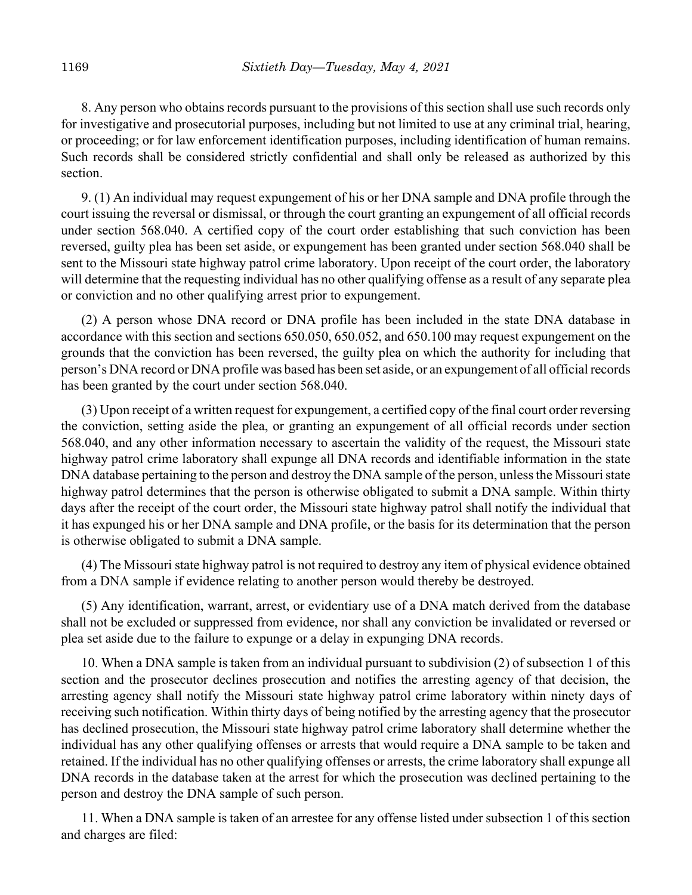8. Any person who obtains records pursuant to the provisions of this section shall use such records only for investigative and prosecutorial purposes, including but not limited to use at any criminal trial, hearing, or proceeding; or for law enforcement identification purposes, including identification of human remains. Such records shall be considered strictly confidential and shall only be released as authorized by this section.

9. (1) An individual may request expungement of his or her DNA sample and DNA profile through the court issuing the reversal or dismissal, or through the court granting an expungement of all official records under section 568.040. A certified copy of the court order establishing that such conviction has been reversed, guilty plea has been set aside, or expungement has been granted under section 568.040 shall be sent to the Missouri state highway patrol crime laboratory. Upon receipt of the court order, the laboratory will determine that the requesting individual has no other qualifying offense as a result of any separate plea or conviction and no other qualifying arrest prior to expungement.

(2) A person whose DNA record or DNA profile has been included in the state DNA database in accordance with this section and sections 650.050, 650.052, and 650.100 may request expungement on the grounds that the conviction has been reversed, the guilty plea on which the authority for including that person's DNA record or DNA profile was based has been set aside, or an expungement of all official records has been granted by the court under section 568.040.

(3) Upon receipt of a written request for expungement, a certified copy of the final court order reversing the conviction, setting aside the plea, or granting an expungement of all official records under section 568.040, and any other information necessary to ascertain the validity of the request, the Missouri state highway patrol crime laboratory shall expunge all DNA records and identifiable information in the state DNA database pertaining to the person and destroy the DNA sample of the person, unless the Missouri state highway patrol determines that the person is otherwise obligated to submit a DNA sample. Within thirty days after the receipt of the court order, the Missouri state highway patrol shall notify the individual that it has expunged his or her DNA sample and DNA profile, or the basis for its determination that the person is otherwise obligated to submit a DNA sample.

(4) The Missouri state highway patrol is not required to destroy any item of physical evidence obtained from a DNA sample if evidence relating to another person would thereby be destroyed.

(5) Any identification, warrant, arrest, or evidentiary use of a DNA match derived from the database shall not be excluded or suppressed from evidence, nor shall any conviction be invalidated or reversed or plea set aside due to the failure to expunge or a delay in expunging DNA records.

10. When a DNA sample is taken from an individual pursuant to subdivision (2) of subsection 1 of this section and the prosecutor declines prosecution and notifies the arresting agency of that decision, the arresting agency shall notify the Missouri state highway patrol crime laboratory within ninety days of receiving such notification. Within thirty days of being notified by the arresting agency that the prosecutor has declined prosecution, the Missouri state highway patrol crime laboratory shall determine whether the individual has any other qualifying offenses or arrests that would require a DNA sample to be taken and retained. If the individual has no other qualifying offenses or arrests, the crime laboratory shall expunge all DNA records in the database taken at the arrest for which the prosecution was declined pertaining to the person and destroy the DNA sample of such person.

11. When a DNA sample is taken of an arrestee for any offense listed under subsection 1 of this section and charges are filed: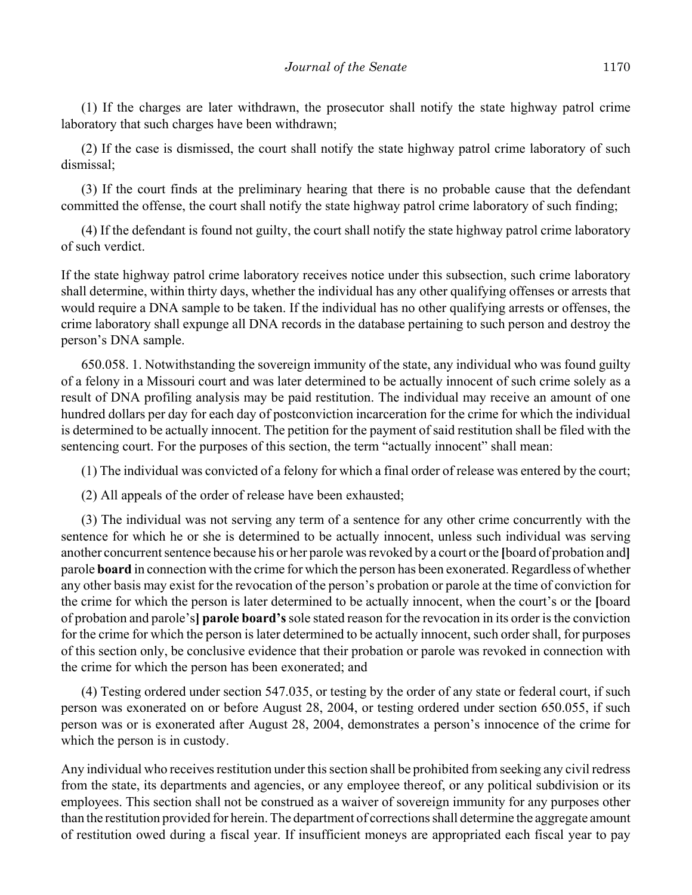(1) If the charges are later withdrawn, the prosecutor shall notify the state highway patrol crime laboratory that such charges have been withdrawn;

(2) If the case is dismissed, the court shall notify the state highway patrol crime laboratory of such dismissal;

(3) If the court finds at the preliminary hearing that there is no probable cause that the defendant committed the offense, the court shall notify the state highway patrol crime laboratory of such finding;

(4) If the defendant is found not guilty, the court shall notify the state highway patrol crime laboratory of such verdict.

If the state highway patrol crime laboratory receives notice under this subsection, such crime laboratory shall determine, within thirty days, whether the individual has any other qualifying offenses or arrests that would require a DNA sample to be taken. If the individual has no other qualifying arrests or offenses, the crime laboratory shall expunge all DNA records in the database pertaining to such person and destroy the person's DNA sample.

650.058. 1. Notwithstanding the sovereign immunity of the state, any individual who was found guilty of a felony in a Missouri court and was later determined to be actually innocent of such crime solely as a result of DNA profiling analysis may be paid restitution. The individual may receive an amount of one hundred dollars per day for each day of postconviction incarceration for the crime for which the individual is determined to be actually innocent. The petition for the payment of said restitution shall be filed with the sentencing court. For the purposes of this section, the term "actually innocent" shall mean:

(1) The individual was convicted of a felony for which a final order of release was entered by the court;

(2) All appeals of the order of release have been exhausted;

(3) The individual was not serving any term of a sentence for any other crime concurrently with the sentence for which he or she is determined to be actually innocent, unless such individual was serving another concurrent sentence because his or her parole was revoked by a court or the **[**board of probation and**]** parole **board** in connection with the crime for which the person has been exonerated. Regardless of whether any other basis may exist for the revocation of the person's probation or parole at the time of conviction for the crime for which the person is later determined to be actually innocent, when the court's or the **[**board of probation and parole's**] parole board's** sole stated reason for the revocation in its order is the conviction for the crime for which the person is later determined to be actually innocent, such order shall, for purposes of this section only, be conclusive evidence that their probation or parole was revoked in connection with the crime for which the person has been exonerated; and

(4) Testing ordered under section 547.035, or testing by the order of any state or federal court, if such person was exonerated on or before August 28, 2004, or testing ordered under section 650.055, if such person was or is exonerated after August 28, 2004, demonstrates a person's innocence of the crime for which the person is in custody.

Any individual who receives restitution under this section shall be prohibited from seeking any civil redress from the state, its departments and agencies, or any employee thereof, or any political subdivision or its employees. This section shall not be construed as a waiver of sovereign immunity for any purposes other than the restitution provided for herein. The department of corrections shall determine the aggregate amount of restitution owed during a fiscal year. If insufficient moneys are appropriated each fiscal year to pay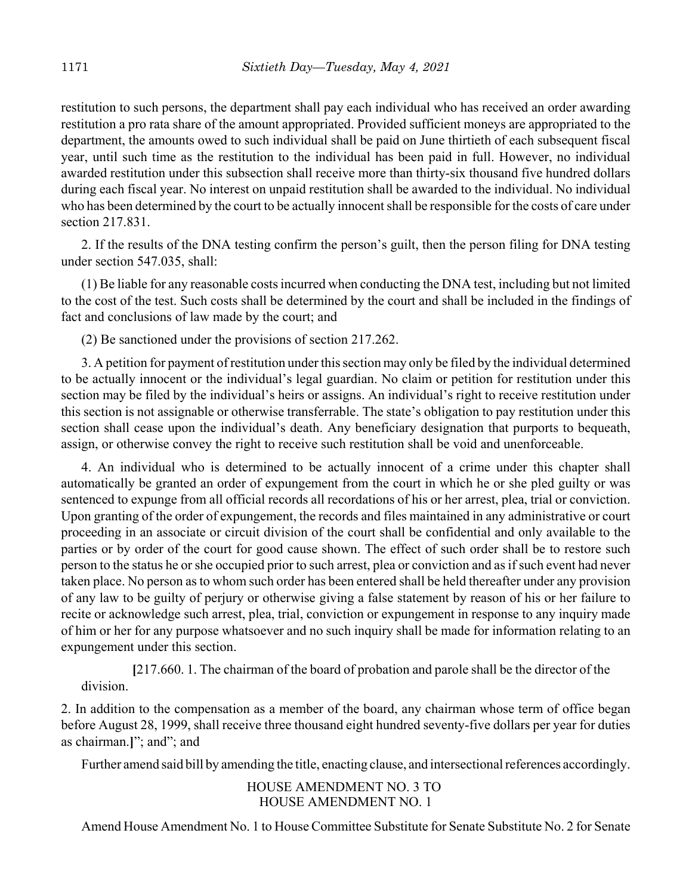restitution to such persons, the department shall pay each individual who has received an order awarding restitution a pro rata share of the amount appropriated. Provided sufficient moneys are appropriated to the department, the amounts owed to such individual shall be paid on June thirtieth of each subsequent fiscal year, until such time as the restitution to the individual has been paid in full. However, no individual awarded restitution under this subsection shall receive more than thirty-six thousand five hundred dollars during each fiscal year. No interest on unpaid restitution shall be awarded to the individual. No individual who has been determined by the court to be actually innocent shall be responsible for the costs of care under section 217.831.

2. If the results of the DNA testing confirm the person's guilt, then the person filing for DNA testing under section 547.035, shall:

(1) Be liable for any reasonable costs incurred when conducting the DNA test, including but not limited to the cost of the test. Such costs shall be determined by the court and shall be included in the findings of fact and conclusions of law made by the court; and

(2) Be sanctioned under the provisions of section 217.262.

3. A petition for payment of restitution under this section may only be filed by the individual determined to be actually innocent or the individual's legal guardian. No claim or petition for restitution under this section may be filed by the individual's heirs or assigns. An individual's right to receive restitution under this section is not assignable or otherwise transferrable. The state's obligation to pay restitution under this section shall cease upon the individual's death. Any beneficiary designation that purports to bequeath, assign, or otherwise convey the right to receive such restitution shall be void and unenforceable.

4. An individual who is determined to be actually innocent of a crime under this chapter shall automatically be granted an order of expungement from the court in which he or she pled guilty or was sentenced to expunge from all official records all recordations of his or her arrest, plea, trial or conviction. Upon granting of the order of expungement, the records and files maintained in any administrative or court proceeding in an associate or circuit division of the court shall be confidential and only available to the parties or by order of the court for good cause shown. The effect of such order shall be to restore such person to the status he or she occupied prior to such arrest, plea or conviction and as if such event had never taken place. No person as to whom such order has been entered shall be held thereafter under any provision of any law to be guilty of perjury or otherwise giving a false statement by reason of his or her failure to recite or acknowledge such arrest, plea, trial, conviction or expungement in response to any inquiry made of him or her for any purpose whatsoever and no such inquiry shall be made for information relating to an expungement under this section.

**[**217.660. 1. The chairman of the board of probation and parole shall be the director of the division.

2. In addition to the compensation as a member of the board, any chairman whose term of office began before August 28, 1999, shall receive three thousand eight hundred seventy-five dollars per year for duties as chairman.**]**"; and"; and

Further amend said bill by amending the title, enacting clause, and intersectional references accordingly.

HOUSE AMENDMENT NO. 3 TO HOUSE AMENDMENT NO. 1

Amend House Amendment No. 1 to House Committee Substitute for Senate Substitute No. 2 for Senate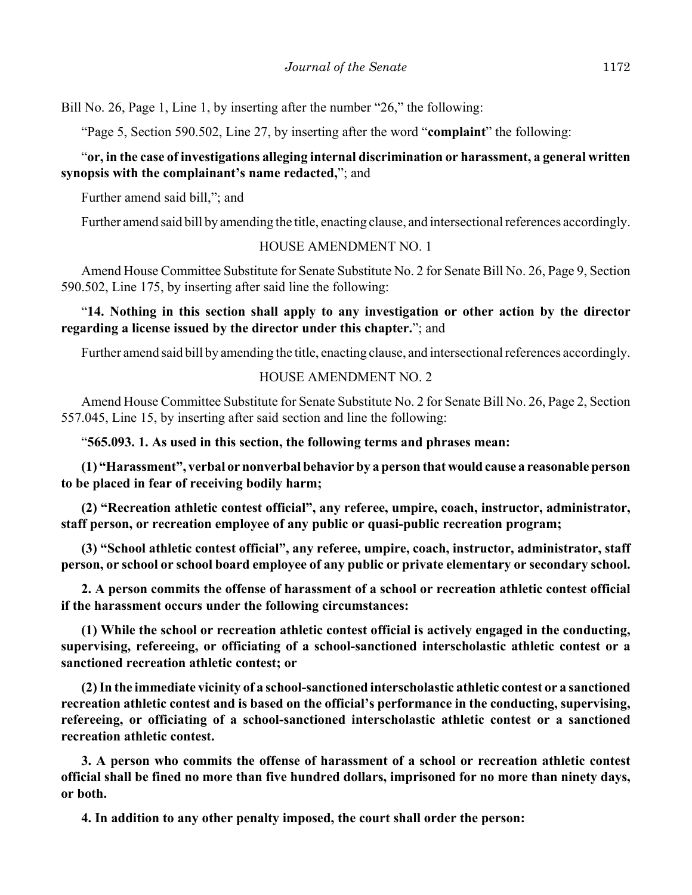Bill No. 26, Page 1, Line 1, by inserting after the number "26," the following:

"Page 5, Section 590.502, Line 27, by inserting after the word "**complaint**" the following:

## "**or, in the case of investigations alleging internal discrimination or harassment, a general written synopsis with the complainant's name redacted,**"; and

Further amend said bill,"; and

Further amend said bill by amending the title, enacting clause, and intersectional references accordingly.

#### HOUSE AMENDMENT NO. 1

Amend House Committee Substitute for Senate Substitute No. 2 for Senate Bill No. 26, Page 9, Section 590.502, Line 175, by inserting after said line the following:

## "**14. Nothing in this section shall apply to any investigation or other action by the director regarding a license issued by the director under this chapter.**"; and

Further amend said bill by amending the title, enacting clause, and intersectional references accordingly.

## HOUSE AMENDMENT NO. 2

Amend House Committee Substitute for Senate Substitute No. 2 for Senate Bill No. 26, Page 2, Section 557.045, Line 15, by inserting after said section and line the following:

## "**565.093. 1. As used in this section, the following terms and phrases mean:**

**(1) "Harassment", verbal or nonverbal behavior by a person that would cause a reasonable person to be placed in fear of receiving bodily harm;**

**(2) "Recreation athletic contest official", any referee, umpire, coach, instructor, administrator, staff person, or recreation employee of any public or quasi-public recreation program;**

**(3) "School athletic contest official", any referee, umpire, coach, instructor, administrator, staff person, or school or school board employee of any public or private elementary or secondary school.**

**2. A person commits the offense of harassment of a school or recreation athletic contest official if the harassment occurs under the following circumstances:**

**(1) While the school or recreation athletic contest official is actively engaged in the conducting, supervising, refereeing, or officiating of a school-sanctioned interscholastic athletic contest or a sanctioned recreation athletic contest; or**

**(2) In the immediate vicinity of a school-sanctioned interscholastic athletic contest or a sanctioned recreation athletic contest and is based on the official's performance in the conducting, supervising, refereeing, or officiating of a school-sanctioned interscholastic athletic contest or a sanctioned recreation athletic contest.**

**3. A person who commits the offense of harassment of a school or recreation athletic contest official shall be fined no more than five hundred dollars, imprisoned for no more than ninety days, or both.**

**4. In addition to any other penalty imposed, the court shall order the person:**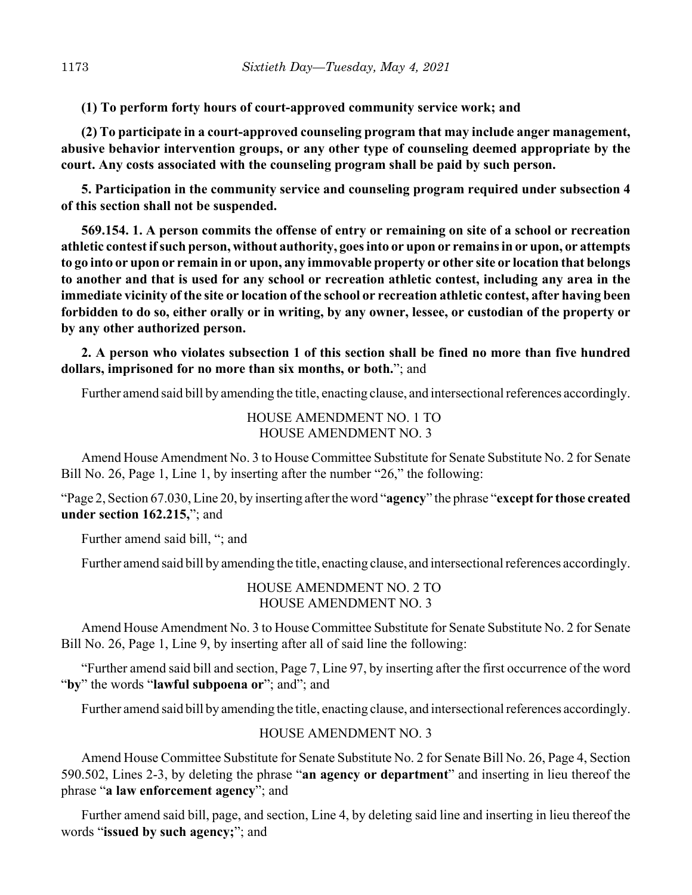**(1) To perform forty hours of court-approved community service work; and**

**(2) To participate in a court-approved counseling program that may include anger management, abusive behavior intervention groups, or any other type of counseling deemed appropriate by the court. Any costs associated with the counseling program shall be paid by such person.**

**5. Participation in the community service and counseling program required under subsection 4 of this section shall not be suspended.**

**569.154. 1. A person commits the offense of entry or remaining on site of a school or recreation athletic contest if such person, without authority, goes into or upon or remains in or upon, or attempts to go into or upon or remain in or upon, any immovable property or other site or location that belongs to another and that is used for any school or recreation athletic contest, including any area in the immediate vicinity of the site or location of the school or recreation athletic contest, after having been forbidden to do so, either orally or in writing, by any owner, lessee, or custodian of the property or by any other authorized person.**

**2. A person who violates subsection 1 of this section shall be fined no more than five hundred dollars, imprisoned for no more than six months, or both.**"; and

Further amend said bill by amending the title, enacting clause, and intersectional references accordingly.

HOUSE AMENDMENT NO. 1 TO HOUSE AMENDMENT NO. 3

Amend House Amendment No. 3 to House Committee Substitute for Senate Substitute No. 2 for Senate Bill No. 26, Page 1, Line 1, by inserting after the number "26," the following:

"Page 2, Section 67.030, Line 20, by inserting after the word "**agency**" the phrase "**except for those created under section 162.215,**"; and

Further amend said bill, "; and

Further amend said bill by amending the title, enacting clause, and intersectional references accordingly.

#### HOUSE AMENDMENT NO. 2 TO HOUSE AMENDMENT NO. 3

Amend House Amendment No. 3 to House Committee Substitute for Senate Substitute No. 2 for Senate Bill No. 26, Page 1, Line 9, by inserting after all of said line the following:

"Further amend said bill and section, Page 7, Line 97, by inserting after the first occurrence of the word "**by**" the words "**lawful subpoena or**"; and"; and

Further amend said bill by amending the title, enacting clause, and intersectional references accordingly.

## HOUSE AMENDMENT NO. 3

Amend House Committee Substitute for Senate Substitute No. 2 for Senate Bill No. 26, Page 4, Section 590.502, Lines 2-3, by deleting the phrase "**an agency or department**" and inserting in lieu thereof the phrase "**a law enforcement agency**"; and

Further amend said bill, page, and section, Line 4, by deleting said line and inserting in lieu thereof the words "**issued by such agency;**"; and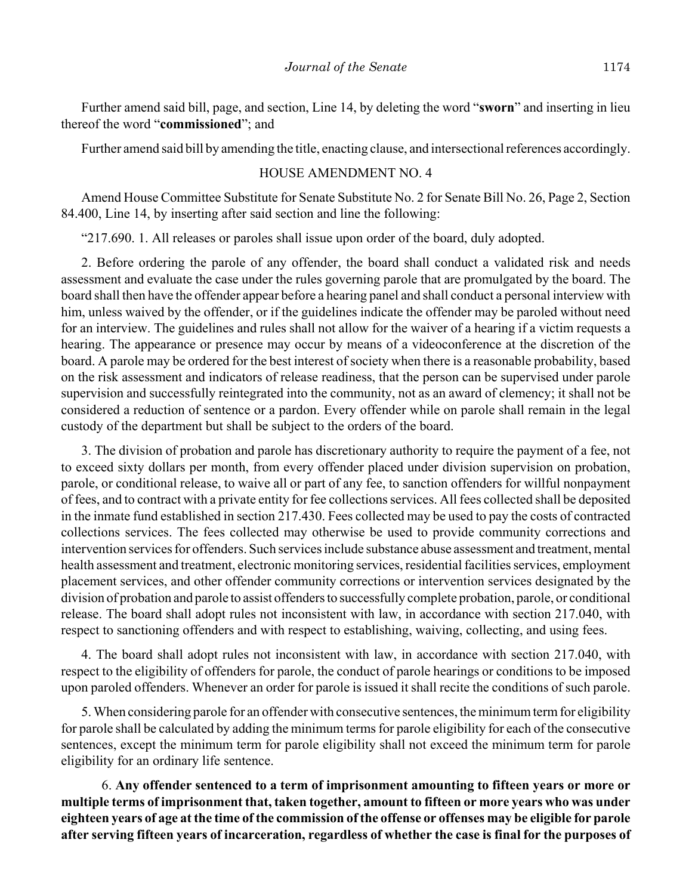Further amend said bill, page, and section, Line 14, by deleting the word "**sworn**" and inserting in lieu thereof the word "**commissioned**"; and

Further amend said bill by amending the title, enacting clause, and intersectional references accordingly.

#### HOUSE AMENDMENT NO. 4

Amend House Committee Substitute for Senate Substitute No. 2 for Senate Bill No. 26, Page 2, Section 84.400, Line 14, by inserting after said section and line the following:

"217.690. 1. All releases or paroles shall issue upon order of the board, duly adopted.

2. Before ordering the parole of any offender, the board shall conduct a validated risk and needs assessment and evaluate the case under the rules governing parole that are promulgated by the board. The board shall then have the offender appear before a hearing panel and shall conduct a personal interview with him, unless waived by the offender, or if the guidelines indicate the offender may be paroled without need for an interview. The guidelines and rules shall not allow for the waiver of a hearing if a victim requests a hearing. The appearance or presence may occur by means of a videoconference at the discretion of the board. A parole may be ordered for the best interest of society when there is a reasonable probability, based on the risk assessment and indicators of release readiness, that the person can be supervised under parole supervision and successfully reintegrated into the community, not as an award of clemency; it shall not be considered a reduction of sentence or a pardon. Every offender while on parole shall remain in the legal custody of the department but shall be subject to the orders of the board.

3. The division of probation and parole has discretionary authority to require the payment of a fee, not to exceed sixty dollars per month, from every offender placed under division supervision on probation, parole, or conditional release, to waive all or part of any fee, to sanction offenders for willful nonpayment of fees, and to contract with a private entity for fee collections services. All fees collected shall be deposited in the inmate fund established in section 217.430. Fees collected may be used to pay the costs of contracted collections services. The fees collected may otherwise be used to provide community corrections and intervention services for offenders. Such services include substance abuse assessment and treatment, mental health assessment and treatment, electronic monitoring services, residential facilities services, employment placement services, and other offender community corrections or intervention services designated by the division of probation and parole to assist offenders to successfully complete probation, parole, or conditional release. The board shall adopt rules not inconsistent with law, in accordance with section 217.040, with respect to sanctioning offenders and with respect to establishing, waiving, collecting, and using fees.

4. The board shall adopt rules not inconsistent with law, in accordance with section 217.040, with respect to the eligibility of offenders for parole, the conduct of parole hearings or conditions to be imposed upon paroled offenders. Whenever an order for parole is issued it shall recite the conditions of such parole.

5. When considering parole for an offender with consecutive sentences, the minimum term for eligibility for parole shall be calculated by adding the minimum terms for parole eligibility for each of the consecutive sentences, except the minimum term for parole eligibility shall not exceed the minimum term for parole eligibility for an ordinary life sentence.

6. **Any offender sentenced to a term of imprisonment amounting to fifteen years or more or multiple terms of imprisonment that, taken together, amount to fifteen or more years who was under eighteen years of age at the time of the commission of the offense or offenses may be eligible for parole after serving fifteen years of incarceration, regardless of whether the case is final for the purposes of**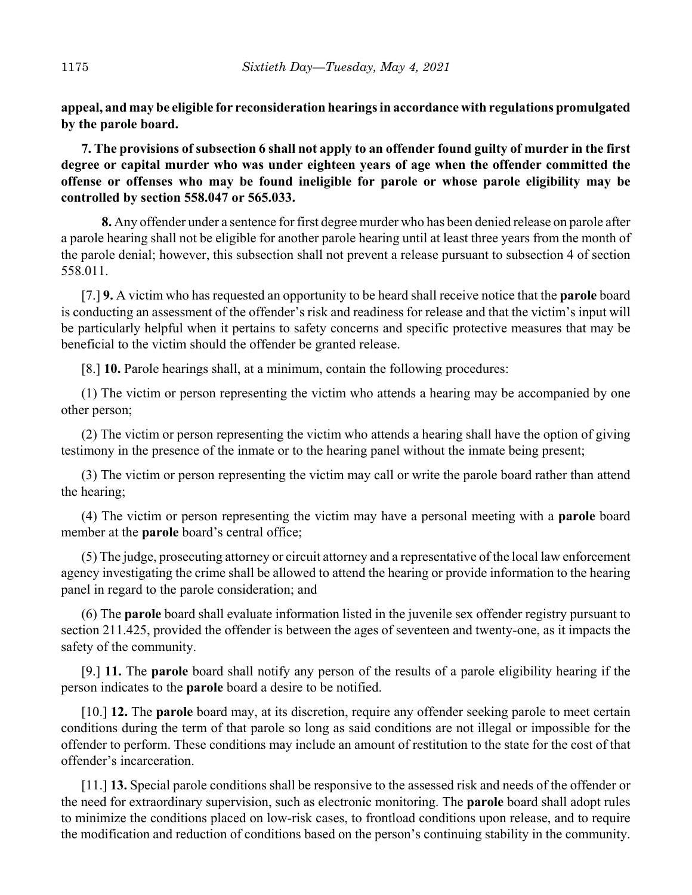**appeal, and may be eligible for reconsideration hearings in accordance with regulations promulgated by the parole board.**

**7. The provisions of subsection 6 shall not apply to an offender found guilty of murder in the first degree or capital murder who was under eighteen years of age when the offender committed the offense or offenses who may be found ineligible for parole or whose parole eligibility may be controlled by section 558.047 or 565.033.**

**8.** Any offender under a sentence for first degree murder who has been denied release on parole after a parole hearing shall not be eligible for another parole hearing until at least three years from the month of the parole denial; however, this subsection shall not prevent a release pursuant to subsection 4 of section 558.011.

[7.] **9.** A victim who has requested an opportunity to be heard shall receive notice that the **parole** board is conducting an assessment of the offender's risk and readiness for release and that the victim's input will be particularly helpful when it pertains to safety concerns and specific protective measures that may be beneficial to the victim should the offender be granted release.

[8.] **10.** Parole hearings shall, at a minimum, contain the following procedures:

(1) The victim or person representing the victim who attends a hearing may be accompanied by one other person;

(2) The victim or person representing the victim who attends a hearing shall have the option of giving testimony in the presence of the inmate or to the hearing panel without the inmate being present;

(3) The victim or person representing the victim may call or write the parole board rather than attend the hearing;

(4) The victim or person representing the victim may have a personal meeting with a **parole** board member at the **parole** board's central office;

(5) The judge, prosecuting attorney or circuit attorney and a representative of the local law enforcement agency investigating the crime shall be allowed to attend the hearing or provide information to the hearing panel in regard to the parole consideration; and

(6) The **parole** board shall evaluate information listed in the juvenile sex offender registry pursuant to section 211.425, provided the offender is between the ages of seventeen and twenty-one, as it impacts the safety of the community.

[9.] **11.** The **parole** board shall notify any person of the results of a parole eligibility hearing if the person indicates to the **parole** board a desire to be notified.

[10.] **12.** The **parole** board may, at its discretion, require any offender seeking parole to meet certain conditions during the term of that parole so long as said conditions are not illegal or impossible for the offender to perform. These conditions may include an amount of restitution to the state for the cost of that offender's incarceration.

[11.] **13.** Special parole conditions shall be responsive to the assessed risk and needs of the offender or the need for extraordinary supervision, such as electronic monitoring. The **parole** board shall adopt rules to minimize the conditions placed on low-risk cases, to frontload conditions upon release, and to require the modification and reduction of conditions based on the person's continuing stability in the community.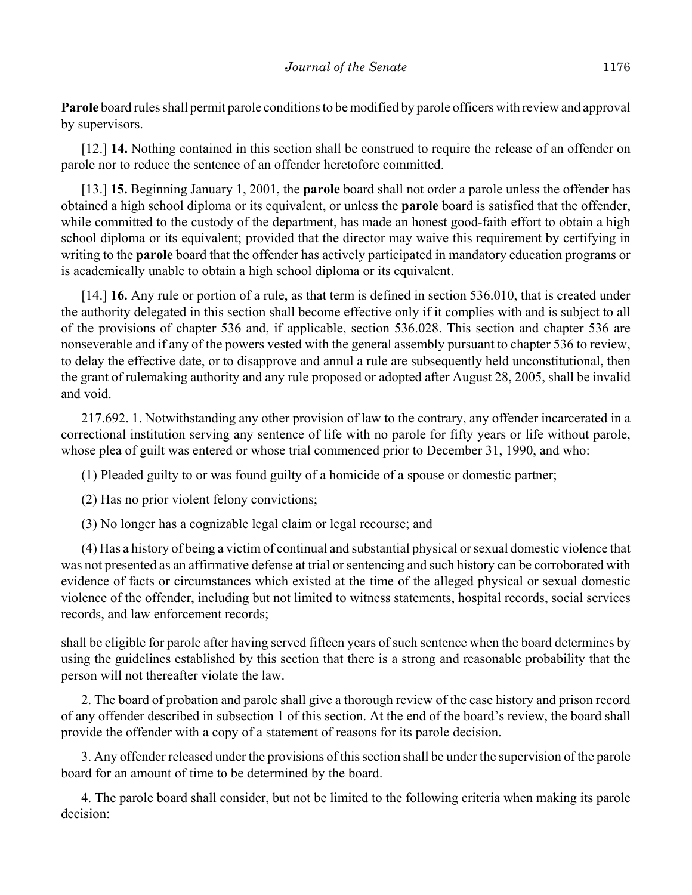**Parole** board rules shall permit parole conditions to be modified by parole officers with review and approval by supervisors.

[12.] **14.** Nothing contained in this section shall be construed to require the release of an offender on parole nor to reduce the sentence of an offender heretofore committed.

[13.] **15.** Beginning January 1, 2001, the **parole** board shall not order a parole unless the offender has obtained a high school diploma or its equivalent, or unless the **parole** board is satisfied that the offender, while committed to the custody of the department, has made an honest good-faith effort to obtain a high school diploma or its equivalent; provided that the director may waive this requirement by certifying in writing to the **parole** board that the offender has actively participated in mandatory education programs or is academically unable to obtain a high school diploma or its equivalent.

[14.] **16.** Any rule or portion of a rule, as that term is defined in section 536.010, that is created under the authority delegated in this section shall become effective only if it complies with and is subject to all of the provisions of chapter 536 and, if applicable, section 536.028. This section and chapter 536 are nonseverable and if any of the powers vested with the general assembly pursuant to chapter 536 to review, to delay the effective date, or to disapprove and annul a rule are subsequently held unconstitutional, then the grant of rulemaking authority and any rule proposed or adopted after August 28, 2005, shall be invalid and void.

217.692. 1. Notwithstanding any other provision of law to the contrary, any offender incarcerated in a correctional institution serving any sentence of life with no parole for fifty years or life without parole, whose plea of guilt was entered or whose trial commenced prior to December 31, 1990, and who:

(1) Pleaded guilty to or was found guilty of a homicide of a spouse or domestic partner;

(2) Has no prior violent felony convictions;

(3) No longer has a cognizable legal claim or legal recourse; and

(4) Has a history of being a victim of continual and substantial physical or sexual domestic violence that was not presented as an affirmative defense at trial or sentencing and such history can be corroborated with evidence of facts or circumstances which existed at the time of the alleged physical or sexual domestic violence of the offender, including but not limited to witness statements, hospital records, social services records, and law enforcement records;

shall be eligible for parole after having served fifteen years of such sentence when the board determines by using the guidelines established by this section that there is a strong and reasonable probability that the person will not thereafter violate the law.

2. The board of probation and parole shall give a thorough review of the case history and prison record of any offender described in subsection 1 of this section. At the end of the board's review, the board shall provide the offender with a copy of a statement of reasons for its parole decision.

3. Any offender released under the provisions of this section shall be under the supervision of the parole board for an amount of time to be determined by the board.

4. The parole board shall consider, but not be limited to the following criteria when making its parole decision: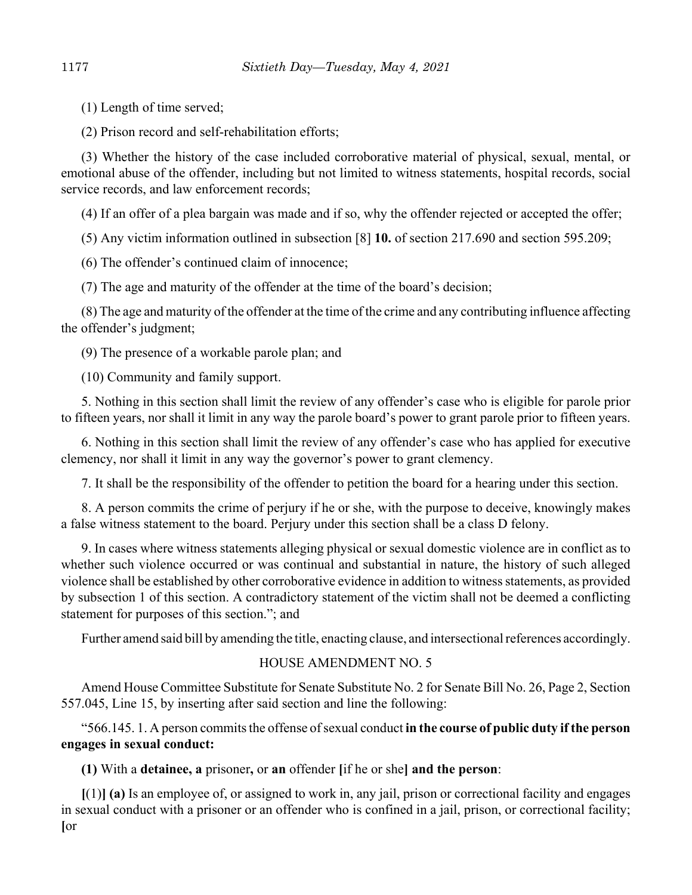(1) Length of time served;

(2) Prison record and self-rehabilitation efforts;

(3) Whether the history of the case included corroborative material of physical, sexual, mental, or emotional abuse of the offender, including but not limited to witness statements, hospital records, social service records, and law enforcement records;

(4) If an offer of a plea bargain was made and if so, why the offender rejected or accepted the offer;

(5) Any victim information outlined in subsection [8] **10.** of section 217.690 and section 595.209;

(6) The offender's continued claim of innocence;

(7) The age and maturity of the offender at the time of the board's decision;

(8) The age and maturity of the offender at the time of the crime and any contributing influence affecting the offender's judgment;

(9) The presence of a workable parole plan; and

(10) Community and family support.

5. Nothing in this section shall limit the review of any offender's case who is eligible for parole prior to fifteen years, nor shall it limit in any way the parole board's power to grant parole prior to fifteen years.

6. Nothing in this section shall limit the review of any offender's case who has applied for executive clemency, nor shall it limit in any way the governor's power to grant clemency.

7. It shall be the responsibility of the offender to petition the board for a hearing under this section.

8. A person commits the crime of perjury if he or she, with the purpose to deceive, knowingly makes a false witness statement to the board. Perjury under this section shall be a class D felony.

9. In cases where witness statements alleging physical or sexual domestic violence are in conflict as to whether such violence occurred or was continual and substantial in nature, the history of such alleged violence shall be established by other corroborative evidence in addition to witness statements, as provided by subsection 1 of this section. A contradictory statement of the victim shall not be deemed a conflicting statement for purposes of this section."; and

Further amend said bill by amending the title, enacting clause, and intersectional references accordingly.

# HOUSE AMENDMENT NO. 5

Amend House Committee Substitute for Senate Substitute No. 2 for Senate Bill No. 26, Page 2, Section 557.045, Line 15, by inserting after said section and line the following:

"566.145. 1. A person commits the offense of sexual conduct **in the course of public duty if the person engages in sexual conduct:**

**(1)** With a **detainee, a** prisoner**,** or **an** offender **[**if he or she**] and the person**:

**[**(1)**] (a)** Is an employee of, or assigned to work in, any jail, prison or correctional facility and engages in sexual conduct with a prisoner or an offender who is confined in a jail, prison, or correctional facility; **[**or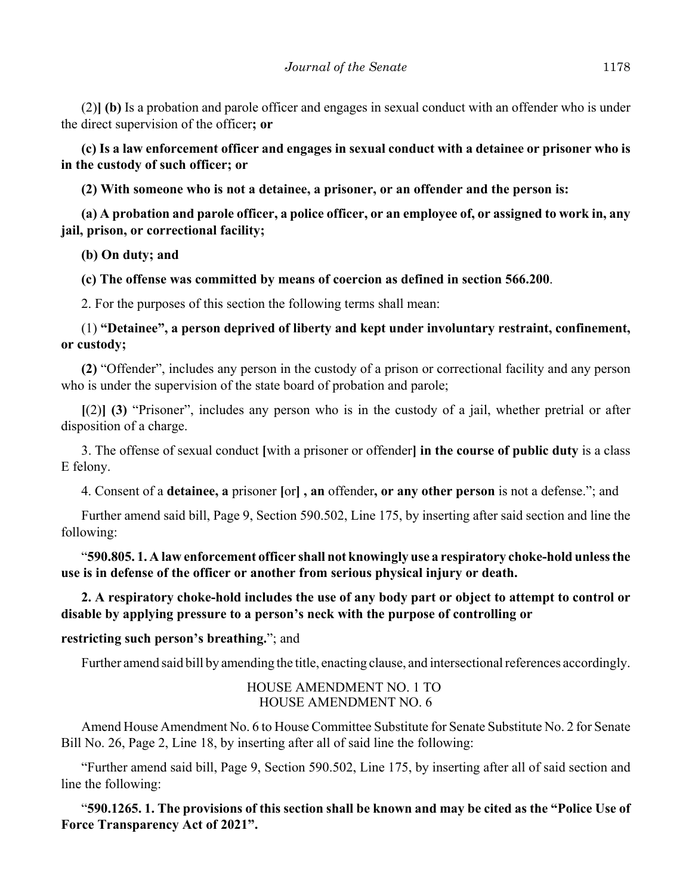(2)**] (b)** Is a probation and parole officer and engages in sexual conduct with an offender who is under the direct supervision of the officer**; or**

**(c) Is a law enforcement officer and engages in sexual conduct with a detainee or prisoner who is in the custody of such officer; or**

**(2) With someone who is not a detainee, a prisoner, or an offender and the person is:**

**(a) A probation and parole officer, a police officer, or an employee of, or assigned to work in, any jail, prison, or correctional facility;**

# **(b) On duty; and**

**(c) The offense was committed by means of coercion as defined in section 566.200**.

2. For the purposes of this section the following terms shall mean:

(1) **"Detainee", a person deprived of liberty and kept under involuntary restraint, confinement, or custody;**

**(2)** "Offender", includes any person in the custody of a prison or correctional facility and any person who is under the supervision of the state board of probation and parole;

**[**(2)**] (3)** "Prisoner", includes any person who is in the custody of a jail, whether pretrial or after disposition of a charge.

3. The offense of sexual conduct **[**with a prisoner or offender**] in the course of public duty** is a class E felony.

4. Consent of a **detainee, a** prisoner **[**or**] , an** offender**, or any other person** is not a defense."; and

Further amend said bill, Page 9, Section 590.502, Line 175, by inserting after said section and line the following:

"**590.805. 1. A law enforcement officer shall not knowingly use a respiratory choke-hold unless the use is in defense of the officer or another from serious physical injury or death.**

# **2. A respiratory choke-hold includes the use of any body part or object to attempt to control or disable by applying pressure to a person's neck with the purpose of controlling or**

## **restricting such person's breathing.**"; and

Further amend said bill by amending the title, enacting clause, and intersectional references accordingly.

HOUSE AMENDMENT NO. 1 TO HOUSE AMENDMENT NO. 6

Amend House Amendment No. 6 to House Committee Substitute for Senate Substitute No. 2 for Senate Bill No. 26, Page 2, Line 18, by inserting after all of said line the following:

"Further amend said bill, Page 9, Section 590.502, Line 175, by inserting after all of said section and line the following:

"**590.1265. 1. The provisions of this section shall be known and may be cited as the "Police Use of Force Transparency Act of 2021".**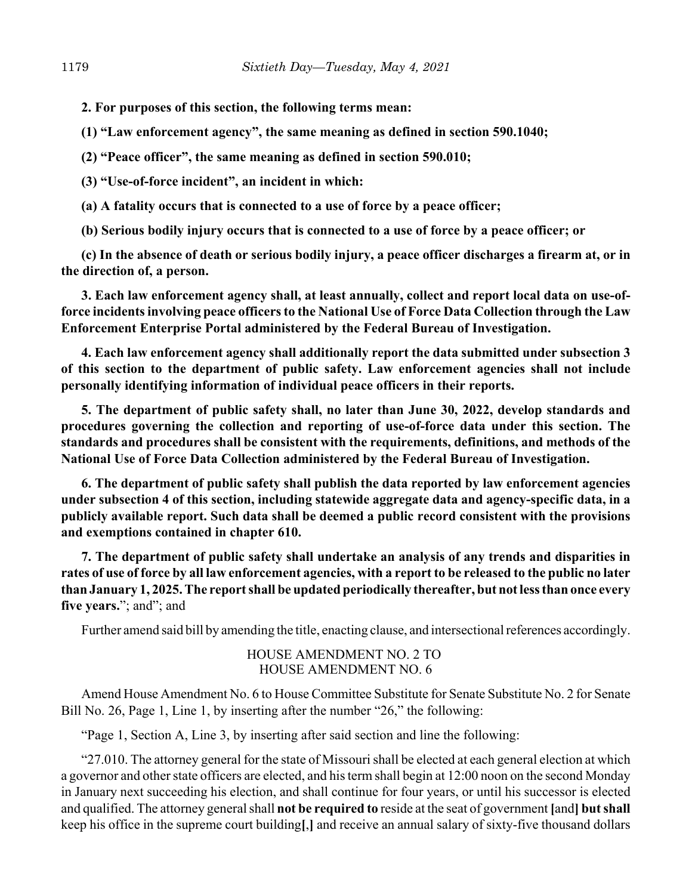**2. For purposes of this section, the following terms mean:**

**(1) "Law enforcement agency", the same meaning as defined in section 590.1040;**

**(2) "Peace officer", the same meaning as defined in section 590.010;**

**(3) "Use-of-force incident", an incident in which:**

**(a) A fatality occurs that is connected to a use of force by a peace officer;**

**(b) Serious bodily injury occurs that is connected to a use of force by a peace officer; or**

**(c) In the absence of death or serious bodily injury, a peace officer discharges a firearm at, or in the direction of, a person.**

**3. Each law enforcement agency shall, at least annually, collect and report local data on use-offorce incidents involving peace officers to the National Use of Force Data Collection through the Law Enforcement Enterprise Portal administered by the Federal Bureau of Investigation.**

**4. Each law enforcement agency shall additionally report the data submitted under subsection 3 of this section to the department of public safety. Law enforcement agencies shall not include personally identifying information of individual peace officers in their reports.**

**5. The department of public safety shall, no later than June 30, 2022, develop standards and procedures governing the collection and reporting of use-of-force data under this section. The standards and procedures shall be consistent with the requirements, definitions, and methods of the National Use of Force Data Collection administered by the Federal Bureau of Investigation.**

**6. The department of public safety shall publish the data reported by law enforcement agencies under subsection 4 of this section, including statewide aggregate data and agency-specific data, in a publicly available report. Such data shall be deemed a public record consistent with the provisions and exemptions contained in chapter 610.**

**7. The department of public safety shall undertake an analysis of any trends and disparities in rates of use of force by all law enforcement agencies, with a report to be released to the public no later than January 1, 2025. The report shall be updated periodically thereafter, but not less than once every five years.**"; and"; and

Further amend said bill by amending the title, enacting clause, and intersectional references accordingly.

#### HOUSE AMENDMENT NO. 2 TO HOUSE AMENDMENT NO. 6

Amend House Amendment No. 6 to House Committee Substitute for Senate Substitute No. 2 for Senate Bill No. 26, Page 1, Line 1, by inserting after the number "26," the following:

"Page 1, Section A, Line 3, by inserting after said section and line the following:

"27.010. The attorney general for the state of Missouri shall be elected at each general election at which a governor and other state officers are elected, and his term shall begin at 12:00 noon on the second Monday in January next succeeding his election, and shall continue for four years, or until his successor is elected and qualified. The attorney general shall **not be required to** reside at the seat of government **[**and**] but shall** keep his office in the supreme court building**[**,**]** and receive an annual salary of sixty-five thousand dollars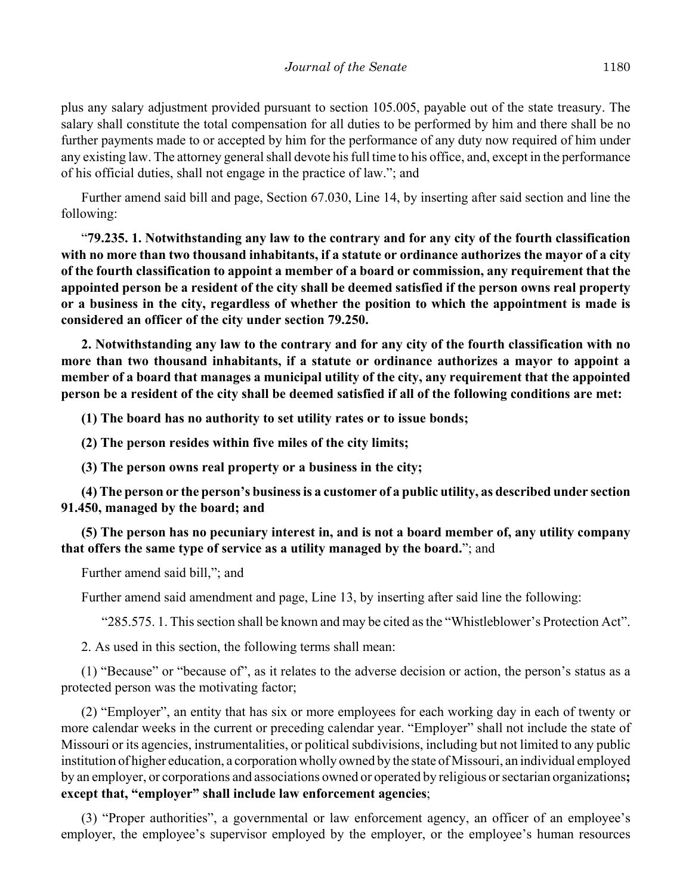plus any salary adjustment provided pursuant to section 105.005, payable out of the state treasury. The salary shall constitute the total compensation for all duties to be performed by him and there shall be no further payments made to or accepted by him for the performance of any duty now required of him under any existing law. The attorney general shall devote his full time to his office, and, except in the performance of his official duties, shall not engage in the practice of law."; and

Further amend said bill and page, Section 67.030, Line 14, by inserting after said section and line the following:

"**79.235. 1. Notwithstanding any law to the contrary and for any city of the fourth classification with no more than two thousand inhabitants, if a statute or ordinance authorizes the mayor of a city of the fourth classification to appoint a member of a board or commission, any requirement that the appointed person be a resident of the city shall be deemed satisfied if the person owns real property or a business in the city, regardless of whether the position to which the appointment is made is considered an officer of the city under section 79.250.**

**2. Notwithstanding any law to the contrary and for any city of the fourth classification with no more than two thousand inhabitants, if a statute or ordinance authorizes a mayor to appoint a member of a board that manages a municipal utility of the city, any requirement that the appointed person be a resident of the city shall be deemed satisfied if all of the following conditions are met:**

**(1) The board has no authority to set utility rates or to issue bonds;**

**(2) The person resides within five miles of the city limits;**

**(3) The person owns real property or a business in the city;**

**(4) The person or the person's business is a customer of a public utility, as described under section 91.450, managed by the board; and**

**(5) The person has no pecuniary interest in, and is not a board member of, any utility company that offers the same type of service as a utility managed by the board.**"; and

Further amend said bill,"; and

Further amend said amendment and page, Line 13, by inserting after said line the following:

"285.575. 1. This section shall be known and may be cited as the "Whistleblower's Protection Act".

2. As used in this section, the following terms shall mean:

(1) "Because" or "because of", as it relates to the adverse decision or action, the person's status as a protected person was the motivating factor;

(2) "Employer", an entity that has six or more employees for each working day in each of twenty or more calendar weeks in the current or preceding calendar year. "Employer" shall not include the state of Missouri or its agencies, instrumentalities, or political subdivisions, including but not limited to any public institution of higher education, a corporation wholly owned by the state of Missouri, an individual employed by an employer, or corporations and associations owned or operated by religious or sectarian organizations**; except that, "employer" shall include law enforcement agencies**;

(3) "Proper authorities", a governmental or law enforcement agency, an officer of an employee's employer, the employee's supervisor employed by the employer, or the employee's human resources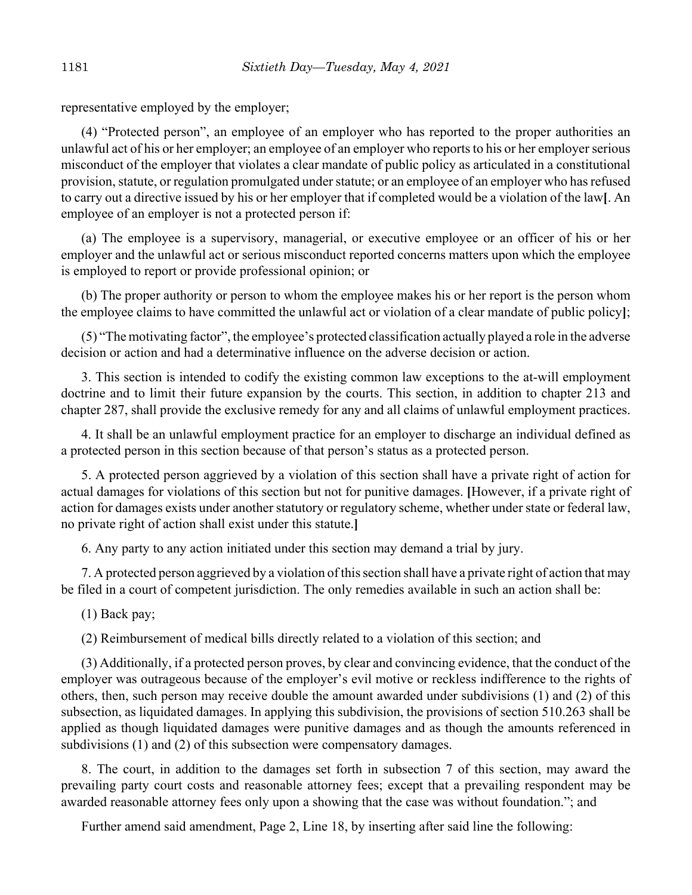representative employed by the employer;

(4) "Protected person", an employee of an employer who has reported to the proper authorities an unlawful act of his or her employer; an employee of an employer who reports to his or her employer serious misconduct of the employer that violates a clear mandate of public policy as articulated in a constitutional provision, statute, or regulation promulgated under statute; or an employee of an employer who has refused to carry out a directive issued by his or her employer that if completed would be a violation of the law**[**. An employee of an employer is not a protected person if:

(a) The employee is a supervisory, managerial, or executive employee or an officer of his or her employer and the unlawful act or serious misconduct reported concerns matters upon which the employee is employed to report or provide professional opinion; or

(b) The proper authority or person to whom the employee makes his or her report is the person whom the employee claims to have committed the unlawful act or violation of a clear mandate of public policy**]**;

(5) "The motivating factor", the employee's protected classification actually played a role in the adverse decision or action and had a determinative influence on the adverse decision or action.

3. This section is intended to codify the existing common law exceptions to the at-will employment doctrine and to limit their future expansion by the courts. This section, in addition to chapter 213 and chapter 287, shall provide the exclusive remedy for any and all claims of unlawful employment practices.

4. It shall be an unlawful employment practice for an employer to discharge an individual defined as a protected person in this section because of that person's status as a protected person.

5. A protected person aggrieved by a violation of this section shall have a private right of action for actual damages for violations of this section but not for punitive damages. **[**However, if a private right of action for damages exists under another statutory or regulatory scheme, whether under state or federal law, no private right of action shall exist under this statute.**]**

6. Any party to any action initiated under this section may demand a trial by jury.

7. A protected person aggrieved by a violation of this section shall have a private right of action that may be filed in a court of competent jurisdiction. The only remedies available in such an action shall be:

(1) Back pay;

(2) Reimbursement of medical bills directly related to a violation of this section; and

(3) Additionally, if a protected person proves, by clear and convincing evidence, that the conduct of the employer was outrageous because of the employer's evil motive or reckless indifference to the rights of others, then, such person may receive double the amount awarded under subdivisions (1) and (2) of this subsection, as liquidated damages. In applying this subdivision, the provisions of section 510.263 shall be applied as though liquidated damages were punitive damages and as though the amounts referenced in subdivisions (1) and (2) of this subsection were compensatory damages.

8. The court, in addition to the damages set forth in subsection 7 of this section, may award the prevailing party court costs and reasonable attorney fees; except that a prevailing respondent may be awarded reasonable attorney fees only upon a showing that the case was without foundation."; and

Further amend said amendment, Page 2, Line 18, by inserting after said line the following: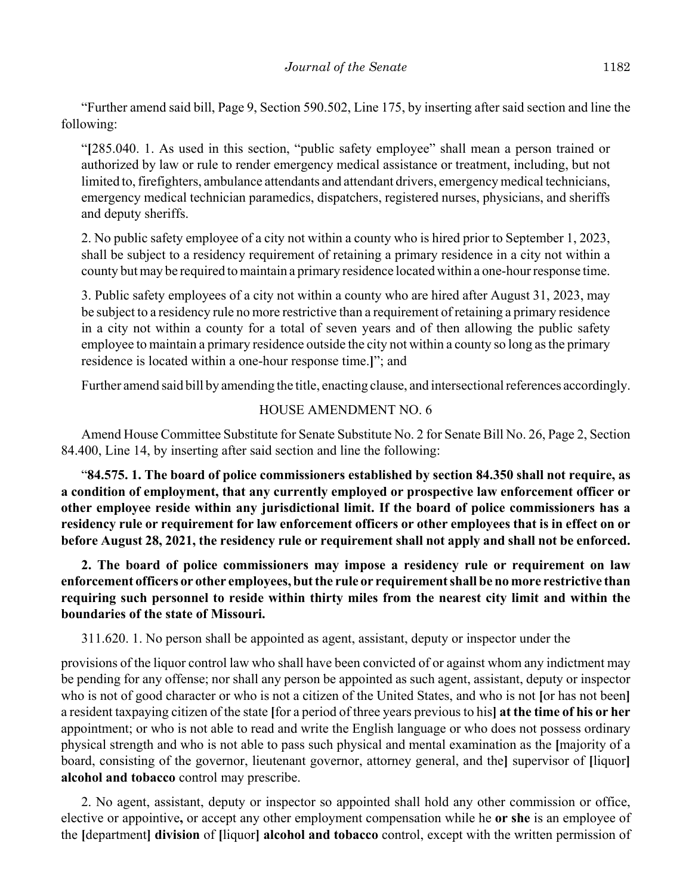"Further amend said bill, Page 9, Section 590.502, Line 175, by inserting after said section and line the following:

"**[**285.040. 1. As used in this section, "public safety employee" shall mean a person trained or authorized by law or rule to render emergency medical assistance or treatment, including, but not limited to, firefighters, ambulance attendants and attendant drivers, emergency medical technicians, emergency medical technician paramedics, dispatchers, registered nurses, physicians, and sheriffs and deputy sheriffs.

2. No public safety employee of a city not within a county who is hired prior to September 1, 2023, shall be subject to a residency requirement of retaining a primary residence in a city not within a county but may be required to maintain a primary residence located within a one-hour response time.

3. Public safety employees of a city not within a county who are hired after August 31, 2023, may be subject to a residency rule no more restrictive than a requirement of retaining a primary residence in a city not within a county for a total of seven years and of then allowing the public safety employee to maintain a primary residence outside the city not within a county so long as the primary residence is located within a one-hour response time.**]**"; and

Further amend said bill by amending the title, enacting clause, and intersectional references accordingly.

## HOUSE AMENDMENT NO. 6

Amend House Committee Substitute for Senate Substitute No. 2 for Senate Bill No. 26, Page 2, Section 84.400, Line 14, by inserting after said section and line the following:

"**84.575. 1. The board of police commissioners established by section 84.350 shall not require, as a condition of employment, that any currently employed or prospective law enforcement officer or other employee reside within any jurisdictional limit. If the board of police commissioners has a residency rule or requirement for law enforcement officers or other employees that is in effect on or before August 28, 2021, the residency rule or requirement shall not apply and shall not be enforced.**

**2. The board of police commissioners may impose a residency rule or requirement on law enforcement officers or other employees, but the rule or requirement shall be no more restrictive than requiring such personnel to reside within thirty miles from the nearest city limit and within the boundaries of the state of Missouri.**

311.620. 1. No person shall be appointed as agent, assistant, deputy or inspector under the

provisions of the liquor control law who shall have been convicted of or against whom any indictment may be pending for any offense; nor shall any person be appointed as such agent, assistant, deputy or inspector who is not of good character or who is not a citizen of the United States, and who is not **[**or has not been**]** a resident taxpaying citizen of the state **[**for a period of three years previous to his**] at the time of his or her** appointment; or who is not able to read and write the English language or who does not possess ordinary physical strength and who is not able to pass such physical and mental examination as the **[**majority of a board, consisting of the governor, lieutenant governor, attorney general, and the**]** supervisor of **[**liquor**] alcohol and tobacco** control may prescribe.

2. No agent, assistant, deputy or inspector so appointed shall hold any other commission or office, elective or appointive**,** or accept any other employment compensation while he **or she** is an employee of the **[**department**] division** of **[**liquor**] alcohol and tobacco** control, except with the written permission of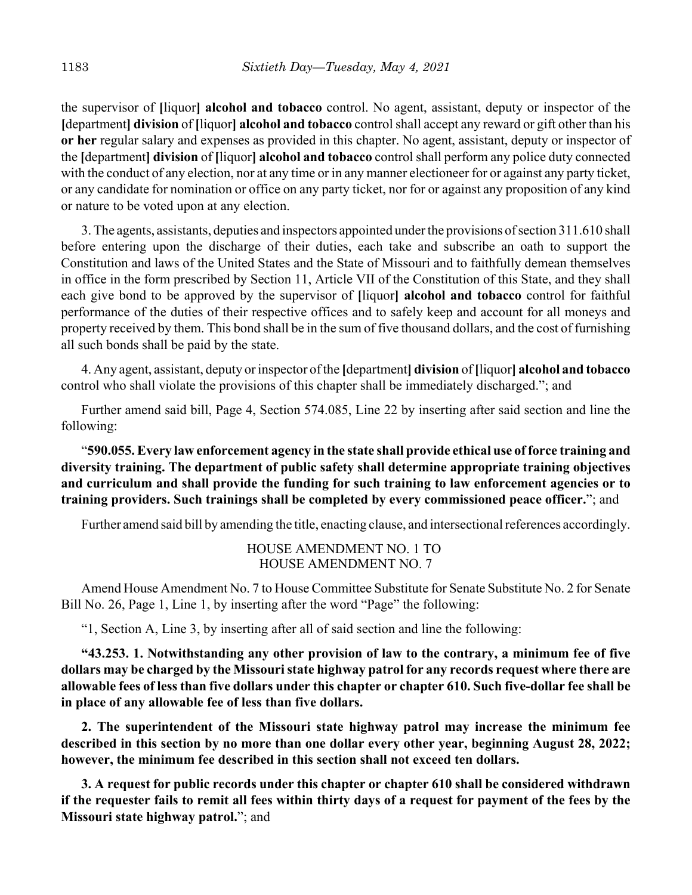the supervisor of **[**liquor**] alcohol and tobacco** control. No agent, assistant, deputy or inspector of the **[**department**] division** of **[**liquor**] alcohol and tobacco** control shall accept any reward or gift other than his **or her** regular salary and expenses as provided in this chapter. No agent, assistant, deputy or inspector of the **[**department**] division** of **[**liquor**] alcohol and tobacco** control shall perform any police duty connected with the conduct of any election, nor at any time or in any manner electioneer for or against any party ticket, or any candidate for nomination or office on any party ticket, nor for or against any proposition of any kind or nature to be voted upon at any election.

3. The agents, assistants, deputies and inspectors appointed under the provisions of section 311.610 shall before entering upon the discharge of their duties, each take and subscribe an oath to support the Constitution and laws of the United States and the State of Missouri and to faithfully demean themselves in office in the form prescribed by Section 11, Article VII of the Constitution of this State, and they shall each give bond to be approved by the supervisor of **[**liquor**] alcohol and tobacco** control for faithful performance of the duties of their respective offices and to safely keep and account for all moneys and property received by them. This bond shall be in the sum of five thousand dollars, and the cost of furnishing all such bonds shall be paid by the state.

4. Any agent, assistant, deputy or inspector of the **[**department**] division** of **[**liquor**] alcohol and tobacco** control who shall violate the provisions of this chapter shall be immediately discharged."; and

Further amend said bill, Page 4, Section 574.085, Line 22 by inserting after said section and line the following:

"**590.055. Every law enforcement agency in the state shall provide ethical use of force training and diversity training. The department of public safety shall determine appropriate training objectives and curriculum and shall provide the funding for such training to law enforcement agencies or to training providers. Such trainings shall be completed by every commissioned peace officer.**"; and

Further amend said bill by amending the title, enacting clause, and intersectional references accordingly.

HOUSE AMENDMENT NO. 1 TO HOUSE AMENDMENT NO. 7

Amend House Amendment No. 7 to House Committee Substitute for Senate Substitute No. 2 for Senate Bill No. 26, Page 1, Line 1, by inserting after the word "Page" the following:

"1, Section A, Line 3, by inserting after all of said section and line the following:

**"43.253. 1. Notwithstanding any other provision of law to the contrary, a minimum fee of five dollars may be charged by the Missouri state highway patrol for any records request where there are allowable fees of less than five dollars under this chapter or chapter 610. Such five-dollar fee shall be in place of any allowable fee of less than five dollars.**

**2. The superintendent of the Missouri state highway patrol may increase the minimum fee described in this section by no more than one dollar every other year, beginning August 28, 2022; however, the minimum fee described in this section shall not exceed ten dollars.**

**3. A request for public records under this chapter or chapter 610 shall be considered withdrawn if the requester fails to remit all fees within thirty days of a request for payment of the fees by the Missouri state highway patrol.**"; and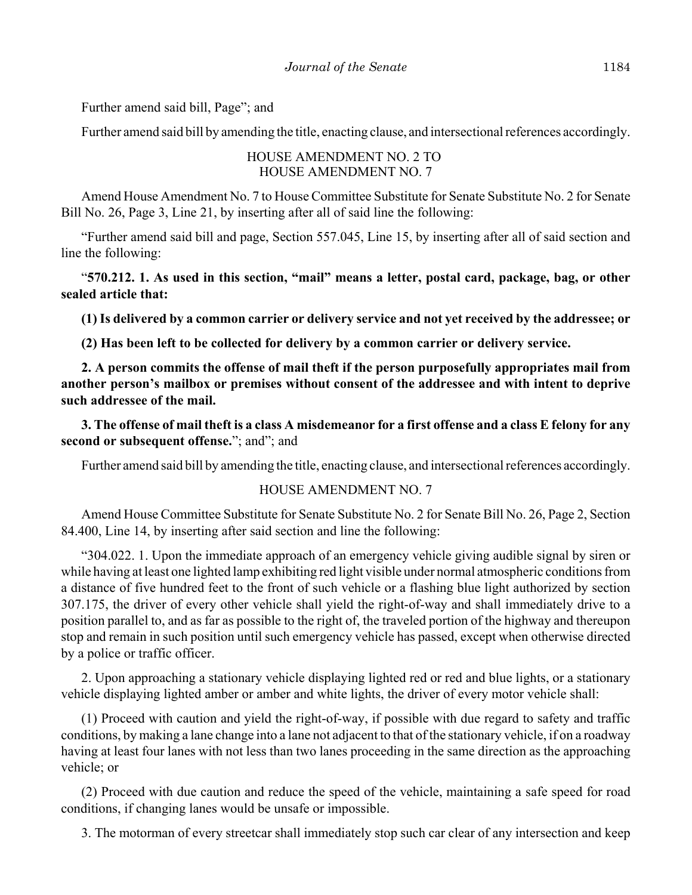Further amend said bill, Page"; and

Further amend said bill by amending the title, enacting clause, and intersectional references accordingly.

HOUSE AMENDMENT NO. 2 TO HOUSE AMENDMENT NO. 7

Amend House Amendment No. 7 to House Committee Substitute for Senate Substitute No. 2 for Senate Bill No. 26, Page 3, Line 21, by inserting after all of said line the following:

"Further amend said bill and page, Section 557.045, Line 15, by inserting after all of said section and line the following:

"**570.212. 1. As used in this section, "mail" means a letter, postal card, package, bag, or other sealed article that:**

**(1) Is delivered by a common carrier or delivery service and not yet received by the addressee; or**

**(2) Has been left to be collected for delivery by a common carrier or delivery service.**

**2. A person commits the offense of mail theft if the person purposefully appropriates mail from another person's mailbox or premises without consent of the addressee and with intent to deprive such addressee of the mail.**

**3. The offense of mail theft is a class A misdemeanor for a first offense and a class E felony for any second or subsequent offense.**"; and"; and

Further amend said bill by amending the title, enacting clause, and intersectional references accordingly.

#### HOUSE AMENDMENT NO. 7

Amend House Committee Substitute for Senate Substitute No. 2 for Senate Bill No. 26, Page 2, Section 84.400, Line 14, by inserting after said section and line the following:

"304.022. 1. Upon the immediate approach of an emergency vehicle giving audible signal by siren or while having at least one lighted lamp exhibiting red light visible under normal atmospheric conditions from a distance of five hundred feet to the front of such vehicle or a flashing blue light authorized by section 307.175, the driver of every other vehicle shall yield the right-of-way and shall immediately drive to a position parallel to, and as far as possible to the right of, the traveled portion of the highway and thereupon stop and remain in such position until such emergency vehicle has passed, except when otherwise directed by a police or traffic officer.

2. Upon approaching a stationary vehicle displaying lighted red or red and blue lights, or a stationary vehicle displaying lighted amber or amber and white lights, the driver of every motor vehicle shall:

(1) Proceed with caution and yield the right-of-way, if possible with due regard to safety and traffic conditions, by making a lane change into a lane not adjacent to that of the stationary vehicle, if on a roadway having at least four lanes with not less than two lanes proceeding in the same direction as the approaching vehicle; or

(2) Proceed with due caution and reduce the speed of the vehicle, maintaining a safe speed for road conditions, if changing lanes would be unsafe or impossible.

3. The motorman of every streetcar shall immediately stop such car clear of any intersection and keep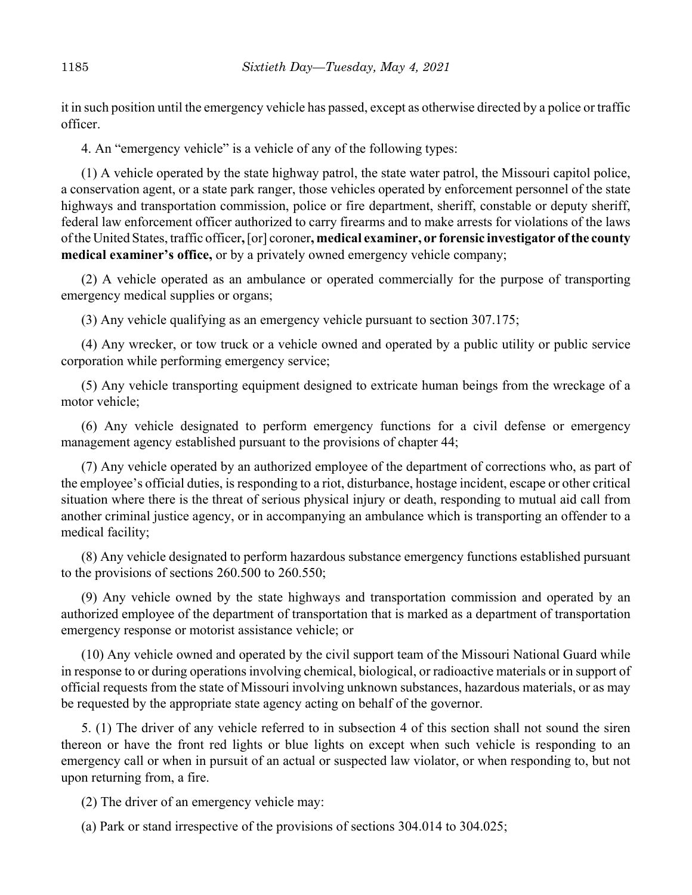it in such position until the emergency vehicle has passed, except as otherwise directed by a police or traffic officer.

4. An "emergency vehicle" is a vehicle of any of the following types:

(1) A vehicle operated by the state highway patrol, the state water patrol, the Missouri capitol police, a conservation agent, or a state park ranger, those vehicles operated by enforcement personnel of the state highways and transportation commission, police or fire department, sheriff, constable or deputy sheriff, federal law enforcement officer authorized to carry firearms and to make arrests for violations of the laws of the United States, traffic officer**,** [or] coroner**, medical examiner, or forensic investigator of the county medical examiner's office,** or by a privately owned emergency vehicle company;

(2) A vehicle operated as an ambulance or operated commercially for the purpose of transporting emergency medical supplies or organs;

(3) Any vehicle qualifying as an emergency vehicle pursuant to section 307.175;

(4) Any wrecker, or tow truck or a vehicle owned and operated by a public utility or public service corporation while performing emergency service;

(5) Any vehicle transporting equipment designed to extricate human beings from the wreckage of a motor vehicle;

(6) Any vehicle designated to perform emergency functions for a civil defense or emergency management agency established pursuant to the provisions of chapter 44;

(7) Any vehicle operated by an authorized employee of the department of corrections who, as part of the employee's official duties, is responding to a riot, disturbance, hostage incident, escape or other critical situation where there is the threat of serious physical injury or death, responding to mutual aid call from another criminal justice agency, or in accompanying an ambulance which is transporting an offender to a medical facility;

(8) Any vehicle designated to perform hazardous substance emergency functions established pursuant to the provisions of sections 260.500 to 260.550;

(9) Any vehicle owned by the state highways and transportation commission and operated by an authorized employee of the department of transportation that is marked as a department of transportation emergency response or motorist assistance vehicle; or

(10) Any vehicle owned and operated by the civil support team of the Missouri National Guard while in response to or during operations involving chemical, biological, or radioactive materials or in support of official requests from the state of Missouri involving unknown substances, hazardous materials, or as may be requested by the appropriate state agency acting on behalf of the governor.

5. (1) The driver of any vehicle referred to in subsection 4 of this section shall not sound the siren thereon or have the front red lights or blue lights on except when such vehicle is responding to an emergency call or when in pursuit of an actual or suspected law violator, or when responding to, but not upon returning from, a fire.

(2) The driver of an emergency vehicle may:

(a) Park or stand irrespective of the provisions of sections 304.014 to 304.025;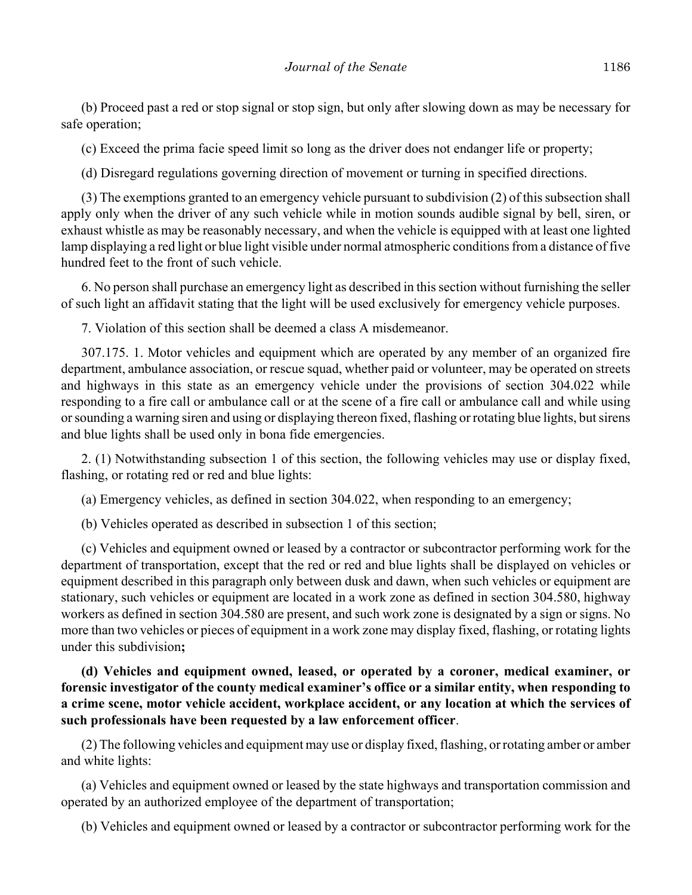(b) Proceed past a red or stop signal or stop sign, but only after slowing down as may be necessary for safe operation;

(c) Exceed the prima facie speed limit so long as the driver does not endanger life or property;

(d) Disregard regulations governing direction of movement or turning in specified directions.

(3) The exemptions granted to an emergency vehicle pursuant to subdivision (2) of this subsection shall apply only when the driver of any such vehicle while in motion sounds audible signal by bell, siren, or exhaust whistle as may be reasonably necessary, and when the vehicle is equipped with at least one lighted lamp displaying a red light or blue light visible under normal atmospheric conditions from a distance of five hundred feet to the front of such vehicle.

6. No person shall purchase an emergency light as described in this section without furnishing the seller of such light an affidavit stating that the light will be used exclusively for emergency vehicle purposes.

7. Violation of this section shall be deemed a class A misdemeanor.

307.175. 1. Motor vehicles and equipment which are operated by any member of an organized fire department, ambulance association, or rescue squad, whether paid or volunteer, may be operated on streets and highways in this state as an emergency vehicle under the provisions of section 304.022 while responding to a fire call or ambulance call or at the scene of a fire call or ambulance call and while using or sounding a warning siren and using or displaying thereon fixed, flashing or rotating blue lights, but sirens and blue lights shall be used only in bona fide emergencies.

2. (1) Notwithstanding subsection 1 of this section, the following vehicles may use or display fixed, flashing, or rotating red or red and blue lights:

(a) Emergency vehicles, as defined in section 304.022, when responding to an emergency;

(b) Vehicles operated as described in subsection 1 of this section;

(c) Vehicles and equipment owned or leased by a contractor or subcontractor performing work for the department of transportation, except that the red or red and blue lights shall be displayed on vehicles or equipment described in this paragraph only between dusk and dawn, when such vehicles or equipment are stationary, such vehicles or equipment are located in a work zone as defined in section 304.580, highway workers as defined in section 304.580 are present, and such work zone is designated by a sign or signs. No more than two vehicles or pieces of equipment in a work zone may display fixed, flashing, or rotating lights under this subdivision**;**

**(d) Vehicles and equipment owned, leased, or operated by a coroner, medical examiner, or forensic investigator of the county medical examiner's office or a similar entity, when responding to a crime scene, motor vehicle accident, workplace accident, or any location at which the services of such professionals have been requested by a law enforcement officer**.

(2) The following vehicles and equipment may use or display fixed, flashing, or rotating amber or amber and white lights:

(a) Vehicles and equipment owned or leased by the state highways and transportation commission and operated by an authorized employee of the department of transportation;

(b) Vehicles and equipment owned or leased by a contractor or subcontractor performing work for the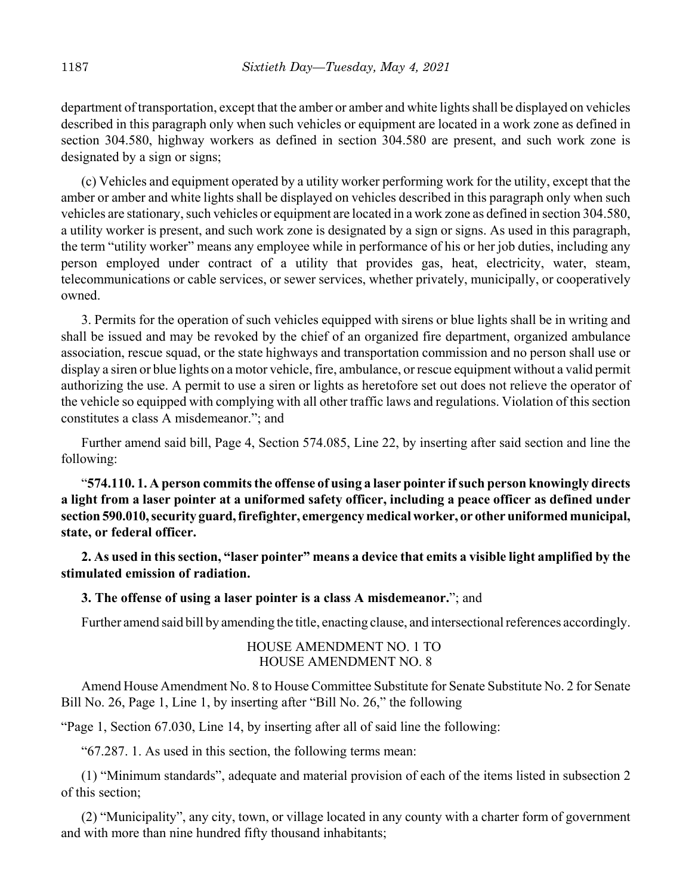department of transportation, except that the amber or amber and white lights shall be displayed on vehicles described in this paragraph only when such vehicles or equipment are located in a work zone as defined in section 304.580, highway workers as defined in section 304.580 are present, and such work zone is designated by a sign or signs;

(c) Vehicles and equipment operated by a utility worker performing work for the utility, except that the amber or amber and white lights shall be displayed on vehicles described in this paragraph only when such vehicles are stationary, such vehicles or equipment are located in a work zone as defined in section 304.580, a utility worker is present, and such work zone is designated by a sign or signs. As used in this paragraph, the term "utility worker" means any employee while in performance of his or her job duties, including any person employed under contract of a utility that provides gas, heat, electricity, water, steam, telecommunications or cable services, or sewer services, whether privately, municipally, or cooperatively owned.

3. Permits for the operation of such vehicles equipped with sirens or blue lights shall be in writing and shall be issued and may be revoked by the chief of an organized fire department, organized ambulance association, rescue squad, or the state highways and transportation commission and no person shall use or display a siren or blue lights on a motor vehicle, fire, ambulance, or rescue equipment without a valid permit authorizing the use. A permit to use a siren or lights as heretofore set out does not relieve the operator of the vehicle so equipped with complying with all other traffic laws and regulations. Violation of this section constitutes a class A misdemeanor."; and

Further amend said bill, Page 4, Section 574.085, Line 22, by inserting after said section and line the following:

"**574.110. 1. A person commits the offense of using a laser pointer if such person knowingly directs a light from a laser pointer at a uniformed safety officer, including a peace officer as defined under section 590.010, security guard, firefighter, emergency medical worker, or other uniformed municipal, state, or federal officer.**

**2. As used in this section, "laser pointer" means a device that emits a visible light amplified by the stimulated emission of radiation.**

## **3. The offense of using a laser pointer is a class A misdemeanor.**"; and

Further amend said bill by amending the title, enacting clause, and intersectional references accordingly.

# HOUSE AMENDMENT NO. 1 TO HOUSE AMENDMENT NO. 8

Amend House Amendment No. 8 to House Committee Substitute for Senate Substitute No. 2 for Senate Bill No. 26, Page 1, Line 1, by inserting after "Bill No. 26," the following

"Page 1, Section 67.030, Line 14, by inserting after all of said line the following:

"67.287. 1. As used in this section, the following terms mean:

(1) "Minimum standards", adequate and material provision of each of the items listed in subsection 2 of this section;

(2) "Municipality", any city, town, or village located in any county with a charter form of government and with more than nine hundred fifty thousand inhabitants;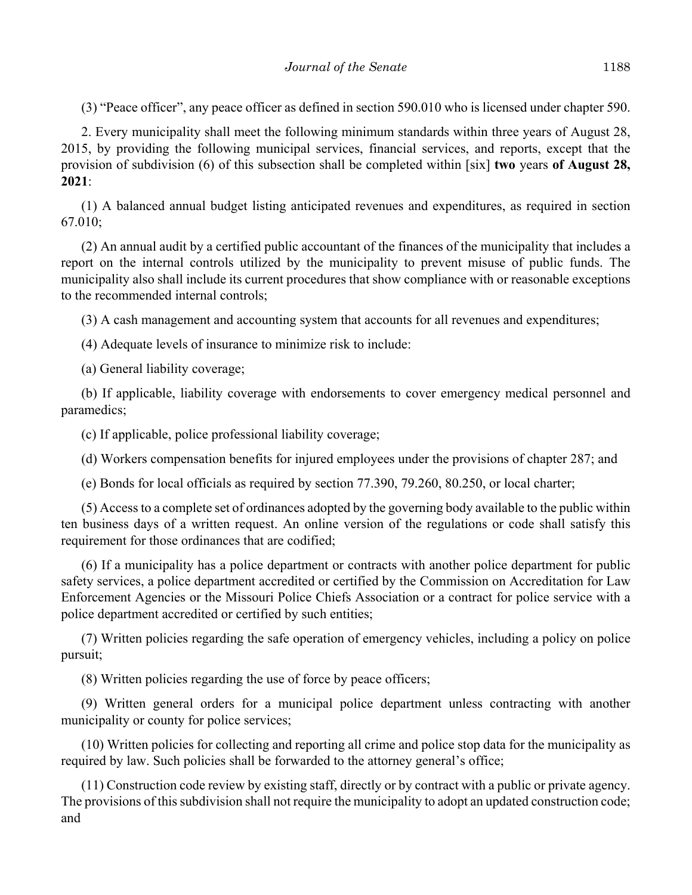(3) "Peace officer", any peace officer as defined in section 590.010 who is licensed under chapter 590.

2. Every municipality shall meet the following minimum standards within three years of August 28, 2015, by providing the following municipal services, financial services, and reports, except that the provision of subdivision (6) of this subsection shall be completed within [six] **two** years **of August 28, 2021**:

(1) A balanced annual budget listing anticipated revenues and expenditures, as required in section 67.010;

(2) An annual audit by a certified public accountant of the finances of the municipality that includes a report on the internal controls utilized by the municipality to prevent misuse of public funds. The municipality also shall include its current procedures that show compliance with or reasonable exceptions to the recommended internal controls;

(3) A cash management and accounting system that accounts for all revenues and expenditures;

(4) Adequate levels of insurance to minimize risk to include:

(a) General liability coverage;

(b) If applicable, liability coverage with endorsements to cover emergency medical personnel and paramedics;

(c) If applicable, police professional liability coverage;

(d) Workers compensation benefits for injured employees under the provisions of chapter 287; and

(e) Bonds for local officials as required by section 77.390, 79.260, 80.250, or local charter;

(5) Access to a complete set of ordinances adopted by the governing body available to the public within ten business days of a written request. An online version of the regulations or code shall satisfy this requirement for those ordinances that are codified;

(6) If a municipality has a police department or contracts with another police department for public safety services, a police department accredited or certified by the Commission on Accreditation for Law Enforcement Agencies or the Missouri Police Chiefs Association or a contract for police service with a police department accredited or certified by such entities;

(7) Written policies regarding the safe operation of emergency vehicles, including a policy on police pursuit;

(8) Written policies regarding the use of force by peace officers;

(9) Written general orders for a municipal police department unless contracting with another municipality or county for police services;

(10) Written policies for collecting and reporting all crime and police stop data for the municipality as required by law. Such policies shall be forwarded to the attorney general's office;

(11) Construction code review by existing staff, directly or by contract with a public or private agency. The provisions of this subdivision shall not require the municipality to adopt an updated construction code; and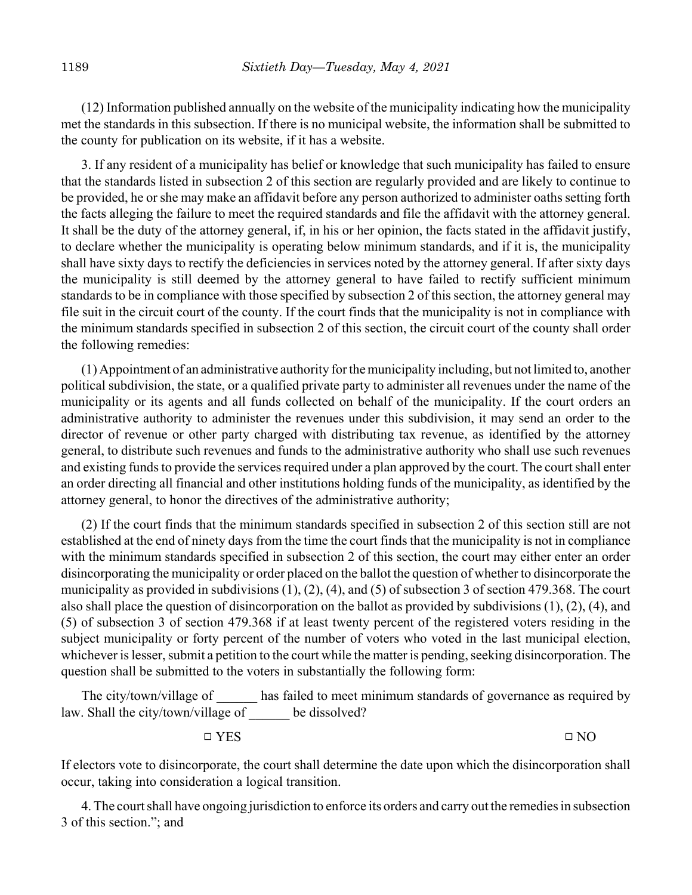(12) Information published annually on the website of the municipality indicating how the municipality met the standards in this subsection. If there is no municipal website, the information shall be submitted to the county for publication on its website, if it has a website.

3. If any resident of a municipality has belief or knowledge that such municipality has failed to ensure that the standards listed in subsection 2 of this section are regularly provided and are likely to continue to be provided, he or she may make an affidavit before any person authorized to administer oaths setting forth the facts alleging the failure to meet the required standards and file the affidavit with the attorney general. It shall be the duty of the attorney general, if, in his or her opinion, the facts stated in the affidavit justify, to declare whether the municipality is operating below minimum standards, and if it is, the municipality shall have sixty days to rectify the deficiencies in services noted by the attorney general. If after sixty days the municipality is still deemed by the attorney general to have failed to rectify sufficient minimum standards to be in compliance with those specified by subsection 2 of this section, the attorney general may file suit in the circuit court of the county. If the court finds that the municipality is not in compliance with the minimum standards specified in subsection 2 of this section, the circuit court of the county shall order the following remedies:

(1) Appointment of an administrative authority for the municipality including, but not limited to, another political subdivision, the state, or a qualified private party to administer all revenues under the name of the municipality or its agents and all funds collected on behalf of the municipality. If the court orders an administrative authority to administer the revenues under this subdivision, it may send an order to the director of revenue or other party charged with distributing tax revenue, as identified by the attorney general, to distribute such revenues and funds to the administrative authority who shall use such revenues and existing funds to provide the services required under a plan approved by the court. The court shall enter an order directing all financial and other institutions holding funds of the municipality, as identified by the attorney general, to honor the directives of the administrative authority;

(2) If the court finds that the minimum standards specified in subsection 2 of this section still are not established at the end of ninety days from the time the court finds that the municipality is not in compliance with the minimum standards specified in subsection 2 of this section, the court may either enter an order disincorporating the municipality or order placed on the ballot the question of whether to disincorporate the municipality as provided in subdivisions (1), (2), (4), and (5) of subsection 3 of section 479.368. The court also shall place the question of disincorporation on the ballot as provided by subdivisions (1), (2), (4), and (5) of subsection 3 of section 479.368 if at least twenty percent of the registered voters residing in the subject municipality or forty percent of the number of voters who voted in the last municipal election, whichever is lesser, submit a petition to the court while the matter is pending, seeking disincorporation. The question shall be submitted to the voters in substantially the following form:

The city/town/village of has failed to meet minimum standards of governance as required by law. Shall the city/town/village of be dissolved?

$$
\Box \text{ } \text{YES} \qquad \Box \text{ } \text{NO}
$$

If electors vote to disincorporate, the court shall determine the date upon which the disincorporation shall occur, taking into consideration a logical transition.

4. The court shall have ongoing jurisdiction to enforce its orders and carry out the remedies in subsection 3 of this section."; and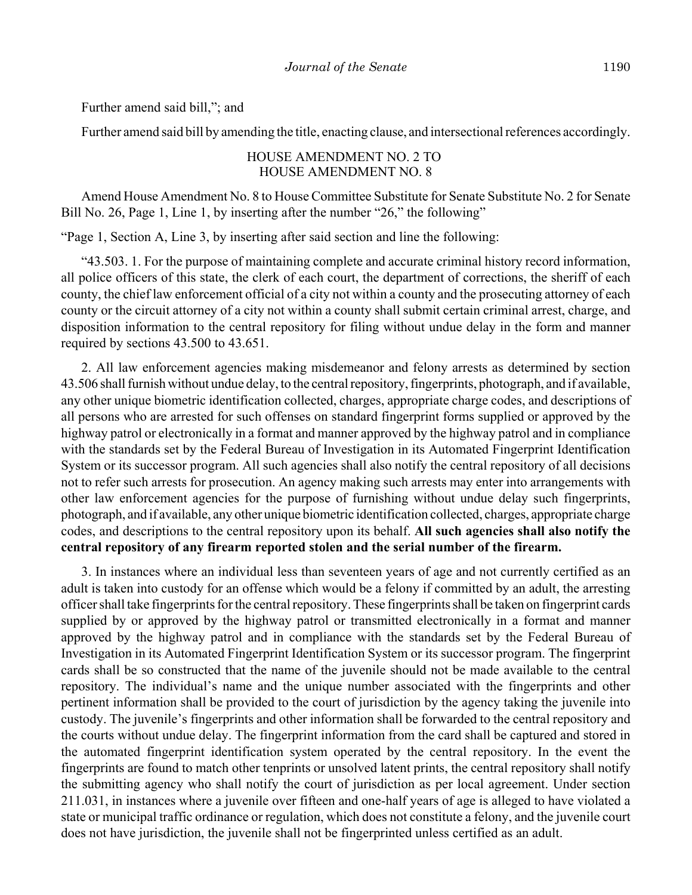Further amend said bill,"; and

Further amend said bill by amending the title, enacting clause, and intersectional references accordingly.

HOUSE AMENDMENT NO. 2 TO HOUSE AMENDMENT NO. 8

Amend House Amendment No. 8 to House Committee Substitute for Senate Substitute No. 2 for Senate Bill No. 26, Page 1, Line 1, by inserting after the number "26," the following"

"Page 1, Section A, Line 3, by inserting after said section and line the following:

"43.503. 1. For the purpose of maintaining complete and accurate criminal history record information, all police officers of this state, the clerk of each court, the department of corrections, the sheriff of each county, the chief law enforcement official of a city not within a county and the prosecuting attorney of each county or the circuit attorney of a city not within a county shall submit certain criminal arrest, charge, and disposition information to the central repository for filing without undue delay in the form and manner required by sections 43.500 to 43.651.

2. All law enforcement agencies making misdemeanor and felony arrests as determined by section 43.506 shall furnish without undue delay, to the central repository, fingerprints, photograph, and if available, any other unique biometric identification collected, charges, appropriate charge codes, and descriptions of all persons who are arrested for such offenses on standard fingerprint forms supplied or approved by the highway patrol or electronically in a format and manner approved by the highway patrol and in compliance with the standards set by the Federal Bureau of Investigation in its Automated Fingerprint Identification System or its successor program. All such agencies shall also notify the central repository of all decisions not to refer such arrests for prosecution. An agency making such arrests may enter into arrangements with other law enforcement agencies for the purpose of furnishing without undue delay such fingerprints, photograph, and if available, any other unique biometric identification collected, charges, appropriate charge codes, and descriptions to the central repository upon its behalf. **All such agencies shall also notify the central repository of any firearm reported stolen and the serial number of the firearm.**

3. In instances where an individual less than seventeen years of age and not currently certified as an adult is taken into custody for an offense which would be a felony if committed by an adult, the arresting officer shall take fingerprints for the central repository. These fingerprints shall be taken on fingerprint cards supplied by or approved by the highway patrol or transmitted electronically in a format and manner approved by the highway patrol and in compliance with the standards set by the Federal Bureau of Investigation in its Automated Fingerprint Identification System or its successor program. The fingerprint cards shall be so constructed that the name of the juvenile should not be made available to the central repository. The individual's name and the unique number associated with the fingerprints and other pertinent information shall be provided to the court of jurisdiction by the agency taking the juvenile into custody. The juvenile's fingerprints and other information shall be forwarded to the central repository and the courts without undue delay. The fingerprint information from the card shall be captured and stored in the automated fingerprint identification system operated by the central repository. In the event the fingerprints are found to match other tenprints or unsolved latent prints, the central repository shall notify the submitting agency who shall notify the court of jurisdiction as per local agreement. Under section 211.031, in instances where a juvenile over fifteen and one-half years of age is alleged to have violated a state or municipal traffic ordinance or regulation, which does not constitute a felony, and the juvenile court does not have jurisdiction, the juvenile shall not be fingerprinted unless certified as an adult.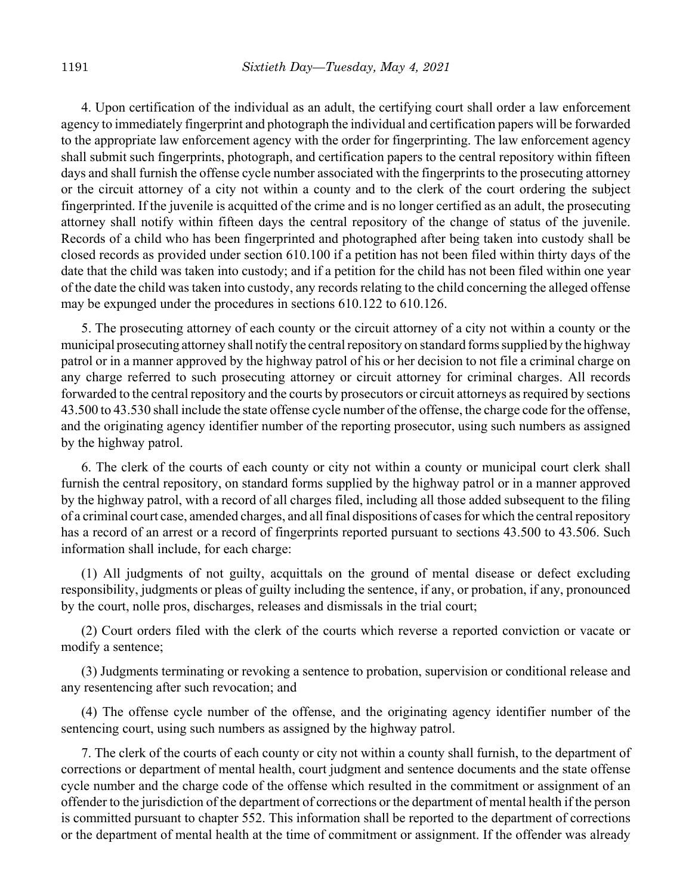4. Upon certification of the individual as an adult, the certifying court shall order a law enforcement agency to immediately fingerprint and photograph the individual and certification papers will be forwarded to the appropriate law enforcement agency with the order for fingerprinting. The law enforcement agency shall submit such fingerprints, photograph, and certification papers to the central repository within fifteen days and shall furnish the offense cycle number associated with the fingerprints to the prosecuting attorney or the circuit attorney of a city not within a county and to the clerk of the court ordering the subject fingerprinted. If the juvenile is acquitted of the crime and is no longer certified as an adult, the prosecuting attorney shall notify within fifteen days the central repository of the change of status of the juvenile. Records of a child who has been fingerprinted and photographed after being taken into custody shall be closed records as provided under section 610.100 if a petition has not been filed within thirty days of the date that the child was taken into custody; and if a petition for the child has not been filed within one year of the date the child was taken into custody, any records relating to the child concerning the alleged offense may be expunged under the procedures in sections 610.122 to 610.126.

5. The prosecuting attorney of each county or the circuit attorney of a city not within a county or the municipal prosecuting attorney shall notify the central repository on standard forms supplied by the highway patrol or in a manner approved by the highway patrol of his or her decision to not file a criminal charge on any charge referred to such prosecuting attorney or circuit attorney for criminal charges. All records forwarded to the central repository and the courts by prosecutors or circuit attorneys as required by sections 43.500 to 43.530 shall include the state offense cycle number of the offense, the charge code for the offense, and the originating agency identifier number of the reporting prosecutor, using such numbers as assigned by the highway patrol.

6. The clerk of the courts of each county or city not within a county or municipal court clerk shall furnish the central repository, on standard forms supplied by the highway patrol or in a manner approved by the highway patrol, with a record of all charges filed, including all those added subsequent to the filing of a criminal court case, amended charges, and all final dispositions of cases for which the central repository has a record of an arrest or a record of fingerprints reported pursuant to sections 43.500 to 43.506. Such information shall include, for each charge:

(1) All judgments of not guilty, acquittals on the ground of mental disease or defect excluding responsibility, judgments or pleas of guilty including the sentence, if any, or probation, if any, pronounced by the court, nolle pros, discharges, releases and dismissals in the trial court;

(2) Court orders filed with the clerk of the courts which reverse a reported conviction or vacate or modify a sentence;

(3) Judgments terminating or revoking a sentence to probation, supervision or conditional release and any resentencing after such revocation; and

(4) The offense cycle number of the offense, and the originating agency identifier number of the sentencing court, using such numbers as assigned by the highway patrol.

7. The clerk of the courts of each county or city not within a county shall furnish, to the department of corrections or department of mental health, court judgment and sentence documents and the state offense cycle number and the charge code of the offense which resulted in the commitment or assignment of an offender to the jurisdiction of the department of corrections or the department of mental health if the person is committed pursuant to chapter 552. This information shall be reported to the department of corrections or the department of mental health at the time of commitment or assignment. If the offender was already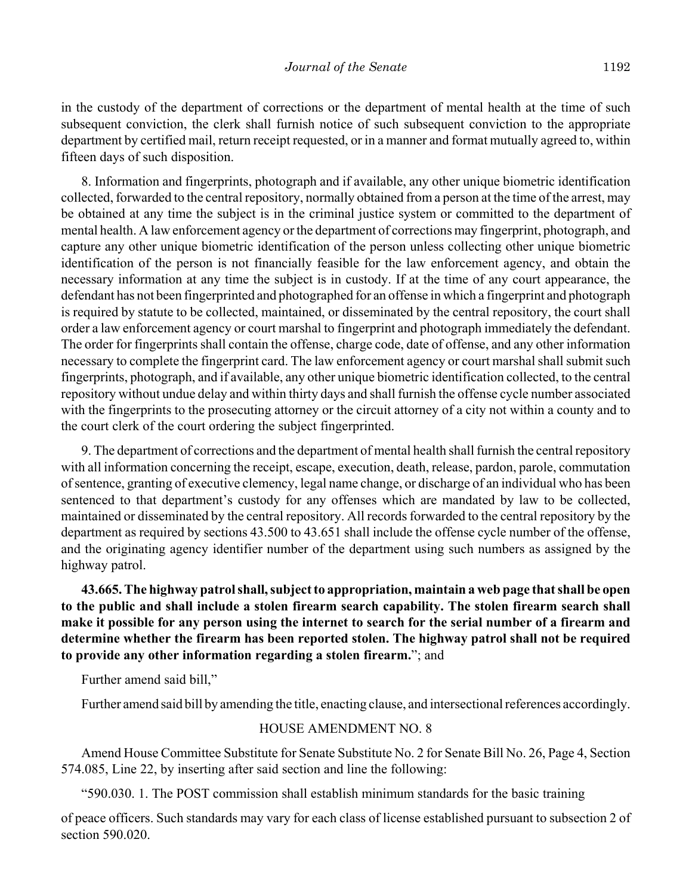in the custody of the department of corrections or the department of mental health at the time of such subsequent conviction, the clerk shall furnish notice of such subsequent conviction to the appropriate department by certified mail, return receipt requested, or in a manner and format mutually agreed to, within fifteen days of such disposition.

8. Information and fingerprints, photograph and if available, any other unique biometric identification collected, forwarded to the central repository, normally obtained from a person at the time of the arrest, may be obtained at any time the subject is in the criminal justice system or committed to the department of mental health. A law enforcement agency or the department of corrections may fingerprint, photograph, and capture any other unique biometric identification of the person unless collecting other unique biometric identification of the person is not financially feasible for the law enforcement agency, and obtain the necessary information at any time the subject is in custody. If at the time of any court appearance, the defendant has not been fingerprinted and photographed for an offense in which a fingerprint and photograph is required by statute to be collected, maintained, or disseminated by the central repository, the court shall order a law enforcement agency or court marshal to fingerprint and photograph immediately the defendant. The order for fingerprints shall contain the offense, charge code, date of offense, and any other information necessary to complete the fingerprint card. The law enforcement agency or court marshal shall submit such fingerprints, photograph, and if available, any other unique biometric identification collected, to the central repository without undue delay and within thirty days and shall furnish the offense cycle number associated with the fingerprints to the prosecuting attorney or the circuit attorney of a city not within a county and to the court clerk of the court ordering the subject fingerprinted.

9. The department of corrections and the department of mental health shall furnish the central repository with all information concerning the receipt, escape, execution, death, release, pardon, parole, commutation of sentence, granting of executive clemency, legal name change, or discharge of an individual who has been sentenced to that department's custody for any offenses which are mandated by law to be collected, maintained or disseminated by the central repository. All records forwarded to the central repository by the department as required by sections 43.500 to 43.651 shall include the offense cycle number of the offense, and the originating agency identifier number of the department using such numbers as assigned by the highway patrol.

**43.665. The highway patrol shall, subject to appropriation, maintain a web page that shall be open to the public and shall include a stolen firearm search capability. The stolen firearm search shall make it possible for any person using the internet to search for the serial number of a firearm and determine whether the firearm has been reported stolen. The highway patrol shall not be required to provide any other information regarding a stolen firearm.**"; and

Further amend said bill,"

Further amend said bill by amending the title, enacting clause, and intersectional references accordingly.

## HOUSE AMENDMENT NO. 8

Amend House Committee Substitute for Senate Substitute No. 2 for Senate Bill No. 26, Page 4, Section 574.085, Line 22, by inserting after said section and line the following:

"590.030. 1. The POST commission shall establish minimum standards for the basic training

of peace officers. Such standards may vary for each class of license established pursuant to subsection 2 of section 590.020.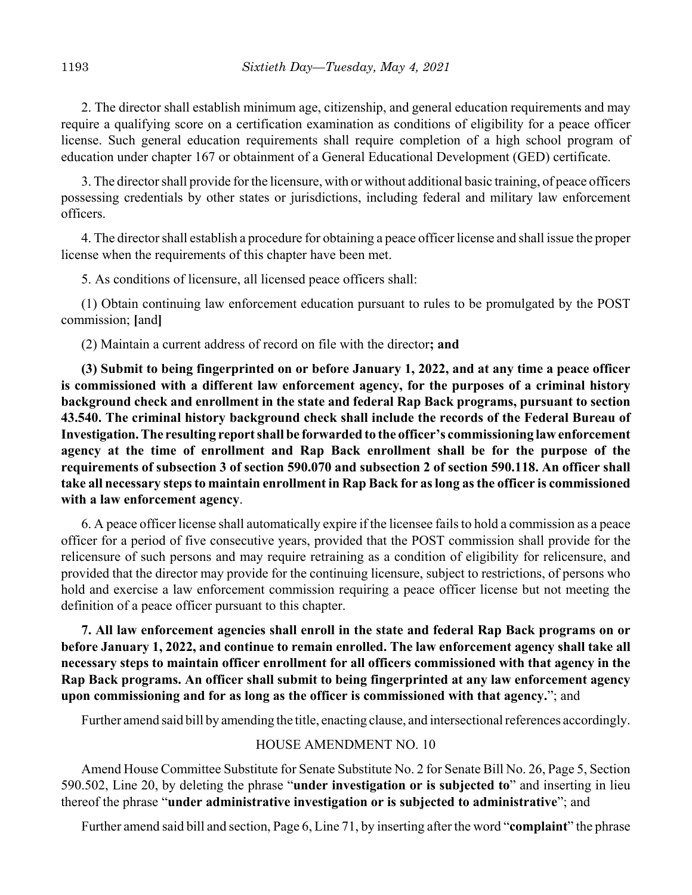2. The director shall establish minimum age, citizenship, and general education requirements and may require a qualifying score on a certification examination as conditions of eligibility for a peace officer license. Such general education requirements shall require completion of a high school program of education under chapter 167 or obtainment of a General Educational Development (GED) certificate.

3. The director shall provide for the licensure, with or without additional basic training, of peace officers possessing credentials by other states or jurisdictions, including federal and military law enforcement officers.

4. The director shall establish a procedure for obtaining a peace officer license and shall issue the proper license when the requirements of this chapter have been met.

5. As conditions of licensure, all licensed peace officers shall:

(1) Obtain continuing law enforcement education pursuant to rules to be promulgated by the POST commission; **[**and**]**

(2) Maintain a current address of record on file with the director**; and**

**(3) Submit to being fingerprinted on or before January 1, 2022, and at any time a peace officer is commissioned with a different law enforcement agency, for the purposes of a criminal history background check and enrollment in the state and federal Rap Back programs, pursuant to section 43.540. The criminal history background check shall include the records of the Federal Bureau of Investigation. The resulting report shall be forwarded to the officer's commissioning law enforcement agency at the time of enrollment and Rap Back enrollment shall be for the purpose of the requirements of subsection 3 of section 590.070 and subsection 2 of section 590.118. An officer shall take all necessary steps to maintain enrollment in Rap Back for as long as the officer is commissioned with a law enforcement agency**.

6. A peace officer license shall automatically expire if the licensee fails to hold a commission as a peace officer for a period of five consecutive years, provided that the POST commission shall provide for the relicensure of such persons and may require retraining as a condition of eligibility for relicensure, and provided that the director may provide for the continuing licensure, subject to restrictions, of persons who hold and exercise a law enforcement commission requiring a peace officer license but not meeting the definition of a peace officer pursuant to this chapter.

**7. All law enforcement agencies shall enroll in the state and federal Rap Back programs on or before January 1, 2022, and continue to remain enrolled. The law enforcement agency shall take all necessary steps to maintain officer enrollment for all officers commissioned with that agency in the Rap Back programs. An officer shall submit to being fingerprinted at any law enforcement agency upon commissioning and for as long as the officer is commissioned with that agency.**"; and

Further amend said bill by amending the title, enacting clause, and intersectional references accordingly.

# HOUSE AMENDMENT NO. 10

Amend House Committee Substitute for Senate Substitute No. 2 for Senate Bill No. 26, Page 5, Section 590.502, Line 20, by deleting the phrase "**under investigation or is subjected to**" and inserting in lieu thereof the phrase "**under administrative investigation or is subjected to administrative**"; and

Further amend said bill and section, Page 6, Line 71, by inserting after the word "**complaint**" the phrase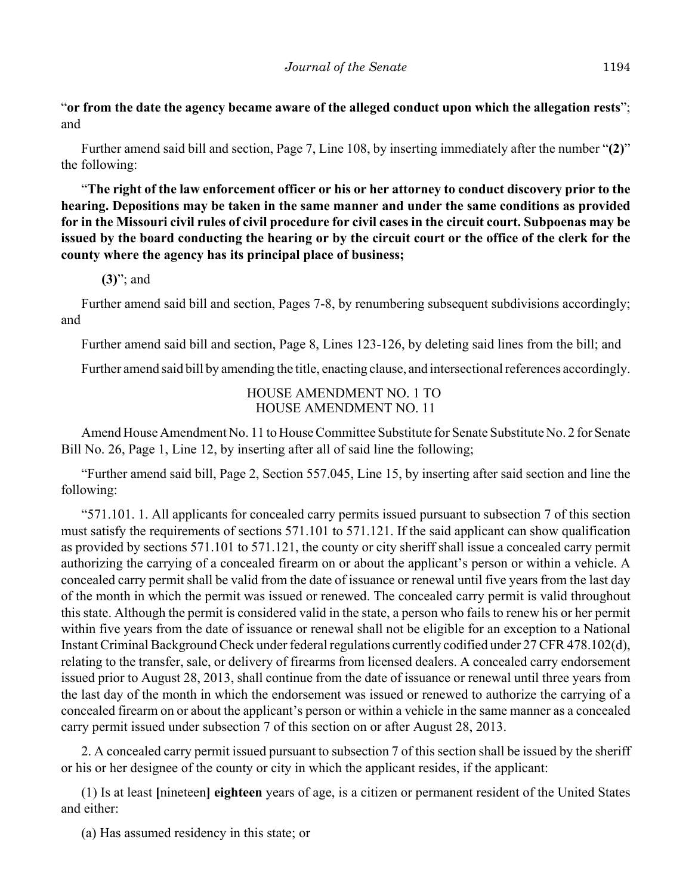"**or from the date the agency became aware of the alleged conduct upon which the allegation rests**"; and

Further amend said bill and section, Page 7, Line 108, by inserting immediately after the number "**(2)**" the following:

"**The right of the law enforcement officer or his or her attorney to conduct discovery prior to the hearing. Depositions may be taken in the same manner and under the same conditions as provided for in the Missouri civil rules of civil procedure for civil cases in the circuit court. Subpoenas may be issued by the board conducting the hearing or by the circuit court or the office of the clerk for the county where the agency has its principal place of business;**

**(3)**"; and

Further amend said bill and section, Pages 7-8, by renumbering subsequent subdivisions accordingly; and

Further amend said bill and section, Page 8, Lines 123-126, by deleting said lines from the bill; and

Further amend said bill by amending the title, enacting clause, and intersectional references accordingly.

HOUSE AMENDMENT NO. 1 TO HOUSE AMENDMENT NO. 11

Amend House Amendment No. 11 to House Committee Substitute for Senate Substitute No. 2 for Senate Bill No. 26, Page 1, Line 12, by inserting after all of said line the following;

"Further amend said bill, Page 2, Section 557.045, Line 15, by inserting after said section and line the following:

"571.101. 1. All applicants for concealed carry permits issued pursuant to subsection 7 of this section must satisfy the requirements of sections 571.101 to 571.121. If the said applicant can show qualification as provided by sections 571.101 to 571.121, the county or city sheriff shall issue a concealed carry permit authorizing the carrying of a concealed firearm on or about the applicant's person or within a vehicle. A concealed carry permit shall be valid from the date of issuance or renewal until five years from the last day of the month in which the permit was issued or renewed. The concealed carry permit is valid throughout this state. Although the permit is considered valid in the state, a person who fails to renew his or her permit within five years from the date of issuance or renewal shall not be eligible for an exception to a National Instant Criminal Background Check under federal regulations currently codified under 27 CFR 478.102(d), relating to the transfer, sale, or delivery of firearms from licensed dealers. A concealed carry endorsement issued prior to August 28, 2013, shall continue from the date of issuance or renewal until three years from the last day of the month in which the endorsement was issued or renewed to authorize the carrying of a concealed firearm on or about the applicant's person or within a vehicle in the same manner as a concealed carry permit issued under subsection 7 of this section on or after August 28, 2013.

2. A concealed carry permit issued pursuant to subsection 7 of this section shall be issued by the sheriff or his or her designee of the county or city in which the applicant resides, if the applicant:

(1) Is at least **[**nineteen**] eighteen** years of age, is a citizen or permanent resident of the United States and either:

(a) Has assumed residency in this state; or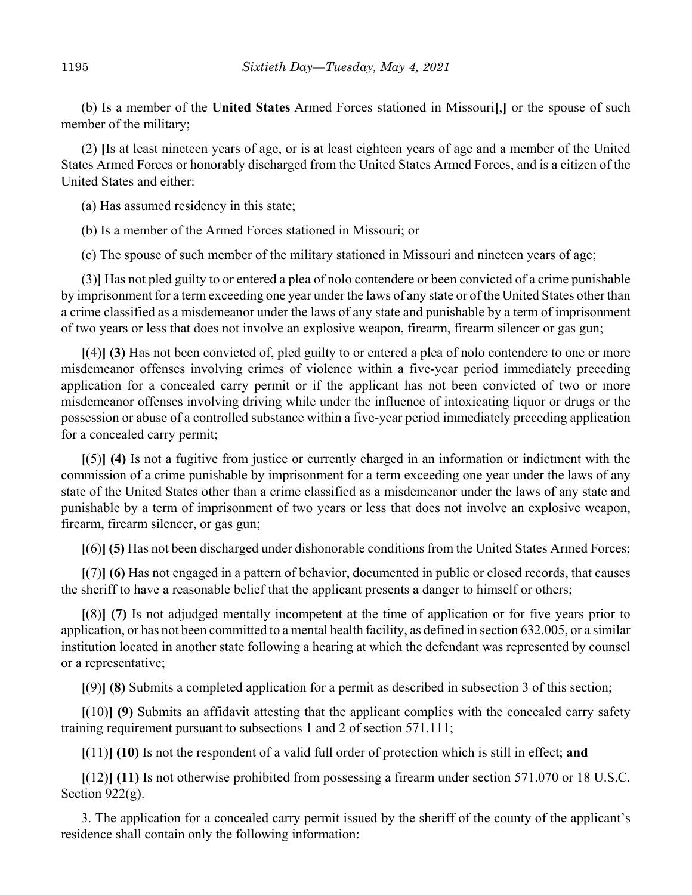(b) Is a member of the **United States** Armed Forces stationed in Missouri**[**,**]** or the spouse of such member of the military;

(2) **[**Is at least nineteen years of age, or is at least eighteen years of age and a member of the United States Armed Forces or honorably discharged from the United States Armed Forces, and is a citizen of the United States and either:

(a) Has assumed residency in this state;

(b) Is a member of the Armed Forces stationed in Missouri; or

(c) The spouse of such member of the military stationed in Missouri and nineteen years of age;

(3)**]** Has not pled guilty to or entered a plea of nolo contendere or been convicted of a crime punishable by imprisonment for a term exceeding one year under the laws of any state or of the United States other than a crime classified as a misdemeanor under the laws of any state and punishable by a term of imprisonment of two years or less that does not involve an explosive weapon, firearm, firearm silencer or gas gun;

**[**(4)**] (3)** Has not been convicted of, pled guilty to or entered a plea of nolo contendere to one or more misdemeanor offenses involving crimes of violence within a five-year period immediately preceding application for a concealed carry permit or if the applicant has not been convicted of two or more misdemeanor offenses involving driving while under the influence of intoxicating liquor or drugs or the possession or abuse of a controlled substance within a five-year period immediately preceding application for a concealed carry permit;

**[**(5)**] (4)** Is not a fugitive from justice or currently charged in an information or indictment with the commission of a crime punishable by imprisonment for a term exceeding one year under the laws of any state of the United States other than a crime classified as a misdemeanor under the laws of any state and punishable by a term of imprisonment of two years or less that does not involve an explosive weapon, firearm, firearm silencer, or gas gun;

**[**(6)**] (5)** Has not been discharged under dishonorable conditions from the United States Armed Forces;

**[**(7)**] (6)** Has not engaged in a pattern of behavior, documented in public or closed records, that causes the sheriff to have a reasonable belief that the applicant presents a danger to himself or others;

**[**(8)**] (7)** Is not adjudged mentally incompetent at the time of application or for five years prior to application, or has not been committed to a mental health facility, as defined in section 632.005, or a similar institution located in another state following a hearing at which the defendant was represented by counsel or a representative;

**[**(9)**] (8)** Submits a completed application for a permit as described in subsection 3 of this section;

**[**(10)**] (9)** Submits an affidavit attesting that the applicant complies with the concealed carry safety training requirement pursuant to subsections 1 and 2 of section 571.111;

**[**(11)**] (10)** Is not the respondent of a valid full order of protection which is still in effect; **and**

**[**(12)**] (11)** Is not otherwise prohibited from possessing a firearm under section 571.070 or 18 U.S.C. Section 922(g).

3. The application for a concealed carry permit issued by the sheriff of the county of the applicant's residence shall contain only the following information: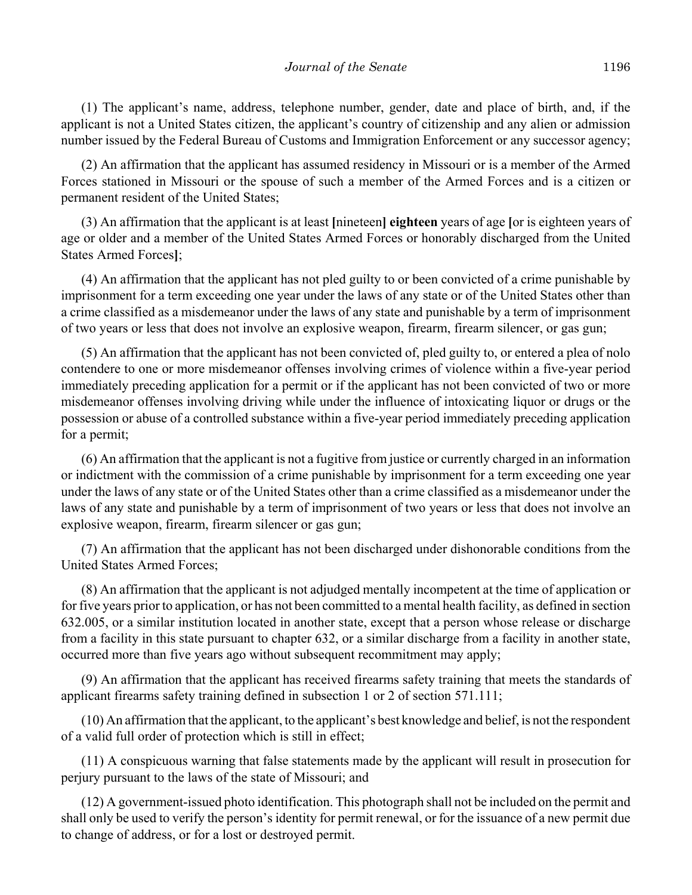(1) The applicant's name, address, telephone number, gender, date and place of birth, and, if the applicant is not a United States citizen, the applicant's country of citizenship and any alien or admission number issued by the Federal Bureau of Customs and Immigration Enforcement or any successor agency;

(2) An affirmation that the applicant has assumed residency in Missouri or is a member of the Armed Forces stationed in Missouri or the spouse of such a member of the Armed Forces and is a citizen or permanent resident of the United States;

(3) An affirmation that the applicant is at least **[**nineteen**] eighteen** years of age **[**or is eighteen years of age or older and a member of the United States Armed Forces or honorably discharged from the United States Armed Forces**]**;

(4) An affirmation that the applicant has not pled guilty to or been convicted of a crime punishable by imprisonment for a term exceeding one year under the laws of any state or of the United States other than a crime classified as a misdemeanor under the laws of any state and punishable by a term of imprisonment of two years or less that does not involve an explosive weapon, firearm, firearm silencer, or gas gun;

(5) An affirmation that the applicant has not been convicted of, pled guilty to, or entered a plea of nolo contendere to one or more misdemeanor offenses involving crimes of violence within a five-year period immediately preceding application for a permit or if the applicant has not been convicted of two or more misdemeanor offenses involving driving while under the influence of intoxicating liquor or drugs or the possession or abuse of a controlled substance within a five-year period immediately preceding application for a permit;

(6) An affirmation that the applicant is not a fugitive from justice or currently charged in an information or indictment with the commission of a crime punishable by imprisonment for a term exceeding one year under the laws of any state or of the United States other than a crime classified as a misdemeanor under the laws of any state and punishable by a term of imprisonment of two years or less that does not involve an explosive weapon, firearm, firearm silencer or gas gun;

(7) An affirmation that the applicant has not been discharged under dishonorable conditions from the United States Armed Forces;

(8) An affirmation that the applicant is not adjudged mentally incompetent at the time of application or for five years prior to application, or has not been committed to a mental health facility, as defined in section 632.005, or a similar institution located in another state, except that a person whose release or discharge from a facility in this state pursuant to chapter 632, or a similar discharge from a facility in another state, occurred more than five years ago without subsequent recommitment may apply;

(9) An affirmation that the applicant has received firearms safety training that meets the standards of applicant firearms safety training defined in subsection 1 or 2 of section 571.111;

(10) An affirmation that the applicant, to the applicant's best knowledge and belief, is not the respondent of a valid full order of protection which is still in effect;

(11) A conspicuous warning that false statements made by the applicant will result in prosecution for perjury pursuant to the laws of the state of Missouri; and

(12) A government-issued photo identification. This photograph shall not be included on the permit and shall only be used to verify the person's identity for permit renewal, or for the issuance of a new permit due to change of address, or for a lost or destroyed permit.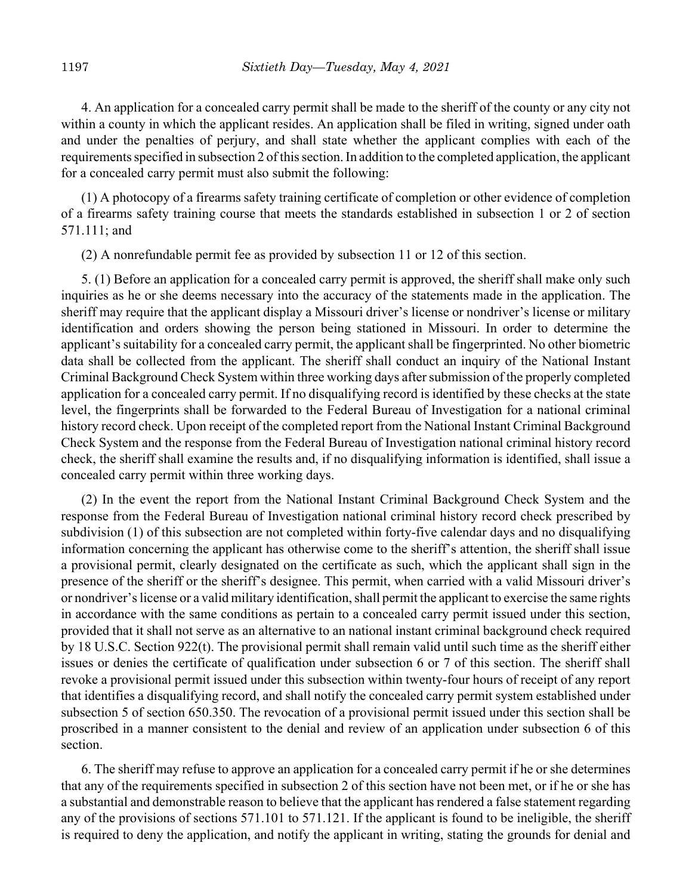4. An application for a concealed carry permit shall be made to the sheriff of the county or any city not within a county in which the applicant resides. An application shall be filed in writing, signed under oath and under the penalties of perjury, and shall state whether the applicant complies with each of the requirements specified in subsection 2 of this section. In addition to the completed application, the applicant for a concealed carry permit must also submit the following:

(1) A photocopy of a firearms safety training certificate of completion or other evidence of completion of a firearms safety training course that meets the standards established in subsection 1 or 2 of section 571.111; and

(2) A nonrefundable permit fee as provided by subsection 11 or 12 of this section.

5. (1) Before an application for a concealed carry permit is approved, the sheriff shall make only such inquiries as he or she deems necessary into the accuracy of the statements made in the application. The sheriff may require that the applicant display a Missouri driver's license or nondriver's license or military identification and orders showing the person being stationed in Missouri. In order to determine the applicant's suitability for a concealed carry permit, the applicant shall be fingerprinted. No other biometric data shall be collected from the applicant. The sheriff shall conduct an inquiry of the National Instant Criminal Background Check System within three working days after submission of the properly completed application for a concealed carry permit. If no disqualifying record is identified by these checks at the state level, the fingerprints shall be forwarded to the Federal Bureau of Investigation for a national criminal history record check. Upon receipt of the completed report from the National Instant Criminal Background Check System and the response from the Federal Bureau of Investigation national criminal history record check, the sheriff shall examine the results and, if no disqualifying information is identified, shall issue a concealed carry permit within three working days.

(2) In the event the report from the National Instant Criminal Background Check System and the response from the Federal Bureau of Investigation national criminal history record check prescribed by subdivision (1) of this subsection are not completed within forty-five calendar days and no disqualifying information concerning the applicant has otherwise come to the sheriff's attention, the sheriff shall issue a provisional permit, clearly designated on the certificate as such, which the applicant shall sign in the presence of the sheriff or the sheriff's designee. This permit, when carried with a valid Missouri driver's or nondriver's license or a valid military identification, shall permit the applicant to exercise the same rights in accordance with the same conditions as pertain to a concealed carry permit issued under this section, provided that it shall not serve as an alternative to an national instant criminal background check required by 18 U.S.C. Section 922(t). The provisional permit shall remain valid until such time as the sheriff either issues or denies the certificate of qualification under subsection 6 or 7 of this section. The sheriff shall revoke a provisional permit issued under this subsection within twenty-four hours of receipt of any report that identifies a disqualifying record, and shall notify the concealed carry permit system established under subsection 5 of section 650.350. The revocation of a provisional permit issued under this section shall be proscribed in a manner consistent to the denial and review of an application under subsection 6 of this section.

6. The sheriff may refuse to approve an application for a concealed carry permit if he or she determines that any of the requirements specified in subsection 2 of this section have not been met, or if he or she has a substantial and demonstrable reason to believe that the applicant has rendered a false statement regarding any of the provisions of sections 571.101 to 571.121. If the applicant is found to be ineligible, the sheriff is required to deny the application, and notify the applicant in writing, stating the grounds for denial and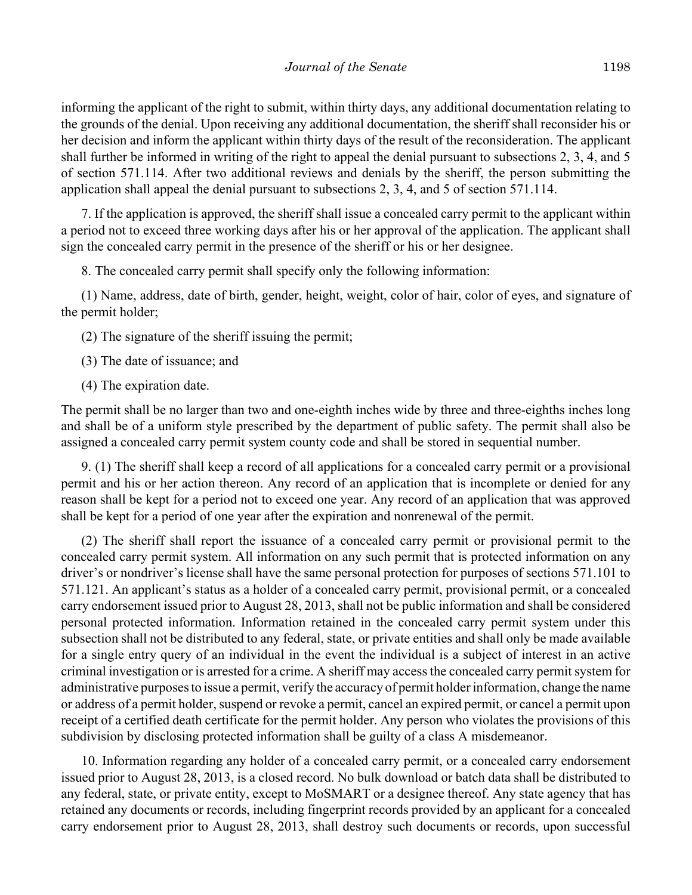informing the applicant of the right to submit, within thirty days, any additional documentation relating to the grounds of the denial. Upon receiving any additional documentation, the sheriff shall reconsider his or her decision and inform the applicant within thirty days of the result of the reconsideration. The applicant shall further be informed in writing of the right to appeal the denial pursuant to subsections 2, 3, 4, and 5 of section 571.114. After two additional reviews and denials by the sheriff, the person submitting the application shall appeal the denial pursuant to subsections 2, 3, 4, and 5 of section 571.114.

7. If the application is approved, the sheriff shall issue a concealed carry permit to the applicant within a period not to exceed three working days after his or her approval of the application. The applicant shall sign the concealed carry permit in the presence of the sheriff or his or her designee.

8. The concealed carry permit shall specify only the following information:

(1) Name, address, date of birth, gender, height, weight, color of hair, color of eyes, and signature of the permit holder;

(2) The signature of the sheriff issuing the permit;

(3) The date of issuance; and

(4) The expiration date.

The permit shall be no larger than two and one-eighth inches wide by three and three-eighths inches long and shall be of a uniform style prescribed by the department of public safety. The permit shall also be assigned a concealed carry permit system county code and shall be stored in sequential number.

9. (1) The sheriff shall keep a record of all applications for a concealed carry permit or a provisional permit and his or her action thereon. Any record of an application that is incomplete or denied for any reason shall be kept for a period not to exceed one year. Any record of an application that was approved shall be kept for a period of one year after the expiration and nonrenewal of the permit.

(2) The sheriff shall report the issuance of a concealed carry permit or provisional permit to the concealed carry permit system. All information on any such permit that is protected information on any driver's or nondriver's license shall have the same personal protection for purposes of sections 571.101 to 571.121. An applicant's status as a holder of a concealed carry permit, provisional permit, or a concealed carry endorsement issued prior to August 28, 2013, shall not be public information and shall be considered personal protected information. Information retained in the concealed carry permit system under this subsection shall not be distributed to any federal, state, or private entities and shall only be made available for a single entry query of an individual in the event the individual is a subject of interest in an active criminal investigation or is arrested for a crime. A sheriff may access the concealed carry permit system for administrative purposes to issue a permit, verify the accuracy of permit holder information, change the name or address of a permit holder, suspend or revoke a permit, cancel an expired permit, or cancel a permit upon receipt of a certified death certificate for the permit holder. Any person who violates the provisions of this subdivision by disclosing protected information shall be guilty of a class A misdemeanor.

10. Information regarding any holder of a concealed carry permit, or a concealed carry endorsement issued prior to August 28, 2013, is a closed record. No bulk download or batch data shall be distributed to any federal, state, or private entity, except to MoSMART or a designee thereof. Any state agency that has retained any documents or records, including fingerprint records provided by an applicant for a concealed carry endorsement prior to August 28, 2013, shall destroy such documents or records, upon successful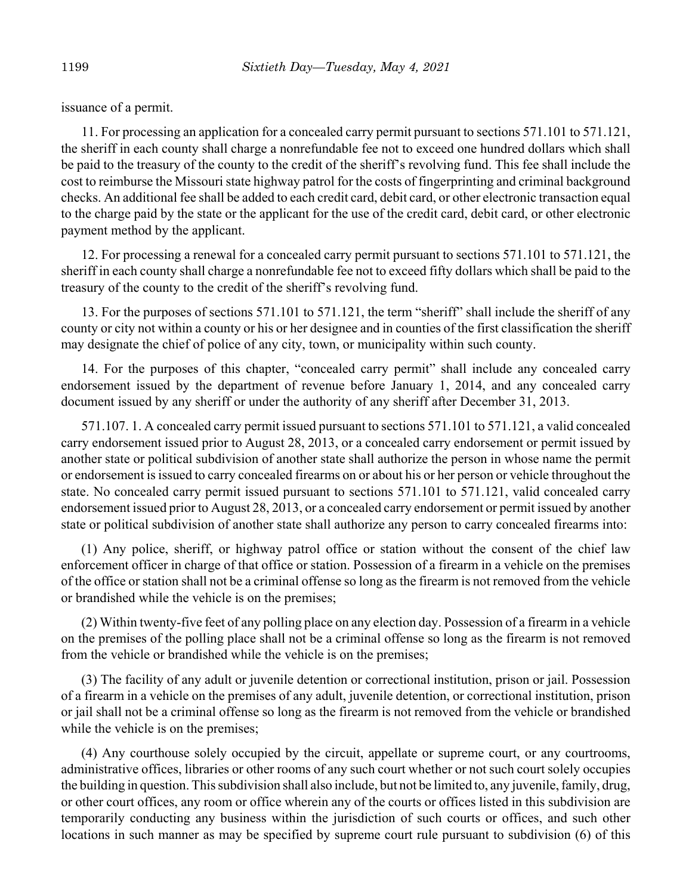issuance of a permit.

11. For processing an application for a concealed carry permit pursuant to sections 571.101 to 571.121, the sheriff in each county shall charge a nonrefundable fee not to exceed one hundred dollars which shall be paid to the treasury of the county to the credit of the sheriff's revolving fund. This fee shall include the cost to reimburse the Missouri state highway patrol for the costs of fingerprinting and criminal background checks. An additional fee shall be added to each credit card, debit card, or other electronic transaction equal to the charge paid by the state or the applicant for the use of the credit card, debit card, or other electronic payment method by the applicant.

12. For processing a renewal for a concealed carry permit pursuant to sections 571.101 to 571.121, the sheriff in each county shall charge a nonrefundable fee not to exceed fifty dollars which shall be paid to the treasury of the county to the credit of the sheriff's revolving fund.

13. For the purposes of sections 571.101 to 571.121, the term "sheriff" shall include the sheriff of any county or city not within a county or his or her designee and in counties of the first classification the sheriff may designate the chief of police of any city, town, or municipality within such county.

14. For the purposes of this chapter, "concealed carry permit" shall include any concealed carry endorsement issued by the department of revenue before January 1, 2014, and any concealed carry document issued by any sheriff or under the authority of any sheriff after December 31, 2013.

571.107. 1. A concealed carry permit issued pursuant to sections 571.101 to 571.121, a valid concealed carry endorsement issued prior to August 28, 2013, or a concealed carry endorsement or permit issued by another state or political subdivision of another state shall authorize the person in whose name the permit or endorsement is issued to carry concealed firearms on or about his or her person or vehicle throughout the state. No concealed carry permit issued pursuant to sections 571.101 to 571.121, valid concealed carry endorsement issued prior to August 28, 2013, or a concealed carry endorsement or permit issued by another state or political subdivision of another state shall authorize any person to carry concealed firearms into:

(1) Any police, sheriff, or highway patrol office or station without the consent of the chief law enforcement officer in charge of that office or station. Possession of a firearm in a vehicle on the premises of the office or station shall not be a criminal offense so long as the firearm is not removed from the vehicle or brandished while the vehicle is on the premises;

(2) Within twenty-five feet of any polling place on any election day. Possession of a firearm in a vehicle on the premises of the polling place shall not be a criminal offense so long as the firearm is not removed from the vehicle or brandished while the vehicle is on the premises;

(3) The facility of any adult or juvenile detention or correctional institution, prison or jail. Possession of a firearm in a vehicle on the premises of any adult, juvenile detention, or correctional institution, prison or jail shall not be a criminal offense so long as the firearm is not removed from the vehicle or brandished while the vehicle is on the premises;

(4) Any courthouse solely occupied by the circuit, appellate or supreme court, or any courtrooms, administrative offices, libraries or other rooms of any such court whether or not such court solely occupies the building in question. This subdivision shall also include, but not be limited to, any juvenile, family, drug, or other court offices, any room or office wherein any of the courts or offices listed in this subdivision are temporarily conducting any business within the jurisdiction of such courts or offices, and such other locations in such manner as may be specified by supreme court rule pursuant to subdivision (6) of this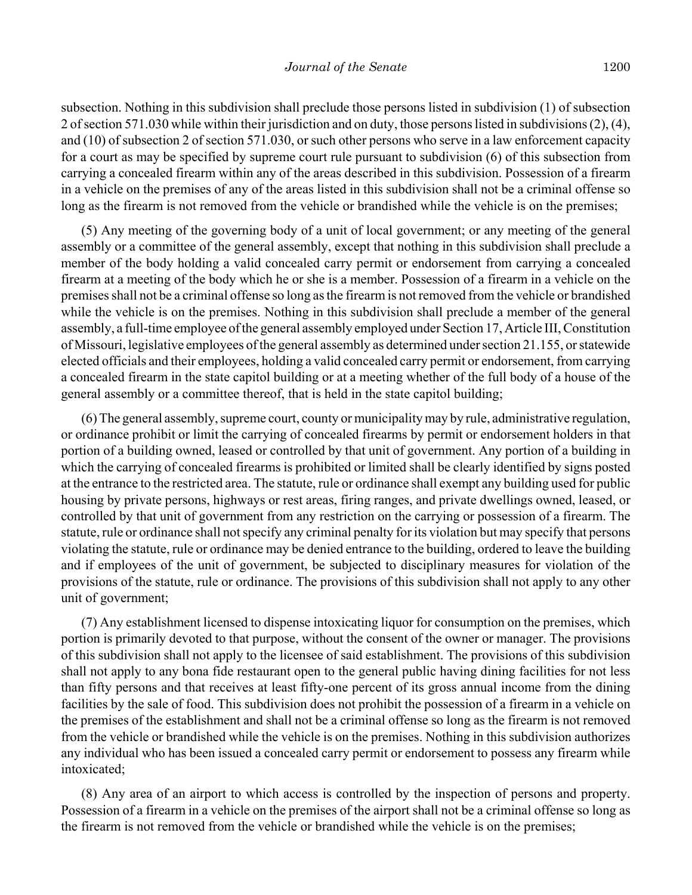subsection. Nothing in this subdivision shall preclude those persons listed in subdivision (1) of subsection 2 of section 571.030 while within their jurisdiction and on duty, those persons listed in subdivisions (2), (4), and (10) of subsection 2 of section 571.030, or such other persons who serve in a law enforcement capacity for a court as may be specified by supreme court rule pursuant to subdivision (6) of this subsection from carrying a concealed firearm within any of the areas described in this subdivision. Possession of a firearm in a vehicle on the premises of any of the areas listed in this subdivision shall not be a criminal offense so long as the firearm is not removed from the vehicle or brandished while the vehicle is on the premises;

(5) Any meeting of the governing body of a unit of local government; or any meeting of the general assembly or a committee of the general assembly, except that nothing in this subdivision shall preclude a member of the body holding a valid concealed carry permit or endorsement from carrying a concealed firearm at a meeting of the body which he or she is a member. Possession of a firearm in a vehicle on the premises shall not be a criminal offense so long as the firearm is not removed from the vehicle or brandished while the vehicle is on the premises. Nothing in this subdivision shall preclude a member of the general assembly, a full-time employee of the general assembly employed under Section 17, Article III, Constitution of Missouri, legislative employees of the general assembly as determined under section 21.155, or statewide elected officials and their employees, holding a valid concealed carry permit or endorsement, from carrying a concealed firearm in the state capitol building or at a meeting whether of the full body of a house of the general assembly or a committee thereof, that is held in the state capitol building;

(6) The general assembly, supreme court, county or municipality may by rule, administrative regulation, or ordinance prohibit or limit the carrying of concealed firearms by permit or endorsement holders in that portion of a building owned, leased or controlled by that unit of government. Any portion of a building in which the carrying of concealed firearms is prohibited or limited shall be clearly identified by signs posted at the entrance to the restricted area. The statute, rule or ordinance shall exempt any building used for public housing by private persons, highways or rest areas, firing ranges, and private dwellings owned, leased, or controlled by that unit of government from any restriction on the carrying or possession of a firearm. The statute, rule or ordinance shall not specify any criminal penalty for its violation but may specify that persons violating the statute, rule or ordinance may be denied entrance to the building, ordered to leave the building and if employees of the unit of government, be subjected to disciplinary measures for violation of the provisions of the statute, rule or ordinance. The provisions of this subdivision shall not apply to any other unit of government;

(7) Any establishment licensed to dispense intoxicating liquor for consumption on the premises, which portion is primarily devoted to that purpose, without the consent of the owner or manager. The provisions of this subdivision shall not apply to the licensee of said establishment. The provisions of this subdivision shall not apply to any bona fide restaurant open to the general public having dining facilities for not less than fifty persons and that receives at least fifty-one percent of its gross annual income from the dining facilities by the sale of food. This subdivision does not prohibit the possession of a firearm in a vehicle on the premises of the establishment and shall not be a criminal offense so long as the firearm is not removed from the vehicle or brandished while the vehicle is on the premises. Nothing in this subdivision authorizes any individual who has been issued a concealed carry permit or endorsement to possess any firearm while intoxicated;

(8) Any area of an airport to which access is controlled by the inspection of persons and property. Possession of a firearm in a vehicle on the premises of the airport shall not be a criminal offense so long as the firearm is not removed from the vehicle or brandished while the vehicle is on the premises;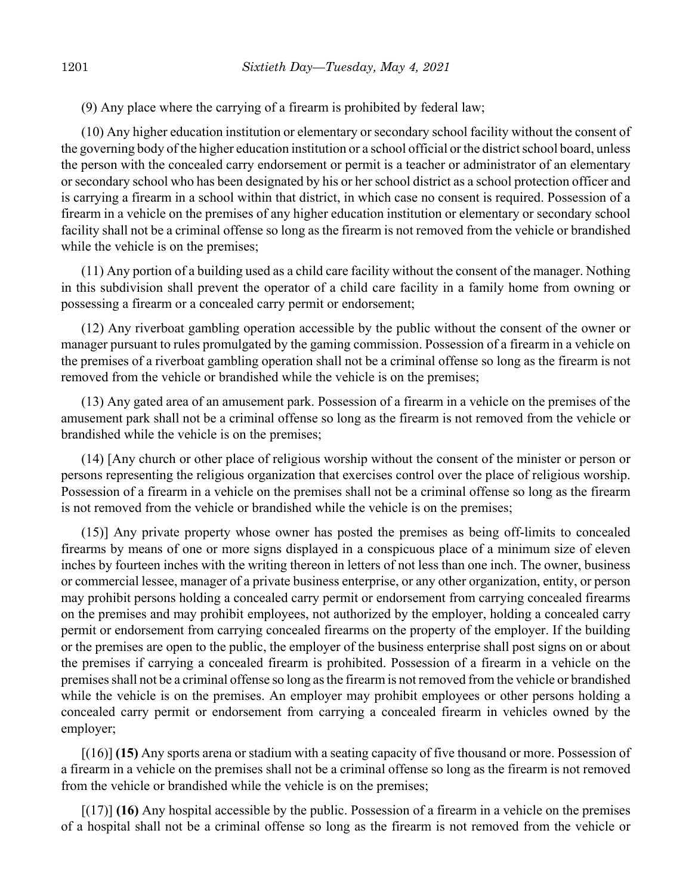(9) Any place where the carrying of a firearm is prohibited by federal law;

(10) Any higher education institution or elementary or secondary school facility without the consent of the governing body of the higher education institution or a school official or the district school board, unless the person with the concealed carry endorsement or permit is a teacher or administrator of an elementary or secondary school who has been designated by his or her school district as a school protection officer and is carrying a firearm in a school within that district, in which case no consent is required. Possession of a firearm in a vehicle on the premises of any higher education institution or elementary or secondary school facility shall not be a criminal offense so long as the firearm is not removed from the vehicle or brandished while the vehicle is on the premises;

(11) Any portion of a building used as a child care facility without the consent of the manager. Nothing in this subdivision shall prevent the operator of a child care facility in a family home from owning or possessing a firearm or a concealed carry permit or endorsement;

(12) Any riverboat gambling operation accessible by the public without the consent of the owner or manager pursuant to rules promulgated by the gaming commission. Possession of a firearm in a vehicle on the premises of a riverboat gambling operation shall not be a criminal offense so long as the firearm is not removed from the vehicle or brandished while the vehicle is on the premises;

(13) Any gated area of an amusement park. Possession of a firearm in a vehicle on the premises of the amusement park shall not be a criminal offense so long as the firearm is not removed from the vehicle or brandished while the vehicle is on the premises;

(14) [Any church or other place of religious worship without the consent of the minister or person or persons representing the religious organization that exercises control over the place of religious worship. Possession of a firearm in a vehicle on the premises shall not be a criminal offense so long as the firearm is not removed from the vehicle or brandished while the vehicle is on the premises;

(15)] Any private property whose owner has posted the premises as being off-limits to concealed firearms by means of one or more signs displayed in a conspicuous place of a minimum size of eleven inches by fourteen inches with the writing thereon in letters of not less than one inch. The owner, business or commercial lessee, manager of a private business enterprise, or any other organization, entity, or person may prohibit persons holding a concealed carry permit or endorsement from carrying concealed firearms on the premises and may prohibit employees, not authorized by the employer, holding a concealed carry permit or endorsement from carrying concealed firearms on the property of the employer. If the building or the premises are open to the public, the employer of the business enterprise shall post signs on or about the premises if carrying a concealed firearm is prohibited. Possession of a firearm in a vehicle on the premises shall not be a criminal offense so long as the firearm is not removed from the vehicle or brandished while the vehicle is on the premises. An employer may prohibit employees or other persons holding a concealed carry permit or endorsement from carrying a concealed firearm in vehicles owned by the employer;

[(16)] **(15)** Any sports arena or stadium with a seating capacity of five thousand or more. Possession of a firearm in a vehicle on the premises shall not be a criminal offense so long as the firearm is not removed from the vehicle or brandished while the vehicle is on the premises;

[(17)] **(16)** Any hospital accessible by the public. Possession of a firearm in a vehicle on the premises of a hospital shall not be a criminal offense so long as the firearm is not removed from the vehicle or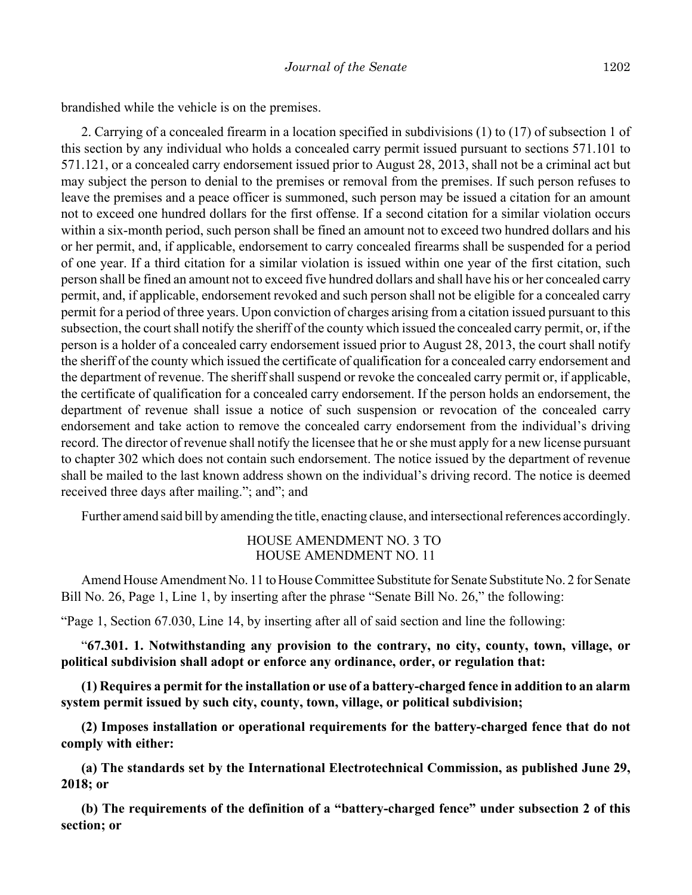brandished while the vehicle is on the premises.

2. Carrying of a concealed firearm in a location specified in subdivisions (1) to (17) of subsection 1 of this section by any individual who holds a concealed carry permit issued pursuant to sections 571.101 to 571.121, or a concealed carry endorsement issued prior to August 28, 2013, shall not be a criminal act but may subject the person to denial to the premises or removal from the premises. If such person refuses to leave the premises and a peace officer is summoned, such person may be issued a citation for an amount not to exceed one hundred dollars for the first offense. If a second citation for a similar violation occurs within a six-month period, such person shall be fined an amount not to exceed two hundred dollars and his or her permit, and, if applicable, endorsement to carry concealed firearms shall be suspended for a period of one year. If a third citation for a similar violation is issued within one year of the first citation, such person shall be fined an amount not to exceed five hundred dollars and shall have his or her concealed carry permit, and, if applicable, endorsement revoked and such person shall not be eligible for a concealed carry permit for a period of three years. Upon conviction of charges arising from a citation issued pursuant to this subsection, the court shall notify the sheriff of the county which issued the concealed carry permit, or, if the person is a holder of a concealed carry endorsement issued prior to August 28, 2013, the court shall notify the sheriff of the county which issued the certificate of qualification for a concealed carry endorsement and the department of revenue. The sheriff shall suspend or revoke the concealed carry permit or, if applicable, the certificate of qualification for a concealed carry endorsement. If the person holds an endorsement, the department of revenue shall issue a notice of such suspension or revocation of the concealed carry endorsement and take action to remove the concealed carry endorsement from the individual's driving record. The director of revenue shall notify the licensee that he or she must apply for a new license pursuant to chapter 302 which does not contain such endorsement. The notice issued by the department of revenue shall be mailed to the last known address shown on the individual's driving record. The notice is deemed received three days after mailing."; and"; and

Further amend said bill by amending the title, enacting clause, and intersectional references accordingly.

HOUSE AMENDMENT NO. 3 TO HOUSE AMENDMENT NO. 11

Amend House Amendment No. 11 to House Committee Substitute for Senate Substitute No. 2 for Senate Bill No. 26, Page 1, Line 1, by inserting after the phrase "Senate Bill No. 26," the following:

"Page 1, Section 67.030, Line 14, by inserting after all of said section and line the following:

"**67.301. 1. Notwithstanding any provision to the contrary, no city, county, town, village, or political subdivision shall adopt or enforce any ordinance, order, or regulation that:**

**(1) Requires a permit for the installation or use of a battery-charged fence in addition to an alarm system permit issued by such city, county, town, village, or political subdivision;**

**(2) Imposes installation or operational requirements for the battery-charged fence that do not comply with either:**

**(a) The standards set by the International Electrotechnical Commission, as published June 29, 2018; or**

**(b) The requirements of the definition of a "battery-charged fence" under subsection 2 of this section; or**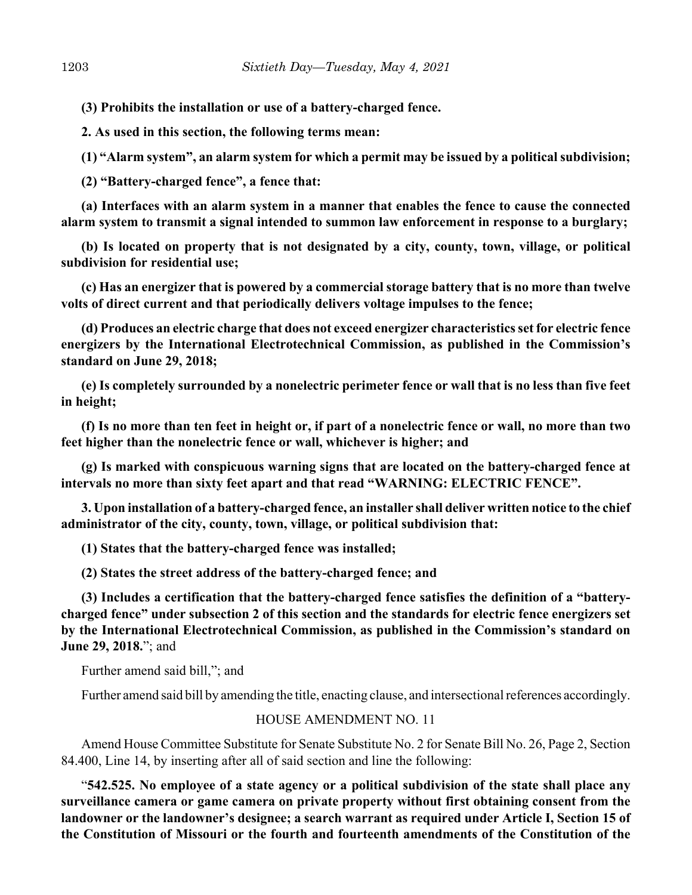**(3) Prohibits the installation or use of a battery-charged fence.**

**2. As used in this section, the following terms mean:**

**(1) "Alarm system", an alarm system for which a permit may be issued by a political subdivision;**

**(2) "Battery-charged fence", a fence that:**

**(a) Interfaces with an alarm system in a manner that enables the fence to cause the connected alarm system to transmit a signal intended to summon law enforcement in response to a burglary;**

**(b) Is located on property that is not designated by a city, county, town, village, or political subdivision for residential use;**

**(c) Has an energizer that is powered by a commercial storage battery that is no more than twelve volts of direct current and that periodically delivers voltage impulses to the fence;**

**(d) Produces an electric charge that does not exceed energizer characteristics set for electric fence energizers by the International Electrotechnical Commission, as published in the Commission's standard on June 29, 2018;**

**(e) Is completely surrounded by a nonelectric perimeter fence or wall that is no less than five feet in height;**

**(f) Is no more than ten feet in height or, if part of a nonelectric fence or wall, no more than two feet higher than the nonelectric fence or wall, whichever is higher; and**

**(g) Is marked with conspicuous warning signs that are located on the battery-charged fence at intervals no more than sixty feet apart and that read "WARNING: ELECTRIC FENCE".**

**3. Upon installation of a battery-charged fence, an installer shall deliver written notice to the chief administrator of the city, county, town, village, or political subdivision that:**

**(1) States that the battery-charged fence was installed;**

**(2) States the street address of the battery-charged fence; and**

**(3) Includes a certification that the battery-charged fence satisfies the definition of a "batterycharged fence" under subsection 2 of this section and the standards for electric fence energizers set by the International Electrotechnical Commission, as published in the Commission's standard on June 29, 2018.**"; and

Further amend said bill,"; and

Further amend said bill by amending the title, enacting clause, and intersectional references accordingly.

#### HOUSE AMENDMENT NO. 11

Amend House Committee Substitute for Senate Substitute No. 2 for Senate Bill No. 26, Page 2, Section 84.400, Line 14, by inserting after all of said section and line the following:

"**542.525. No employee of a state agency or a political subdivision of the state shall place any surveillance camera or game camera on private property without first obtaining consent from the landowner or the landowner's designee; a search warrant as required under Article I, Section 15 of the Constitution of Missouri or the fourth and fourteenth amendments of the Constitution of the**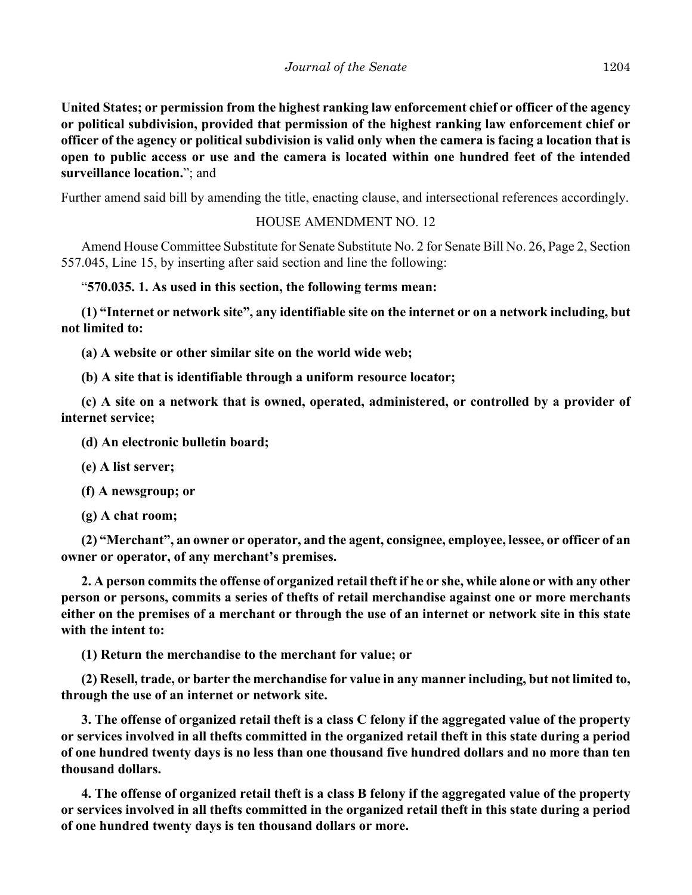*Journal of the Senate* 1204

**United States; or permission from the highest ranking law enforcement chief or officer of the agency or political subdivision, provided that permission of the highest ranking law enforcement chief or officer of the agency or political subdivision is valid only when the camera is facing a location that is open to public access or use and the camera is located within one hundred feet of the intended surveillance location.**"; and

Further amend said bill by amending the title, enacting clause, and intersectional references accordingly.

# HOUSE AMENDMENT NO. 12

Amend House Committee Substitute for Senate Substitute No. 2 for Senate Bill No. 26, Page 2, Section 557.045, Line 15, by inserting after said section and line the following:

# "**570.035. 1. As used in this section, the following terms mean:**

**(1) "Internet or network site", any identifiable site on the internet or on a network including, but not limited to:**

**(a) A website or other similar site on the world wide web;**

**(b) A site that is identifiable through a uniform resource locator;**

**(c) A site on a network that is owned, operated, administered, or controlled by a provider of internet service;**

**(d) An electronic bulletin board;**

**(e) A list server;**

**(f) A newsgroup; or**

**(g) A chat room;**

**(2) "Merchant", an owner or operator, and the agent, consignee, employee, lessee, or officer of an owner or operator, of any merchant's premises.**

**2. A person commits the offense of organized retail theft if he or she, while alone or with any other person or persons, commits a series of thefts of retail merchandise against one or more merchants either on the premises of a merchant or through the use of an internet or network site in this state with the intent to:**

**(1) Return the merchandise to the merchant for value; or**

**(2) Resell, trade, or barter the merchandise for value in any manner including, but not limited to, through the use of an internet or network site.**

**3. The offense of organized retail theft is a class C felony if the aggregated value of the property or services involved in all thefts committed in the organized retail theft in this state during a period of one hundred twenty days is no less than one thousand five hundred dollars and no more than ten thousand dollars.**

**4. The offense of organized retail theft is a class B felony if the aggregated value of the property or services involved in all thefts committed in the organized retail theft in this state during a period of one hundred twenty days is ten thousand dollars or more.**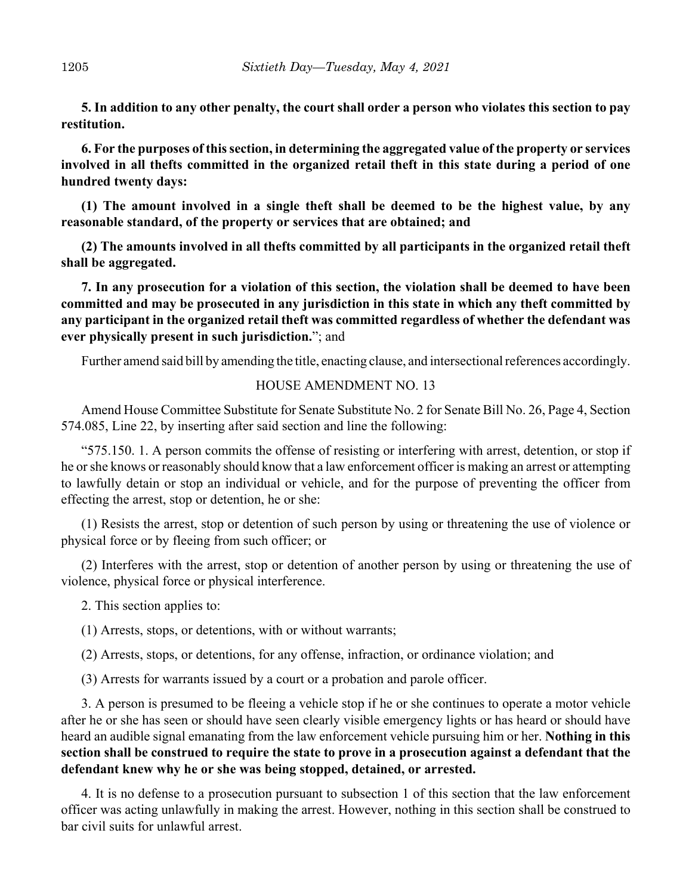**5. In addition to any other penalty, the court shall order a person who violates this section to pay restitution.**

**6. For the purposes of this section, in determining the aggregated value of the property or services involved in all thefts committed in the organized retail theft in this state during a period of one hundred twenty days:**

**(1) The amount involved in a single theft shall be deemed to be the highest value, by any reasonable standard, of the property or services that are obtained; and**

**(2) The amounts involved in all thefts committed by all participants in the organized retail theft shall be aggregated.**

**7. In any prosecution for a violation of this section, the violation shall be deemed to have been committed and may be prosecuted in any jurisdiction in this state in which any theft committed by any participant in the organized retail theft was committed regardless of whether the defendant was ever physically present in such jurisdiction.**"; and

Further amend said bill by amending the title, enacting clause, and intersectional references accordingly.

# HOUSE AMENDMENT NO. 13

Amend House Committee Substitute for Senate Substitute No. 2 for Senate Bill No. 26, Page 4, Section 574.085, Line 22, by inserting after said section and line the following:

"575.150. 1. A person commits the offense of resisting or interfering with arrest, detention, or stop if he or she knows or reasonably should know that a law enforcement officer is making an arrest or attempting to lawfully detain or stop an individual or vehicle, and for the purpose of preventing the officer from effecting the arrest, stop or detention, he or she:

(1) Resists the arrest, stop or detention of such person by using or threatening the use of violence or physical force or by fleeing from such officer; or

(2) Interferes with the arrest, stop or detention of another person by using or threatening the use of violence, physical force or physical interference.

2. This section applies to:

(1) Arrests, stops, or detentions, with or without warrants;

(2) Arrests, stops, or detentions, for any offense, infraction, or ordinance violation; and

(3) Arrests for warrants issued by a court or a probation and parole officer.

3. A person is presumed to be fleeing a vehicle stop if he or she continues to operate a motor vehicle after he or she has seen or should have seen clearly visible emergency lights or has heard or should have heard an audible signal emanating from the law enforcement vehicle pursuing him or her. **Nothing in this section shall be construed to require the state to prove in a prosecution against a defendant that the defendant knew why he or she was being stopped, detained, or arrested.**

4. It is no defense to a prosecution pursuant to subsection 1 of this section that the law enforcement officer was acting unlawfully in making the arrest. However, nothing in this section shall be construed to bar civil suits for unlawful arrest.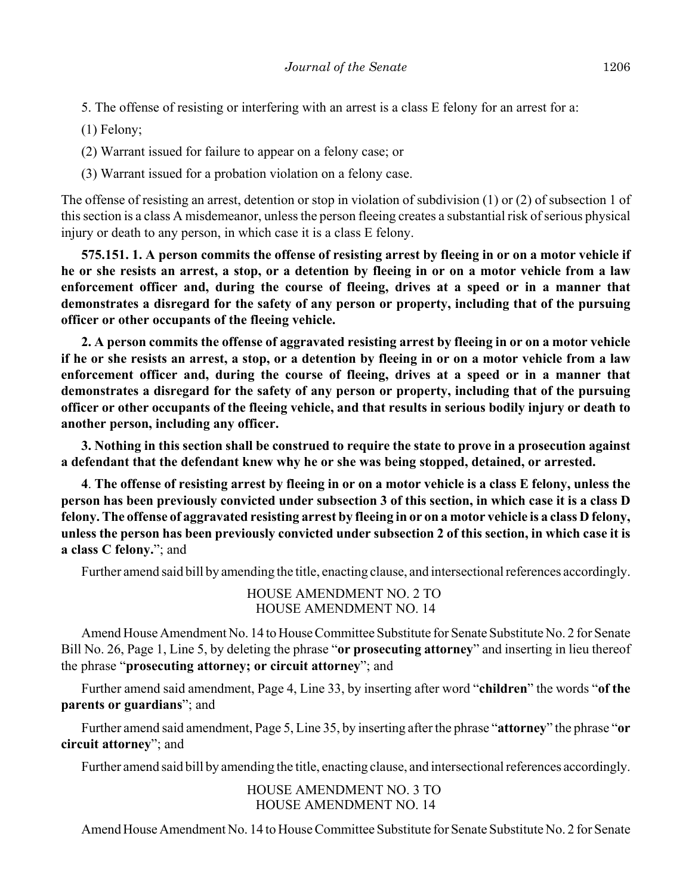5. The offense of resisting or interfering with an arrest is a class E felony for an arrest for a:

(1) Felony;

(2) Warrant issued for failure to appear on a felony case; or

(3) Warrant issued for a probation violation on a felony case.

The offense of resisting an arrest, detention or stop in violation of subdivision (1) or (2) of subsection 1 of this section is a class A misdemeanor, unless the person fleeing creates a substantial risk of serious physical injury or death to any person, in which case it is a class E felony.

**575.151. 1. A person commits the offense of resisting arrest by fleeing in or on a motor vehicle if he or she resists an arrest, a stop, or a detention by fleeing in or on a motor vehicle from a law enforcement officer and, during the course of fleeing, drives at a speed or in a manner that demonstrates a disregard for the safety of any person or property, including that of the pursuing officer or other occupants of the fleeing vehicle.**

**2. A person commits the offense of aggravated resisting arrest by fleeing in or on a motor vehicle if he or she resists an arrest, a stop, or a detention by fleeing in or on a motor vehicle from a law enforcement officer and, during the course of fleeing, drives at a speed or in a manner that demonstrates a disregard for the safety of any person or property, including that of the pursuing officer or other occupants of the fleeing vehicle, and that results in serious bodily injury or death to another person, including any officer.**

**3. Nothing in this section shall be construed to require the state to prove in a prosecution against a defendant that the defendant knew why he or she was being stopped, detained, or arrested.**

**4**. **The offense of resisting arrest by fleeing in or on a motor vehicle is a class E felony, unless the person has been previously convicted under subsection 3 of this section, in which case it is a class D felony. The offense of aggravated resisting arrest by fleeing in or on a motor vehicle is a class D felony, unless the person has been previously convicted under subsection 2 of this section, in which case it is a class C felony.**"; and

Further amend said bill by amending the title, enacting clause, and intersectional references accordingly.

HOUSE AMENDMENT NO. 2 TO HOUSE AMENDMENT NO. 14

Amend House Amendment No. 14 to House Committee Substitute for Senate Substitute No. 2 for Senate Bill No. 26, Page 1, Line 5, by deleting the phrase "**or prosecuting attorney**" and inserting in lieu thereof the phrase "**prosecuting attorney; or circuit attorney**"; and

Further amend said amendment, Page 4, Line 33, by inserting after word "**children**" the words "**of the parents or guardians**"; and

Further amend said amendment, Page 5, Line 35, by inserting after the phrase "**attorney**" the phrase "**or circuit attorney**"; and

Further amend said bill by amending the title, enacting clause, and intersectional references accordingly.

HOUSE AMENDMENT NO. 3 TO HOUSE AMENDMENT NO. 14

Amend House Amendment No. 14 to House Committee Substitute for Senate Substitute No. 2 for Senate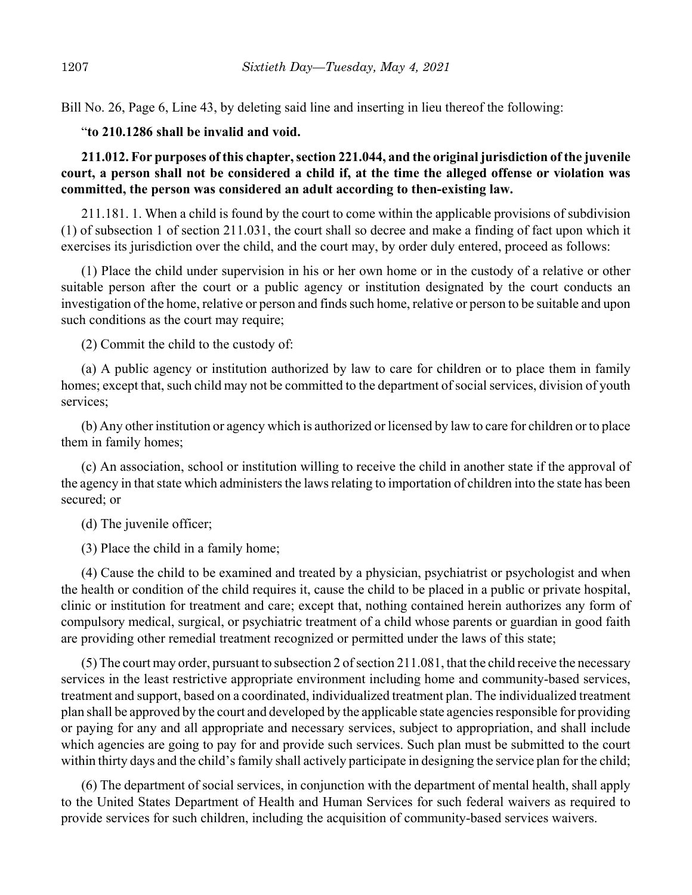Bill No. 26, Page 6, Line 43, by deleting said line and inserting in lieu thereof the following:

"**to 210.1286 shall be invalid and void.**

# **211.012. For purposes of this chapter, section 221.044, and the original jurisdiction of the juvenile court, a person shall not be considered a child if, at the time the alleged offense or violation was committed, the person was considered an adult according to then-existing law.**

211.181. 1. When a child is found by the court to come within the applicable provisions of subdivision (1) of subsection 1 of section 211.031, the court shall so decree and make a finding of fact upon which it exercises its jurisdiction over the child, and the court may, by order duly entered, proceed as follows:

(1) Place the child under supervision in his or her own home or in the custody of a relative or other suitable person after the court or a public agency or institution designated by the court conducts an investigation of the home, relative or person and finds such home, relative or person to be suitable and upon such conditions as the court may require;

(2) Commit the child to the custody of:

(a) A public agency or institution authorized by law to care for children or to place them in family homes; except that, such child may not be committed to the department of social services, division of youth services;

(b) Any other institution or agency which is authorized or licensed by law to care for children or to place them in family homes;

(c) An association, school or institution willing to receive the child in another state if the approval of the agency in that state which administers the laws relating to importation of children into the state has been secured; or

(d) The juvenile officer;

(3) Place the child in a family home;

(4) Cause the child to be examined and treated by a physician, psychiatrist or psychologist and when the health or condition of the child requires it, cause the child to be placed in a public or private hospital, clinic or institution for treatment and care; except that, nothing contained herein authorizes any form of compulsory medical, surgical, or psychiatric treatment of a child whose parents or guardian in good faith are providing other remedial treatment recognized or permitted under the laws of this state;

(5) The court may order, pursuant to subsection 2 of section 211.081, that the child receive the necessary services in the least restrictive appropriate environment including home and community-based services, treatment and support, based on a coordinated, individualized treatment plan. The individualized treatment plan shall be approved by the court and developed by the applicable state agencies responsible for providing or paying for any and all appropriate and necessary services, subject to appropriation, and shall include which agencies are going to pay for and provide such services. Such plan must be submitted to the court within thirty days and the child's family shall actively participate in designing the service plan for the child;

(6) The department of social services, in conjunction with the department of mental health, shall apply to the United States Department of Health and Human Services for such federal waivers as required to provide services for such children, including the acquisition of community-based services waivers.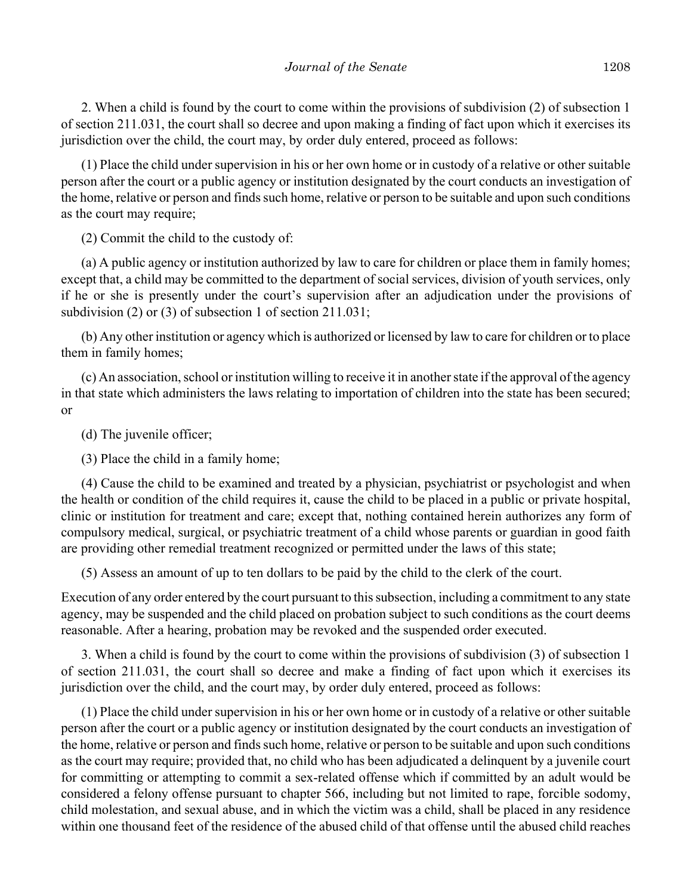2. When a child is found by the court to come within the provisions of subdivision (2) of subsection 1 of section 211.031, the court shall so decree and upon making a finding of fact upon which it exercises its jurisdiction over the child, the court may, by order duly entered, proceed as follows:

(1) Place the child under supervision in his or her own home or in custody of a relative or other suitable person after the court or a public agency or institution designated by the court conducts an investigation of the home, relative or person and finds such home, relative or person to be suitable and upon such conditions as the court may require;

(2) Commit the child to the custody of:

(a) A public agency or institution authorized by law to care for children or place them in family homes; except that, a child may be committed to the department of social services, division of youth services, only if he or she is presently under the court's supervision after an adjudication under the provisions of subdivision (2) or (3) of subsection 1 of section 211.031;

(b) Any other institution or agency which is authorized or licensed by law to care for children or to place them in family homes;

(c) An association, school or institution willing to receive it in another state if the approval of the agency in that state which administers the laws relating to importation of children into the state has been secured; or

(d) The juvenile officer;

(3) Place the child in a family home;

(4) Cause the child to be examined and treated by a physician, psychiatrist or psychologist and when the health or condition of the child requires it, cause the child to be placed in a public or private hospital, clinic or institution for treatment and care; except that, nothing contained herein authorizes any form of compulsory medical, surgical, or psychiatric treatment of a child whose parents or guardian in good faith are providing other remedial treatment recognized or permitted under the laws of this state;

(5) Assess an amount of up to ten dollars to be paid by the child to the clerk of the court.

Execution of any order entered by the court pursuant to this subsection, including a commitment to any state agency, may be suspended and the child placed on probation subject to such conditions as the court deems reasonable. After a hearing, probation may be revoked and the suspended order executed.

3. When a child is found by the court to come within the provisions of subdivision (3) of subsection 1 of section 211.031, the court shall so decree and make a finding of fact upon which it exercises its jurisdiction over the child, and the court may, by order duly entered, proceed as follows:

(1) Place the child under supervision in his or her own home or in custody of a relative or other suitable person after the court or a public agency or institution designated by the court conducts an investigation of the home, relative or person and finds such home, relative or person to be suitable and upon such conditions as the court may require; provided that, no child who has been adjudicated a delinquent by a juvenile court for committing or attempting to commit a sex-related offense which if committed by an adult would be considered a felony offense pursuant to chapter 566, including but not limited to rape, forcible sodomy, child molestation, and sexual abuse, and in which the victim was a child, shall be placed in any residence within one thousand feet of the residence of the abused child of that offense until the abused child reaches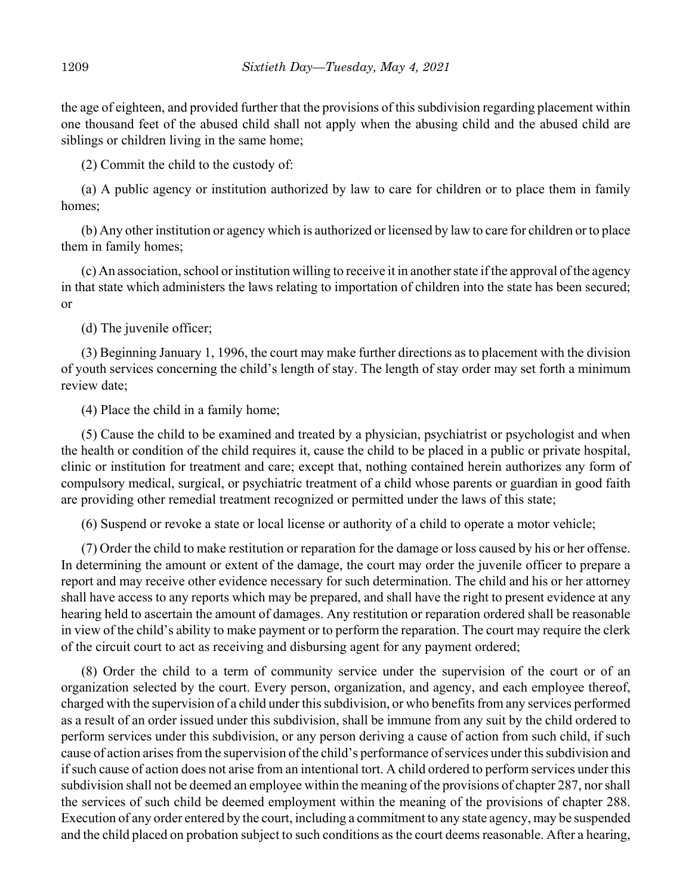the age of eighteen, and provided further that the provisions of this subdivision regarding placement within one thousand feet of the abused child shall not apply when the abusing child and the abused child are siblings or children living in the same home;

(2) Commit the child to the custody of:

(a) A public agency or institution authorized by law to care for children or to place them in family homes;

(b) Any other institution or agency which is authorized or licensed by law to care for children or to place them in family homes;

(c) An association, school or institution willing to receive it in another state if the approval of the agency in that state which administers the laws relating to importation of children into the state has been secured; or

(d) The juvenile officer;

(3) Beginning January 1, 1996, the court may make further directions as to placement with the division of youth services concerning the child's length of stay. The length of stay order may set forth a minimum review date;

(4) Place the child in a family home;

(5) Cause the child to be examined and treated by a physician, psychiatrist or psychologist and when the health or condition of the child requires it, cause the child to be placed in a public or private hospital, clinic or institution for treatment and care; except that, nothing contained herein authorizes any form of compulsory medical, surgical, or psychiatric treatment of a child whose parents or guardian in good faith are providing other remedial treatment recognized or permitted under the laws of this state;

(6) Suspend or revoke a state or local license or authority of a child to operate a motor vehicle;

(7) Order the child to make restitution or reparation for the damage or loss caused by his or her offense. In determining the amount or extent of the damage, the court may order the juvenile officer to prepare a report and may receive other evidence necessary for such determination. The child and his or her attorney shall have access to any reports which may be prepared, and shall have the right to present evidence at any hearing held to ascertain the amount of damages. Any restitution or reparation ordered shall be reasonable in view of the child's ability to make payment or to perform the reparation. The court may require the clerk of the circuit court to act as receiving and disbursing agent for any payment ordered;

(8) Order the child to a term of community service under the supervision of the court or of an organization selected by the court. Every person, organization, and agency, and each employee thereof, charged with the supervision of a child under this subdivision, or who benefits from any services performed as a result of an order issued under this subdivision, shall be immune from any suit by the child ordered to perform services under this subdivision, or any person deriving a cause of action from such child, if such cause of action arises from the supervision of the child's performance of services under this subdivision and if such cause of action does not arise from an intentional tort. A child ordered to perform services under this subdivision shall not be deemed an employee within the meaning of the provisions of chapter 287, nor shall the services of such child be deemed employment within the meaning of the provisions of chapter 288. Execution of any order entered by the court, including a commitment to any state agency, may be suspended and the child placed on probation subject to such conditions as the court deems reasonable. After a hearing,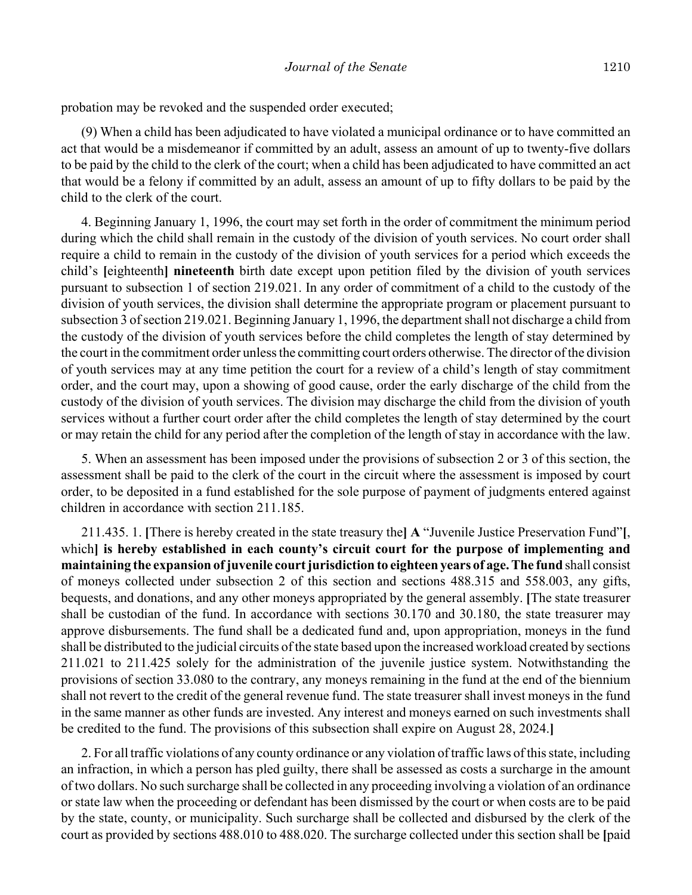probation may be revoked and the suspended order executed;

(9) When a child has been adjudicated to have violated a municipal ordinance or to have committed an act that would be a misdemeanor if committed by an adult, assess an amount of up to twenty-five dollars to be paid by the child to the clerk of the court; when a child has been adjudicated to have committed an act that would be a felony if committed by an adult, assess an amount of up to fifty dollars to be paid by the child to the clerk of the court.

4. Beginning January 1, 1996, the court may set forth in the order of commitment the minimum period during which the child shall remain in the custody of the division of youth services. No court order shall require a child to remain in the custody of the division of youth services for a period which exceeds the child's **[**eighteenth**] nineteenth** birth date except upon petition filed by the division of youth services pursuant to subsection 1 of section 219.021. In any order of commitment of a child to the custody of the division of youth services, the division shall determine the appropriate program or placement pursuant to subsection 3 of section 219.021. Beginning January 1, 1996, the department shall not discharge a child from the custody of the division of youth services before the child completes the length of stay determined by the court in the commitment order unless the committing court orders otherwise. The director of the division of youth services may at any time petition the court for a review of a child's length of stay commitment order, and the court may, upon a showing of good cause, order the early discharge of the child from the custody of the division of youth services. The division may discharge the child from the division of youth services without a further court order after the child completes the length of stay determined by the court or may retain the child for any period after the completion of the length of stay in accordance with the law.

5. When an assessment has been imposed under the provisions of subsection 2 or 3 of this section, the assessment shall be paid to the clerk of the court in the circuit where the assessment is imposed by court order, to be deposited in a fund established for the sole purpose of payment of judgments entered against children in accordance with section 211.185.

211.435. 1. **[**There is hereby created in the state treasury the**] A** "Juvenile Justice Preservation Fund"**[**, which**] is hereby established in each county's circuit court for the purpose of implementing and maintaining the expansion of juvenile court jurisdiction to eighteen years of age. The fund** shall consist of moneys collected under subsection 2 of this section and sections 488.315 and 558.003, any gifts, bequests, and donations, and any other moneys appropriated by the general assembly. **[**The state treasurer shall be custodian of the fund. In accordance with sections 30.170 and 30.180, the state treasurer may approve disbursements. The fund shall be a dedicated fund and, upon appropriation, moneys in the fund shall be distributed to the judicial circuits of the state based upon the increased workload created by sections 211.021 to 211.425 solely for the administration of the juvenile justice system. Notwithstanding the provisions of section 33.080 to the contrary, any moneys remaining in the fund at the end of the biennium shall not revert to the credit of the general revenue fund. The state treasurer shall invest moneys in the fund in the same manner as other funds are invested. Any interest and moneys earned on such investments shall be credited to the fund. The provisions of this subsection shall expire on August 28, 2024.**]**

2. For all traffic violations of any county ordinance or any violation of traffic laws of this state, including an infraction, in which a person has pled guilty, there shall be assessed as costs a surcharge in the amount of two dollars. No such surcharge shall be collected in any proceeding involving a violation of an ordinance or state law when the proceeding or defendant has been dismissed by the court or when costs are to be paid by the state, county, or municipality. Such surcharge shall be collected and disbursed by the clerk of the court as provided by sections 488.010 to 488.020. The surcharge collected under this section shall be **[**paid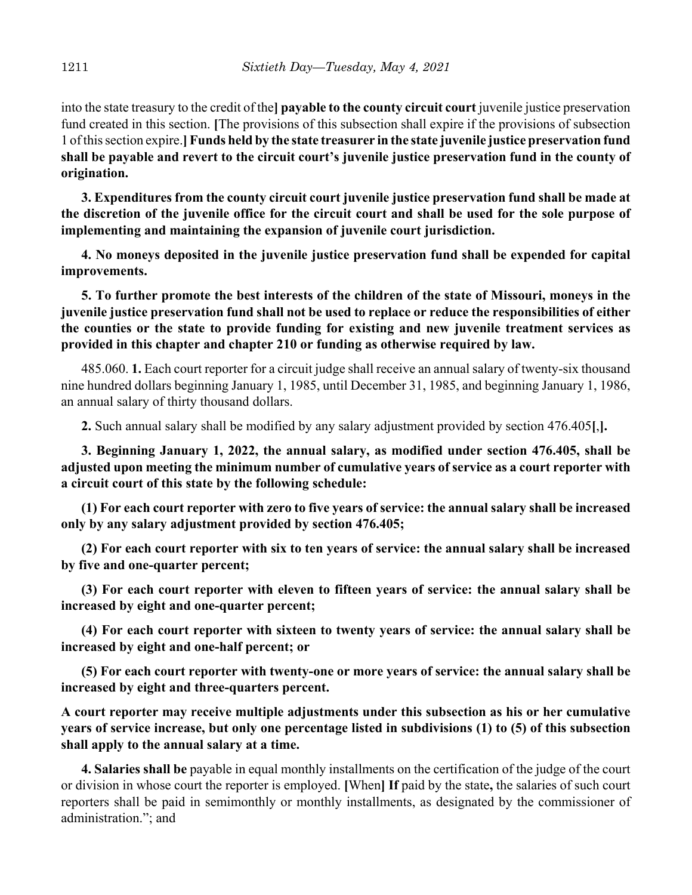into the state treasury to the credit of the**] payable to the county circuit court** juvenile justice preservation fund created in this section. **[**The provisions of this subsection shall expire if the provisions of subsection 1 of this section expire.**] Funds held by the state treasurer in the state juvenile justice preservation fund shall be payable and revert to the circuit court's juvenile justice preservation fund in the county of origination.**

**3. Expenditures from the county circuit court juvenile justice preservation fund shall be made at the discretion of the juvenile office for the circuit court and shall be used for the sole purpose of implementing and maintaining the expansion of juvenile court jurisdiction.**

**4. No moneys deposited in the juvenile justice preservation fund shall be expended for capital improvements.**

**5. To further promote the best interests of the children of the state of Missouri, moneys in the juvenile justice preservation fund shall not be used to replace or reduce the responsibilities of either the counties or the state to provide funding for existing and new juvenile treatment services as provided in this chapter and chapter 210 or funding as otherwise required by law.**

485.060. **1.** Each court reporter for a circuit judge shall receive an annual salary of twenty-six thousand nine hundred dollars beginning January 1, 1985, until December 31, 1985, and beginning January 1, 1986, an annual salary of thirty thousand dollars.

**2.** Such annual salary shall be modified by any salary adjustment provided by section 476.405**[**,**].**

**3. Beginning January 1, 2022, the annual salary, as modified under section 476.405, shall be adjusted upon meeting the minimum number of cumulative years of service as a court reporter with a circuit court of this state by the following schedule:**

**(1) For each court reporter with zero to five years of service: the annual salary shall be increased only by any salary adjustment provided by section 476.405;**

**(2) For each court reporter with six to ten years of service: the annual salary shall be increased by five and one-quarter percent;**

**(3) For each court reporter with eleven to fifteen years of service: the annual salary shall be increased by eight and one-quarter percent;**

**(4) For each court reporter with sixteen to twenty years of service: the annual salary shall be increased by eight and one-half percent; or**

**(5) For each court reporter with twenty-one or more years of service: the annual salary shall be increased by eight and three-quarters percent.**

**A court reporter may receive multiple adjustments under this subsection as his or her cumulative years of service increase, but only one percentage listed in subdivisions (1) to (5) of this subsection shall apply to the annual salary at a time.**

**4. Salaries shall be** payable in equal monthly installments on the certification of the judge of the court or division in whose court the reporter is employed. **[**When**] If** paid by the state**,** the salaries of such court reporters shall be paid in semimonthly or monthly installments, as designated by the commissioner of administration."; and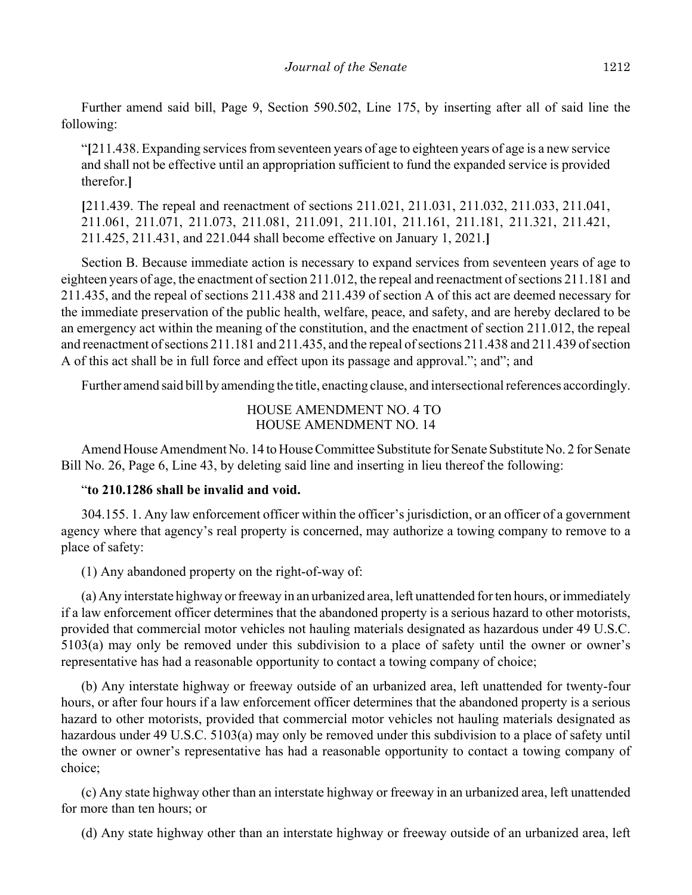Further amend said bill, Page 9, Section 590.502, Line 175, by inserting after all of said line the following:

"**[**211.438. Expanding services from seventeen years of age to eighteen years of age is a new service and shall not be effective until an appropriation sufficient to fund the expanded service is provided therefor.**]**

**[**211.439. The repeal and reenactment of sections 211.021, 211.031, 211.032, 211.033, 211.041, 211.061, 211.071, 211.073, 211.081, 211.091, 211.101, 211.161, 211.181, 211.321, 211.421, 211.425, 211.431, and 221.044 shall become effective on January 1, 2021.**]**

Section B. Because immediate action is necessary to expand services from seventeen years of age to eighteen years of age, the enactment of section 211.012, the repeal and reenactment of sections 211.181 and 211.435, and the repeal of sections 211.438 and 211.439 of section A of this act are deemed necessary for the immediate preservation of the public health, welfare, peace, and safety, and are hereby declared to be an emergency act within the meaning of the constitution, and the enactment of section 211.012, the repeal and reenactment of sections 211.181 and 211.435, and the repeal of sections 211.438 and 211.439 of section A of this act shall be in full force and effect upon its passage and approval."; and"; and

Further amend said bill by amending the title, enacting clause, and intersectional references accordingly.

HOUSE AMENDMENT NO. 4 TO HOUSE AMENDMENT NO. 14

Amend House Amendment No. 14 to House Committee Substitute for Senate Substitute No. 2 for Senate Bill No. 26, Page 6, Line 43, by deleting said line and inserting in lieu thereof the following:

#### "**to 210.1286 shall be invalid and void.**

304.155. 1. Any law enforcement officer within the officer's jurisdiction, or an officer of a government agency where that agency's real property is concerned, may authorize a towing company to remove to a place of safety:

(1) Any abandoned property on the right-of-way of:

(a) Any interstate highway or freeway in an urbanized area, left unattended for ten hours, or immediately if a law enforcement officer determines that the abandoned property is a serious hazard to other motorists, provided that commercial motor vehicles not hauling materials designated as hazardous under 49 U.S.C. 5103(a) may only be removed under this subdivision to a place of safety until the owner or owner's representative has had a reasonable opportunity to contact a towing company of choice;

(b) Any interstate highway or freeway outside of an urbanized area, left unattended for twenty-four hours, or after four hours if a law enforcement officer determines that the abandoned property is a serious hazard to other motorists, provided that commercial motor vehicles not hauling materials designated as hazardous under 49 U.S.C. 5103(a) may only be removed under this subdivision to a place of safety until the owner or owner's representative has had a reasonable opportunity to contact a towing company of choice;

(c) Any state highway other than an interstate highway or freeway in an urbanized area, left unattended for more than ten hours; or

(d) Any state highway other than an interstate highway or freeway outside of an urbanized area, left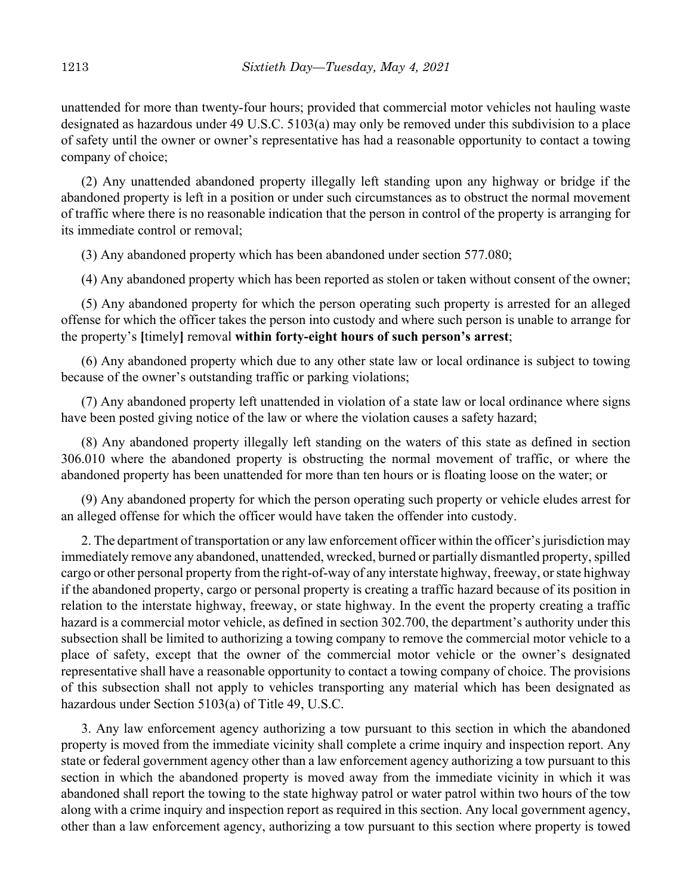unattended for more than twenty-four hours; provided that commercial motor vehicles not hauling waste designated as hazardous under 49 U.S.C. 5103(a) may only be removed under this subdivision to a place of safety until the owner or owner's representative has had a reasonable opportunity to contact a towing company of choice;

(2) Any unattended abandoned property illegally left standing upon any highway or bridge if the abandoned property is left in a position or under such circumstances as to obstruct the normal movement of traffic where there is no reasonable indication that the person in control of the property is arranging for its immediate control or removal;

(3) Any abandoned property which has been abandoned under section 577.080;

(4) Any abandoned property which has been reported as stolen or taken without consent of the owner;

(5) Any abandoned property for which the person operating such property is arrested for an alleged offense for which the officer takes the person into custody and where such person is unable to arrange for the property's **[**timely**]** removal **within forty-eight hours of such person's arrest**;

(6) Any abandoned property which due to any other state law or local ordinance is subject to towing because of the owner's outstanding traffic or parking violations;

(7) Any abandoned property left unattended in violation of a state law or local ordinance where signs have been posted giving notice of the law or where the violation causes a safety hazard;

(8) Any abandoned property illegally left standing on the waters of this state as defined in section 306.010 where the abandoned property is obstructing the normal movement of traffic, or where the abandoned property has been unattended for more than ten hours or is floating loose on the water; or

(9) Any abandoned property for which the person operating such property or vehicle eludes arrest for an alleged offense for which the officer would have taken the offender into custody.

2. The department of transportation or any law enforcement officer within the officer's jurisdiction may immediately remove any abandoned, unattended, wrecked, burned or partially dismantled property, spilled cargo or other personal property from the right-of-way of any interstate highway, freeway, or state highway if the abandoned property, cargo or personal property is creating a traffic hazard because of its position in relation to the interstate highway, freeway, or state highway. In the event the property creating a traffic hazard is a commercial motor vehicle, as defined in section 302.700, the department's authority under this subsection shall be limited to authorizing a towing company to remove the commercial motor vehicle to a place of safety, except that the owner of the commercial motor vehicle or the owner's designated representative shall have a reasonable opportunity to contact a towing company of choice. The provisions of this subsection shall not apply to vehicles transporting any material which has been designated as hazardous under Section 5103(a) of Title 49, U.S.C.

3. Any law enforcement agency authorizing a tow pursuant to this section in which the abandoned property is moved from the immediate vicinity shall complete a crime inquiry and inspection report. Any state or federal government agency other than a law enforcement agency authorizing a tow pursuant to this section in which the abandoned property is moved away from the immediate vicinity in which it was abandoned shall report the towing to the state highway patrol or water patrol within two hours of the tow along with a crime inquiry and inspection report as required in this section. Any local government agency, other than a law enforcement agency, authorizing a tow pursuant to this section where property is towed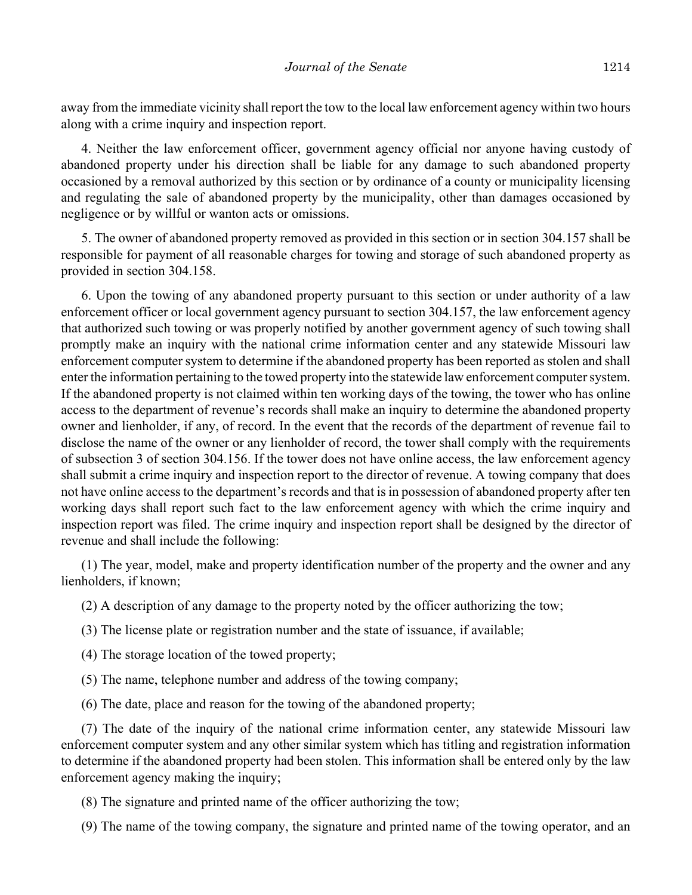away from the immediate vicinity shall report the tow to the local law enforcement agency within two hours along with a crime inquiry and inspection report.

4. Neither the law enforcement officer, government agency official nor anyone having custody of abandoned property under his direction shall be liable for any damage to such abandoned property occasioned by a removal authorized by this section or by ordinance of a county or municipality licensing and regulating the sale of abandoned property by the municipality, other than damages occasioned by negligence or by willful or wanton acts or omissions.

5. The owner of abandoned property removed as provided in this section or in section 304.157 shall be responsible for payment of all reasonable charges for towing and storage of such abandoned property as provided in section 304.158.

6. Upon the towing of any abandoned property pursuant to this section or under authority of a law enforcement officer or local government agency pursuant to section 304.157, the law enforcement agency that authorized such towing or was properly notified by another government agency of such towing shall promptly make an inquiry with the national crime information center and any statewide Missouri law enforcement computer system to determine if the abandoned property has been reported as stolen and shall enter the information pertaining to the towed property into the statewide law enforcement computer system. If the abandoned property is not claimed within ten working days of the towing, the tower who has online access to the department of revenue's records shall make an inquiry to determine the abandoned property owner and lienholder, if any, of record. In the event that the records of the department of revenue fail to disclose the name of the owner or any lienholder of record, the tower shall comply with the requirements of subsection 3 of section 304.156. If the tower does not have online access, the law enforcement agency shall submit a crime inquiry and inspection report to the director of revenue. A towing company that does not have online access to the department's records and that is in possession of abandoned property after ten working days shall report such fact to the law enforcement agency with which the crime inquiry and inspection report was filed. The crime inquiry and inspection report shall be designed by the director of revenue and shall include the following:

(1) The year, model, make and property identification number of the property and the owner and any lienholders, if known;

(2) A description of any damage to the property noted by the officer authorizing the tow;

- (3) The license plate or registration number and the state of issuance, if available;
- (4) The storage location of the towed property;
- (5) The name, telephone number and address of the towing company;
- (6) The date, place and reason for the towing of the abandoned property;

(7) The date of the inquiry of the national crime information center, any statewide Missouri law enforcement computer system and any other similar system which has titling and registration information to determine if the abandoned property had been stolen. This information shall be entered only by the law enforcement agency making the inquiry;

(8) The signature and printed name of the officer authorizing the tow;

(9) The name of the towing company, the signature and printed name of the towing operator, and an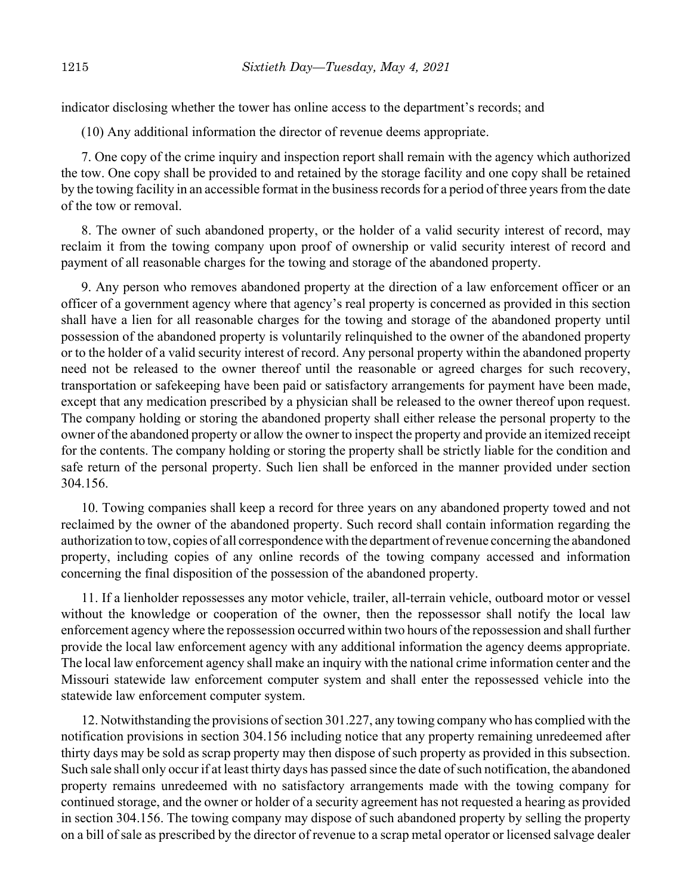indicator disclosing whether the tower has online access to the department's records; and

(10) Any additional information the director of revenue deems appropriate.

7. One copy of the crime inquiry and inspection report shall remain with the agency which authorized the tow. One copy shall be provided to and retained by the storage facility and one copy shall be retained by the towing facility in an accessible format in the business records for a period of three years from the date of the tow or removal.

8. The owner of such abandoned property, or the holder of a valid security interest of record, may reclaim it from the towing company upon proof of ownership or valid security interest of record and payment of all reasonable charges for the towing and storage of the abandoned property.

9. Any person who removes abandoned property at the direction of a law enforcement officer or an officer of a government agency where that agency's real property is concerned as provided in this section shall have a lien for all reasonable charges for the towing and storage of the abandoned property until possession of the abandoned property is voluntarily relinquished to the owner of the abandoned property or to the holder of a valid security interest of record. Any personal property within the abandoned property need not be released to the owner thereof until the reasonable or agreed charges for such recovery, transportation or safekeeping have been paid or satisfactory arrangements for payment have been made, except that any medication prescribed by a physician shall be released to the owner thereof upon request. The company holding or storing the abandoned property shall either release the personal property to the owner of the abandoned property or allow the owner to inspect the property and provide an itemized receipt for the contents. The company holding or storing the property shall be strictly liable for the condition and safe return of the personal property. Such lien shall be enforced in the manner provided under section 304.156.

10. Towing companies shall keep a record for three years on any abandoned property towed and not reclaimed by the owner of the abandoned property. Such record shall contain information regarding the authorization to tow, copies of all correspondence with the department of revenue concerning the abandoned property, including copies of any online records of the towing company accessed and information concerning the final disposition of the possession of the abandoned property.

11. If a lienholder repossesses any motor vehicle, trailer, all-terrain vehicle, outboard motor or vessel without the knowledge or cooperation of the owner, then the repossessor shall notify the local law enforcement agency where the repossession occurred within two hours of the repossession and shall further provide the local law enforcement agency with any additional information the agency deems appropriate. The local law enforcement agency shall make an inquiry with the national crime information center and the Missouri statewide law enforcement computer system and shall enter the repossessed vehicle into the statewide law enforcement computer system.

12. Notwithstanding the provisions of section 301.227, any towing company who has complied with the notification provisions in section 304.156 including notice that any property remaining unredeemed after thirty days may be sold as scrap property may then dispose of such property as provided in this subsection. Such sale shall only occur if at least thirty days has passed since the date of such notification, the abandoned property remains unredeemed with no satisfactory arrangements made with the towing company for continued storage, and the owner or holder of a security agreement has not requested a hearing as provided in section 304.156. The towing company may dispose of such abandoned property by selling the property on a bill of sale as prescribed by the director of revenue to a scrap metal operator or licensed salvage dealer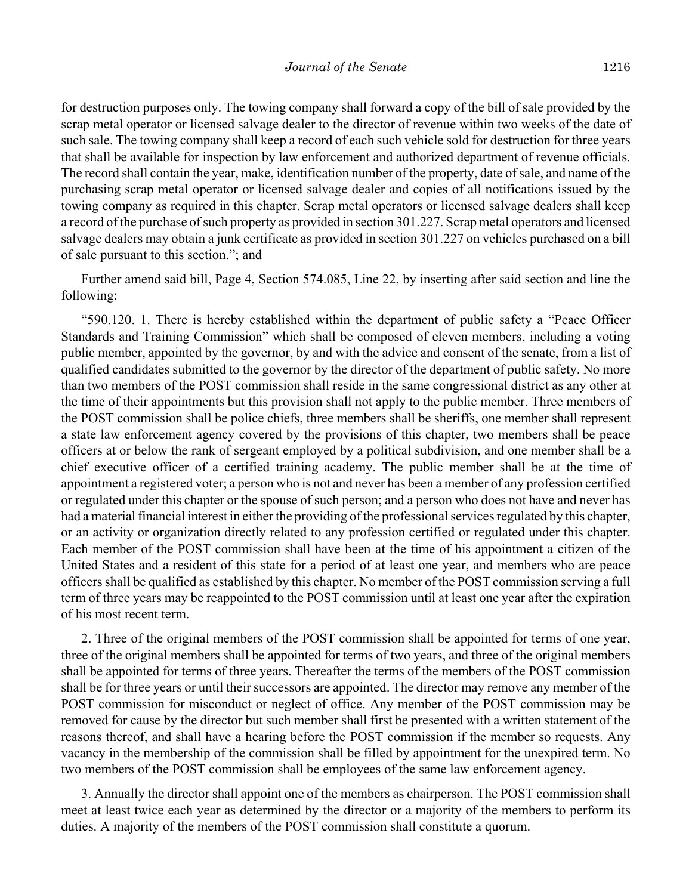for destruction purposes only. The towing company shall forward a copy of the bill of sale provided by the scrap metal operator or licensed salvage dealer to the director of revenue within two weeks of the date of such sale. The towing company shall keep a record of each such vehicle sold for destruction for three years that shall be available for inspection by law enforcement and authorized department of revenue officials. The record shall contain the year, make, identification number of the property, date of sale, and name of the purchasing scrap metal operator or licensed salvage dealer and copies of all notifications issued by the towing company as required in this chapter. Scrap metal operators or licensed salvage dealers shall keep a record of the purchase of such property as provided in section 301.227. Scrap metal operators and licensed salvage dealers may obtain a junk certificate as provided in section 301.227 on vehicles purchased on a bill of sale pursuant to this section."; and

Further amend said bill, Page 4, Section 574.085, Line 22, by inserting after said section and line the following:

"590.120. 1. There is hereby established within the department of public safety a "Peace Officer Standards and Training Commission" which shall be composed of eleven members, including a voting public member, appointed by the governor, by and with the advice and consent of the senate, from a list of qualified candidates submitted to the governor by the director of the department of public safety. No more than two members of the POST commission shall reside in the same congressional district as any other at the time of their appointments but this provision shall not apply to the public member. Three members of the POST commission shall be police chiefs, three members shall be sheriffs, one member shall represent a state law enforcement agency covered by the provisions of this chapter, two members shall be peace officers at or below the rank of sergeant employed by a political subdivision, and one member shall be a chief executive officer of a certified training academy. The public member shall be at the time of appointment a registered voter; a person who is not and never has been a member of any profession certified or regulated under this chapter or the spouse of such person; and a person who does not have and never has had a material financial interest in either the providing of the professional services regulated by this chapter, or an activity or organization directly related to any profession certified or regulated under this chapter. Each member of the POST commission shall have been at the time of his appointment a citizen of the United States and a resident of this state for a period of at least one year, and members who are peace officers shall be qualified as established by this chapter. No member of the POST commission serving a full term of three years may be reappointed to the POST commission until at least one year after the expiration of his most recent term.

2. Three of the original members of the POST commission shall be appointed for terms of one year, three of the original members shall be appointed for terms of two years, and three of the original members shall be appointed for terms of three years. Thereafter the terms of the members of the POST commission shall be for three years or until their successors are appointed. The director may remove any member of the POST commission for misconduct or neglect of office. Any member of the POST commission may be removed for cause by the director but such member shall first be presented with a written statement of the reasons thereof, and shall have a hearing before the POST commission if the member so requests. Any vacancy in the membership of the commission shall be filled by appointment for the unexpired term. No two members of the POST commission shall be employees of the same law enforcement agency.

3. Annually the director shall appoint one of the members as chairperson. The POST commission shall meet at least twice each year as determined by the director or a majority of the members to perform its duties. A majority of the members of the POST commission shall constitute a quorum.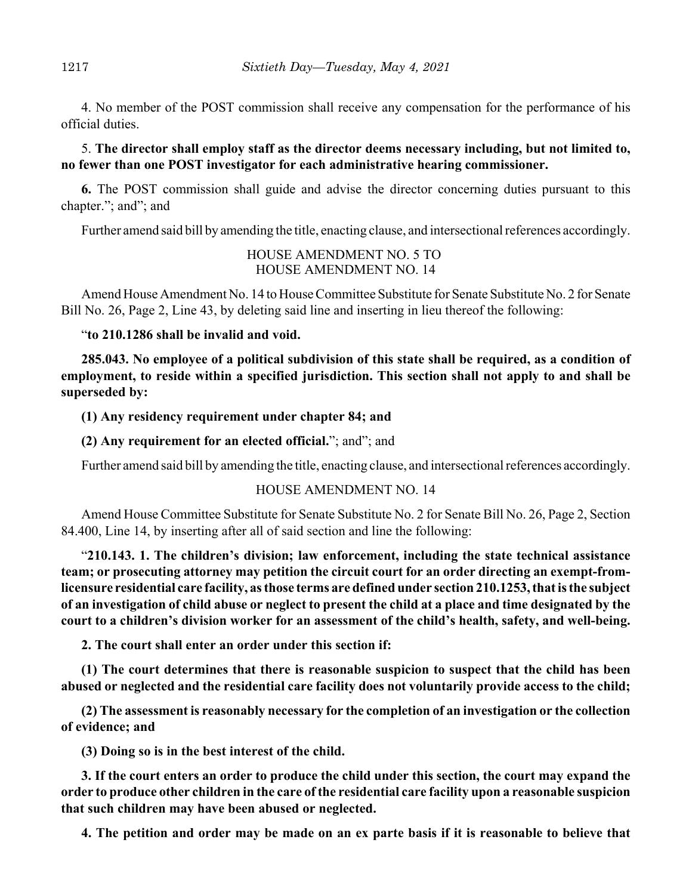4. No member of the POST commission shall receive any compensation for the performance of his official duties.

# 5. **The director shall employ staff as the director deems necessary including, but not limited to, no fewer than one POST investigator for each administrative hearing commissioner.**

**6.** The POST commission shall guide and advise the director concerning duties pursuant to this chapter."; and"; and

Further amend said bill by amending the title, enacting clause, and intersectional references accordingly.

#### HOUSE AMENDMENT NO. 5 TO HOUSE AMENDMENT NO. 14

Amend House Amendment No. 14 to House Committee Substitute for Senate Substitute No. 2 for Senate Bill No. 26, Page 2, Line 43, by deleting said line and inserting in lieu thereof the following:

"**to 210.1286 shall be invalid and void.**

**285.043. No employee of a political subdivision of this state shall be required, as a condition of employment, to reside within a specified jurisdiction. This section shall not apply to and shall be superseded by:**

### **(1) Any residency requirement under chapter 84; and**

**(2) Any requirement for an elected official.**"; and"; and

Further amend said bill by amending the title, enacting clause, and intersectional references accordingly.

# HOUSE AMENDMENT NO. 14

Amend House Committee Substitute for Senate Substitute No. 2 for Senate Bill No. 26, Page 2, Section 84.400, Line 14, by inserting after all of said section and line the following:

"**210.143. 1. The children's division; law enforcement, including the state technical assistance team; or prosecuting attorney may petition the circuit court for an order directing an exempt-fromlicensure residential care facility, as those terms are defined under section 210.1253, that is the subject of an investigation of child abuse or neglect to present the child at a place and time designated by the court to a children's division worker for an assessment of the child's health, safety, and well-being.**

**2. The court shall enter an order under this section if:**

**(1) The court determines that there is reasonable suspicion to suspect that the child has been abused or neglected and the residential care facility does not voluntarily provide access to the child;**

**(2) The assessment is reasonably necessary for the completion of an investigation or the collection of evidence; and** 

**(3) Doing so is in the best interest of the child.**

**3. If the court enters an order to produce the child under this section, the court may expand the order to produce other children in the care of the residential care facility upon a reasonable suspicion that such children may have been abused or neglected.**

**4. The petition and order may be made on an ex parte basis if it is reasonable to believe that**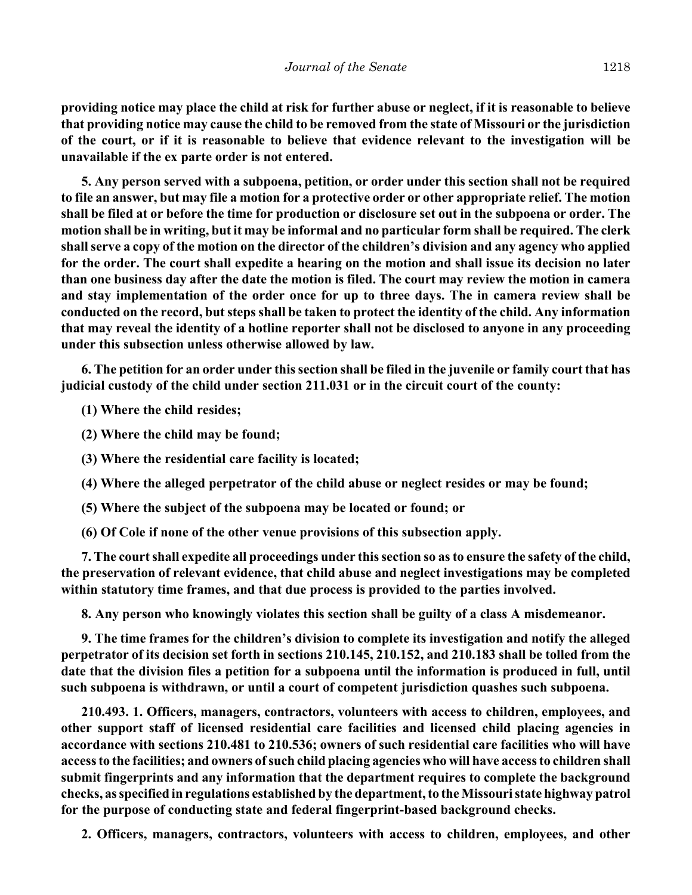**providing notice may place the child at risk for further abuse or neglect, if it is reasonable to believe that providing notice may cause the child to be removed from the state of Missouri or the jurisdiction of the court, or if it is reasonable to believe that evidence relevant to the investigation will be unavailable if the ex parte order is not entered.**

**5. Any person served with a subpoena, petition, or order under this section shall not be required to file an answer, but may file a motion for a protective order or other appropriate relief. The motion shall be filed at or before the time for production or disclosure set out in the subpoena or order. The motion shall be in writing, but it may be informal and no particular form shall be required. The clerk shall serve a copy of the motion on the director of the children's division and any agency who applied for the order. The court shall expedite a hearing on the motion and shall issue its decision no later than one business day after the date the motion is filed. The court may review the motion in camera and stay implementation of the order once for up to three days. The in camera review shall be conducted on the record, but steps shall be taken to protect the identity of the child. Any information that may reveal the identity of a hotline reporter shall not be disclosed to anyone in any proceeding under this subsection unless otherwise allowed by law.**

**6. The petition for an order under this section shall be filed in the juvenile or family court that has judicial custody of the child under section 211.031 or in the circuit court of the county:**

**(1) Where the child resides;**

**(2) Where the child may be found;**

**(3) Where the residential care facility is located;**

**(4) Where the alleged perpetrator of the child abuse or neglect resides or may be found;**

**(5) Where the subject of the subpoena may be located or found; or**

**(6) Of Cole if none of the other venue provisions of this subsection apply.**

**7. The court shall expedite all proceedings under this section so as to ensure the safety of the child, the preservation of relevant evidence, that child abuse and neglect investigations may be completed within statutory time frames, and that due process is provided to the parties involved.**

**8. Any person who knowingly violates this section shall be guilty of a class A misdemeanor.**

**9. The time frames for the children's division to complete its investigation and notify the alleged perpetrator of its decision set forth in sections 210.145, 210.152, and 210.183 shall be tolled from the date that the division files a petition for a subpoena until the information is produced in full, until such subpoena is withdrawn, or until a court of competent jurisdiction quashes such subpoena.**

**210.493. 1. Officers, managers, contractors, volunteers with access to children, employees, and other support staff of licensed residential care facilities and licensed child placing agencies in accordance with sections 210.481 to 210.536; owners of such residential care facilities who will have access to the facilities; and owners of such child placing agencies who will have access to children shall submit fingerprints and any information that the department requires to complete the background checks, as specified in regulations established by the department, to the Missouri state highway patrol for the purpose of conducting state and federal fingerprint-based background checks.**

**2. Officers, managers, contractors, volunteers with access to children, employees, and other**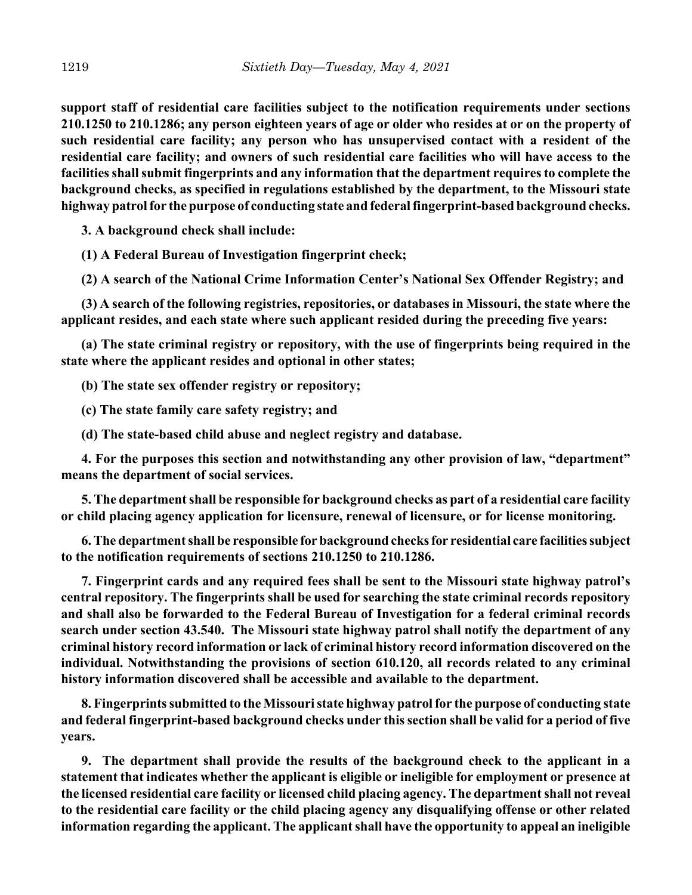**support staff of residential care facilities subject to the notification requirements under sections 210.1250 to 210.1286; any person eighteen years of age or older who resides at or on the property of such residential care facility; any person who has unsupervised contact with a resident of the residential care facility; and owners of such residential care facilities who will have access to the facilities shall submit fingerprints and any information that the department requires to complete the background checks, as specified in regulations established by the department, to the Missouri state highway patrol for the purpose of conducting state and federal fingerprint-based background checks.**

**3. A background check shall include:**

**(1) A Federal Bureau of Investigation fingerprint check;**

**(2) A search of the National Crime Information Center's National Sex Offender Registry; and**

**(3) A search of the following registries, repositories, or databases in Missouri, the state where the applicant resides, and each state where such applicant resided during the preceding five years:**

**(a) The state criminal registry or repository, with the use of fingerprints being required in the state where the applicant resides and optional in other states;**

**(b) The state sex offender registry or repository;** 

**(c) The state family care safety registry; and**

**(d) The state-based child abuse and neglect registry and database.**

**4. For the purposes this section and notwithstanding any other provision of law, "department" means the department of social services.**

**5. The department shall be responsible for background checks as part of a residential care facility or child placing agency application for licensure, renewal of licensure, or for license monitoring.**

**6. The department shall be responsible for background checks for residential care facilities subject to the notification requirements of sections 210.1250 to 210.1286.**

**7. Fingerprint cards and any required fees shall be sent to the Missouri state highway patrol's central repository. The fingerprints shall be used for searching the state criminal records repository and shall also be forwarded to the Federal Bureau of Investigation for a federal criminal records search under section 43.540. The Missouri state highway patrol shall notify the department of any criminal history record information or lack of criminal history record information discovered on the individual. Notwithstanding the provisions of section 610.120, all records related to any criminal history information discovered shall be accessible and available to the department.**

**8. Fingerprints submitted to the Missouri state highway patrol for the purpose of conducting state and federal fingerprint-based background checks under this section shall be valid for a period of five years.**

**9. The department shall provide the results of the background check to the applicant in a statement that indicates whether the applicant is eligible or ineligible for employment or presence at the licensed residential care facility or licensed child placing agency. The department shall not reveal to the residential care facility or the child placing agency any disqualifying offense or other related information regarding the applicant. The applicant shall have the opportunity to appeal an ineligible**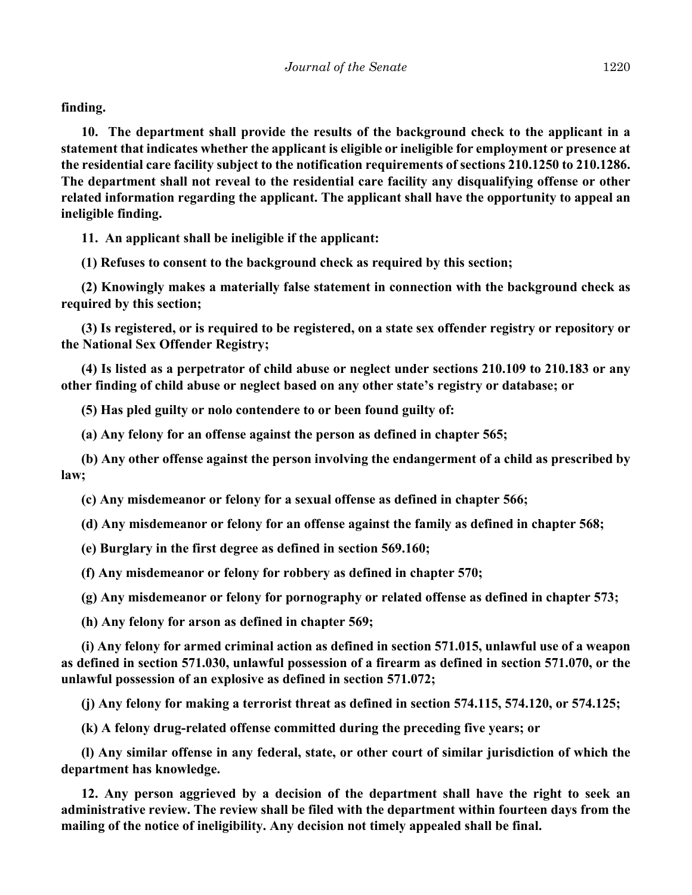**finding.** 

**10. The department shall provide the results of the background check to the applicant in a statement that indicates whether the applicant is eligible or ineligible for employment or presence at the residential care facility subject to the notification requirements of sections 210.1250 to 210.1286. The department shall not reveal to the residential care facility any disqualifying offense or other related information regarding the applicant. The applicant shall have the opportunity to appeal an ineligible finding.** 

**11. An applicant shall be ineligible if the applicant:**

**(1) Refuses to consent to the background check as required by this section;**

**(2) Knowingly makes a materially false statement in connection with the background check as required by this section;**

**(3) Is registered, or is required to be registered, on a state sex offender registry or repository or the National Sex Offender Registry;**

**(4) Is listed as a perpetrator of child abuse or neglect under sections 210.109 to 210.183 or any other finding of child abuse or neglect based on any other state's registry or database; or**

**(5) Has pled guilty or nolo contendere to or been found guilty of:**

**(a) Any felony for an offense against the person as defined in chapter 565;**

**(b) Any other offense against the person involving the endangerment of a child as prescribed by law;**

**(c) Any misdemeanor or felony for a sexual offense as defined in chapter 566;**

**(d) Any misdemeanor or felony for an offense against the family as defined in chapter 568;**

**(e) Burglary in the first degree as defined in section 569.160;**

**(f) Any misdemeanor or felony for robbery as defined in chapter 570;**

**(g) Any misdemeanor or felony for pornography or related offense as defined in chapter 573;**

**(h) Any felony for arson as defined in chapter 569;**

**(i) Any felony for armed criminal action as defined in section 571.015, unlawful use of a weapon as defined in section 571.030, unlawful possession of a firearm as defined in section 571.070, or the unlawful possession of an explosive as defined in section 571.072;**

**(j) Any felony for making a terrorist threat as defined in section 574.115, 574.120, or 574.125;**

**(k) A felony drug-related offense committed during the preceding five years; or**

**(l) Any similar offense in any federal, state, or other court of similar jurisdiction of which the department has knowledge.**

**12. Any person aggrieved by a decision of the department shall have the right to seek an administrative review. The review shall be filed with the department within fourteen days from the mailing of the notice of ineligibility. Any decision not timely appealed shall be final.**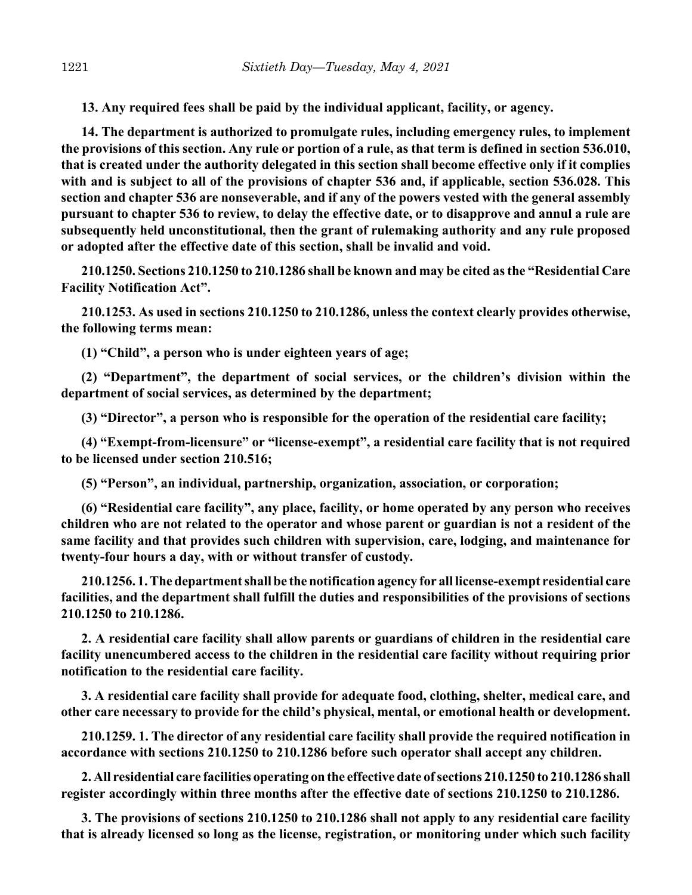**13. Any required fees shall be paid by the individual applicant, facility, or agency.**

**14. The department is authorized to promulgate rules, including emergency rules, to implement the provisions of this section. Any rule or portion of a rule, as that term is defined in section 536.010, that is created under the authority delegated in this section shall become effective only if it complies with and is subject to all of the provisions of chapter 536 and, if applicable, section 536.028. This section and chapter 536 are nonseverable, and if any of the powers vested with the general assembly pursuant to chapter 536 to review, to delay the effective date, or to disapprove and annul a rule are subsequently held unconstitutional, then the grant of rulemaking authority and any rule proposed or adopted after the effective date of this section, shall be invalid and void.**

**210.1250. Sections 210.1250 to 210.1286 shall be known and may be cited as the "Residential Care Facility Notification Act".**

**210.1253. As used in sections 210.1250 to 210.1286, unless the context clearly provides otherwise, the following terms mean:**

**(1) "Child", a person who is under eighteen years of age;**

**(2) "Department", the department of social services, or the children's division within the department of social services, as determined by the department;**

**(3) "Director", a person who is responsible for the operation of the residential care facility;**

**(4) "Exempt-from-licensure" or "license-exempt", a residential care facility that is not required to be licensed under section 210.516;**

**(5) "Person", an individual, partnership, organization, association, or corporation;**

**(6) "Residential care facility", any place, facility, or home operated by any person who receives children who are not related to the operator and whose parent or guardian is not a resident of the same facility and that provides such children with supervision, care, lodging, and maintenance for twenty-four hours a day, with or without transfer of custody.**

**210.1256. 1. The department shall be the notification agency for all license-exempt residential care facilities, and the department shall fulfill the duties and responsibilities of the provisions of sections 210.1250 to 210.1286.**

**2. A residential care facility shall allow parents or guardians of children in the residential care facility unencumbered access to the children in the residential care facility without requiring prior notification to the residential care facility.**

**3. A residential care facility shall provide for adequate food, clothing, shelter, medical care, and other care necessary to provide for the child's physical, mental, or emotional health or development.**

**210.1259. 1. The director of any residential care facility shall provide the required notification in accordance with sections 210.1250 to 210.1286 before such operator shall accept any children.**

**2. All residential care facilities operating on the effective date of sections 210.1250 to 210.1286 shall register accordingly within three months after the effective date of sections 210.1250 to 210.1286.**

**3. The provisions of sections 210.1250 to 210.1286 shall not apply to any residential care facility that is already licensed so long as the license, registration, or monitoring under which such facility**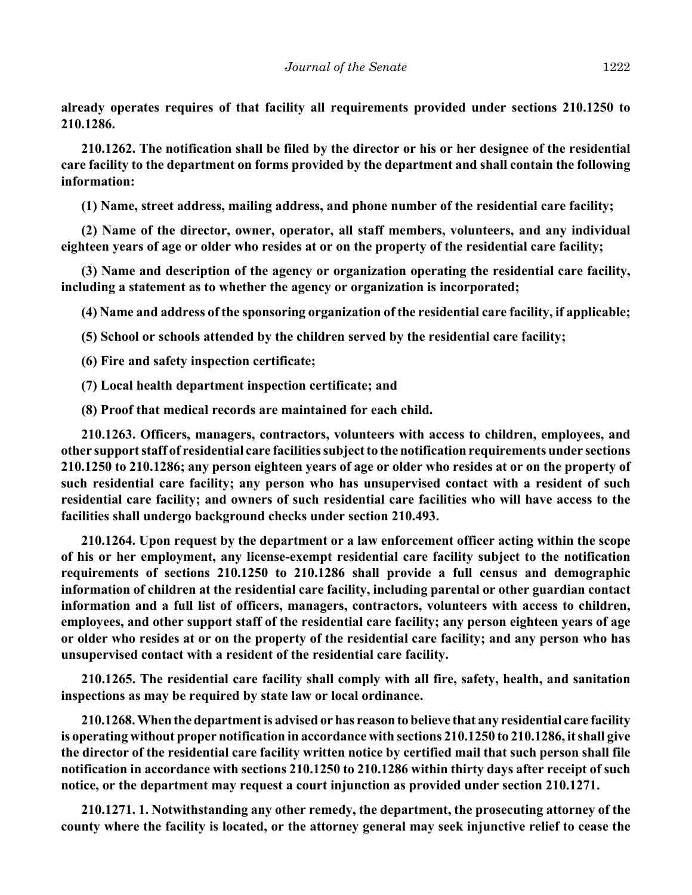**already operates requires of that facility all requirements provided under sections 210.1250 to 210.1286.**

**210.1262. The notification shall be filed by the director or his or her designee of the residential care facility to the department on forms provided by the department and shall contain the following information:**

**(1) Name, street address, mailing address, and phone number of the residential care facility;**

**(2) Name of the director, owner, operator, all staff members, volunteers, and any individual eighteen years of age or older who resides at or on the property of the residential care facility;**

**(3) Name and description of the agency or organization operating the residential care facility, including a statement as to whether the agency or organization is incorporated;**

**(4) Name and address of the sponsoring organization of the residential care facility, if applicable;**

**(5) School or schools attended by the children served by the residential care facility;**

**(6) Fire and safety inspection certificate;**

**(7) Local health department inspection certificate; and**

**(8) Proof that medical records are maintained for each child.**

**210.1263. Officers, managers, contractors, volunteers with access to children, employees, and other support staff of residential care facilities subject to the notification requirements under sections 210.1250 to 210.1286; any person eighteen years of age or older who resides at or on the property of such residential care facility; any person who has unsupervised contact with a resident of such residential care facility; and owners of such residential care facilities who will have access to the facilities shall undergo background checks under section 210.493.**

**210.1264. Upon request by the department or a law enforcement officer acting within the scope of his or her employment, any license-exempt residential care facility subject to the notification requirements of sections 210.1250 to 210.1286 shall provide a full census and demographic information of children at the residential care facility, including parental or other guardian contact information and a full list of officers, managers, contractors, volunteers with access to children, employees, and other support staff of the residential care facility; any person eighteen years of age or older who resides at or on the property of the residential care facility; and any person who has unsupervised contact with a resident of the residential care facility.**

**210.1265. The residential care facility shall comply with all fire, safety, health, and sanitation inspections as may be required by state law or local ordinance.**

**210.1268. When the department is advised or has reason to believe that any residential care facility is operating without proper notification in accordance with sections 210.1250 to 210.1286, it shall give the director of the residential care facility written notice by certified mail that such person shall file notification in accordance with sections 210.1250 to 210.1286 within thirty days after receipt of such notice, or the department may request a court injunction as provided under section 210.1271.**

**210.1271. 1. Notwithstanding any other remedy, the department, the prosecuting attorney of the county where the facility is located, or the attorney general may seek injunctive relief to cease the**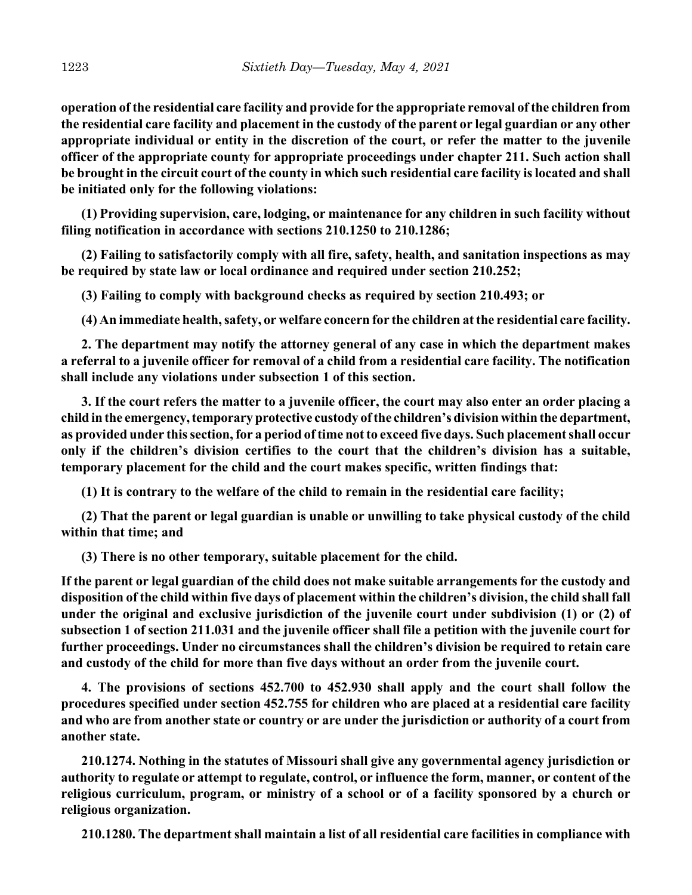**operation of the residential care facility and provide for the appropriate removal of the children from the residential care facility and placement in the custody of the parent or legal guardian or any other appropriate individual or entity in the discretion of the court, or refer the matter to the juvenile officer of the appropriate county for appropriate proceedings under chapter 211. Such action shall be brought in the circuit court of the county in which such residential care facility is located and shall be initiated only for the following violations:**

**(1) Providing supervision, care, lodging, or maintenance for any children in such facility without filing notification in accordance with sections 210.1250 to 210.1286;**

**(2) Failing to satisfactorily comply with all fire, safety, health, and sanitation inspections as may be required by state law or local ordinance and required under section 210.252;**

**(3) Failing to comply with background checks as required by section 210.493; or**

**(4) An immediate health, safety, or welfare concern for the children at the residential care facility.**

**2. The department may notify the attorney general of any case in which the department makes a referral to a juvenile officer for removal of a child from a residential care facility. The notification shall include any violations under subsection 1 of this section.**

**3. If the court refers the matter to a juvenile officer, the court may also enter an order placing a child in the emergency, temporary protective custody of the children's division within the department, as provided under this section, for a period of time not to exceed five days. Such placement shall occur only if the children's division certifies to the court that the children's division has a suitable, temporary placement for the child and the court makes specific, written findings that:**

**(1) It is contrary to the welfare of the child to remain in the residential care facility;**

**(2) That the parent or legal guardian is unable or unwilling to take physical custody of the child within that time; and**

**(3) There is no other temporary, suitable placement for the child.** 

**If the parent or legal guardian of the child does not make suitable arrangements for the custody and disposition of the child within five days of placement within the children's division, the child shall fall under the original and exclusive jurisdiction of the juvenile court under subdivision (1) or (2) of subsection 1 of section 211.031 and the juvenile officer shall file a petition with the juvenile court for further proceedings. Under no circumstances shall the children's division be required to retain care and custody of the child for more than five days without an order from the juvenile court.**

**4. The provisions of sections 452.700 to 452.930 shall apply and the court shall follow the procedures specified under section 452.755 for children who are placed at a residential care facility and who are from another state or country or are under the jurisdiction or authority of a court from another state.**

**210.1274. Nothing in the statutes of Missouri shall give any governmental agency jurisdiction or authority to regulate or attempt to regulate, control, or influence the form, manner, or content of the religious curriculum, program, or ministry of a school or of a facility sponsored by a church or religious organization.**

**210.1280. The department shall maintain a list of all residential care facilities in compliance with**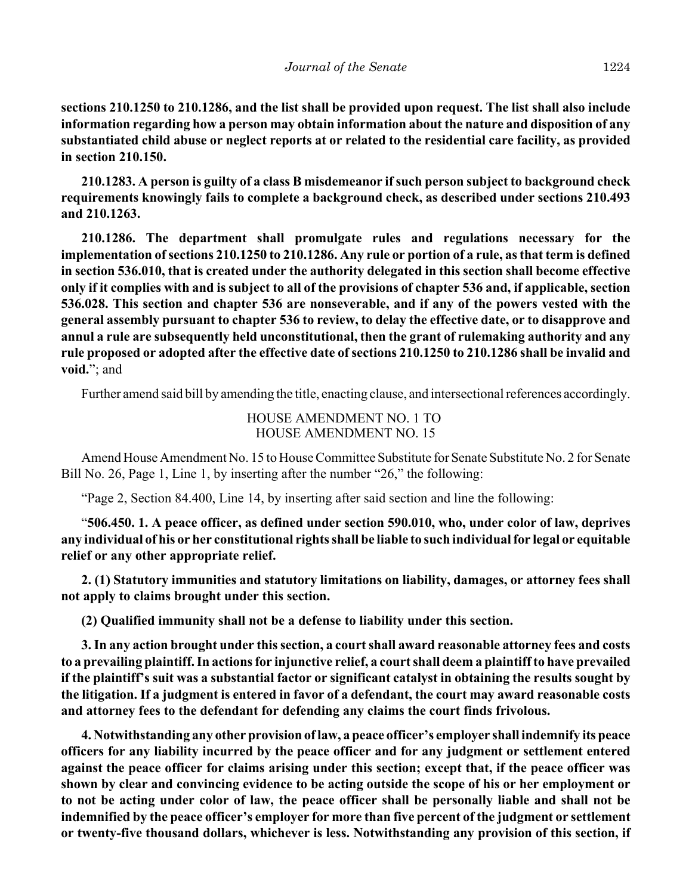**sections 210.1250 to 210.1286, and the list shall be provided upon request. The list shall also include information regarding how a person may obtain information about the nature and disposition of any substantiated child abuse or neglect reports at or related to the residential care facility, as provided in section 210.150.**

**210.1283. A person is guilty of a class B misdemeanor if such person subject to background check requirements knowingly fails to complete a background check, as described under sections 210.493 and 210.1263.**

**210.1286. The department shall promulgate rules and regulations necessary for the implementation of sections 210.1250 to 210.1286. Any rule or portion of a rule, as that term is defined in section 536.010, that is created under the authority delegated in this section shall become effective only if it complies with and is subject to all of the provisions of chapter 536 and, if applicable, section 536.028. This section and chapter 536 are nonseverable, and if any of the powers vested with the general assembly pursuant to chapter 536 to review, to delay the effective date, or to disapprove and annul a rule are subsequently held unconstitutional, then the grant of rulemaking authority and any rule proposed or adopted after the effective date of sections 210.1250 to 210.1286 shall be invalid and void.**"; and

Further amend said bill by amending the title, enacting clause, and intersectional references accordingly.

#### HOUSE AMENDMENT NO. 1 TO HOUSE AMENDMENT NO. 15

Amend House Amendment No. 15 to House Committee Substitute for Senate Substitute No. 2 for Senate Bill No. 26, Page 1, Line 1, by inserting after the number "26," the following:

"Page 2, Section 84.400, Line 14, by inserting after said section and line the following:

"**506.450. 1. A peace officer, as defined under section 590.010, who, under color of law, deprives any individual of his or her constitutional rights shall be liable to such individual for legal or equitable relief or any other appropriate relief.**

**2. (1) Statutory immunities and statutory limitations on liability, damages, or attorney fees shall not apply to claims brought under this section.**

**(2) Qualified immunity shall not be a defense to liability under this section.**

**3. In any action brought under this section, a court shall award reasonable attorney fees and costs to a prevailing plaintiff. In actions for injunctive relief, a court shall deem a plaintiff to have prevailed if the plaintiff's suit was a substantial factor or significant catalyst in obtaining the results sought by the litigation. If a judgment is entered in favor of a defendant, the court may award reasonable costs and attorney fees to the defendant for defending any claims the court finds frivolous.**

**4. Notwithstanding any other provision of law, a peace officer's employer shall indemnify its peace officers for any liability incurred by the peace officer and for any judgment or settlement entered against the peace officer for claims arising under this section; except that, if the peace officer was shown by clear and convincing evidence to be acting outside the scope of his or her employment or to not be acting under color of law, the peace officer shall be personally liable and shall not be indemnified by the peace officer's employer for more than five percent of the judgment or settlement or twenty-five thousand dollars, whichever is less. Notwithstanding any provision of this section, if**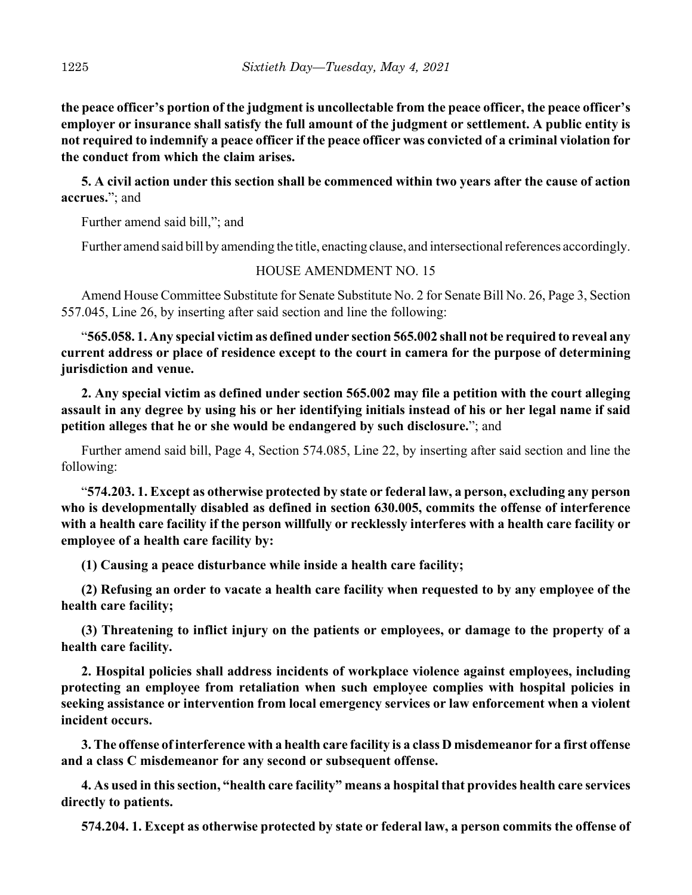**the peace officer's portion of the judgment is uncollectable from the peace officer, the peace officer's employer or insurance shall satisfy the full amount of the judgment or settlement. A public entity is not required to indemnify a peace officer if the peace officer was convicted of a criminal violation for the conduct from which the claim arises.**

**5. A civil action under this section shall be commenced within two years after the cause of action accrues.**"; and

Further amend said bill,"; and

Further amend said bill by amending the title, enacting clause, and intersectional references accordingly.

### HOUSE AMENDMENT NO. 15

Amend House Committee Substitute for Senate Substitute No. 2 for Senate Bill No. 26, Page 3, Section 557.045, Line 26, by inserting after said section and line the following:

"**565.058. 1. Any special victim as defined under section 565.002 shall not be required to reveal any current address or place of residence except to the court in camera for the purpose of determining jurisdiction and venue.**

**2. Any special victim as defined under section 565.002 may file a petition with the court alleging assault in any degree by using his or her identifying initials instead of his or her legal name if said petition alleges that he or she would be endangered by such disclosure.**"; and

Further amend said bill, Page 4, Section 574.085, Line 22, by inserting after said section and line the following:

"**574.203. 1. Except as otherwise protected by state or federal law, a person, excluding any person who is developmentally disabled as defined in section 630.005, commits the offense of interference with a health care facility if the person willfully or recklessly interferes with a health care facility or employee of a health care facility by:**

**(1) Causing a peace disturbance while inside a health care facility;**

**(2) Refusing an order to vacate a health care facility when requested to by any employee of the health care facility;**

**(3) Threatening to inflict injury on the patients or employees, or damage to the property of a health care facility.**

**2. Hospital policies shall address incidents of workplace violence against employees, including protecting an employee from retaliation when such employee complies with hospital policies in seeking assistance or intervention from local emergency services or law enforcement when a violent incident occurs.**

**3. The offense of interference with a health care facility is a class D misdemeanor for a first offense and a class C misdemeanor for any second or subsequent offense.**

**4. As used in this section, "health care facility" means a hospital that provides health care services directly to patients.**

**574.204. 1. Except as otherwise protected by state or federal law, a person commits the offense of**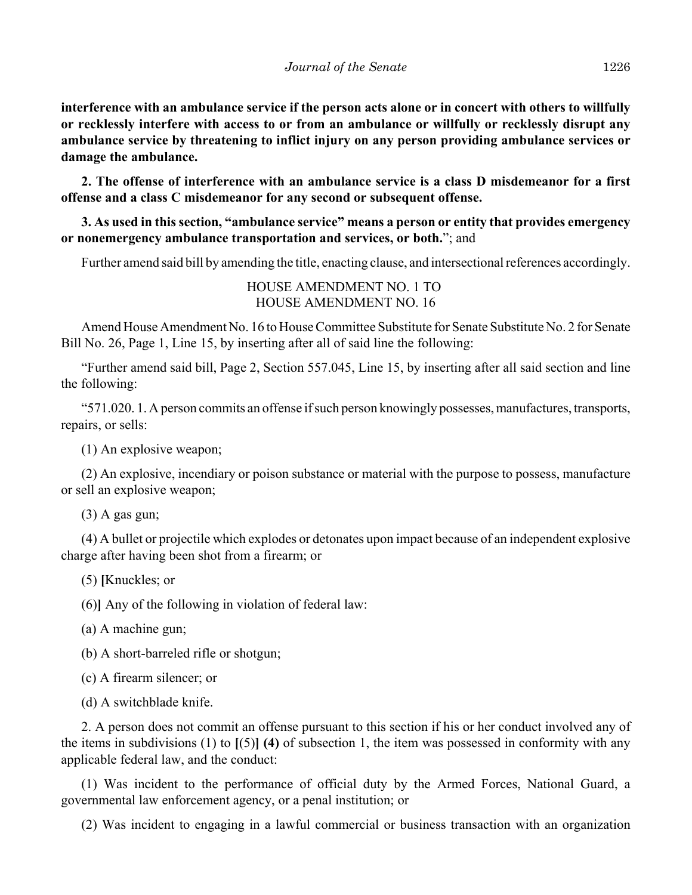**interference with an ambulance service if the person acts alone or in concert with others to willfully or recklessly interfere with access to or from an ambulance or willfully or recklessly disrupt any ambulance service by threatening to inflict injury on any person providing ambulance services or damage the ambulance.**

**2. The offense of interference with an ambulance service is a class D misdemeanor for a first offense and a class C misdemeanor for any second or subsequent offense.**

**3. As used in this section, "ambulance service" means a person or entity that provides emergency or nonemergency ambulance transportation and services, or both.**"; and

Further amend said bill by amending the title, enacting clause, and intersectional references accordingly.

HOUSE AMENDMENT NO. 1 TO HOUSE AMENDMENT NO. 16

Amend House Amendment No. 16 to House Committee Substitute for Senate Substitute No. 2 for Senate Bill No. 26, Page 1, Line 15, by inserting after all of said line the following:

"Further amend said bill, Page 2, Section 557.045, Line 15, by inserting after all said section and line the following:

"571.020. 1. A person commits an offense if such person knowingly possesses, manufactures, transports, repairs, or sells:

(1) An explosive weapon;

(2) An explosive, incendiary or poison substance or material with the purpose to possess, manufacture or sell an explosive weapon;

(3) A gas gun;

(4) A bullet or projectile which explodes or detonates upon impact because of an independent explosive charge after having been shot from a firearm; or

(5) **[**Knuckles; or

(6)**]** Any of the following in violation of federal law:

(a) A machine gun;

(b) A short-barreled rifle or shotgun;

(c) A firearm silencer; or

(d) A switchblade knife.

2. A person does not commit an offense pursuant to this section if his or her conduct involved any of the items in subdivisions (1) to **[**(5)**] (4)** of subsection 1, the item was possessed in conformity with any applicable federal law, and the conduct:

(1) Was incident to the performance of official duty by the Armed Forces, National Guard, a governmental law enforcement agency, or a penal institution; or

(2) Was incident to engaging in a lawful commercial or business transaction with an organization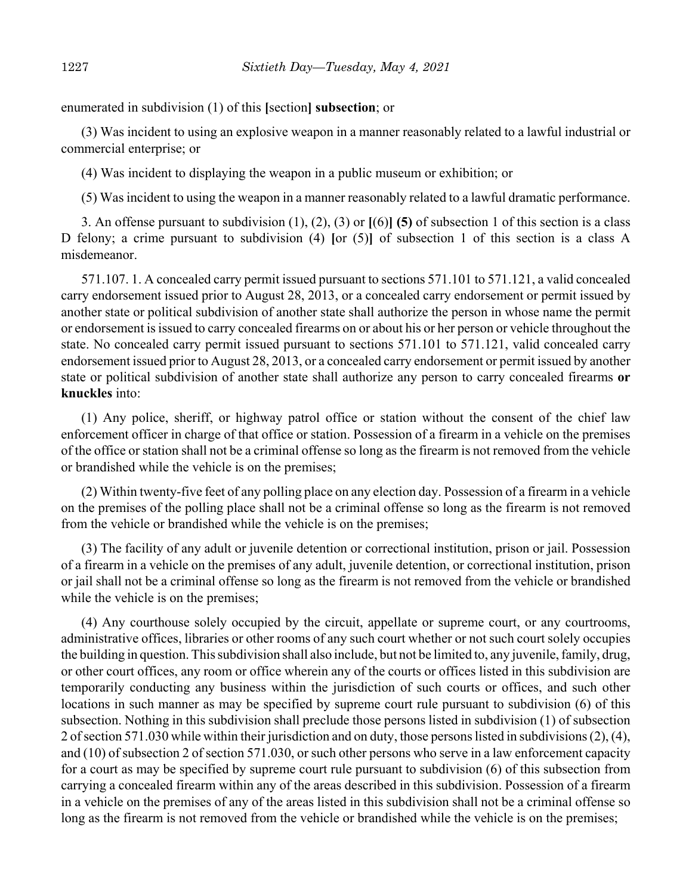enumerated in subdivision (1) of this **[**section**] subsection**; or

(3) Was incident to using an explosive weapon in a manner reasonably related to a lawful industrial or commercial enterprise; or

(4) Was incident to displaying the weapon in a public museum or exhibition; or

(5) Was incident to using the weapon in a manner reasonably related to a lawful dramatic performance.

3. An offense pursuant to subdivision (1), (2), (3) or **[**(6)**] (5)** of subsection 1 of this section is a class D felony; a crime pursuant to subdivision (4) **[**or (5)**]** of subsection 1 of this section is a class A misdemeanor.

571.107. 1. A concealed carry permit issued pursuant to sections 571.101 to 571.121, a valid concealed carry endorsement issued prior to August 28, 2013, or a concealed carry endorsement or permit issued by another state or political subdivision of another state shall authorize the person in whose name the permit or endorsement is issued to carry concealed firearms on or about his or her person or vehicle throughout the state. No concealed carry permit issued pursuant to sections 571.101 to 571.121, valid concealed carry endorsement issued prior to August 28, 2013, or a concealed carry endorsement or permit issued by another state or political subdivision of another state shall authorize any person to carry concealed firearms **or knuckles** into:

(1) Any police, sheriff, or highway patrol office or station without the consent of the chief law enforcement officer in charge of that office or station. Possession of a firearm in a vehicle on the premises of the office or station shall not be a criminal offense so long as the firearm is not removed from the vehicle or brandished while the vehicle is on the premises;

(2) Within twenty-five feet of any polling place on any election day. Possession of a firearm in a vehicle on the premises of the polling place shall not be a criminal offense so long as the firearm is not removed from the vehicle or brandished while the vehicle is on the premises;

(3) The facility of any adult or juvenile detention or correctional institution, prison or jail. Possession of a firearm in a vehicle on the premises of any adult, juvenile detention, or correctional institution, prison or jail shall not be a criminal offense so long as the firearm is not removed from the vehicle or brandished while the vehicle is on the premises;

(4) Any courthouse solely occupied by the circuit, appellate or supreme court, or any courtrooms, administrative offices, libraries or other rooms of any such court whether or not such court solely occupies the building in question. This subdivision shall also include, but not be limited to, any juvenile, family, drug, or other court offices, any room or office wherein any of the courts or offices listed in this subdivision are temporarily conducting any business within the jurisdiction of such courts or offices, and such other locations in such manner as may be specified by supreme court rule pursuant to subdivision (6) of this subsection. Nothing in this subdivision shall preclude those persons listed in subdivision (1) of subsection 2 of section 571.030 while within their jurisdiction and on duty, those persons listed in subdivisions (2), (4), and (10) of subsection 2 of section 571.030, or such other persons who serve in a law enforcement capacity for a court as may be specified by supreme court rule pursuant to subdivision (6) of this subsection from carrying a concealed firearm within any of the areas described in this subdivision. Possession of a firearm in a vehicle on the premises of any of the areas listed in this subdivision shall not be a criminal offense so long as the firearm is not removed from the vehicle or brandished while the vehicle is on the premises;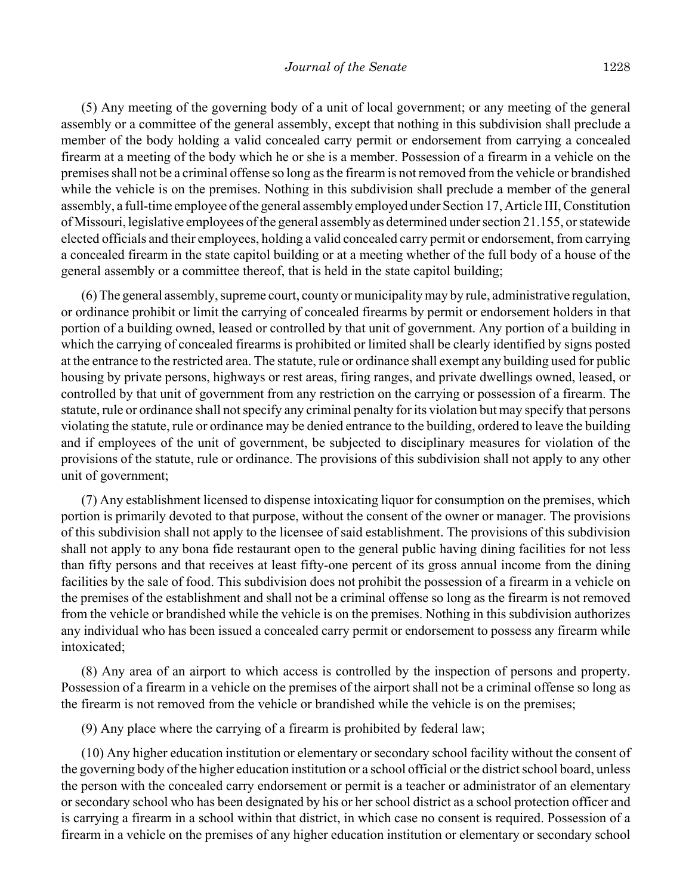(5) Any meeting of the governing body of a unit of local government; or any meeting of the general assembly or a committee of the general assembly, except that nothing in this subdivision shall preclude a member of the body holding a valid concealed carry permit or endorsement from carrying a concealed firearm at a meeting of the body which he or she is a member. Possession of a firearm in a vehicle on the premises shall not be a criminal offense so long as the firearm is not removed from the vehicle or brandished while the vehicle is on the premises. Nothing in this subdivision shall preclude a member of the general assembly, a full-time employee of the general assembly employed under Section 17, Article III, Constitution of Missouri, legislative employees of the general assembly as determined under section 21.155, or statewide elected officials and their employees, holding a valid concealed carry permit or endorsement, from carrying a concealed firearm in the state capitol building or at a meeting whether of the full body of a house of the general assembly or a committee thereof, that is held in the state capitol building;

(6) The general assembly, supreme court, county or municipality may by rule, administrative regulation, or ordinance prohibit or limit the carrying of concealed firearms by permit or endorsement holders in that portion of a building owned, leased or controlled by that unit of government. Any portion of a building in which the carrying of concealed firearms is prohibited or limited shall be clearly identified by signs posted at the entrance to the restricted area. The statute, rule or ordinance shall exempt any building used for public housing by private persons, highways or rest areas, firing ranges, and private dwellings owned, leased, or controlled by that unit of government from any restriction on the carrying or possession of a firearm. The statute, rule or ordinance shall not specify any criminal penalty for its violation but may specify that persons violating the statute, rule or ordinance may be denied entrance to the building, ordered to leave the building and if employees of the unit of government, be subjected to disciplinary measures for violation of the provisions of the statute, rule or ordinance. The provisions of this subdivision shall not apply to any other unit of government;

(7) Any establishment licensed to dispense intoxicating liquor for consumption on the premises, which portion is primarily devoted to that purpose, without the consent of the owner or manager. The provisions of this subdivision shall not apply to the licensee of said establishment. The provisions of this subdivision shall not apply to any bona fide restaurant open to the general public having dining facilities for not less than fifty persons and that receives at least fifty-one percent of its gross annual income from the dining facilities by the sale of food. This subdivision does not prohibit the possession of a firearm in a vehicle on the premises of the establishment and shall not be a criminal offense so long as the firearm is not removed from the vehicle or brandished while the vehicle is on the premises. Nothing in this subdivision authorizes any individual who has been issued a concealed carry permit or endorsement to possess any firearm while intoxicated;

(8) Any area of an airport to which access is controlled by the inspection of persons and property. Possession of a firearm in a vehicle on the premises of the airport shall not be a criminal offense so long as the firearm is not removed from the vehicle or brandished while the vehicle is on the premises;

(9) Any place where the carrying of a firearm is prohibited by federal law;

(10) Any higher education institution or elementary or secondary school facility without the consent of the governing body of the higher education institution or a school official or the district school board, unless the person with the concealed carry endorsement or permit is a teacher or administrator of an elementary or secondary school who has been designated by his or her school district as a school protection officer and is carrying a firearm in a school within that district, in which case no consent is required. Possession of a firearm in a vehicle on the premises of any higher education institution or elementary or secondary school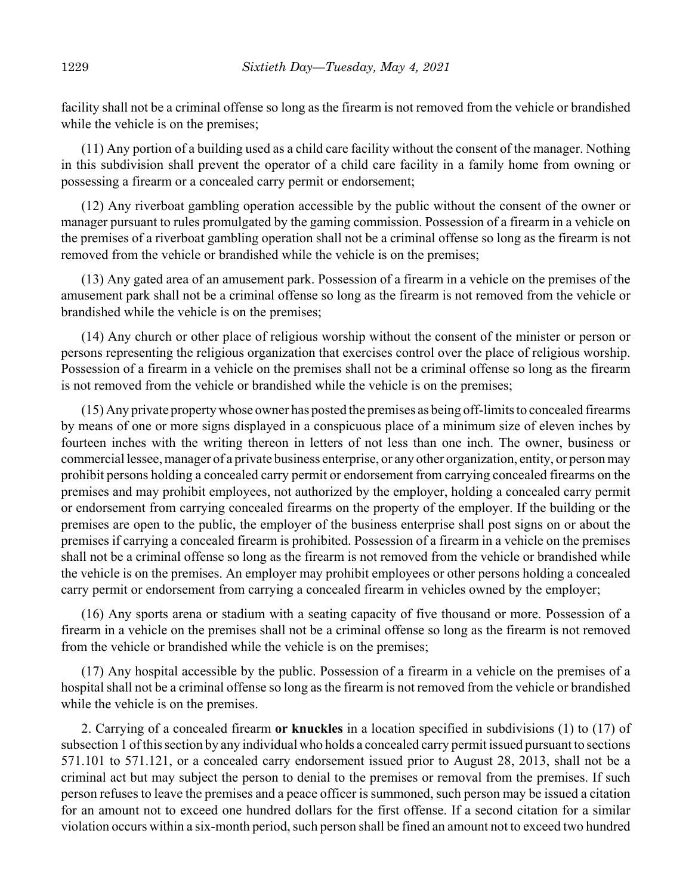facility shall not be a criminal offense so long as the firearm is not removed from the vehicle or brandished while the vehicle is on the premises;

(11) Any portion of a building used as a child care facility without the consent of the manager. Nothing in this subdivision shall prevent the operator of a child care facility in a family home from owning or possessing a firearm or a concealed carry permit or endorsement;

(12) Any riverboat gambling operation accessible by the public without the consent of the owner or manager pursuant to rules promulgated by the gaming commission. Possession of a firearm in a vehicle on the premises of a riverboat gambling operation shall not be a criminal offense so long as the firearm is not removed from the vehicle or brandished while the vehicle is on the premises;

(13) Any gated area of an amusement park. Possession of a firearm in a vehicle on the premises of the amusement park shall not be a criminal offense so long as the firearm is not removed from the vehicle or brandished while the vehicle is on the premises;

(14) Any church or other place of religious worship without the consent of the minister or person or persons representing the religious organization that exercises control over the place of religious worship. Possession of a firearm in a vehicle on the premises shall not be a criminal offense so long as the firearm is not removed from the vehicle or brandished while the vehicle is on the premises;

(15) Any private property whose owner has posted the premises as being off-limits to concealed firearms by means of one or more signs displayed in a conspicuous place of a minimum size of eleven inches by fourteen inches with the writing thereon in letters of not less than one inch. The owner, business or commercial lessee, manager of a private business enterprise, or any other organization, entity, or person may prohibit persons holding a concealed carry permit or endorsement from carrying concealed firearms on the premises and may prohibit employees, not authorized by the employer, holding a concealed carry permit or endorsement from carrying concealed firearms on the property of the employer. If the building or the premises are open to the public, the employer of the business enterprise shall post signs on or about the premises if carrying a concealed firearm is prohibited. Possession of a firearm in a vehicle on the premises shall not be a criminal offense so long as the firearm is not removed from the vehicle or brandished while the vehicle is on the premises. An employer may prohibit employees or other persons holding a concealed carry permit or endorsement from carrying a concealed firearm in vehicles owned by the employer;

(16) Any sports arena or stadium with a seating capacity of five thousand or more. Possession of a firearm in a vehicle on the premises shall not be a criminal offense so long as the firearm is not removed from the vehicle or brandished while the vehicle is on the premises;

(17) Any hospital accessible by the public. Possession of a firearm in a vehicle on the premises of a hospital shall not be a criminal offense so long as the firearm is not removed from the vehicle or brandished while the vehicle is on the premises.

2. Carrying of a concealed firearm **or knuckles** in a location specified in subdivisions (1) to (17) of subsection 1 of this section by any individual who holds a concealed carry permit issued pursuant to sections 571.101 to 571.121, or a concealed carry endorsement issued prior to August 28, 2013, shall not be a criminal act but may subject the person to denial to the premises or removal from the premises. If such person refuses to leave the premises and a peace officer is summoned, such person may be issued a citation for an amount not to exceed one hundred dollars for the first offense. If a second citation for a similar violation occurs within a six-month period, such person shall be fined an amount not to exceed two hundred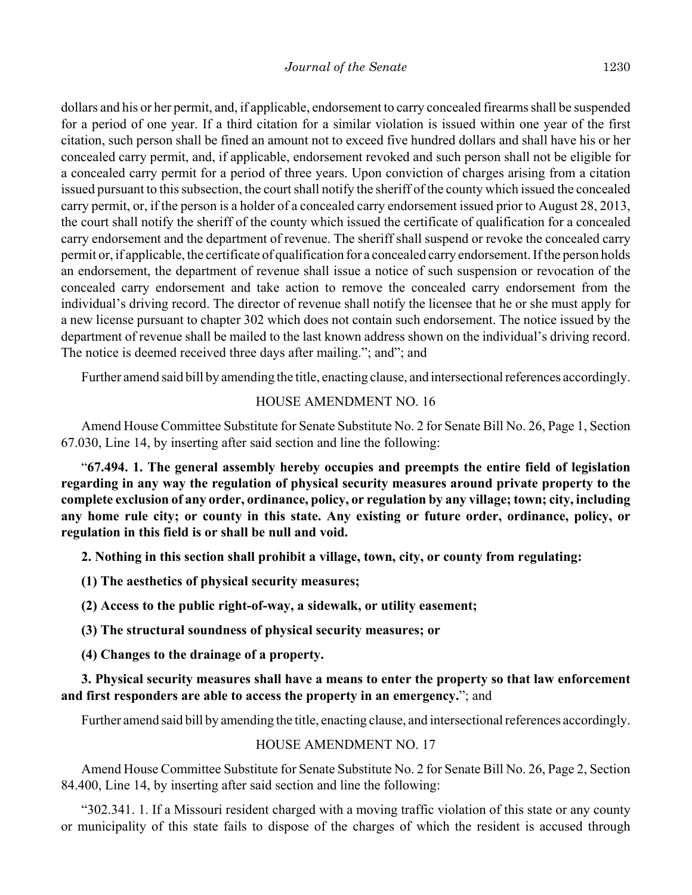dollars and his or her permit, and, if applicable, endorsement to carry concealed firearms shall be suspended for a period of one year. If a third citation for a similar violation is issued within one year of the first citation, such person shall be fined an amount not to exceed five hundred dollars and shall have his or her concealed carry permit, and, if applicable, endorsement revoked and such person shall not be eligible for a concealed carry permit for a period of three years. Upon conviction of charges arising from a citation issued pursuant to this subsection, the court shall notify the sheriff of the county which issued the concealed carry permit, or, if the person is a holder of a concealed carry endorsement issued prior to August 28, 2013, the court shall notify the sheriff of the county which issued the certificate of qualification for a concealed carry endorsement and the department of revenue. The sheriff shall suspend or revoke the concealed carry permit or, if applicable, the certificate of qualification for a concealed carry endorsement. If the person holds an endorsement, the department of revenue shall issue a notice of such suspension or revocation of the concealed carry endorsement and take action to remove the concealed carry endorsement from the individual's driving record. The director of revenue shall notify the licensee that he or she must apply for a new license pursuant to chapter 302 which does not contain such endorsement. The notice issued by the department of revenue shall be mailed to the last known address shown on the individual's driving record. The notice is deemed received three days after mailing."; and"; and

Further amend said bill by amending the title, enacting clause, and intersectional references accordingly.

#### HOUSE AMENDMENT NO. 16

Amend House Committee Substitute for Senate Substitute No. 2 for Senate Bill No. 26, Page 1, Section 67.030, Line 14, by inserting after said section and line the following:

"**67.494. 1. The general assembly hereby occupies and preempts the entire field of legislation regarding in any way the regulation of physical security measures around private property to the complete exclusion of any order, ordinance, policy, or regulation by any village; town; city, including any home rule city; or county in this state. Any existing or future order, ordinance, policy, or regulation in this field is or shall be null and void.**

**2. Nothing in this section shall prohibit a village, town, city, or county from regulating:**

**(1) The aesthetics of physical security measures;**

**(2) Access to the public right-of-way, a sidewalk, or utility easement;**

**(3) The structural soundness of physical security measures; or**

**(4) Changes to the drainage of a property.**

### **3. Physical security measures shall have a means to enter the property so that law enforcement and first responders are able to access the property in an emergency.**"; and

Further amend said bill by amending the title, enacting clause, and intersectional references accordingly.

#### HOUSE AMENDMENT NO. 17

Amend House Committee Substitute for Senate Substitute No. 2 for Senate Bill No. 26, Page 2, Section 84.400, Line 14, by inserting after said section and line the following:

"302.341. 1. If a Missouri resident charged with a moving traffic violation of this state or any county or municipality of this state fails to dispose of the charges of which the resident is accused through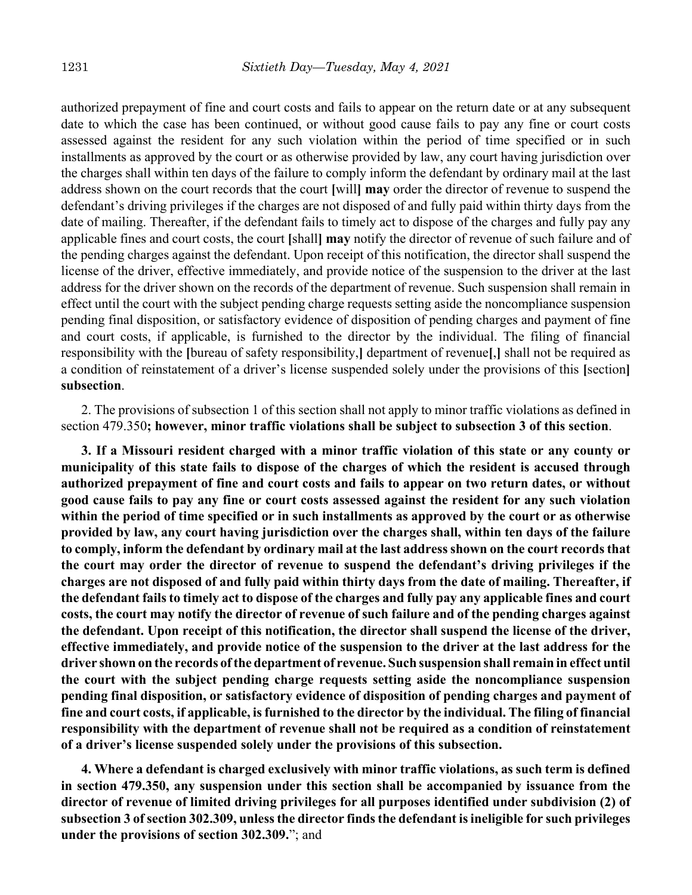authorized prepayment of fine and court costs and fails to appear on the return date or at any subsequent date to which the case has been continued, or without good cause fails to pay any fine or court costs assessed against the resident for any such violation within the period of time specified or in such installments as approved by the court or as otherwise provided by law, any court having jurisdiction over the charges shall within ten days of the failure to comply inform the defendant by ordinary mail at the last address shown on the court records that the court **[**will**] may** order the director of revenue to suspend the defendant's driving privileges if the charges are not disposed of and fully paid within thirty days from the date of mailing. Thereafter, if the defendant fails to timely act to dispose of the charges and fully pay any applicable fines and court costs, the court **[**shall**] may** notify the director of revenue of such failure and of the pending charges against the defendant. Upon receipt of this notification, the director shall suspend the license of the driver, effective immediately, and provide notice of the suspension to the driver at the last address for the driver shown on the records of the department of revenue. Such suspension shall remain in effect until the court with the subject pending charge requests setting aside the noncompliance suspension pending final disposition, or satisfactory evidence of disposition of pending charges and payment of fine and court costs, if applicable, is furnished to the director by the individual. The filing of financial responsibility with the **[**bureau of safety responsibility,**]** department of revenue**[**,**]** shall not be required as a condition of reinstatement of a driver's license suspended solely under the provisions of this **[**section**] subsection**.

2. The provisions of subsection 1 of this section shall not apply to minor traffic violations as defined in section 479.350**; however, minor traffic violations shall be subject to subsection 3 of this section**.

**3. If a Missouri resident charged with a minor traffic violation of this state or any county or municipality of this state fails to dispose of the charges of which the resident is accused through authorized prepayment of fine and court costs and fails to appear on two return dates, or without good cause fails to pay any fine or court costs assessed against the resident for any such violation within the period of time specified or in such installments as approved by the court or as otherwise provided by law, any court having jurisdiction over the charges shall, within ten days of the failure to comply, inform the defendant by ordinary mail at the last address shown on the court records that the court may order the director of revenue to suspend the defendant's driving privileges if the charges are not disposed of and fully paid within thirty days from the date of mailing. Thereafter, if the defendant fails to timely act to dispose of the charges and fully pay any applicable fines and court costs, the court may notify the director of revenue of such failure and of the pending charges against the defendant. Upon receipt of this notification, the director shall suspend the license of the driver, effective immediately, and provide notice of the suspension to the driver at the last address for the driver shown on the records of the department of revenue. Such suspension shall remain in effect until the court with the subject pending charge requests setting aside the noncompliance suspension pending final disposition, or satisfactory evidence of disposition of pending charges and payment of fine and court costs, if applicable, is furnished to the director by the individual. The filing of financial responsibility with the department of revenue shall not be required as a condition of reinstatement of a driver's license suspended solely under the provisions of this subsection.**

**4. Where a defendant is charged exclusively with minor traffic violations, as such term is defined in section 479.350, any suspension under this section shall be accompanied by issuance from the director of revenue of limited driving privileges for all purposes identified under subdivision (2) of subsection 3 of section 302.309, unless the director finds the defendant is ineligible for such privileges under the provisions of section 302.309.**"; and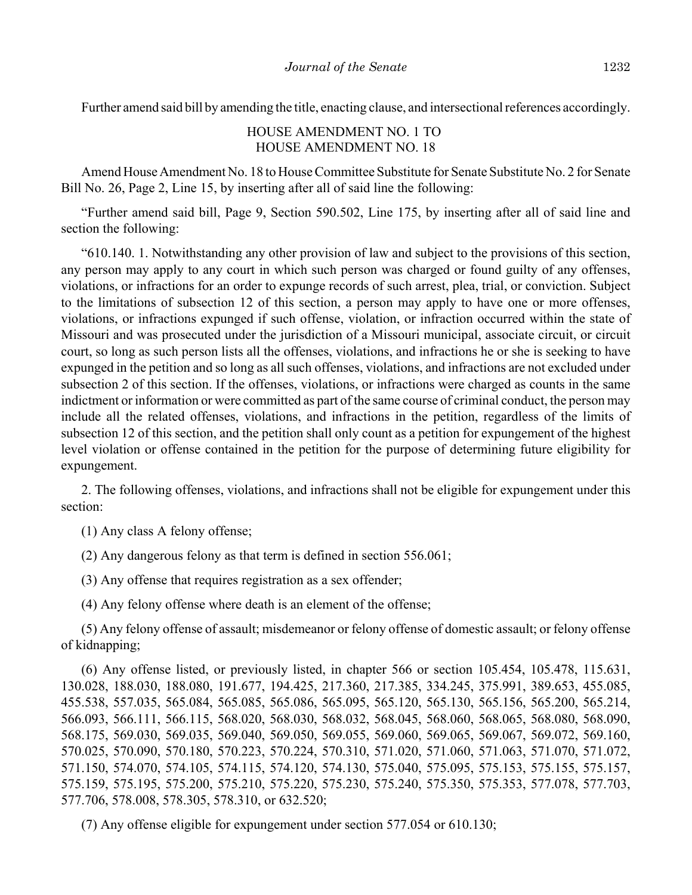Further amend said bill by amending the title, enacting clause, and intersectional references accordingly.

HOUSE AMENDMENT NO. 1 TO HOUSE AMENDMENT NO. 18

Amend House Amendment No. 18 to House Committee Substitute for Senate Substitute No. 2 for Senate Bill No. 26, Page 2, Line 15, by inserting after all of said line the following:

"Further amend said bill, Page 9, Section 590.502, Line 175, by inserting after all of said line and section the following:

"610.140. 1. Notwithstanding any other provision of law and subject to the provisions of this section, any person may apply to any court in which such person was charged or found guilty of any offenses, violations, or infractions for an order to expunge records of such arrest, plea, trial, or conviction. Subject to the limitations of subsection 12 of this section, a person may apply to have one or more offenses, violations, or infractions expunged if such offense, violation, or infraction occurred within the state of Missouri and was prosecuted under the jurisdiction of a Missouri municipal, associate circuit, or circuit court, so long as such person lists all the offenses, violations, and infractions he or she is seeking to have expunged in the petition and so long as all such offenses, violations, and infractions are not excluded under subsection 2 of this section. If the offenses, violations, or infractions were charged as counts in the same indictment or information or were committed as part of the same course of criminal conduct, the person may include all the related offenses, violations, and infractions in the petition, regardless of the limits of subsection 12 of this section, and the petition shall only count as a petition for expungement of the highest level violation or offense contained in the petition for the purpose of determining future eligibility for expungement.

2. The following offenses, violations, and infractions shall not be eligible for expungement under this section:

(1) Any class A felony offense;

(2) Any dangerous felony as that term is defined in section 556.061;

(3) Any offense that requires registration as a sex offender;

(4) Any felony offense where death is an element of the offense;

(5) Any felony offense of assault; misdemeanor or felony offense of domestic assault; or felony offense of kidnapping;

(6) Any offense listed, or previously listed, in chapter 566 or section 105.454, 105.478, 115.631, 130.028, 188.030, 188.080, 191.677, 194.425, 217.360, 217.385, 334.245, 375.991, 389.653, 455.085, 455.538, 557.035, 565.084, 565.085, 565.086, 565.095, 565.120, 565.130, 565.156, 565.200, 565.214, 566.093, 566.111, 566.115, 568.020, 568.030, 568.032, 568.045, 568.060, 568.065, 568.080, 568.090, 568.175, 569.030, 569.035, 569.040, 569.050, 569.055, 569.060, 569.065, 569.067, 569.072, 569.160, 570.025, 570.090, 570.180, 570.223, 570.224, 570.310, 571.020, 571.060, 571.063, 571.070, 571.072, 571.150, 574.070, 574.105, 574.115, 574.120, 574.130, 575.040, 575.095, 575.153, 575.155, 575.157, 575.159, 575.195, 575.200, 575.210, 575.220, 575.230, 575.240, 575.350, 575.353, 577.078, 577.703, 577.706, 578.008, 578.305, 578.310, or 632.520;

(7) Any offense eligible for expungement under section 577.054 or 610.130;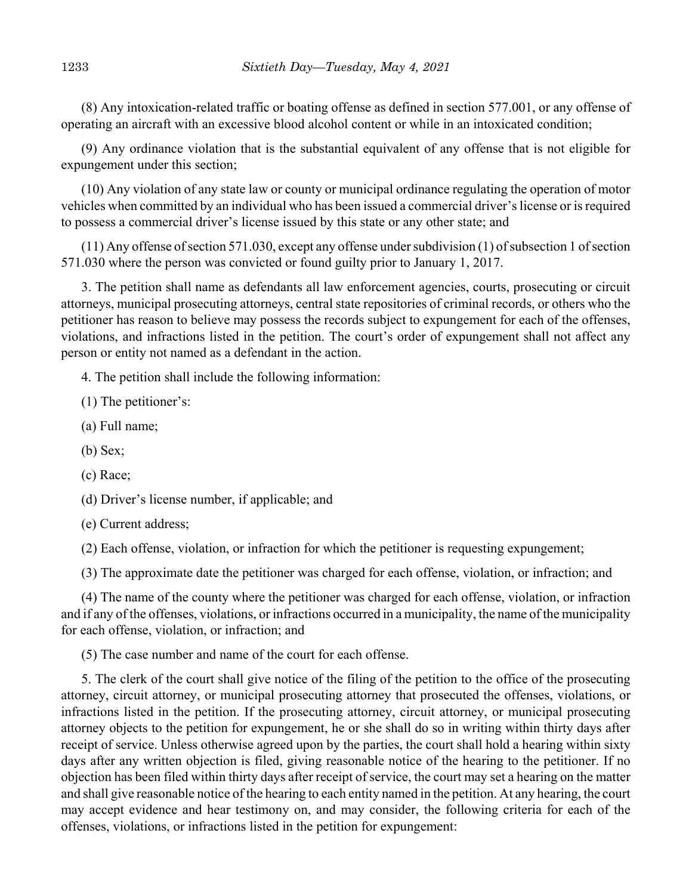(8) Any intoxication-related traffic or boating offense as defined in section 577.001, or any offense of operating an aircraft with an excessive blood alcohol content or while in an intoxicated condition;

(9) Any ordinance violation that is the substantial equivalent of any offense that is not eligible for expungement under this section;

(10) Any violation of any state law or county or municipal ordinance regulating the operation of motor vehicles when committed by an individual who has been issued a commercial driver's license or is required to possess a commercial driver's license issued by this state or any other state; and

(11) Any offense of section 571.030, except any offense under subdivision (1) of subsection 1 of section 571.030 where the person was convicted or found guilty prior to January 1, 2017.

3. The petition shall name as defendants all law enforcement agencies, courts, prosecuting or circuit attorneys, municipal prosecuting attorneys, central state repositories of criminal records, or others who the petitioner has reason to believe may possess the records subject to expungement for each of the offenses, violations, and infractions listed in the petition. The court's order of expungement shall not affect any person or entity not named as a defendant in the action.

4. The petition shall include the following information:

(1) The petitioner's:

- (a) Full name;
- (b) Sex;
- (c) Race;

(d) Driver's license number, if applicable; and

(e) Current address;

(2) Each offense, violation, or infraction for which the petitioner is requesting expungement;

(3) The approximate date the petitioner was charged for each offense, violation, or infraction; and

(4) The name of the county where the petitioner was charged for each offense, violation, or infraction and if any of the offenses, violations, or infractions occurred in a municipality, the name of the municipality for each offense, violation, or infraction; and

(5) The case number and name of the court for each offense.

5. The clerk of the court shall give notice of the filing of the petition to the office of the prosecuting attorney, circuit attorney, or municipal prosecuting attorney that prosecuted the offenses, violations, or infractions listed in the petition. If the prosecuting attorney, circuit attorney, or municipal prosecuting attorney objects to the petition for expungement, he or she shall do so in writing within thirty days after receipt of service. Unless otherwise agreed upon by the parties, the court shall hold a hearing within sixty days after any written objection is filed, giving reasonable notice of the hearing to the petitioner. If no objection has been filed within thirty days after receipt of service, the court may set a hearing on the matter and shall give reasonable notice of the hearing to each entity named in the petition. At any hearing, the court may accept evidence and hear testimony on, and may consider, the following criteria for each of the offenses, violations, or infractions listed in the petition for expungement: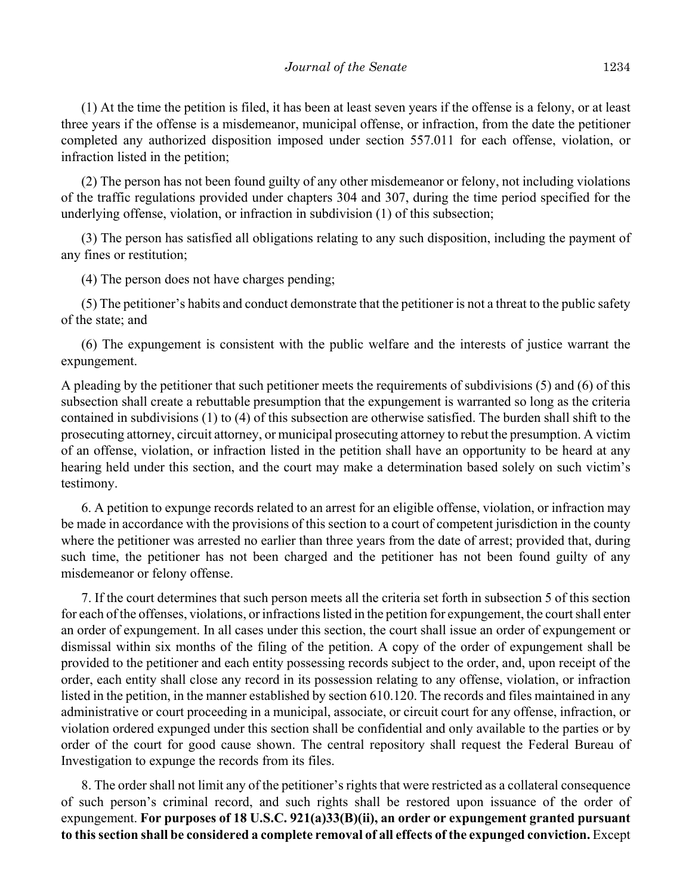(1) At the time the petition is filed, it has been at least seven years if the offense is a felony, or at least three years if the offense is a misdemeanor, municipal offense, or infraction, from the date the petitioner completed any authorized disposition imposed under section 557.011 for each offense, violation, or infraction listed in the petition;

(2) The person has not been found guilty of any other misdemeanor or felony, not including violations of the traffic regulations provided under chapters 304 and 307, during the time period specified for the underlying offense, violation, or infraction in subdivision (1) of this subsection;

(3) The person has satisfied all obligations relating to any such disposition, including the payment of any fines or restitution;

(4) The person does not have charges pending;

(5) The petitioner's habits and conduct demonstrate that the petitioner is not a threat to the public safety of the state; and

(6) The expungement is consistent with the public welfare and the interests of justice warrant the expungement.

A pleading by the petitioner that such petitioner meets the requirements of subdivisions (5) and (6) of this subsection shall create a rebuttable presumption that the expungement is warranted so long as the criteria contained in subdivisions (1) to (4) of this subsection are otherwise satisfied. The burden shall shift to the prosecuting attorney, circuit attorney, or municipal prosecuting attorney to rebut the presumption. A victim of an offense, violation, or infraction listed in the petition shall have an opportunity to be heard at any hearing held under this section, and the court may make a determination based solely on such victim's testimony.

6. A petition to expunge records related to an arrest for an eligible offense, violation, or infraction may be made in accordance with the provisions of this section to a court of competent jurisdiction in the county where the petitioner was arrested no earlier than three years from the date of arrest; provided that, during such time, the petitioner has not been charged and the petitioner has not been found guilty of any misdemeanor or felony offense.

7. If the court determines that such person meets all the criteria set forth in subsection 5 of this section for each of the offenses, violations, or infractions listed in the petition for expungement, the court shall enter an order of expungement. In all cases under this section, the court shall issue an order of expungement or dismissal within six months of the filing of the petition. A copy of the order of expungement shall be provided to the petitioner and each entity possessing records subject to the order, and, upon receipt of the order, each entity shall close any record in its possession relating to any offense, violation, or infraction listed in the petition, in the manner established by section 610.120. The records and files maintained in any administrative or court proceeding in a municipal, associate, or circuit court for any offense, infraction, or violation ordered expunged under this section shall be confidential and only available to the parties or by order of the court for good cause shown. The central repository shall request the Federal Bureau of Investigation to expunge the records from its files.

8. The order shall not limit any of the petitioner's rights that were restricted as a collateral consequence of such person's criminal record, and such rights shall be restored upon issuance of the order of expungement. **For purposes of 18 U.S.C. 921(a)33(B)(ii), an order or expungement granted pursuant to this section shall be considered a complete removal of all effects of the expunged conviction.** Except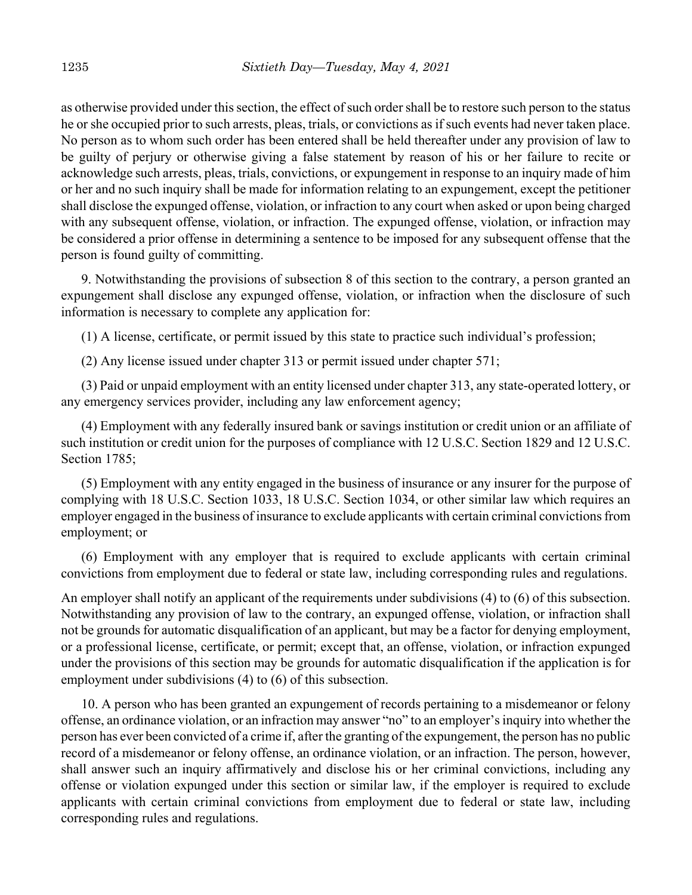as otherwise provided under this section, the effect of such order shall be to restore such person to the status he or she occupied prior to such arrests, pleas, trials, or convictions as if such events had never taken place. No person as to whom such order has been entered shall be held thereafter under any provision of law to be guilty of perjury or otherwise giving a false statement by reason of his or her failure to recite or acknowledge such arrests, pleas, trials, convictions, or expungement in response to an inquiry made of him or her and no such inquiry shall be made for information relating to an expungement, except the petitioner shall disclose the expunged offense, violation, or infraction to any court when asked or upon being charged with any subsequent offense, violation, or infraction. The expunged offense, violation, or infraction may be considered a prior offense in determining a sentence to be imposed for any subsequent offense that the person is found guilty of committing.

9. Notwithstanding the provisions of subsection 8 of this section to the contrary, a person granted an expungement shall disclose any expunged offense, violation, or infraction when the disclosure of such information is necessary to complete any application for:

(1) A license, certificate, or permit issued by this state to practice such individual's profession;

(2) Any license issued under chapter 313 or permit issued under chapter 571;

(3) Paid or unpaid employment with an entity licensed under chapter 313, any state-operated lottery, or any emergency services provider, including any law enforcement agency;

(4) Employment with any federally insured bank or savings institution or credit union or an affiliate of such institution or credit union for the purposes of compliance with 12 U.S.C. Section 1829 and 12 U.S.C. Section 1785;

(5) Employment with any entity engaged in the business of insurance or any insurer for the purpose of complying with 18 U.S.C. Section 1033, 18 U.S.C. Section 1034, or other similar law which requires an employer engaged in the business of insurance to exclude applicants with certain criminal convictions from employment; or

(6) Employment with any employer that is required to exclude applicants with certain criminal convictions from employment due to federal or state law, including corresponding rules and regulations.

An employer shall notify an applicant of the requirements under subdivisions (4) to (6) of this subsection. Notwithstanding any provision of law to the contrary, an expunged offense, violation, or infraction shall not be grounds for automatic disqualification of an applicant, but may be a factor for denying employment, or a professional license, certificate, or permit; except that, an offense, violation, or infraction expunged under the provisions of this section may be grounds for automatic disqualification if the application is for employment under subdivisions (4) to (6) of this subsection.

10. A person who has been granted an expungement of records pertaining to a misdemeanor or felony offense, an ordinance violation, or an infraction may answer "no" to an employer's inquiry into whether the person has ever been convicted of a crime if, after the granting of the expungement, the person has no public record of a misdemeanor or felony offense, an ordinance violation, or an infraction. The person, however, shall answer such an inquiry affirmatively and disclose his or her criminal convictions, including any offense or violation expunged under this section or similar law, if the employer is required to exclude applicants with certain criminal convictions from employment due to federal or state law, including corresponding rules and regulations.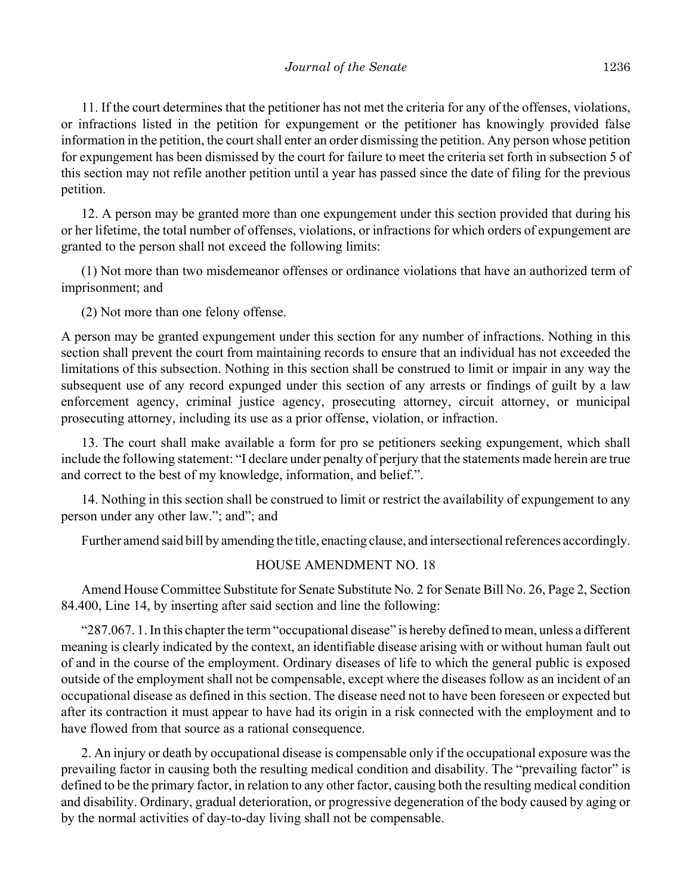11. If the court determines that the petitioner has not met the criteria for any of the offenses, violations, or infractions listed in the petition for expungement or the petitioner has knowingly provided false information in the petition, the court shall enter an order dismissing the petition. Any person whose petition for expungement has been dismissed by the court for failure to meet the criteria set forth in subsection 5 of this section may not refile another petition until a year has passed since the date of filing for the previous petition.

12. A person may be granted more than one expungement under this section provided that during his or her lifetime, the total number of offenses, violations, or infractions for which orders of expungement are granted to the person shall not exceed the following limits:

(1) Not more than two misdemeanor offenses or ordinance violations that have an authorized term of imprisonment; and

(2) Not more than one felony offense.

A person may be granted expungement under this section for any number of infractions. Nothing in this section shall prevent the court from maintaining records to ensure that an individual has not exceeded the limitations of this subsection. Nothing in this section shall be construed to limit or impair in any way the subsequent use of any record expunged under this section of any arrests or findings of guilt by a law enforcement agency, criminal justice agency, prosecuting attorney, circuit attorney, or municipal prosecuting attorney, including its use as a prior offense, violation, or infraction.

13. The court shall make available a form for pro se petitioners seeking expungement, which shall include the following statement: "I declare under penalty of perjury that the statements made herein are true and correct to the best of my knowledge, information, and belief.".

14. Nothing in this section shall be construed to limit or restrict the availability of expungement to any person under any other law."; and"; and

Further amend said bill by amending the title, enacting clause, and intersectional references accordingly.

#### HOUSE AMENDMENT NO. 18

Amend House Committee Substitute for Senate Substitute No. 2 for Senate Bill No. 26, Page 2, Section 84.400, Line 14, by inserting after said section and line the following:

"287.067. 1. In this chapter the term "occupational disease" is hereby defined to mean, unless a different meaning is clearly indicated by the context, an identifiable disease arising with or without human fault out of and in the course of the employment. Ordinary diseases of life to which the general public is exposed outside of the employment shall not be compensable, except where the diseases follow as an incident of an occupational disease as defined in this section. The disease need not to have been foreseen or expected but after its contraction it must appear to have had its origin in a risk connected with the employment and to have flowed from that source as a rational consequence.

2. An injury or death by occupational disease is compensable only if the occupational exposure was the prevailing factor in causing both the resulting medical condition and disability. The "prevailing factor" is defined to be the primary factor, in relation to any other factor, causing both the resulting medical condition and disability. Ordinary, gradual deterioration, or progressive degeneration of the body caused by aging or by the normal activities of day-to-day living shall not be compensable.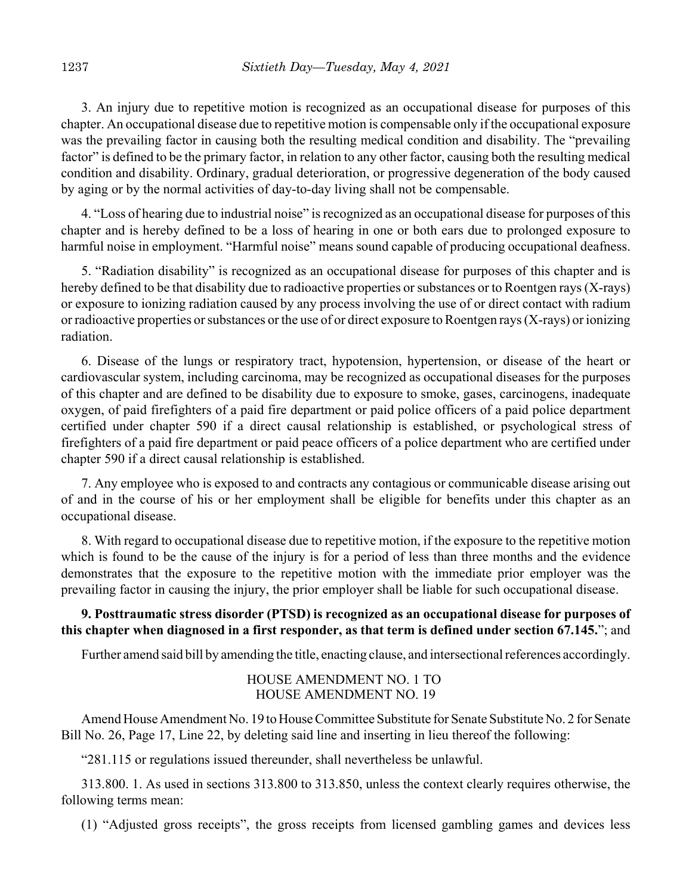3. An injury due to repetitive motion is recognized as an occupational disease for purposes of this chapter. An occupational disease due to repetitive motion is compensable only if the occupational exposure was the prevailing factor in causing both the resulting medical condition and disability. The "prevailing factor" is defined to be the primary factor, in relation to any other factor, causing both the resulting medical condition and disability. Ordinary, gradual deterioration, or progressive degeneration of the body caused by aging or by the normal activities of day-to-day living shall not be compensable.

4. "Loss of hearing due to industrial noise" is recognized as an occupational disease for purposes of this chapter and is hereby defined to be a loss of hearing in one or both ears due to prolonged exposure to harmful noise in employment. "Harmful noise" means sound capable of producing occupational deafness.

5. "Radiation disability" is recognized as an occupational disease for purposes of this chapter and is hereby defined to be that disability due to radioactive properties or substances or to Roentgen rays (X-rays) or exposure to ionizing radiation caused by any process involving the use of or direct contact with radium or radioactive properties or substances or the use of or direct exposure to Roentgen rays (X-rays) or ionizing radiation.

6. Disease of the lungs or respiratory tract, hypotension, hypertension, or disease of the heart or cardiovascular system, including carcinoma, may be recognized as occupational diseases for the purposes of this chapter and are defined to be disability due to exposure to smoke, gases, carcinogens, inadequate oxygen, of paid firefighters of a paid fire department or paid police officers of a paid police department certified under chapter 590 if a direct causal relationship is established, or psychological stress of firefighters of a paid fire department or paid peace officers of a police department who are certified under chapter 590 if a direct causal relationship is established.

7. Any employee who is exposed to and contracts any contagious or communicable disease arising out of and in the course of his or her employment shall be eligible for benefits under this chapter as an occupational disease.

8. With regard to occupational disease due to repetitive motion, if the exposure to the repetitive motion which is found to be the cause of the injury is for a period of less than three months and the evidence demonstrates that the exposure to the repetitive motion with the immediate prior employer was the prevailing factor in causing the injury, the prior employer shall be liable for such occupational disease.

### **9. Posttraumatic stress disorder (PTSD) is recognized as an occupational disease for purposes of this chapter when diagnosed in a first responder, as that term is defined under section 67.145.**"; and

Further amend said bill by amending the title, enacting clause, and intersectional references accordingly.

#### HOUSE AMENDMENT NO. 1 TO HOUSE AMENDMENT NO. 19

Amend House Amendment No. 19 to House Committee Substitute for Senate Substitute No. 2 for Senate Bill No. 26, Page 17, Line 22, by deleting said line and inserting in lieu thereof the following:

"281.115 or regulations issued thereunder, shall nevertheless be unlawful.

313.800. 1. As used in sections 313.800 to 313.850, unless the context clearly requires otherwise, the following terms mean:

(1) "Adjusted gross receipts", the gross receipts from licensed gambling games and devices less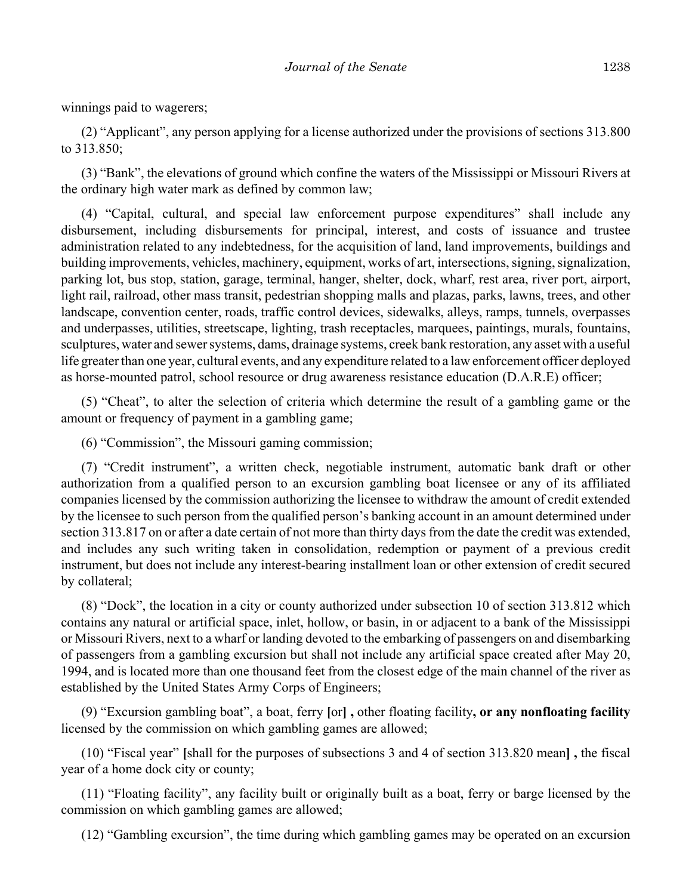winnings paid to wagerers;

(2) "Applicant", any person applying for a license authorized under the provisions of sections 313.800 to 313.850;

(3) "Bank", the elevations of ground which confine the waters of the Mississippi or Missouri Rivers at the ordinary high water mark as defined by common law;

(4) "Capital, cultural, and special law enforcement purpose expenditures" shall include any disbursement, including disbursements for principal, interest, and costs of issuance and trustee administration related to any indebtedness, for the acquisition of land, land improvements, buildings and building improvements, vehicles, machinery, equipment, works of art, intersections, signing, signalization, parking lot, bus stop, station, garage, terminal, hanger, shelter, dock, wharf, rest area, river port, airport, light rail, railroad, other mass transit, pedestrian shopping malls and plazas, parks, lawns, trees, and other landscape, convention center, roads, traffic control devices, sidewalks, alleys, ramps, tunnels, overpasses and underpasses, utilities, streetscape, lighting, trash receptacles, marquees, paintings, murals, fountains, sculptures, water and sewer systems, dams, drainage systems, creek bank restoration, any asset with a useful life greater than one year, cultural events, and any expenditure related to a law enforcement officer deployed as horse-mounted patrol, school resource or drug awareness resistance education (D.A.R.E) officer;

(5) "Cheat", to alter the selection of criteria which determine the result of a gambling game or the amount or frequency of payment in a gambling game;

(6) "Commission", the Missouri gaming commission;

(7) "Credit instrument", a written check, negotiable instrument, automatic bank draft or other authorization from a qualified person to an excursion gambling boat licensee or any of its affiliated companies licensed by the commission authorizing the licensee to withdraw the amount of credit extended by the licensee to such person from the qualified person's banking account in an amount determined under section 313.817 on or after a date certain of not more than thirty days from the date the credit was extended, and includes any such writing taken in consolidation, redemption or payment of a previous credit instrument, but does not include any interest-bearing installment loan or other extension of credit secured by collateral;

(8) "Dock", the location in a city or county authorized under subsection 10 of section 313.812 which contains any natural or artificial space, inlet, hollow, or basin, in or adjacent to a bank of the Mississippi or Missouri Rivers, next to a wharf or landing devoted to the embarking of passengers on and disembarking of passengers from a gambling excursion but shall not include any artificial space created after May 20, 1994, and is located more than one thousand feet from the closest edge of the main channel of the river as established by the United States Army Corps of Engineers;

(9) "Excursion gambling boat", a boat, ferry **[**or**] ,** other floating facility**, or any nonfloating facility** licensed by the commission on which gambling games are allowed;

(10) "Fiscal year" **[**shall for the purposes of subsections 3 and 4 of section 313.820 mean**] ,** the fiscal year of a home dock city or county;

(11) "Floating facility", any facility built or originally built as a boat, ferry or barge licensed by the commission on which gambling games are allowed;

(12) "Gambling excursion", the time during which gambling games may be operated on an excursion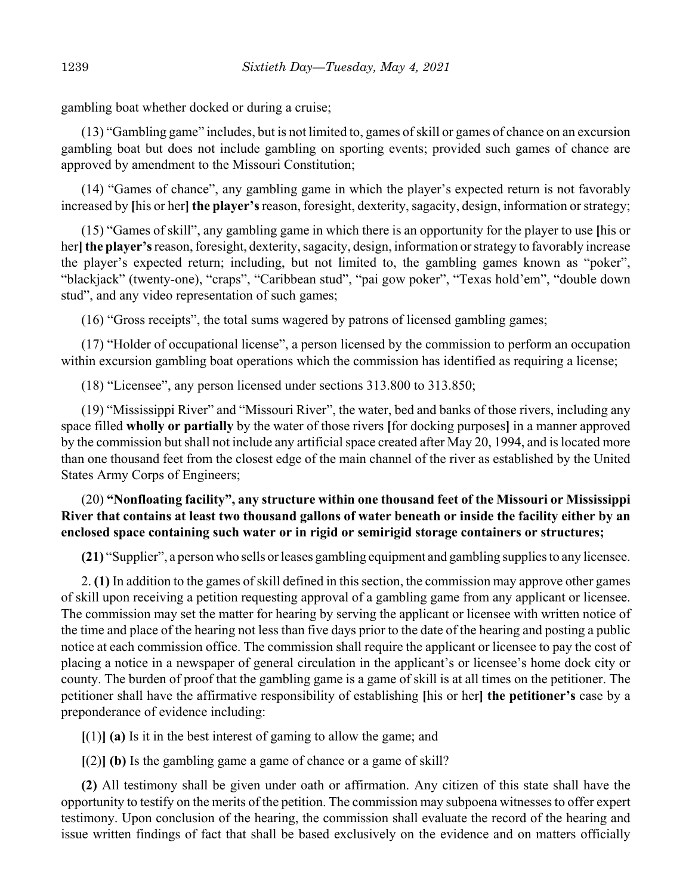gambling boat whether docked or during a cruise;

(13) "Gambling game" includes, but is not limited to, games of skill or games of chance on an excursion gambling boat but does not include gambling on sporting events; provided such games of chance are approved by amendment to the Missouri Constitution;

(14) "Games of chance", any gambling game in which the player's expected return is not favorably increased by **[**his or her**] the player's** reason, foresight, dexterity, sagacity, design, information or strategy;

(15) "Games of skill", any gambling game in which there is an opportunity for the player to use **[**his or her] the player's reason, foresight, dexterity, sagacity, design, information or strategy to favorably increase the player's expected return; including, but not limited to, the gambling games known as "poker", "blackjack" (twenty-one), "craps", "Caribbean stud", "pai gow poker", "Texas hold'em", "double down stud", and any video representation of such games;

(16) "Gross receipts", the total sums wagered by patrons of licensed gambling games;

(17) "Holder of occupational license", a person licensed by the commission to perform an occupation within excursion gambling boat operations which the commission has identified as requiring a license;

(18) "Licensee", any person licensed under sections 313.800 to 313.850;

(19) "Mississippi River" and "Missouri River", the water, bed and banks of those rivers, including any space filled **wholly or partially** by the water of those rivers **[**for docking purposes**]** in a manner approved by the commission but shall not include any artificial space created after May 20, 1994, and is located more than one thousand feet from the closest edge of the main channel of the river as established by the United States Army Corps of Engineers;

# (20) **"Nonfloating facility", any structure within one thousand feet of the Missouri or Mississippi River that contains at least two thousand gallons of water beneath or inside the facility either by an enclosed space containing such water or in rigid or semirigid storage containers or structures;**

**(21)** "Supplier", a person who sells or leases gambling equipment and gambling supplies to any licensee.

2. **(1)** In addition to the games of skill defined in this section, the commission may approve other games of skill upon receiving a petition requesting approval of a gambling game from any applicant or licensee. The commission may set the matter for hearing by serving the applicant or licensee with written notice of the time and place of the hearing not less than five days prior to the date of the hearing and posting a public notice at each commission office. The commission shall require the applicant or licensee to pay the cost of placing a notice in a newspaper of general circulation in the applicant's or licensee's home dock city or county. The burden of proof that the gambling game is a game of skill is at all times on the petitioner. The petitioner shall have the affirmative responsibility of establishing **[**his or her**] the petitioner's** case by a preponderance of evidence including:

**[**(1)**] (a)** Is it in the best interest of gaming to allow the game; and

**[**(2)**] (b)** Is the gambling game a game of chance or a game of skill?

**(2)** All testimony shall be given under oath or affirmation. Any citizen of this state shall have the opportunity to testify on the merits of the petition. The commission may subpoena witnesses to offer expert testimony. Upon conclusion of the hearing, the commission shall evaluate the record of the hearing and issue written findings of fact that shall be based exclusively on the evidence and on matters officially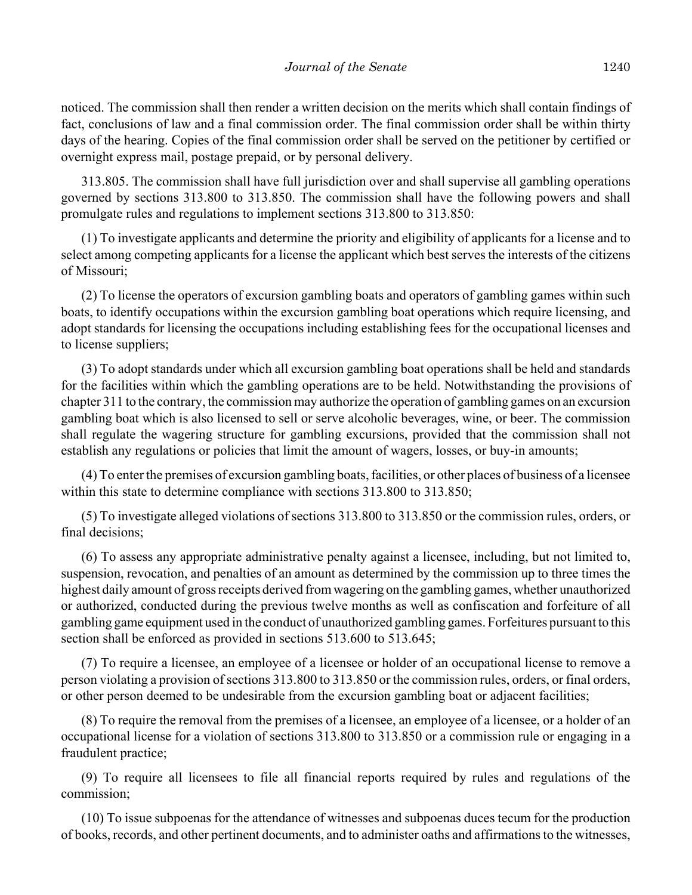noticed. The commission shall then render a written decision on the merits which shall contain findings of fact, conclusions of law and a final commission order. The final commission order shall be within thirty days of the hearing. Copies of the final commission order shall be served on the petitioner by certified or overnight express mail, postage prepaid, or by personal delivery.

313.805. The commission shall have full jurisdiction over and shall supervise all gambling operations governed by sections 313.800 to 313.850. The commission shall have the following powers and shall promulgate rules and regulations to implement sections 313.800 to 313.850:

(1) To investigate applicants and determine the priority and eligibility of applicants for a license and to select among competing applicants for a license the applicant which best serves the interests of the citizens of Missouri;

(2) To license the operators of excursion gambling boats and operators of gambling games within such boats, to identify occupations within the excursion gambling boat operations which require licensing, and adopt standards for licensing the occupations including establishing fees for the occupational licenses and to license suppliers;

(3) To adopt standards under which all excursion gambling boat operations shall be held and standards for the facilities within which the gambling operations are to be held. Notwithstanding the provisions of chapter 311 to the contrary, the commission may authorize the operation of gambling games on an excursion gambling boat which is also licensed to sell or serve alcoholic beverages, wine, or beer. The commission shall regulate the wagering structure for gambling excursions, provided that the commission shall not establish any regulations or policies that limit the amount of wagers, losses, or buy-in amounts;

(4) To enter the premises of excursion gambling boats, facilities, or other places of business of a licensee within this state to determine compliance with sections 313.800 to 313.850;

(5) To investigate alleged violations of sections 313.800 to 313.850 or the commission rules, orders, or final decisions;

(6) To assess any appropriate administrative penalty against a licensee, including, but not limited to, suspension, revocation, and penalties of an amount as determined by the commission up to three times the highest daily amount of gross receipts derived from wagering on the gambling games, whether unauthorized or authorized, conducted during the previous twelve months as well as confiscation and forfeiture of all gambling game equipment used in the conduct of unauthorized gambling games. Forfeitures pursuant to this section shall be enforced as provided in sections 513.600 to 513.645;

(7) To require a licensee, an employee of a licensee or holder of an occupational license to remove a person violating a provision of sections 313.800 to 313.850 or the commission rules, orders, or final orders, or other person deemed to be undesirable from the excursion gambling boat or adjacent facilities;

(8) To require the removal from the premises of a licensee, an employee of a licensee, or a holder of an occupational license for a violation of sections 313.800 to 313.850 or a commission rule or engaging in a fraudulent practice;

(9) To require all licensees to file all financial reports required by rules and regulations of the commission;

(10) To issue subpoenas for the attendance of witnesses and subpoenas duces tecum for the production of books, records, and other pertinent documents, and to administer oaths and affirmations to the witnesses,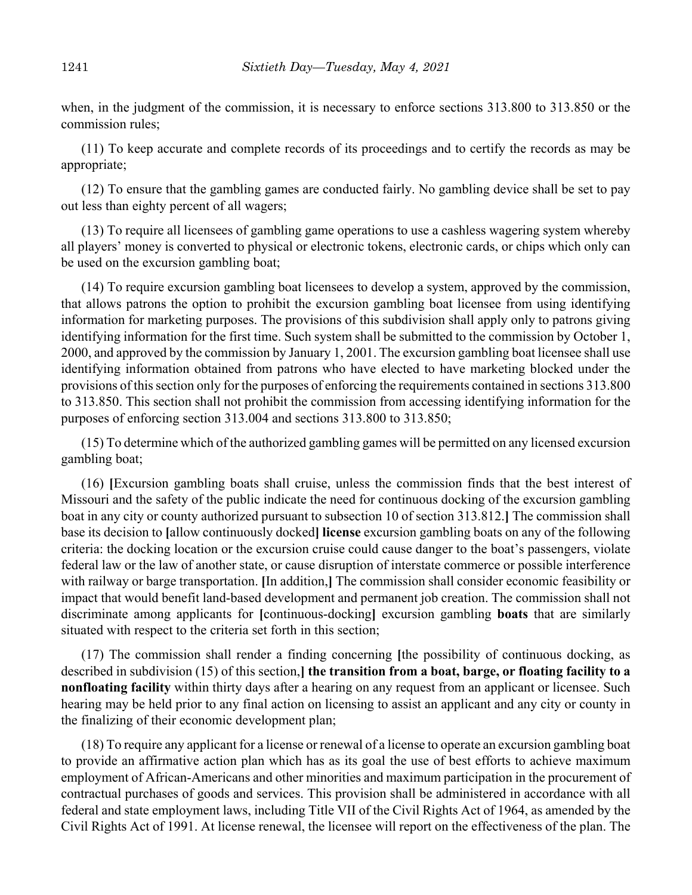when, in the judgment of the commission, it is necessary to enforce sections 313.800 to 313.850 or the commission rules;

(11) To keep accurate and complete records of its proceedings and to certify the records as may be appropriate;

(12) To ensure that the gambling games are conducted fairly. No gambling device shall be set to pay out less than eighty percent of all wagers;

(13) To require all licensees of gambling game operations to use a cashless wagering system whereby all players' money is converted to physical or electronic tokens, electronic cards, or chips which only can be used on the excursion gambling boat;

(14) To require excursion gambling boat licensees to develop a system, approved by the commission, that allows patrons the option to prohibit the excursion gambling boat licensee from using identifying information for marketing purposes. The provisions of this subdivision shall apply only to patrons giving identifying information for the first time. Such system shall be submitted to the commission by October 1, 2000, and approved by the commission by January 1, 2001. The excursion gambling boat licensee shall use identifying information obtained from patrons who have elected to have marketing blocked under the provisions of this section only for the purposes of enforcing the requirements contained in sections 313.800 to 313.850. This section shall not prohibit the commission from accessing identifying information for the purposes of enforcing section 313.004 and sections 313.800 to 313.850;

(15) To determine which of the authorized gambling games will be permitted on any licensed excursion gambling boat;

(16) **[**Excursion gambling boats shall cruise, unless the commission finds that the best interest of Missouri and the safety of the public indicate the need for continuous docking of the excursion gambling boat in any city or county authorized pursuant to subsection 10 of section 313.812.**]** The commission shall base its decision to **[**allow continuously docked**] license** excursion gambling boats on any of the following criteria: the docking location or the excursion cruise could cause danger to the boat's passengers, violate federal law or the law of another state, or cause disruption of interstate commerce or possible interference with railway or barge transportation. **[**In addition,**]** The commission shall consider economic feasibility or impact that would benefit land-based development and permanent job creation. The commission shall not discriminate among applicants for **[**continuous-docking**]** excursion gambling **boats** that are similarly situated with respect to the criteria set forth in this section;

(17) The commission shall render a finding concerning **[**the possibility of continuous docking, as described in subdivision (15) of this section,**] the transition from a boat, barge, or floating facility to a nonfloating facility** within thirty days after a hearing on any request from an applicant or licensee. Such hearing may be held prior to any final action on licensing to assist an applicant and any city or county in the finalizing of their economic development plan;

(18) To require any applicant for a license or renewal of a license to operate an excursion gambling boat to provide an affirmative action plan which has as its goal the use of best efforts to achieve maximum employment of African-Americans and other minorities and maximum participation in the procurement of contractual purchases of goods and services. This provision shall be administered in accordance with all federal and state employment laws, including Title VII of the Civil Rights Act of 1964, as amended by the Civil Rights Act of 1991. At license renewal, the licensee will report on the effectiveness of the plan. The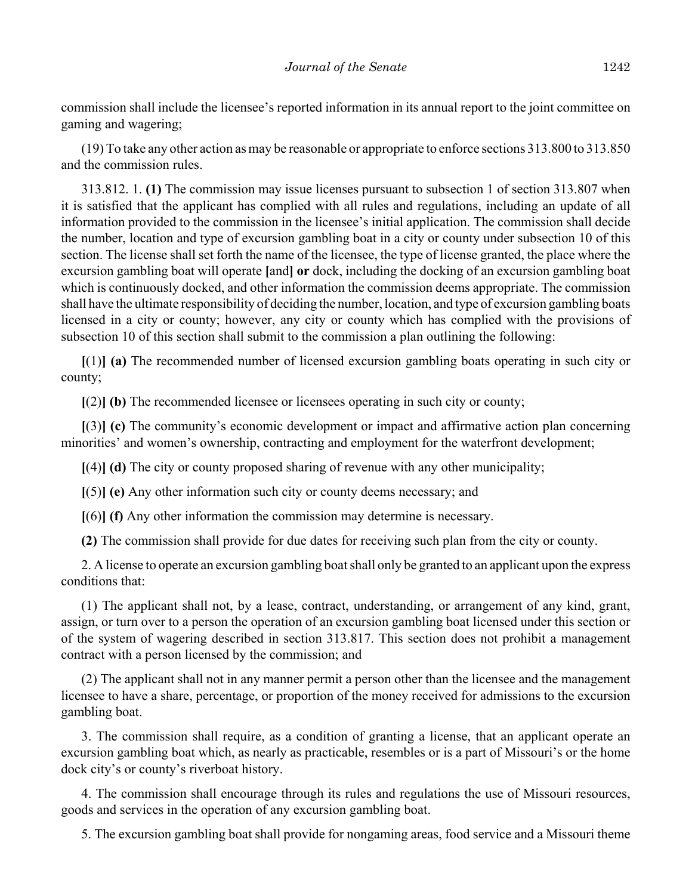commission shall include the licensee's reported information in its annual report to the joint committee on gaming and wagering;

(19) To take any other action as may be reasonable or appropriate to enforce sections 313.800 to 313.850 and the commission rules.

313.812. 1. **(1)** The commission may issue licenses pursuant to subsection 1 of section 313.807 when it is satisfied that the applicant has complied with all rules and regulations, including an update of all information provided to the commission in the licensee's initial application. The commission shall decide the number, location and type of excursion gambling boat in a city or county under subsection 10 of this section. The license shall set forth the name of the licensee, the type of license granted, the place where the excursion gambling boat will operate **[**and**] or** dock, including the docking of an excursion gambling boat which is continuously docked, and other information the commission deems appropriate. The commission shall have the ultimate responsibility of deciding the number, location, and type of excursion gambling boats licensed in a city or county; however, any city or county which has complied with the provisions of subsection 10 of this section shall submit to the commission a plan outlining the following:

**[**(1)**] (a)** The recommended number of licensed excursion gambling boats operating in such city or county;

**[**(2)**] (b)** The recommended licensee or licensees operating in such city or county;

**[**(3)**] (c)** The community's economic development or impact and affirmative action plan concerning minorities' and women's ownership, contracting and employment for the waterfront development;

**[**(4)**] (d)** The city or county proposed sharing of revenue with any other municipality;

**[**(5)**] (e)** Any other information such city or county deems necessary; and

**[**(6)**] (f)** Any other information the commission may determine is necessary.

**(2)** The commission shall provide for due dates for receiving such plan from the city or county.

2. A license to operate an excursion gambling boat shall only be granted to an applicant upon the express conditions that:

(1) The applicant shall not, by a lease, contract, understanding, or arrangement of any kind, grant, assign, or turn over to a person the operation of an excursion gambling boat licensed under this section or of the system of wagering described in section 313.817. This section does not prohibit a management contract with a person licensed by the commission; and

(2) The applicant shall not in any manner permit a person other than the licensee and the management licensee to have a share, percentage, or proportion of the money received for admissions to the excursion gambling boat.

3. The commission shall require, as a condition of granting a license, that an applicant operate an excursion gambling boat which, as nearly as practicable, resembles or is a part of Missouri's or the home dock city's or county's riverboat history.

4. The commission shall encourage through its rules and regulations the use of Missouri resources, goods and services in the operation of any excursion gambling boat.

5. The excursion gambling boat shall provide for nongaming areas, food service and a Missouri theme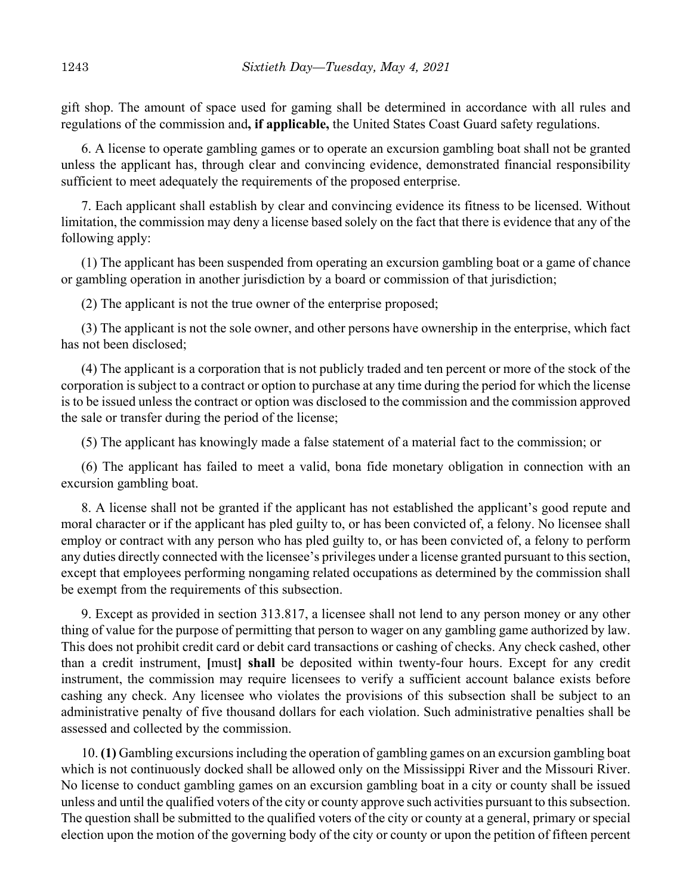gift shop. The amount of space used for gaming shall be determined in accordance with all rules and regulations of the commission and**, if applicable,** the United States Coast Guard safety regulations.

6. A license to operate gambling games or to operate an excursion gambling boat shall not be granted unless the applicant has, through clear and convincing evidence, demonstrated financial responsibility sufficient to meet adequately the requirements of the proposed enterprise.

7. Each applicant shall establish by clear and convincing evidence its fitness to be licensed. Without limitation, the commission may deny a license based solely on the fact that there is evidence that any of the following apply:

(1) The applicant has been suspended from operating an excursion gambling boat or a game of chance or gambling operation in another jurisdiction by a board or commission of that jurisdiction;

(2) The applicant is not the true owner of the enterprise proposed;

(3) The applicant is not the sole owner, and other persons have ownership in the enterprise, which fact has not been disclosed;

(4) The applicant is a corporation that is not publicly traded and ten percent or more of the stock of the corporation is subject to a contract or option to purchase at any time during the period for which the license is to be issued unless the contract or option was disclosed to the commission and the commission approved the sale or transfer during the period of the license;

(5) The applicant has knowingly made a false statement of a material fact to the commission; or

(6) The applicant has failed to meet a valid, bona fide monetary obligation in connection with an excursion gambling boat.

8. A license shall not be granted if the applicant has not established the applicant's good repute and moral character or if the applicant has pled guilty to, or has been convicted of, a felony. No licensee shall employ or contract with any person who has pled guilty to, or has been convicted of, a felony to perform any duties directly connected with the licensee's privileges under a license granted pursuant to this section, except that employees performing nongaming related occupations as determined by the commission shall be exempt from the requirements of this subsection.

9. Except as provided in section 313.817, a licensee shall not lend to any person money or any other thing of value for the purpose of permitting that person to wager on any gambling game authorized by law. This does not prohibit credit card or debit card transactions or cashing of checks. Any check cashed, other than a credit instrument, **[**must**] shall** be deposited within twenty-four hours. Except for any credit instrument, the commission may require licensees to verify a sufficient account balance exists before cashing any check. Any licensee who violates the provisions of this subsection shall be subject to an administrative penalty of five thousand dollars for each violation. Such administrative penalties shall be assessed and collected by the commission.

10. **(1)** Gambling excursions including the operation of gambling games on an excursion gambling boat which is not continuously docked shall be allowed only on the Mississippi River and the Missouri River. No license to conduct gambling games on an excursion gambling boat in a city or county shall be issued unless and until the qualified voters of the city or county approve such activities pursuant to this subsection. The question shall be submitted to the qualified voters of the city or county at a general, primary or special election upon the motion of the governing body of the city or county or upon the petition of fifteen percent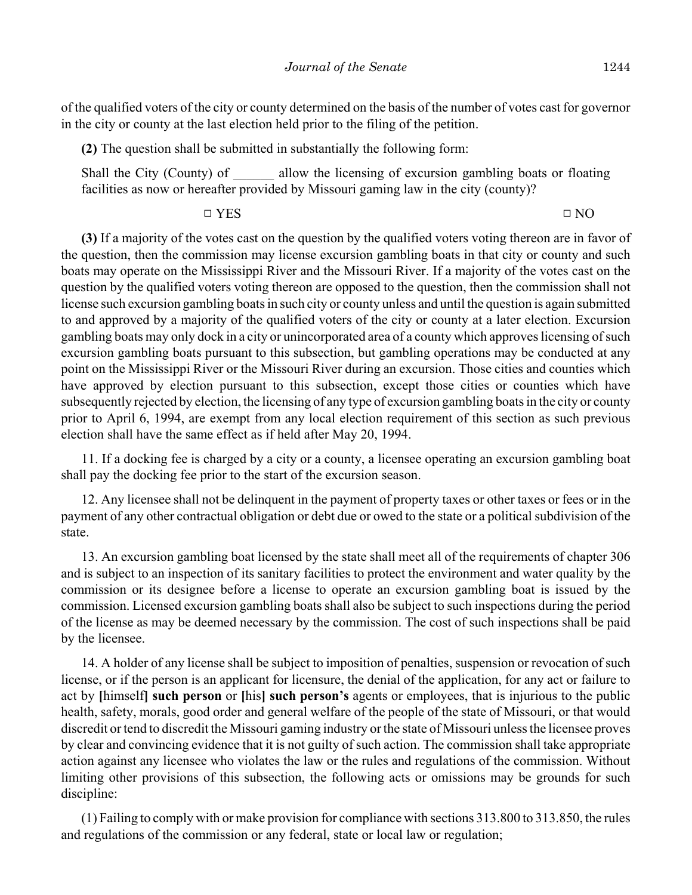of the qualified voters of the city or county determined on the basis of the number of votes cast for governor in the city or county at the last election held prior to the filing of the petition.

**(2)** The question shall be submitted in substantially the following form:

Shall the City (County) of allow the licensing of excursion gambling boats or floating facilities as now or hereafter provided by Missouri gaming law in the city (county)?

 $\Box$  YES  $\Box$  YES

**(3)** If a majority of the votes cast on the question by the qualified voters voting thereon are in favor of the question, then the commission may license excursion gambling boats in that city or county and such boats may operate on the Mississippi River and the Missouri River. If a majority of the votes cast on the question by the qualified voters voting thereon are opposed to the question, then the commission shall not license such excursion gambling boats in such city or county unless and until the question is again submitted to and approved by a majority of the qualified voters of the city or county at a later election. Excursion gambling boats may only dock in a city or unincorporated area of a county which approves licensing of such excursion gambling boats pursuant to this subsection, but gambling operations may be conducted at any point on the Mississippi River or the Missouri River during an excursion. Those cities and counties which have approved by election pursuant to this subsection, except those cities or counties which have subsequently rejected by election, the licensing of any type of excursion gambling boats in the city or county prior to April 6, 1994, are exempt from any local election requirement of this section as such previous election shall have the same effect as if held after May 20, 1994.

11. If a docking fee is charged by a city or a county, a licensee operating an excursion gambling boat shall pay the docking fee prior to the start of the excursion season.

12. Any licensee shall not be delinquent in the payment of property taxes or other taxes or fees or in the payment of any other contractual obligation or debt due or owed to the state or a political subdivision of the state.

13. An excursion gambling boat licensed by the state shall meet all of the requirements of chapter 306 and is subject to an inspection of its sanitary facilities to protect the environment and water quality by the commission or its designee before a license to operate an excursion gambling boat is issued by the commission. Licensed excursion gambling boats shall also be subject to such inspections during the period of the license as may be deemed necessary by the commission. The cost of such inspections shall be paid by the licensee.

14. A holder of any license shall be subject to imposition of penalties, suspension or revocation of such license, or if the person is an applicant for licensure, the denial of the application, for any act or failure to act by **[**himself**] such person** or **[**his**] such person's** agents or employees, that is injurious to the public health, safety, morals, good order and general welfare of the people of the state of Missouri, or that would discredit or tend to discredit the Missouri gaming industry or the state of Missouri unless the licensee proves by clear and convincing evidence that it is not guilty of such action. The commission shall take appropriate action against any licensee who violates the law or the rules and regulations of the commission. Without limiting other provisions of this subsection, the following acts or omissions may be grounds for such discipline:

(1) Failing to comply with or make provision for compliance with sections 313.800 to 313.850, the rules and regulations of the commission or any federal, state or local law or regulation;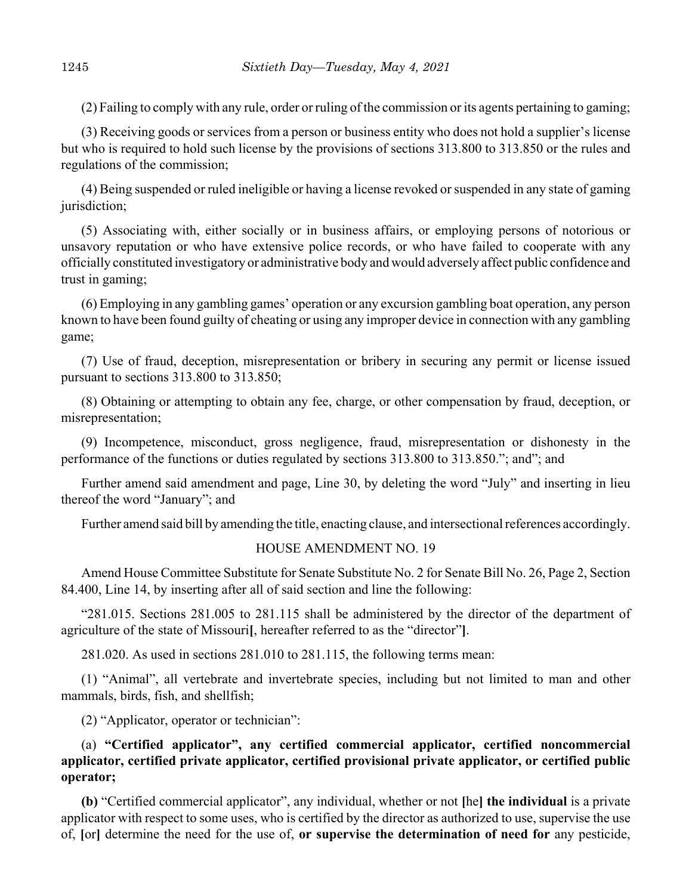(2) Failing to comply with any rule, order or ruling of the commission or its agents pertaining to gaming;

(3) Receiving goods or services from a person or business entity who does not hold a supplier's license but who is required to hold such license by the provisions of sections 313.800 to 313.850 or the rules and regulations of the commission;

(4) Being suspended or ruled ineligible or having a license revoked or suspended in any state of gaming jurisdiction;

(5) Associating with, either socially or in business affairs, or employing persons of notorious or unsavory reputation or who have extensive police records, or who have failed to cooperate with any officially constituted investigatory or administrative body and would adversely affect public confidence and trust in gaming;

(6) Employing in any gambling games' operation or any excursion gambling boat operation, any person known to have been found guilty of cheating or using any improper device in connection with any gambling game;

(7) Use of fraud, deception, misrepresentation or bribery in securing any permit or license issued pursuant to sections 313.800 to 313.850;

(8) Obtaining or attempting to obtain any fee, charge, or other compensation by fraud, deception, or misrepresentation;

(9) Incompetence, misconduct, gross negligence, fraud, misrepresentation or dishonesty in the performance of the functions or duties regulated by sections 313.800 to 313.850."; and"; and

Further amend said amendment and page, Line 30, by deleting the word "July" and inserting in lieu thereof the word "January"; and

Further amend said bill by amending the title, enacting clause, and intersectional references accordingly.

#### HOUSE AMENDMENT NO. 19

Amend House Committee Substitute for Senate Substitute No. 2 for Senate Bill No. 26, Page 2, Section 84.400, Line 14, by inserting after all of said section and line the following:

"281.015. Sections 281.005 to 281.115 shall be administered by the director of the department of agriculture of the state of Missouri**[**, hereafter referred to as the "director"**]**.

281.020. As used in sections 281.010 to 281.115, the following terms mean:

(1) "Animal", all vertebrate and invertebrate species, including but not limited to man and other mammals, birds, fish, and shellfish;

(2) "Applicator, operator or technician":

# (a) **"Certified applicator", any certified commercial applicator, certified noncommercial applicator, certified private applicator, certified provisional private applicator, or certified public operator;**

**(b)** "Certified commercial applicator", any individual, whether or not **[**he**] the individual** is a private applicator with respect to some uses, who is certified by the director as authorized to use, supervise the use of, **[**or**]** determine the need for the use of, **or supervise the determination of need for** any pesticide,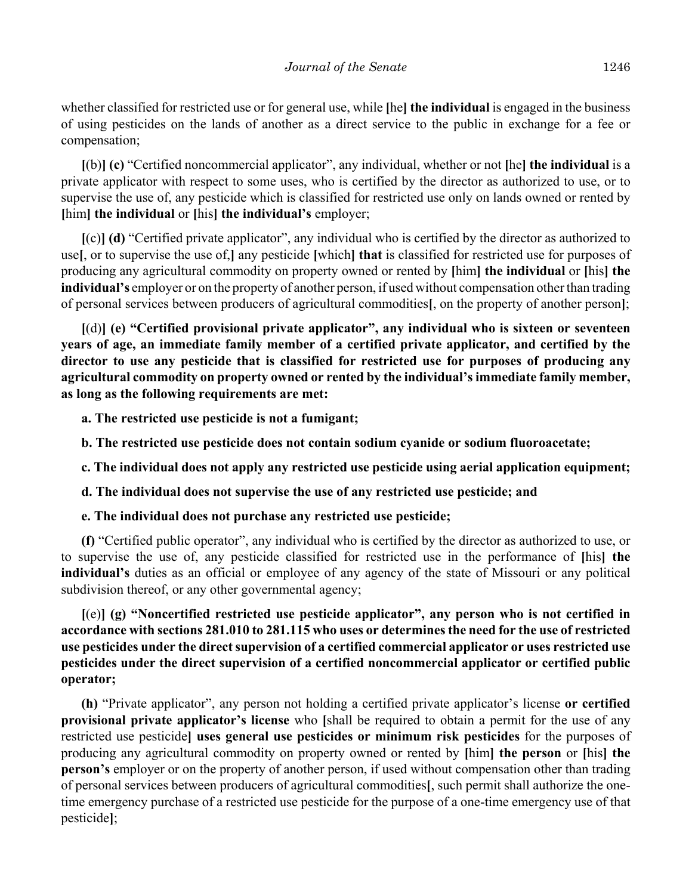whether classified for restricted use or for general use, while **[**he**] the individual** is engaged in the business of using pesticides on the lands of another as a direct service to the public in exchange for a fee or compensation;

**[**(b)**] (c)** "Certified noncommercial applicator", any individual, whether or not **[**he**] the individual** is a private applicator with respect to some uses, who is certified by the director as authorized to use, or to supervise the use of, any pesticide which is classified for restricted use only on lands owned or rented by **[**him**] the individual** or **[**his**] the individual's** employer;

**[**(c)**] (d)** "Certified private applicator", any individual who is certified by the director as authorized to use**[**, or to supervise the use of,**]** any pesticide **[**which**] that** is classified for restricted use for purposes of producing any agricultural commodity on property owned or rented by **[**him**] the individual** or **[**his**] the individual's** employer or on the property of another person, if used without compensation other than trading of personal services between producers of agricultural commodities**[**, on the property of another person**]**;

**[**(d)**] (e) "Certified provisional private applicator", any individual who is sixteen or seventeen years of age, an immediate family member of a certified private applicator, and certified by the director to use any pesticide that is classified for restricted use for purposes of producing any agricultural commodity on property owned or rented by the individual's immediate family member, as long as the following requirements are met:**

**a. The restricted use pesticide is not a fumigant;**

**b. The restricted use pesticide does not contain sodium cyanide or sodium fluoroacetate;**

**c. The individual does not apply any restricted use pesticide using aerial application equipment;**

#### **d. The individual does not supervise the use of any restricted use pesticide; and**

#### **e. The individual does not purchase any restricted use pesticide;**

**(f)** "Certified public operator", any individual who is certified by the director as authorized to use, or to supervise the use of, any pesticide classified for restricted use in the performance of **[**his**] the individual's** duties as an official or employee of any agency of the state of Missouri or any political subdivision thereof, or any other governmental agency;

**[**(e)**] (g) "Noncertified restricted use pesticide applicator", any person who is not certified in accordance with sections 281.010 to 281.115 who uses or determines the need for the use of restricted use pesticides under the direct supervision of a certified commercial applicator or uses restricted use pesticides under the direct supervision of a certified noncommercial applicator or certified public operator;**

**(h)** "Private applicator", any person not holding a certified private applicator's license **or certified provisional private applicator's license** who **[**shall be required to obtain a permit for the use of any restricted use pesticide**] uses general use pesticides or minimum risk pesticides** for the purposes of producing any agricultural commodity on property owned or rented by **[**him**] the person** or **[**his**] the person's** employer or on the property of another person, if used without compensation other than trading of personal services between producers of agricultural commodities**[**, such permit shall authorize the onetime emergency purchase of a restricted use pesticide for the purpose of a one-time emergency use of that pesticide**]**;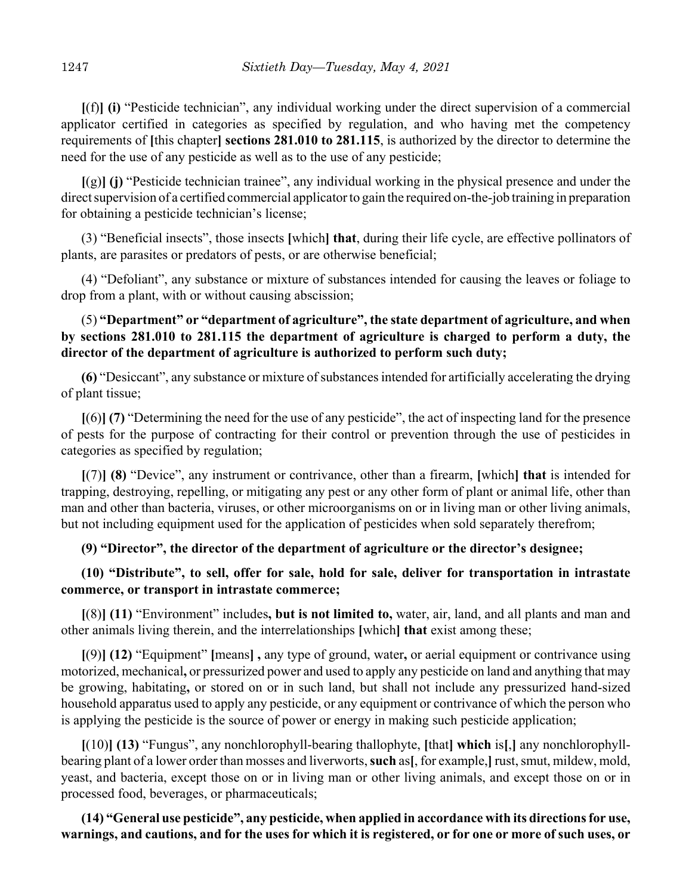**[**(f)**] (i)** "Pesticide technician", any individual working under the direct supervision of a commercial applicator certified in categories as specified by regulation, and who having met the competency requirements of **[**this chapter**] sections 281.010 to 281.115**, is authorized by the director to determine the need for the use of any pesticide as well as to the use of any pesticide;

**[**(g)**] (j)** "Pesticide technician trainee", any individual working in the physical presence and under the direct supervision of a certified commercial applicator to gain the required on-the-job training in preparation for obtaining a pesticide technician's license;

(3) "Beneficial insects", those insects **[**which**] that**, during their life cycle, are effective pollinators of plants, are parasites or predators of pests, or are otherwise beneficial;

(4) "Defoliant", any substance or mixture of substances intended for causing the leaves or foliage to drop from a plant, with or without causing abscission;

# (5) **"Department" or "department of agriculture", the state department of agriculture, and when by sections 281.010 to 281.115 the department of agriculture is charged to perform a duty, the director of the department of agriculture is authorized to perform such duty;**

**(6)** "Desiccant", any substance or mixture of substances intended for artificially accelerating the drying of plant tissue;

**[**(6)**] (7)** "Determining the need for the use of any pesticide", the act of inspecting land for the presence of pests for the purpose of contracting for their control or prevention through the use of pesticides in categories as specified by regulation;

**[**(7)**] (8)** "Device", any instrument or contrivance, other than a firearm, **[**which**] that** is intended for trapping, destroying, repelling, or mitigating any pest or any other form of plant or animal life, other than man and other than bacteria, viruses, or other microorganisms on or in living man or other living animals, but not including equipment used for the application of pesticides when sold separately therefrom;

# **(9) "Director", the director of the department of agriculture or the director's designee;**

**(10) "Distribute", to sell, offer for sale, hold for sale, deliver for transportation in intrastate commerce, or transport in intrastate commerce;**

**[**(8)**] (11)** "Environment" includes**, but is not limited to,** water, air, land, and all plants and man and other animals living therein, and the interrelationships **[**which**] that** exist among these;

**[**(9)**] (12)** "Equipment" **[**means**] ,** any type of ground, water**,** or aerial equipment or contrivance using motorized, mechanical**,** or pressurized power and used to apply any pesticide on land and anything that may be growing, habitating**,** or stored on or in such land, but shall not include any pressurized hand-sized household apparatus used to apply any pesticide, or any equipment or contrivance of which the person who is applying the pesticide is the source of power or energy in making such pesticide application;

**[**(10)**] (13)** "Fungus", any nonchlorophyll-bearing thallophyte, **[**that**] which** is**[**,**]** any nonchlorophyllbearing plant of a lower order than mosses and liverworts, **such** as**[**, for example,**]** rust, smut, mildew, mold, yeast, and bacteria, except those on or in living man or other living animals, and except those on or in processed food, beverages, or pharmaceuticals;

**(14) "General use pesticide", any pesticide, when applied in accordance with its directions for use, warnings, and cautions, and for the uses for which it is registered, or for one or more of such uses, or**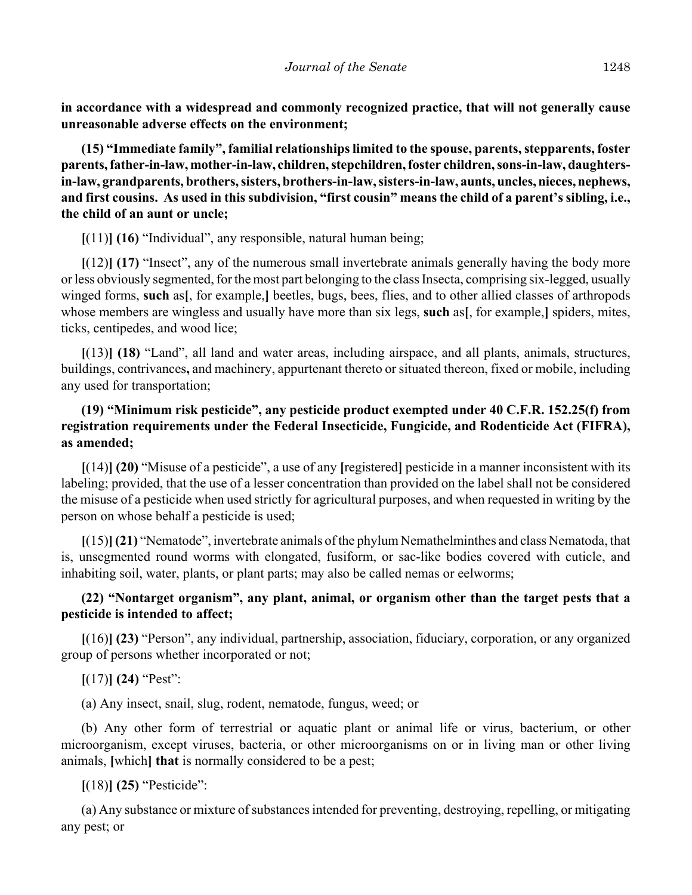**in accordance with a widespread and commonly recognized practice, that will not generally cause unreasonable adverse effects on the environment;**

**(15) "Immediate family", familial relationships limited to the spouse, parents, stepparents, foster parents, father-in-law, mother-in-law, children, stepchildren, foster children, sons-in-law, daughtersin-law, grandparents, brothers, sisters, brothers-in-law, sisters-in-law, aunts, uncles, nieces, nephews, and first cousins. As used in this subdivision, "first cousin" means the child of a parent's sibling, i.e., the child of an aunt or uncle;**

**[**(11)**] (16)** "Individual", any responsible, natural human being;

**[**(12)**] (17)** "Insect", any of the numerous small invertebrate animals generally having the body more or less obviously segmented, for the most part belonging to the class Insecta, comprising six-legged, usually winged forms, **such** as**[**, for example,**]** beetles, bugs, bees, flies, and to other allied classes of arthropods whose members are wingless and usually have more than six legs, **such** as**[**, for example,**]** spiders, mites, ticks, centipedes, and wood lice;

**[**(13)**] (18)** "Land", all land and water areas, including airspace, and all plants, animals, structures, buildings, contrivances**,** and machinery, appurtenant thereto or situated thereon, fixed or mobile, including any used for transportation;

# **(19) "Minimum risk pesticide", any pesticide product exempted under 40 C.F.R. 152.25(f) from registration requirements under the Federal Insecticide, Fungicide, and Rodenticide Act (FIFRA), as amended;**

**[**(14)**] (20)** "Misuse of a pesticide", a use of any **[**registered**]** pesticide in a manner inconsistent with its labeling; provided, that the use of a lesser concentration than provided on the label shall not be considered the misuse of a pesticide when used strictly for agricultural purposes, and when requested in writing by the person on whose behalf a pesticide is used;

**[**(15)**](21)** "Nematode", invertebrate animals of the phylum Nemathelminthes and class Nematoda, that is, unsegmented round worms with elongated, fusiform, or sac-like bodies covered with cuticle, and inhabiting soil, water, plants, or plant parts; may also be called nemas or eelworms;

# **(22) "Nontarget organism", any plant, animal, or organism other than the target pests that a pesticide is intended to affect;**

**[**(16)**] (23)** "Person", any individual, partnership, association, fiduciary, corporation, or any organized group of persons whether incorporated or not;

# **[**(17)**] (24)** "Pest":

(a) Any insect, snail, slug, rodent, nematode, fungus, weed; or

(b) Any other form of terrestrial or aquatic plant or animal life or virus, bacterium, or other microorganism, except viruses, bacteria, or other microorganisms on or in living man or other living animals, **[**which**] that** is normally considered to be a pest;

**[**(18)**] (25)** "Pesticide":

(a) Any substance or mixture of substances intended for preventing, destroying, repelling, or mitigating any pest; or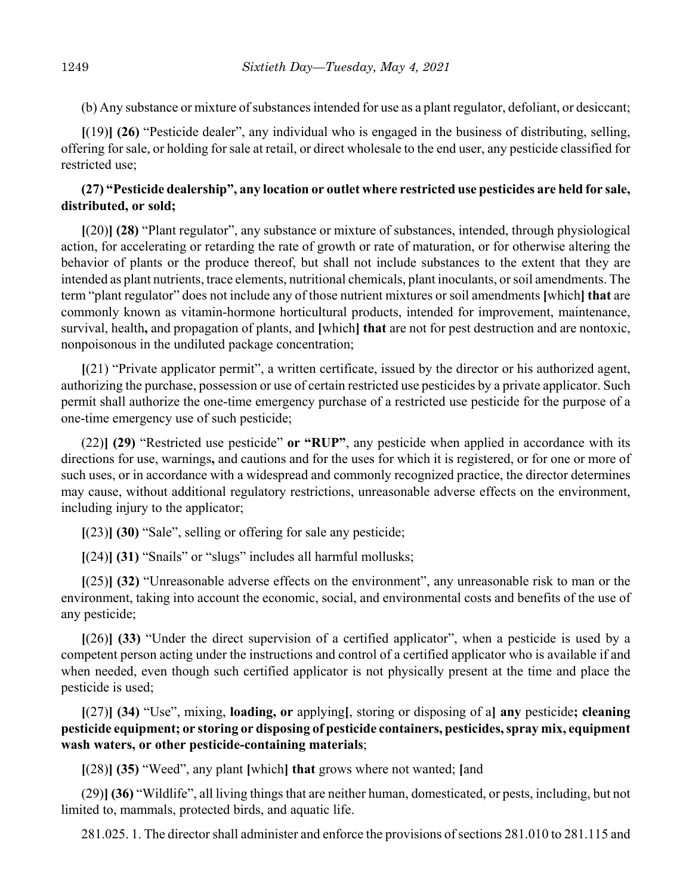(b) Any substance or mixture of substances intended for use as a plant regulator, defoliant, or desiccant;

**[**(19)**] (26)** "Pesticide dealer", any individual who is engaged in the business of distributing, selling, offering for sale, or holding for sale at retail, or direct wholesale to the end user, any pesticide classified for restricted use;

# **(27) "Pesticide dealership", any location or outlet where restricted use pesticides are held for sale, distributed, or sold;**

**[**(20)**] (28)** "Plant regulator", any substance or mixture of substances, intended, through physiological action, for accelerating or retarding the rate of growth or rate of maturation, or for otherwise altering the behavior of plants or the produce thereof, but shall not include substances to the extent that they are intended as plant nutrients, trace elements, nutritional chemicals, plant inoculants, or soil amendments. The term "plant regulator" does not include any of those nutrient mixtures or soil amendments **[**which**] that** are commonly known as vitamin-hormone horticultural products, intended for improvement, maintenance, survival, health**,** and propagation of plants, and **[**which**] that** are not for pest destruction and are nontoxic, nonpoisonous in the undiluted package concentration;

**[**(21) "Private applicator permit", a written certificate, issued by the director or his authorized agent, authorizing the purchase, possession or use of certain restricted use pesticides by a private applicator. Such permit shall authorize the one-time emergency purchase of a restricted use pesticide for the purpose of a one-time emergency use of such pesticide;

(22)**] (29)** "Restricted use pesticide" **or "RUP"**, any pesticide when applied in accordance with its directions for use, warnings**,** and cautions and for the uses for which it is registered, or for one or more of such uses, or in accordance with a widespread and commonly recognized practice, the director determines may cause, without additional regulatory restrictions, unreasonable adverse effects on the environment, including injury to the applicator;

**[**(23)**] (30)** "Sale", selling or offering for sale any pesticide;

**[**(24)**] (31)** "Snails" or "slugs" includes all harmful mollusks;

**[**(25)**] (32)** "Unreasonable adverse effects on the environment", any unreasonable risk to man or the environment, taking into account the economic, social, and environmental costs and benefits of the use of any pesticide;

**[**(26)**] (33)** "Under the direct supervision of a certified applicator", when a pesticide is used by a competent person acting under the instructions and control of a certified applicator who is available if and when needed, even though such certified applicator is not physically present at the time and place the pesticide is used;

**[**(27)**] (34)** "Use", mixing, **loading, or** applying**[**, storing or disposing of a**] any** pesticide**; cleaning pesticide equipment; or storing or disposing of pesticide containers, pesticides, spray mix, equipment wash waters, or other pesticide-containing materials**;

**[**(28)**] (35)** "Weed", any plant **[**which**] that** grows where not wanted; **[**and

(29)**] (36)** "Wildlife", all living things that are neither human, domesticated, or pests, including, but not limited to, mammals, protected birds, and aquatic life.

281.025. 1. The director shall administer and enforce the provisions of sections 281.010 to 281.115 and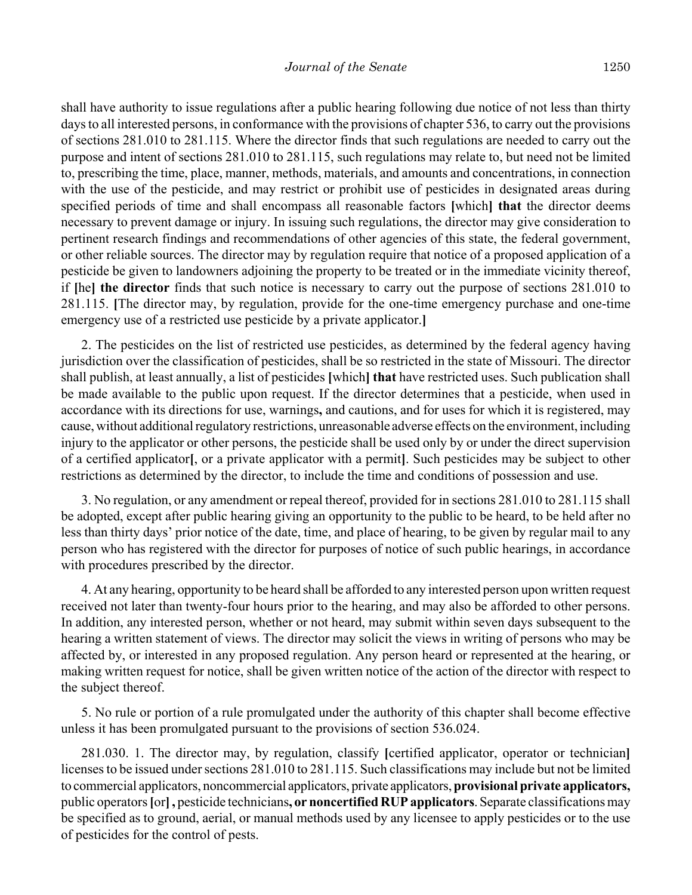shall have authority to issue regulations after a public hearing following due notice of not less than thirty days to all interested persons, in conformance with the provisions of chapter 536, to carry out the provisions of sections 281.010 to 281.115. Where the director finds that such regulations are needed to carry out the purpose and intent of sections 281.010 to 281.115, such regulations may relate to, but need not be limited to, prescribing the time, place, manner, methods, materials, and amounts and concentrations, in connection with the use of the pesticide, and may restrict or prohibit use of pesticides in designated areas during specified periods of time and shall encompass all reasonable factors **[**which**] that** the director deems necessary to prevent damage or injury. In issuing such regulations, the director may give consideration to pertinent research findings and recommendations of other agencies of this state, the federal government, or other reliable sources. The director may by regulation require that notice of a proposed application of a pesticide be given to landowners adjoining the property to be treated or in the immediate vicinity thereof, if **[**he**] the director** finds that such notice is necessary to carry out the purpose of sections 281.010 to 281.115. **[**The director may, by regulation, provide for the one-time emergency purchase and one-time emergency use of a restricted use pesticide by a private applicator.**]**

2. The pesticides on the list of restricted use pesticides, as determined by the federal agency having jurisdiction over the classification of pesticides, shall be so restricted in the state of Missouri. The director shall publish, at least annually, a list of pesticides **[**which**] that** have restricted uses. Such publication shall be made available to the public upon request. If the director determines that a pesticide, when used in accordance with its directions for use, warnings**,** and cautions, and for uses for which it is registered, may cause, without additional regulatory restrictions, unreasonable adverse effects on the environment, including injury to the applicator or other persons, the pesticide shall be used only by or under the direct supervision of a certified applicator**[**, or a private applicator with a permit**]**. Such pesticides may be subject to other restrictions as determined by the director, to include the time and conditions of possession and use.

3. No regulation, or any amendment or repeal thereof, provided for in sections 281.010 to 281.115 shall be adopted, except after public hearing giving an opportunity to the public to be heard, to be held after no less than thirty days' prior notice of the date, time, and place of hearing, to be given by regular mail to any person who has registered with the director for purposes of notice of such public hearings, in accordance with procedures prescribed by the director.

4. At any hearing, opportunity to be heard shall be afforded to any interested person upon written request received not later than twenty-four hours prior to the hearing, and may also be afforded to other persons. In addition, any interested person, whether or not heard, may submit within seven days subsequent to the hearing a written statement of views. The director may solicit the views in writing of persons who may be affected by, or interested in any proposed regulation. Any person heard or represented at the hearing, or making written request for notice, shall be given written notice of the action of the director with respect to the subject thereof.

5. No rule or portion of a rule promulgated under the authority of this chapter shall become effective unless it has been promulgated pursuant to the provisions of section 536.024.

281.030. 1. The director may, by regulation, classify **[**certified applicator, operator or technician**]** licenses to be issued under sections 281.010 to 281.115. Such classifications may include but not be limited to commercial applicators, noncommercial applicators, private applicators, **provisional private applicators,** public operators **[**or**],** pesticide technicians**, or noncertified RUP applicators**. Separate classifications may be specified as to ground, aerial, or manual methods used by any licensee to apply pesticides or to the use of pesticides for the control of pests.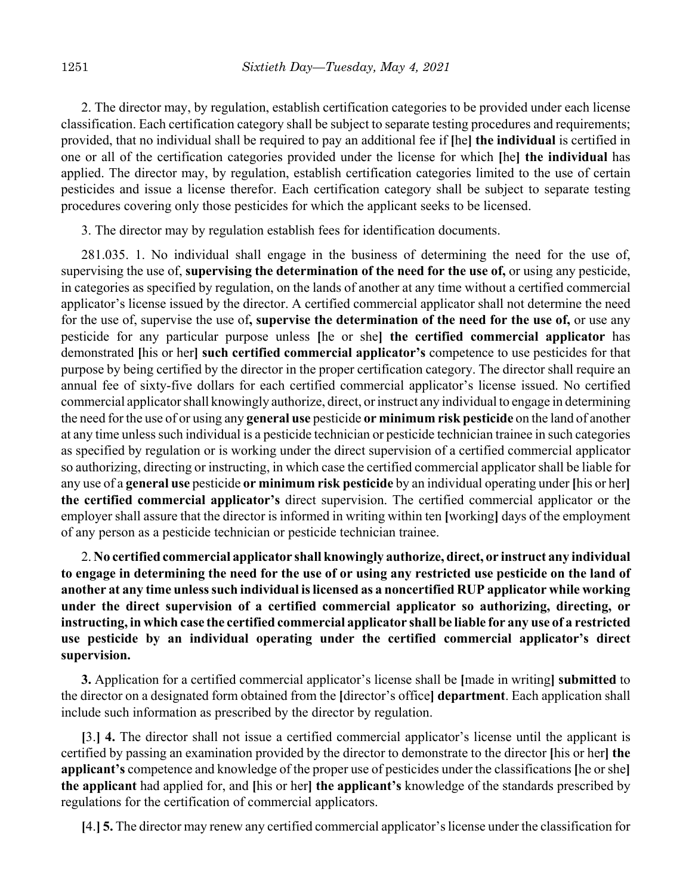2. The director may, by regulation, establish certification categories to be provided under each license classification. Each certification category shall be subject to separate testing procedures and requirements; provided, that no individual shall be required to pay an additional fee if **[**he**] the individual** is certified in one or all of the certification categories provided under the license for which **[**he**] the individual** has applied. The director may, by regulation, establish certification categories limited to the use of certain pesticides and issue a license therefor. Each certification category shall be subject to separate testing procedures covering only those pesticides for which the applicant seeks to be licensed.

3. The director may by regulation establish fees for identification documents.

281.035. 1. No individual shall engage in the business of determining the need for the use of, supervising the use of, **supervising the determination of the need for the use of,** or using any pesticide, in categories as specified by regulation, on the lands of another at any time without a certified commercial applicator's license issued by the director. A certified commercial applicator shall not determine the need for the use of, supervise the use of**, supervise the determination of the need for the use of,** or use any pesticide for any particular purpose unless **[**he or she**] the certified commercial applicator** has demonstrated **[**his or her**] such certified commercial applicator's** competence to use pesticides for that purpose by being certified by the director in the proper certification category. The director shall require an annual fee of sixty-five dollars for each certified commercial applicator's license issued. No certified commercial applicator shall knowingly authorize, direct, or instruct any individual to engage in determining the need for the use of or using any **general use** pesticide **or minimum risk pesticide** on the land of another at any time unless such individual is a pesticide technician or pesticide technician trainee in such categories as specified by regulation or is working under the direct supervision of a certified commercial applicator so authorizing, directing or instructing, in which case the certified commercial applicator shall be liable for any use of a **general use** pesticide **or minimum risk pesticide** by an individual operating under **[**his or her**] the certified commercial applicator's** direct supervision. The certified commercial applicator or the employer shall assure that the director is informed in writing within ten **[**working**]** days of the employment of any person as a pesticide technician or pesticide technician trainee.

2. **No certified commercial applicator shall knowingly authorize, direct, or instruct any individual to engage in determining the need for the use of or using any restricted use pesticide on the land of another at any time unless such individual is licensed as a noncertified RUP applicator while working under the direct supervision of a certified commercial applicator so authorizing, directing, or instructing, in which case the certified commercial applicator shall be liable for any use of a restricted use pesticide by an individual operating under the certified commercial applicator's direct supervision.**

**3.** Application for a certified commercial applicator's license shall be **[**made in writing**] submitted** to the director on a designated form obtained from the **[**director's office**] department**. Each application shall include such information as prescribed by the director by regulation.

**[**3.**] 4.** The director shall not issue a certified commercial applicator's license until the applicant is certified by passing an examination provided by the director to demonstrate to the director **[**his or her**] the applicant's** competence and knowledge of the proper use of pesticides under the classifications **[**he or she**] the applicant** had applied for, and **[**his or her**] the applicant's** knowledge of the standards prescribed by regulations for the certification of commercial applicators.

**[**4.**] 5.** The director may renew any certified commercial applicator's license under the classification for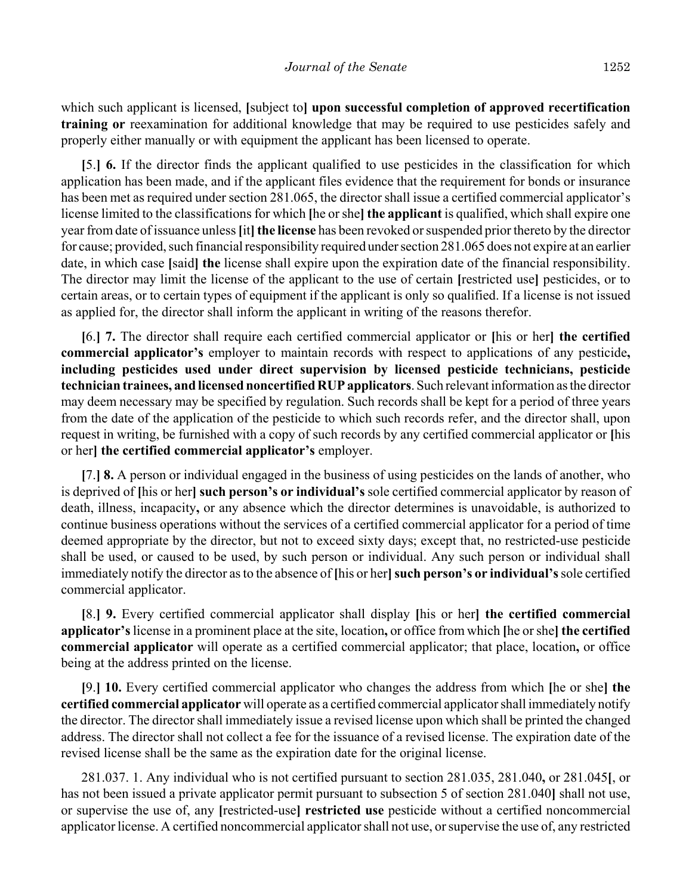which such applicant is licensed, **[**subject to**] upon successful completion of approved recertification training or** reexamination for additional knowledge that may be required to use pesticides safely and properly either manually or with equipment the applicant has been licensed to operate.

**[**5.**] 6.** If the director finds the applicant qualified to use pesticides in the classification for which application has been made, and if the applicant files evidence that the requirement for bonds or insurance has been met as required under section 281.065, the director shall issue a certified commercial applicator's license limited to the classifications for which **[**he or she**] the applicant** is qualified, which shall expire one year from date of issuance unless **[**it**] the license** has been revoked or suspended prior thereto by the director for cause; provided, such financial responsibility required under section 281.065 does not expire at an earlier date, in which case **[**said**] the** license shall expire upon the expiration date of the financial responsibility. The director may limit the license of the applicant to the use of certain **[**restricted use**]** pesticides, or to certain areas, or to certain types of equipment if the applicant is only so qualified. If a license is not issued as applied for, the director shall inform the applicant in writing of the reasons therefor.

**[**6.**] 7.** The director shall require each certified commercial applicator or **[**his or her**] the certified commercial applicator's** employer to maintain records with respect to applications of any pesticide**, including pesticides used under direct supervision by licensed pesticide technicians, pesticide technician trainees, and licensed noncertified RUP applicators**. Such relevant information as the director may deem necessary may be specified by regulation. Such records shall be kept for a period of three years from the date of the application of the pesticide to which such records refer, and the director shall, upon request in writing, be furnished with a copy of such records by any certified commercial applicator or **[**his or her**] the certified commercial applicator's** employer.

**[**7.**] 8.** A person or individual engaged in the business of using pesticides on the lands of another, who is deprived of **[**his or her**] such person's or individual's** sole certified commercial applicator by reason of death, illness, incapacity**,** or any absence which the director determines is unavoidable, is authorized to continue business operations without the services of a certified commercial applicator for a period of time deemed appropriate by the director, but not to exceed sixty days; except that, no restricted-use pesticide shall be used, or caused to be used, by such person or individual. Any such person or individual shall immediately notify the director as to the absence of **[**his or her**]such person's or individual's** sole certified commercial applicator.

**[**8.**] 9.** Every certified commercial applicator shall display **[**his or her**] the certified commercial applicator's** license in a prominent place at the site, location**,** or office from which **[**he or she**] the certified commercial applicator** will operate as a certified commercial applicator; that place, location**,** or office being at the address printed on the license.

**[**9.**] 10.** Every certified commercial applicator who changes the address from which **[**he or she**] the certified commercial applicator** will operate as a certified commercial applicator shall immediately notify the director. The director shall immediately issue a revised license upon which shall be printed the changed address. The director shall not collect a fee for the issuance of a revised license. The expiration date of the revised license shall be the same as the expiration date for the original license.

281.037. 1. Any individual who is not certified pursuant to section 281.035, 281.040**,** or 281.045**[**, or has not been issued a private applicator permit pursuant to subsection 5 of section 281.040**]** shall not use, or supervise the use of, any **[**restricted-use**] restricted use** pesticide without a certified noncommercial applicator license. A certified noncommercial applicator shall not use, or supervise the use of, any restricted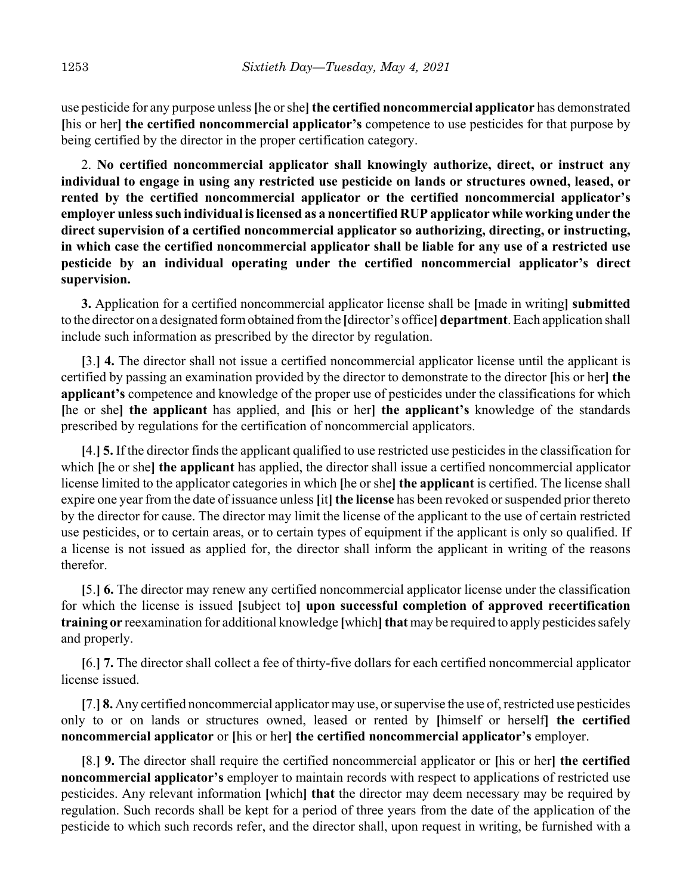use pesticide for any purpose unless **[**he or she**] the certified noncommercial applicator** has demonstrated **[**his or her**] the certified noncommercial applicator's** competence to use pesticides for that purpose by being certified by the director in the proper certification category.

2. **No certified noncommercial applicator shall knowingly authorize, direct, or instruct any individual to engage in using any restricted use pesticide on lands or structures owned, leased, or rented by the certified noncommercial applicator or the certified noncommercial applicator's employer unless such individual is licensed as a noncertified RUP applicator while working under the direct supervision of a certified noncommercial applicator so authorizing, directing, or instructing, in which case the certified noncommercial applicator shall be liable for any use of a restricted use pesticide by an individual operating under the certified noncommercial applicator's direct supervision.**

**3.** Application for a certified noncommercial applicator license shall be **[**made in writing**] submitted** to the director on a designated form obtained from the **[**director's office**] department**. Each application shall include such information as prescribed by the director by regulation.

**[**3.**] 4.** The director shall not issue a certified noncommercial applicator license until the applicant is certified by passing an examination provided by the director to demonstrate to the director **[**his or her**] the applicant's** competence and knowledge of the proper use of pesticides under the classifications for which **[**he or she**] the applicant** has applied, and **[**his or her**] the applicant's** knowledge of the standards prescribed by regulations for the certification of noncommercial applicators.

**[**4.**] 5.** If the director finds the applicant qualified to use restricted use pesticides in the classification for which **[**he or she**] the applicant** has applied, the director shall issue a certified noncommercial applicator license limited to the applicator categories in which **[**he or she**] the applicant** is certified. The license shall expire one year from the date of issuance unless **[**it**] the license** has been revoked or suspended prior thereto by the director for cause. The director may limit the license of the applicant to the use of certain restricted use pesticides, or to certain areas, or to certain types of equipment if the applicant is only so qualified. If a license is not issued as applied for, the director shall inform the applicant in writing of the reasons therefor.

**[**5.**] 6.** The director may renew any certified noncommercial applicator license under the classification for which the license is issued **[**subject to**] upon successful completion of approved recertification training or** reexamination for additional knowledge [which] that may be required to apply pesticides safely and properly.

**[**6.**] 7.** The director shall collect a fee of thirty-five dollars for each certified noncommercial applicator license issued.

**[**7.**] 8.** Any certified noncommercial applicator may use, or supervise the use of, restricted use pesticides only to or on lands or structures owned, leased or rented by **[**himself or herself**] the certified noncommercial applicator** or **[**his or her**] the certified noncommercial applicator's** employer.

**[**8.**] 9.** The director shall require the certified noncommercial applicator or **[**his or her**] the certified noncommercial applicator's** employer to maintain records with respect to applications of restricted use pesticides. Any relevant information **[**which**] that** the director may deem necessary may be required by regulation. Such records shall be kept for a period of three years from the date of the application of the pesticide to which such records refer, and the director shall, upon request in writing, be furnished with a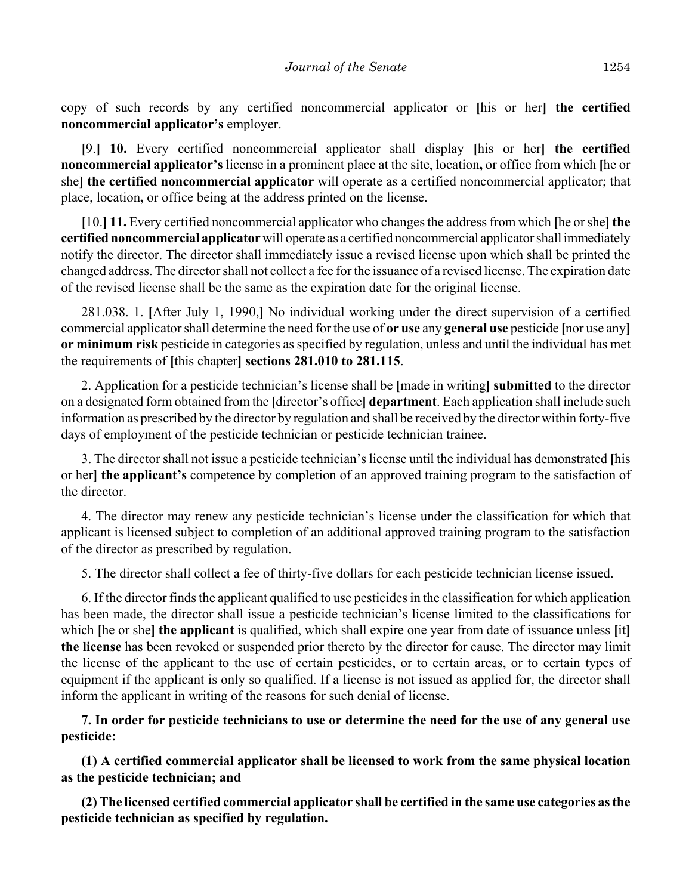copy of such records by any certified noncommercial applicator or **[**his or her**] the certified noncommercial applicator's** employer.

**[**9.**] 10.** Every certified noncommercial applicator shall display **[**his or her**] the certified noncommercial applicator's** license in a prominent place at the site, location**,** or office from which **[**he or she**] the certified noncommercial applicator** will operate as a certified noncommercial applicator; that place, location**,** or office being at the address printed on the license.

**[**10.**] 11.** Every certified noncommercial applicator who changes the address from which **[**he or she**] the certified noncommercial applicator** will operate as a certified noncommercial applicator shall immediately notify the director. The director shall immediately issue a revised license upon which shall be printed the changed address. The director shall not collect a fee for the issuance of a revised license. The expiration date of the revised license shall be the same as the expiration date for the original license.

281.038. 1. **[**After July 1, 1990,**]** No individual working under the direct supervision of a certified commercial applicator shall determine the need for the use of **or use** any **general use** pesticide **[**nor use any**] or minimum risk** pesticide in categories as specified by regulation, unless and until the individual has met the requirements of **[**this chapter**] sections 281.010 to 281.115**.

2. Application for a pesticide technician's license shall be **[**made in writing**] submitted** to the director on a designated form obtained from the **[**director's office**] department**. Each application shall include such information as prescribed by the director by regulation and shall be received by the director within forty-five days of employment of the pesticide technician or pesticide technician trainee.

3. The director shall not issue a pesticide technician's license until the individual has demonstrated **[**his or her**] the applicant's** competence by completion of an approved training program to the satisfaction of the director.

4. The director may renew any pesticide technician's license under the classification for which that applicant is licensed subject to completion of an additional approved training program to the satisfaction of the director as prescribed by regulation.

5. The director shall collect a fee of thirty-five dollars for each pesticide technician license issued.

6. If the director finds the applicant qualified to use pesticides in the classification for which application has been made, the director shall issue a pesticide technician's license limited to the classifications for which **[**he or she**] the applicant** is qualified, which shall expire one year from date of issuance unless **[**it**] the license** has been revoked or suspended prior thereto by the director for cause. The director may limit the license of the applicant to the use of certain pesticides, or to certain areas, or to certain types of equipment if the applicant is only so qualified. If a license is not issued as applied for, the director shall inform the applicant in writing of the reasons for such denial of license.

**7. In order for pesticide technicians to use or determine the need for the use of any general use pesticide:**

**(1) A certified commercial applicator shall be licensed to work from the same physical location as the pesticide technician; and**

**(2) The licensed certified commercial applicator shall be certified in the same use categories as the pesticide technician as specified by regulation.**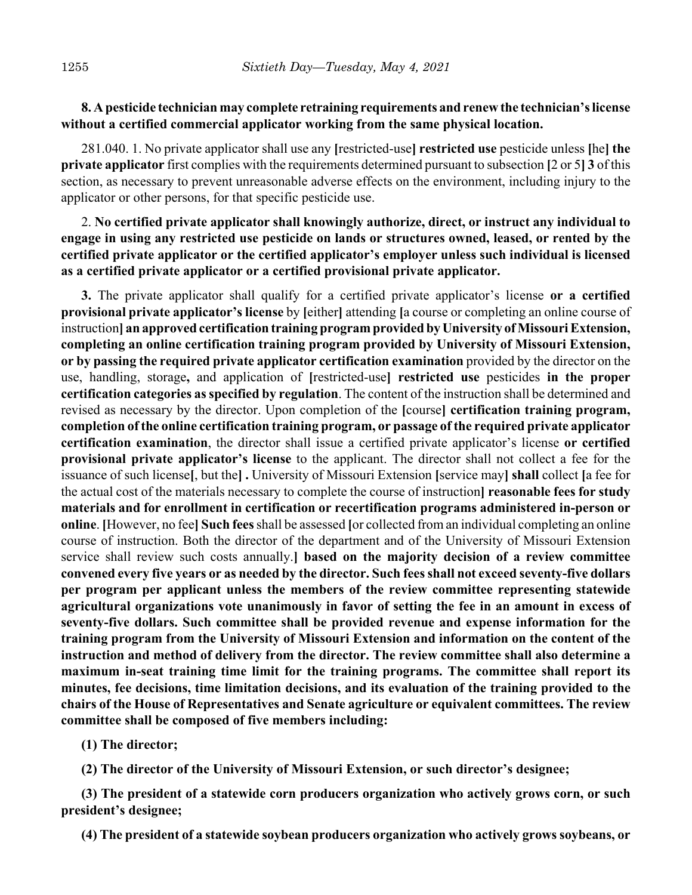## **8. A pesticide technician may complete retraining requirements and renew the technician's license without a certified commercial applicator working from the same physical location.**

281.040. 1. No private applicator shall use any **[**restricted-use**] restricted use** pesticide unless **[**he**] the private applicator** first complies with the requirements determined pursuant to subsection **[**2 or 5**] 3** of this section, as necessary to prevent unreasonable adverse effects on the environment, including injury to the applicator or other persons, for that specific pesticide use.

2. **No certified private applicator shall knowingly authorize, direct, or instruct any individual to engage in using any restricted use pesticide on lands or structures owned, leased, or rented by the certified private applicator or the certified applicator's employer unless such individual is licensed as a certified private applicator or a certified provisional private applicator.**

**3.** The private applicator shall qualify for a certified private applicator's license **or a certified provisional private applicator's license** by **[**either**]** attending **[**a course or completing an online course of instruction**] an approved certification training program provided by University of Missouri Extension, completing an online certification training program provided by University of Missouri Extension, or by passing the required private applicator certification examination** provided by the director on the use, handling, storage**,** and application of **[**restricted-use**] restricted use** pesticides **in the proper certification categories as specified by regulation**. The content of the instruction shall be determined and revised as necessary by the director. Upon completion of the **[**course**] certification training program, completion of the online certification training program, or passage of the required private applicator certification examination**, the director shall issue a certified private applicator's license **or certified provisional private applicator's license** to the applicant. The director shall not collect a fee for the issuance of such license**[**, but the**] .** University of Missouri Extension **[**service may**] shall** collect **[**a fee for the actual cost of the materials necessary to complete the course of instruction**] reasonable fees for study materials and for enrollment in certification or recertification programs administered in-person or online**. **[**However, no fee**] Such fees** shall be assessed **[**or collected from an individual completing an online course of instruction. Both the director of the department and of the University of Missouri Extension service shall review such costs annually.**] based on the majority decision of a review committee convened every five years or as needed by the director. Such fees shall not exceed seventy-five dollars per program per applicant unless the members of the review committee representing statewide agricultural organizations vote unanimously in favor of setting the fee in an amount in excess of seventy-five dollars. Such committee shall be provided revenue and expense information for the training program from the University of Missouri Extension and information on the content of the instruction and method of delivery from the director. The review committee shall also determine a maximum in-seat training time limit for the training programs. The committee shall report its minutes, fee decisions, time limitation decisions, and its evaluation of the training provided to the chairs of the House of Representatives and Senate agriculture or equivalent committees. The review committee shall be composed of five members including:**

**(1) The director;**

**(2) The director of the University of Missouri Extension, or such director's designee;**

**(3) The president of a statewide corn producers organization who actively grows corn, or such president's designee;**

**(4) The president of a statewide soybean producers organization who actively grows soybeans, or**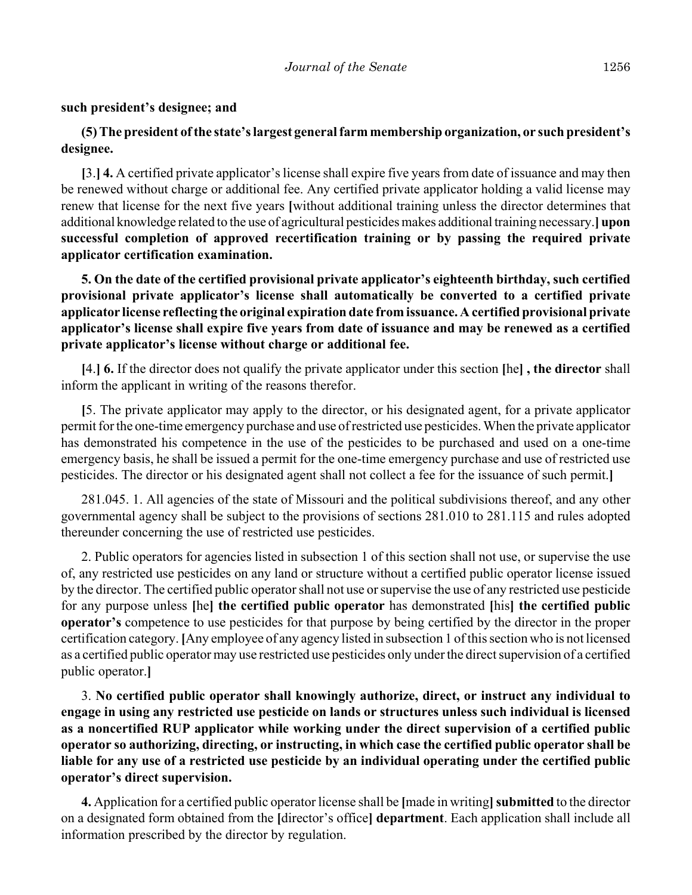#### **such president's designee; and**

**(5) The president of the state's largest general farm membership organization, or such president's designee.**

**[**3.**] 4.** A certified private applicator's license shall expire five years from date of issuance and may then be renewed without charge or additional fee. Any certified private applicator holding a valid license may renew that license for the next five years **[**without additional training unless the director determines that additional knowledge related to the use of agricultural pesticides makes additional training necessary.**] upon successful completion of approved recertification training or by passing the required private applicator certification examination.**

**5. On the date of the certified provisional private applicator's eighteenth birthday, such certified provisional private applicator's license shall automatically be converted to a certified private applicator license reflecting the original expiration date from issuance. A certified provisional private applicator's license shall expire five years from date of issuance and may be renewed as a certified private applicator's license without charge or additional fee.**

**[**4.**] 6.** If the director does not qualify the private applicator under this section **[**he**] , the director** shall inform the applicant in writing of the reasons therefor.

**[**5. The private applicator may apply to the director, or his designated agent, for a private applicator permit for the one-time emergency purchase and use of restricted use pesticides. When the private applicator has demonstrated his competence in the use of the pesticides to be purchased and used on a one-time emergency basis, he shall be issued a permit for the one-time emergency purchase and use of restricted use pesticides. The director or his designated agent shall not collect a fee for the issuance of such permit.**]**

281.045. 1. All agencies of the state of Missouri and the political subdivisions thereof, and any other governmental agency shall be subject to the provisions of sections 281.010 to 281.115 and rules adopted thereunder concerning the use of restricted use pesticides.

2. Public operators for agencies listed in subsection 1 of this section shall not use, or supervise the use of, any restricted use pesticides on any land or structure without a certified public operator license issued by the director. The certified public operator shall not use or supervise the use of any restricted use pesticide for any purpose unless **[**he**] the certified public operator** has demonstrated **[**his**] the certified public operator's** competence to use pesticides for that purpose by being certified by the director in the proper certification category. **[**Any employee of any agency listed in subsection 1 of this section who is not licensed as a certified public operator may use restricted use pesticides only under the direct supervision of a certified public operator.**]**

3. **No certified public operator shall knowingly authorize, direct, or instruct any individual to engage in using any restricted use pesticide on lands or structures unless such individual is licensed as a noncertified RUP applicator while working under the direct supervision of a certified public operator so authorizing, directing, or instructing, in which case the certified public operator shall be liable for any use of a restricted use pesticide by an individual operating under the certified public operator's direct supervision.**

**4.** Application for a certified public operator license shall be [made in writing] submitted to the director on a designated form obtained from the **[**director's office**] department**. Each application shall include all information prescribed by the director by regulation.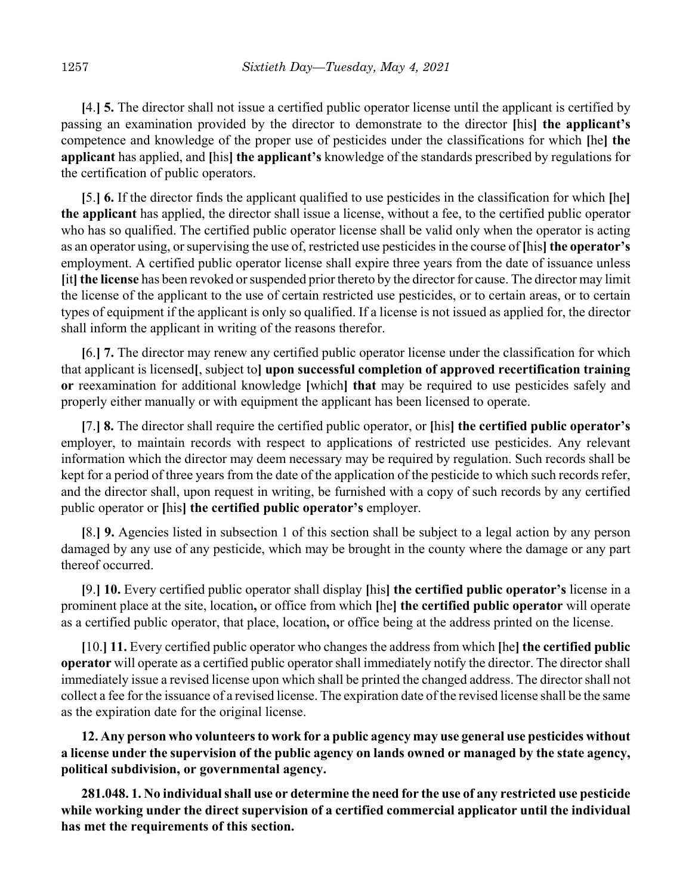**[**4.**] 5.** The director shall not issue a certified public operator license until the applicant is certified by passing an examination provided by the director to demonstrate to the director **[**his**] the applicant's** competence and knowledge of the proper use of pesticides under the classifications for which **[**he**] the applicant** has applied, and **[**his**] the applicant's** knowledge of the standards prescribed by regulations for the certification of public operators.

**[**5.**] 6.** If the director finds the applicant qualified to use pesticides in the classification for which **[**he**] the applicant** has applied, the director shall issue a license, without a fee, to the certified public operator who has so qualified. The certified public operator license shall be valid only when the operator is acting as an operator using, or supervising the use of, restricted use pesticides in the course of **[**his**] the operator's** employment. A certified public operator license shall expire three years from the date of issuance unless **[**it**] the license** has been revoked or suspended prior thereto by the director for cause. The director may limit the license of the applicant to the use of certain restricted use pesticides, or to certain areas, or to certain types of equipment if the applicant is only so qualified. If a license is not issued as applied for, the director shall inform the applicant in writing of the reasons therefor.

**[**6.**] 7.** The director may renew any certified public operator license under the classification for which that applicant is licensed**[**, subject to**] upon successful completion of approved recertification training or** reexamination for additional knowledge **[**which**] that** may be required to use pesticides safely and properly either manually or with equipment the applicant has been licensed to operate.

**[**7.**] 8.** The director shall require the certified public operator, or **[**his**] the certified public operator's** employer, to maintain records with respect to applications of restricted use pesticides. Any relevant information which the director may deem necessary may be required by regulation. Such records shall be kept for a period of three years from the date of the application of the pesticide to which such records refer, and the director shall, upon request in writing, be furnished with a copy of such records by any certified public operator or **[**his**] the certified public operator's** employer.

**[**8.**] 9.** Agencies listed in subsection 1 of this section shall be subject to a legal action by any person damaged by any use of any pesticide, which may be brought in the county where the damage or any part thereof occurred.

**[**9.**] 10.** Every certified public operator shall display **[**his**] the certified public operator's** license in a prominent place at the site, location**,** or office from which **[**he**] the certified public operator** will operate as a certified public operator, that place, location**,** or office being at the address printed on the license.

**[**10.**] 11.** Every certified public operator who changes the address from which **[**he**] the certified public operator** will operate as a certified public operator shall immediately notify the director. The director shall immediately issue a revised license upon which shall be printed the changed address. The director shall not collect a fee for the issuance of a revised license. The expiration date of the revised license shall be the same as the expiration date for the original license.

**12. Any person who volunteers to work for a public agency may use general use pesticides without a license under the supervision of the public agency on lands owned or managed by the state agency, political subdivision, or governmental agency.**

**281.048. 1. No individual shall use or determine the need for the use of any restricted use pesticide while working under the direct supervision of a certified commercial applicator until the individual has met the requirements of this section.**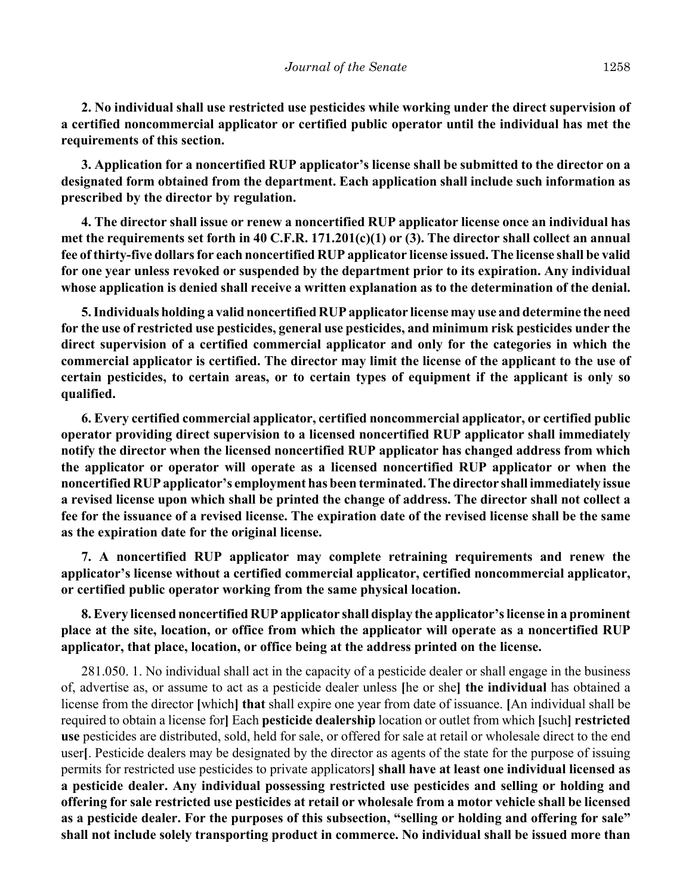**2. No individual shall use restricted use pesticides while working under the direct supervision of a certified noncommercial applicator or certified public operator until the individual has met the requirements of this section.**

**3. Application for a noncertified RUP applicator's license shall be submitted to the director on a designated form obtained from the department. Each application shall include such information as prescribed by the director by regulation.**

**4. The director shall issue or renew a noncertified RUP applicator license once an individual has met the requirements set forth in 40 C.F.R. 171.201(c)(1) or (3). The director shall collect an annual fee of thirty-five dollars for each noncertified RUP applicator license issued. The license shall be valid for one year unless revoked or suspended by the department prior to its expiration. Any individual whose application is denied shall receive a written explanation as to the determination of the denial.**

**5. Individuals holding a valid noncertified RUP applicator license may use and determine the need for the use of restricted use pesticides, general use pesticides, and minimum risk pesticides under the direct supervision of a certified commercial applicator and only for the categories in which the commercial applicator is certified. The director may limit the license of the applicant to the use of certain pesticides, to certain areas, or to certain types of equipment if the applicant is only so qualified.**

**6. Every certified commercial applicator, certified noncommercial applicator, or certified public operator providing direct supervision to a licensed noncertified RUP applicator shall immediately notify the director when the licensed noncertified RUP applicator has changed address from which the applicator or operator will operate as a licensed noncertified RUP applicator or when the noncertified RUP applicator's employment has been terminated. The director shall immediately issue a revised license upon which shall be printed the change of address. The director shall not collect a fee for the issuance of a revised license. The expiration date of the revised license shall be the same as the expiration date for the original license.**

**7. A noncertified RUP applicator may complete retraining requirements and renew the applicator's license without a certified commercial applicator, certified noncommercial applicator, or certified public operator working from the same physical location.**

### **8. Every licensed noncertified RUP applicator shall display the applicator's license in a prominent place at the site, location, or office from which the applicator will operate as a noncertified RUP applicator, that place, location, or office being at the address printed on the license.**

281.050. 1. No individual shall act in the capacity of a pesticide dealer or shall engage in the business of, advertise as, or assume to act as a pesticide dealer unless **[**he or she**] the individual** has obtained a license from the director **[**which**] that** shall expire one year from date of issuance. **[**An individual shall be required to obtain a license for**]** Each **pesticide dealership** location or outlet from which **[**such**] restricted use** pesticides are distributed, sold, held for sale, or offered for sale at retail or wholesale direct to the end user**[**. Pesticide dealers may be designated by the director as agents of the state for the purpose of issuing permits for restricted use pesticides to private applicators**] shall have at least one individual licensed as a pesticide dealer. Any individual possessing restricted use pesticides and selling or holding and offering for sale restricted use pesticides at retail or wholesale from a motor vehicle shall be licensed as a pesticide dealer. For the purposes of this subsection, "selling or holding and offering for sale" shall not include solely transporting product in commerce. No individual shall be issued more than**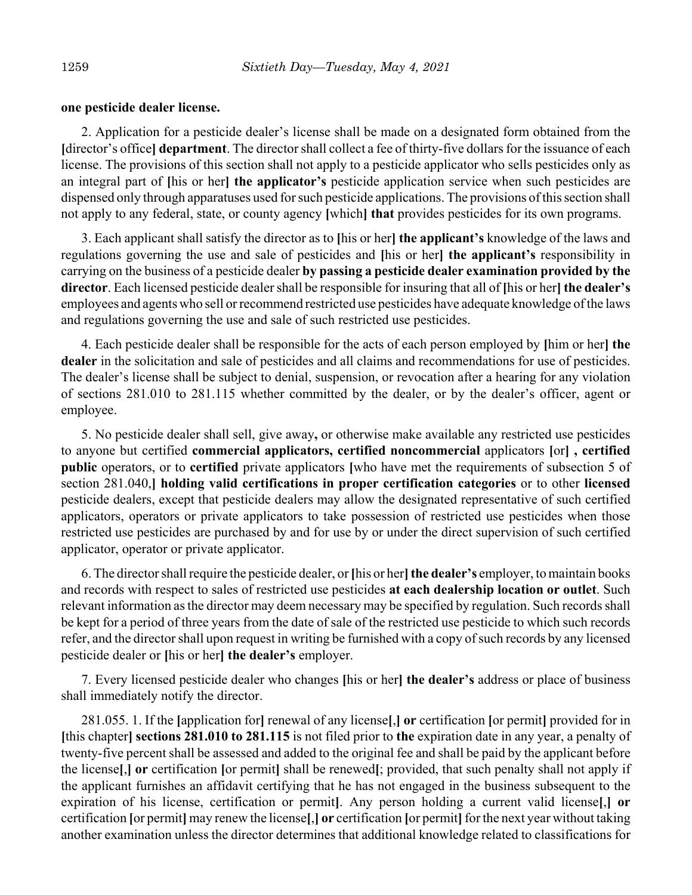#### **one pesticide dealer license.**

2. Application for a pesticide dealer's license shall be made on a designated form obtained from the **[**director's office**] department**. The director shall collect a fee of thirty-five dollars for the issuance of each license. The provisions of this section shall not apply to a pesticide applicator who sells pesticides only as an integral part of **[**his or her**] the applicator's** pesticide application service when such pesticides are dispensed only through apparatuses used for such pesticide applications. The provisions of this section shall not apply to any federal, state, or county agency **[**which**] that** provides pesticides for its own programs.

3. Each applicant shall satisfy the director as to **[**his or her**] the applicant's** knowledge of the laws and regulations governing the use and sale of pesticides and **[**his or her**] the applicant's** responsibility in carrying on the business of a pesticide dealer **by passing a pesticide dealer examination provided by the director**. Each licensed pesticide dealer shall be responsible for insuring that all of **[**his or her**] the dealer's** employees and agents who sell or recommend restricted use pesticides have adequate knowledge of the laws and regulations governing the use and sale of such restricted use pesticides.

4. Each pesticide dealer shall be responsible for the acts of each person employed by **[**him or her**] the dealer** in the solicitation and sale of pesticides and all claims and recommendations for use of pesticides. The dealer's license shall be subject to denial, suspension, or revocation after a hearing for any violation of sections 281.010 to 281.115 whether committed by the dealer, or by the dealer's officer, agent or employee.

5. No pesticide dealer shall sell, give away**,** or otherwise make available any restricted use pesticides to anyone but certified **commercial applicators, certified noncommercial** applicators **[**or**] , certified public** operators, or to **certified** private applicators **[**who have met the requirements of subsection 5 of section 281.040,**] holding valid certifications in proper certification categories** or to other **licensed** pesticide dealers, except that pesticide dealers may allow the designated representative of such certified applicators, operators or private applicators to take possession of restricted use pesticides when those restricted use pesticides are purchased by and for use by or under the direct supervision of such certified applicator, operator or private applicator.

6. The director shall require the pesticide dealer, or **[**his or her**]the dealer's** employer, to maintain books and records with respect to sales of restricted use pesticides **at each dealership location or outlet**. Such relevant information as the director may deem necessary may be specified by regulation. Such records shall be kept for a period of three years from the date of sale of the restricted use pesticide to which such records refer, and the director shall upon request in writing be furnished with a copy of such records by any licensed pesticide dealer or **[**his or her**] the dealer's** employer.

7. Every licensed pesticide dealer who changes **[**his or her**] the dealer's** address or place of business shall immediately notify the director.

281.055. 1. If the **[**application for**]** renewal of any license**[**,**] or** certification **[**or permit**]** provided for in **[**this chapter**] sections 281.010 to 281.115** is not filed prior to **the** expiration date in any year, a penalty of twenty-five percent shall be assessed and added to the original fee and shall be paid by the applicant before the license**[**,**] or** certification **[**or permit**]** shall be renewed**[**; provided, that such penalty shall not apply if the applicant furnishes an affidavit certifying that he has not engaged in the business subsequent to the expiration of his license, certification or permit**]**. Any person holding a current valid license**[**,**] or** certification **[**or permit**]** may renew the license**[**,**] or** certification **[**or permit**]** for the next year without taking another examination unless the director determines that additional knowledge related to classifications for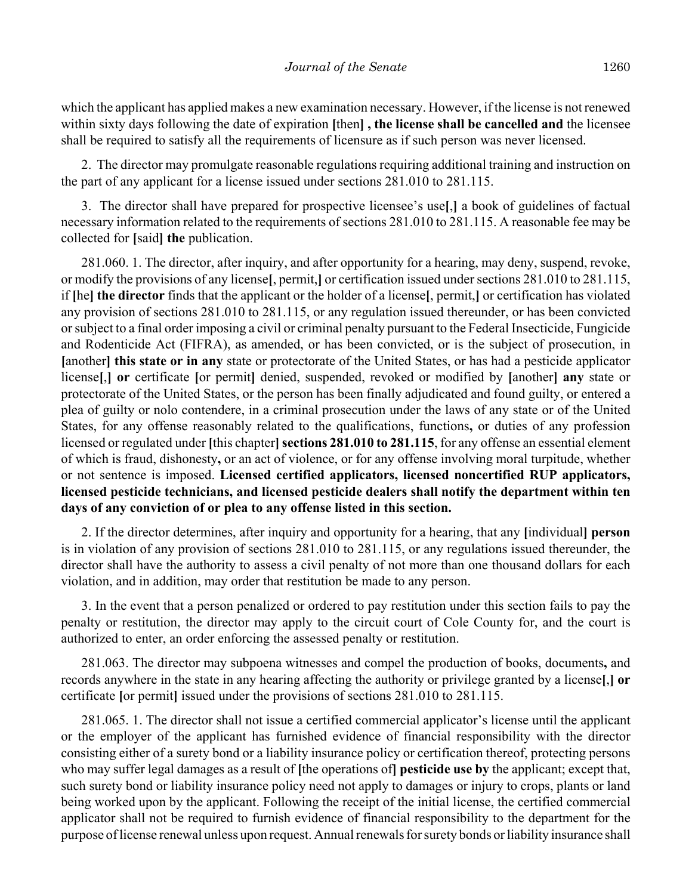which the applicant has applied makes a new examination necessary. However, if the license is not renewed within sixty days following the date of expiration **[**then**] , the license shall be cancelled and** the licensee shall be required to satisfy all the requirements of licensure as if such person was never licensed.

2. The director may promulgate reasonable regulations requiring additional training and instruction on the part of any applicant for a license issued under sections 281.010 to 281.115.

3. The director shall have prepared for prospective licensee's use**[**,**]** a book of guidelines of factual necessary information related to the requirements of sections 281.010 to 281.115. A reasonable fee may be collected for **[**said**] the** publication.

281.060. 1. The director, after inquiry, and after opportunity for a hearing, may deny, suspend, revoke, or modify the provisions of any license**[**, permit,**]** or certification issued under sections 281.010 to 281.115, if **[**he**] the director** finds that the applicant or the holder of a license**[**, permit,**]** or certification has violated any provision of sections 281.010 to 281.115, or any regulation issued thereunder, or has been convicted or subject to a final order imposing a civil or criminal penalty pursuant to the Federal Insecticide, Fungicide and Rodenticide Act (FIFRA), as amended, or has been convicted, or is the subject of prosecution, in **[**another**] this state or in any** state or protectorate of the United States, or has had a pesticide applicator license**[**,**] or** certificate **[**or permit**]** denied, suspended, revoked or modified by **[**another**] any** state or protectorate of the United States, or the person has been finally adjudicated and found guilty, or entered a plea of guilty or nolo contendere, in a criminal prosecution under the laws of any state or of the United States, for any offense reasonably related to the qualifications, functions**,** or duties of any profession licensed or regulated under [this chapter] sections 281.010 to 281.115, for any offense an essential element of which is fraud, dishonesty**,** or an act of violence, or for any offense involving moral turpitude, whether or not sentence is imposed. **Licensed certified applicators, licensed noncertified RUP applicators, licensed pesticide technicians, and licensed pesticide dealers shall notify the department within ten days of any conviction of or plea to any offense listed in this section.**

2. If the director determines, after inquiry and opportunity for a hearing, that any **[**individual**] person** is in violation of any provision of sections 281.010 to 281.115, or any regulations issued thereunder, the director shall have the authority to assess a civil penalty of not more than one thousand dollars for each violation, and in addition, may order that restitution be made to any person.

3. In the event that a person penalized or ordered to pay restitution under this section fails to pay the penalty or restitution, the director may apply to the circuit court of Cole County for, and the court is authorized to enter, an order enforcing the assessed penalty or restitution.

281.063. The director may subpoena witnesses and compel the production of books, documents**,** and records anywhere in the state in any hearing affecting the authority or privilege granted by a license**[**,**] or** certificate **[**or permit**]** issued under the provisions of sections 281.010 to 281.115.

281.065. 1. The director shall not issue a certified commercial applicator's license until the applicant or the employer of the applicant has furnished evidence of financial responsibility with the director consisting either of a surety bond or a liability insurance policy or certification thereof, protecting persons who may suffer legal damages as a result of **[**the operations of**] pesticide use by** the applicant; except that, such surety bond or liability insurance policy need not apply to damages or injury to crops, plants or land being worked upon by the applicant. Following the receipt of the initial license, the certified commercial applicator shall not be required to furnish evidence of financial responsibility to the department for the purpose of license renewal unless upon request. Annual renewals for surety bonds or liability insurance shall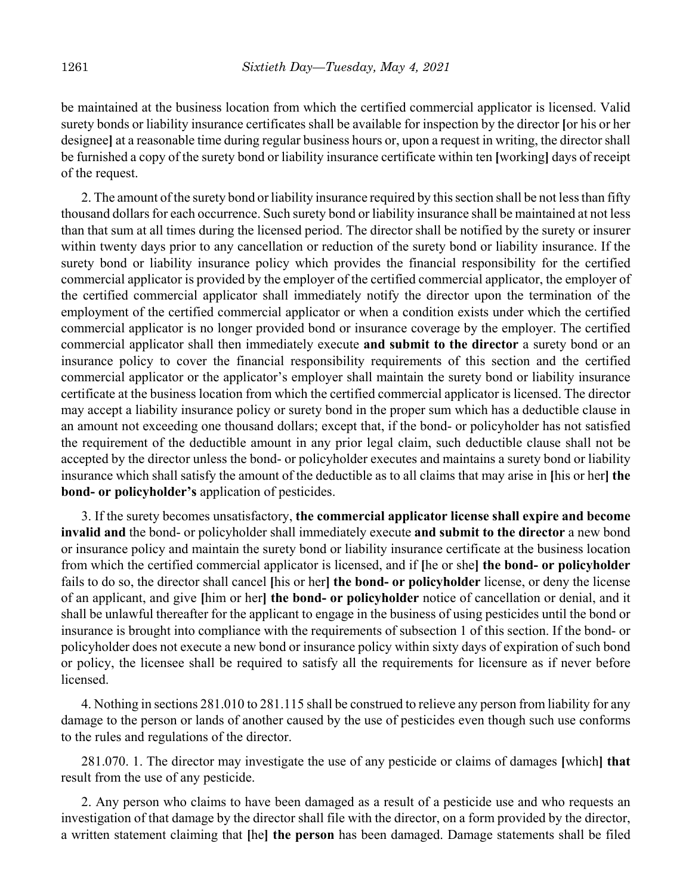be maintained at the business location from which the certified commercial applicator is licensed. Valid surety bonds or liability insurance certificates shall be available for inspection by the director **[**or his or her designee**]** at a reasonable time during regular business hours or, upon a request in writing, the director shall be furnished a copy of the surety bond or liability insurance certificate within ten **[**working**]** days of receipt of the request.

2. The amount of the surety bond or liability insurance required by this section shall be not less than fifty thousand dollars for each occurrence. Such surety bond or liability insurance shall be maintained at not less than that sum at all times during the licensed period. The director shall be notified by the surety or insurer within twenty days prior to any cancellation or reduction of the surety bond or liability insurance. If the surety bond or liability insurance policy which provides the financial responsibility for the certified commercial applicator is provided by the employer of the certified commercial applicator, the employer of the certified commercial applicator shall immediately notify the director upon the termination of the employment of the certified commercial applicator or when a condition exists under which the certified commercial applicator is no longer provided bond or insurance coverage by the employer. The certified commercial applicator shall then immediately execute **and submit to the director** a surety bond or an insurance policy to cover the financial responsibility requirements of this section and the certified commercial applicator or the applicator's employer shall maintain the surety bond or liability insurance certificate at the business location from which the certified commercial applicator is licensed. The director may accept a liability insurance policy or surety bond in the proper sum which has a deductible clause in an amount not exceeding one thousand dollars; except that, if the bond- or policyholder has not satisfied the requirement of the deductible amount in any prior legal claim, such deductible clause shall not be accepted by the director unless the bond- or policyholder executes and maintains a surety bond or liability insurance which shall satisfy the amount of the deductible as to all claims that may arise in **[**his or her**] the bond- or policyholder's** application of pesticides.

3. If the surety becomes unsatisfactory, **the commercial applicator license shall expire and become invalid and** the bond- or policyholder shall immediately execute **and submit to the director** a new bond or insurance policy and maintain the surety bond or liability insurance certificate at the business location from which the certified commercial applicator is licensed, and if **[**he or she**] the bond- or policyholder** fails to do so, the director shall cancel **[**his or her**] the bond- or policyholder** license, or deny the license of an applicant, and give **[**him or her**] the bond- or policyholder** notice of cancellation or denial, and it shall be unlawful thereafter for the applicant to engage in the business of using pesticides until the bond or insurance is brought into compliance with the requirements of subsection 1 of this section. If the bond- or policyholder does not execute a new bond or insurance policy within sixty days of expiration of such bond or policy, the licensee shall be required to satisfy all the requirements for licensure as if never before licensed.

4. Nothing in sections 281.010 to 281.115 shall be construed to relieve any person from liability for any damage to the person or lands of another caused by the use of pesticides even though such use conforms to the rules and regulations of the director.

281.070. 1. The director may investigate the use of any pesticide or claims of damages **[**which**] that** result from the use of any pesticide.

2. Any person who claims to have been damaged as a result of a pesticide use and who requests an investigation of that damage by the director shall file with the director, on a form provided by the director, a written statement claiming that **[**he**] the person** has been damaged. Damage statements shall be filed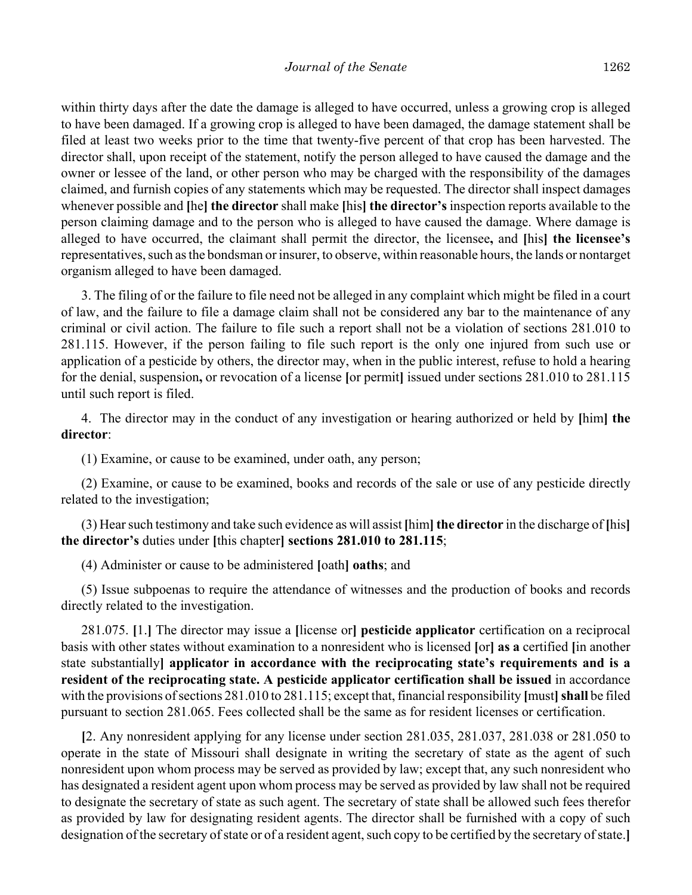within thirty days after the date the damage is alleged to have occurred, unless a growing crop is alleged to have been damaged. If a growing crop is alleged to have been damaged, the damage statement shall be filed at least two weeks prior to the time that twenty-five percent of that crop has been harvested. The director shall, upon receipt of the statement, notify the person alleged to have caused the damage and the owner or lessee of the land, or other person who may be charged with the responsibility of the damages claimed, and furnish copies of any statements which may be requested. The director shall inspect damages whenever possible and **[**he**] the director** shall make **[**his**] the director's** inspection reports available to the person claiming damage and to the person who is alleged to have caused the damage. Where damage is alleged to have occurred, the claimant shall permit the director, the licensee**,** and **[**his**] the licensee's** representatives, such as the bondsman or insurer, to observe, within reasonable hours, the lands or nontarget organism alleged to have been damaged.

3. The filing of or the failure to file need not be alleged in any complaint which might be filed in a court of law, and the failure to file a damage claim shall not be considered any bar to the maintenance of any criminal or civil action. The failure to file such a report shall not be a violation of sections 281.010 to 281.115. However, if the person failing to file such report is the only one injured from such use or application of a pesticide by others, the director may, when in the public interest, refuse to hold a hearing for the denial, suspension**,** or revocation of a license **[**or permit**]** issued under sections 281.010 to 281.115 until such report is filed.

4. The director may in the conduct of any investigation or hearing authorized or held by **[**him**] the director**:

(1) Examine, or cause to be examined, under oath, any person;

(2) Examine, or cause to be examined, books and records of the sale or use of any pesticide directly related to the investigation;

(3) Hear such testimony and take such evidence as will assist **[**him**] the director** in the discharge of **[**his**] the director's** duties under **[**this chapter**] sections 281.010 to 281.115**;

(4) Administer or cause to be administered **[**oath**] oaths**; and

(5) Issue subpoenas to require the attendance of witnesses and the production of books and records directly related to the investigation.

281.075. **[**1.**]** The director may issue a **[**license or**] pesticide applicator** certification on a reciprocal basis with other states without examination to a nonresident who is licensed **[**or**] as a** certified **[**in another state substantially**] applicator in accordance with the reciprocating state's requirements and is a resident of the reciprocating state. A pesticide applicator certification shall be issued** in accordance with the provisions of sections 281.010 to 281.115; except that, financial responsibility [must] shall be filed pursuant to section 281.065. Fees collected shall be the same as for resident licenses or certification.

**[**2. Any nonresident applying for any license under section 281.035, 281.037, 281.038 or 281.050 to operate in the state of Missouri shall designate in writing the secretary of state as the agent of such nonresident upon whom process may be served as provided by law; except that, any such nonresident who has designated a resident agent upon whom process may be served as provided by law shall not be required to designate the secretary of state as such agent. The secretary of state shall be allowed such fees therefor as provided by law for designating resident agents. The director shall be furnished with a copy of such designation of the secretary of state or of a resident agent, such copy to be certified by the secretary of state.**]**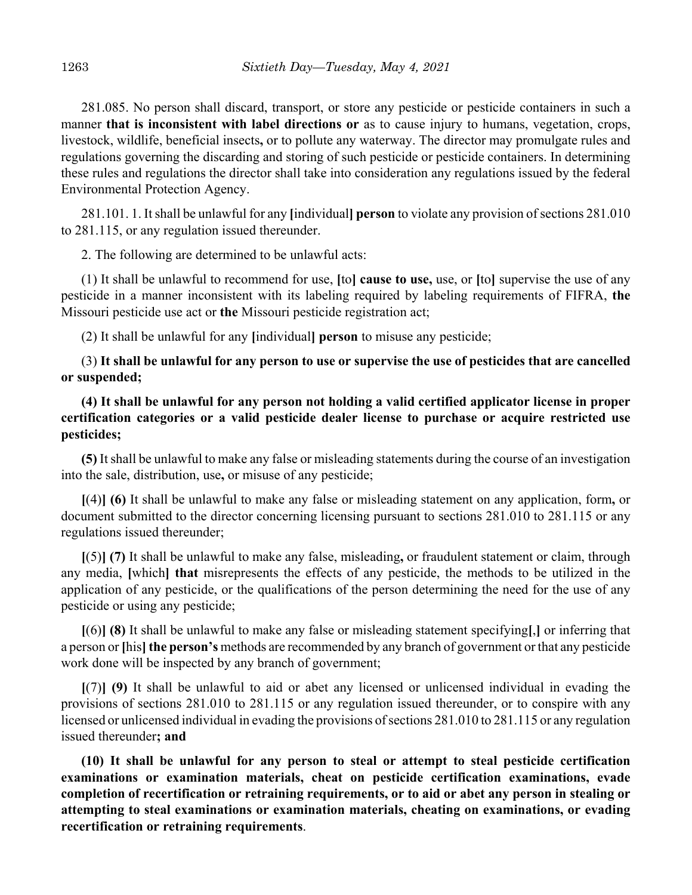281.085. No person shall discard, transport, or store any pesticide or pesticide containers in such a manner **that is inconsistent with label directions or** as to cause injury to humans, vegetation, crops, livestock, wildlife, beneficial insects**,** or to pollute any waterway. The director may promulgate rules and regulations governing the discarding and storing of such pesticide or pesticide containers. In determining these rules and regulations the director shall take into consideration any regulations issued by the federal Environmental Protection Agency.

281.101. 1. It shall be unlawful for any **[**individual**] person** to violate any provision of sections 281.010 to 281.115, or any regulation issued thereunder.

2. The following are determined to be unlawful acts:

(1) It shall be unlawful to recommend for use, **[**to**] cause to use,** use, or **[**to**]** supervise the use of any pesticide in a manner inconsistent with its labeling required by labeling requirements of FIFRA, **the** Missouri pesticide use act or **the** Missouri pesticide registration act;

(2) It shall be unlawful for any **[**individual**] person** to misuse any pesticide;

### (3) **It shall be unlawful for any person to use or supervise the use of pesticides that are cancelled or suspended;**

## **(4) It shall be unlawful for any person not holding a valid certified applicator license in proper certification categories or a valid pesticide dealer license to purchase or acquire restricted use pesticides;**

**(5)** It shall be unlawful to make any false or misleading statements during the course of an investigation into the sale, distribution, use**,** or misuse of any pesticide;

**[**(4)**] (6)** It shall be unlawful to make any false or misleading statement on any application, form**,** or document submitted to the director concerning licensing pursuant to sections 281.010 to 281.115 or any regulations issued thereunder;

**[**(5)**] (7)** It shall be unlawful to make any false, misleading**,** or fraudulent statement or claim, through any media, **[**which**] that** misrepresents the effects of any pesticide, the methods to be utilized in the application of any pesticide, or the qualifications of the person determining the need for the use of any pesticide or using any pesticide;

**[**(6)**] (8)** It shall be unlawful to make any false or misleading statement specifying**[**,**]** or inferring that a person or **[**his**] the person's** methods are recommended by any branch of government or that any pesticide work done will be inspected by any branch of government;

**[**(7)**] (9)** It shall be unlawful to aid or abet any licensed or unlicensed individual in evading the provisions of sections 281.010 to 281.115 or any regulation issued thereunder, or to conspire with any licensed or unlicensed individual in evading the provisions of sections 281.010 to 281.115 or any regulation issued thereunder**; and**

**(10) It shall be unlawful for any person to steal or attempt to steal pesticide certification examinations or examination materials, cheat on pesticide certification examinations, evade completion of recertification or retraining requirements, or to aid or abet any person in stealing or attempting to steal examinations or examination materials, cheating on examinations, or evading recertification or retraining requirements**.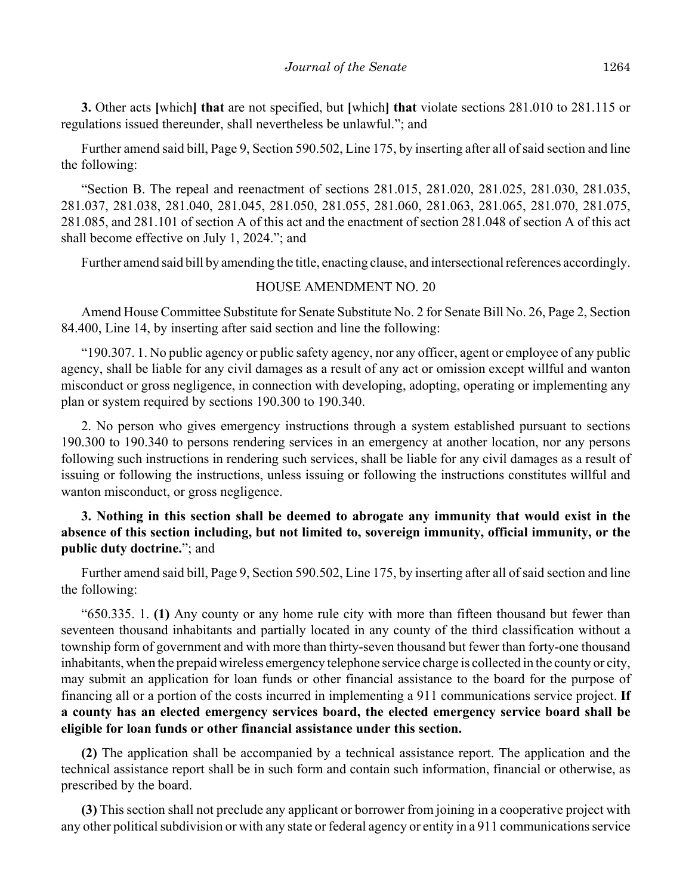**3.** Other acts **[**which**] that** are not specified, but **[**which**] that** violate sections 281.010 to 281.115 or regulations issued thereunder, shall nevertheless be unlawful."; and

Further amend said bill, Page 9, Section 590.502, Line 175, by inserting after all of said section and line the following:

"Section B. The repeal and reenactment of sections 281.015, 281.020, 281.025, 281.030, 281.035, 281.037, 281.038, 281.040, 281.045, 281.050, 281.055, 281.060, 281.063, 281.065, 281.070, 281.075, 281.085, and 281.101 of section A of this act and the enactment of section 281.048 of section A of this act shall become effective on July 1, 2024."; and

Further amend said bill by amending the title, enacting clause, and intersectional references accordingly.

#### HOUSE AMENDMENT NO. 20

Amend House Committee Substitute for Senate Substitute No. 2 for Senate Bill No. 26, Page 2, Section 84.400, Line 14, by inserting after said section and line the following:

"190.307. 1. No public agency or public safety agency, nor any officer, agent or employee of any public agency, shall be liable for any civil damages as a result of any act or omission except willful and wanton misconduct or gross negligence, in connection with developing, adopting, operating or implementing any plan or system required by sections 190.300 to 190.340.

2. No person who gives emergency instructions through a system established pursuant to sections 190.300 to 190.340 to persons rendering services in an emergency at another location, nor any persons following such instructions in rendering such services, shall be liable for any civil damages as a result of issuing or following the instructions, unless issuing or following the instructions constitutes willful and wanton misconduct, or gross negligence.

## **3. Nothing in this section shall be deemed to abrogate any immunity that would exist in the absence of this section including, but not limited to, sovereign immunity, official immunity, or the public duty doctrine.**"; and

Further amend said bill, Page 9, Section 590.502, Line 175, by inserting after all of said section and line the following:

"650.335. 1. **(1)** Any county or any home rule city with more than fifteen thousand but fewer than seventeen thousand inhabitants and partially located in any county of the third classification without a township form of government and with more than thirty-seven thousand but fewer than forty-one thousand inhabitants, when the prepaid wireless emergency telephone service charge is collected in the county or city, may submit an application for loan funds or other financial assistance to the board for the purpose of financing all or a portion of the costs incurred in implementing a 911 communications service project. **If a county has an elected emergency services board, the elected emergency service board shall be eligible for loan funds or other financial assistance under this section.**

**(2)** The application shall be accompanied by a technical assistance report. The application and the technical assistance report shall be in such form and contain such information, financial or otherwise, as prescribed by the board.

**(3)** This section shall not preclude any applicant or borrower from joining in a cooperative project with any other political subdivision or with any state or federal agency or entity in a 911 communications service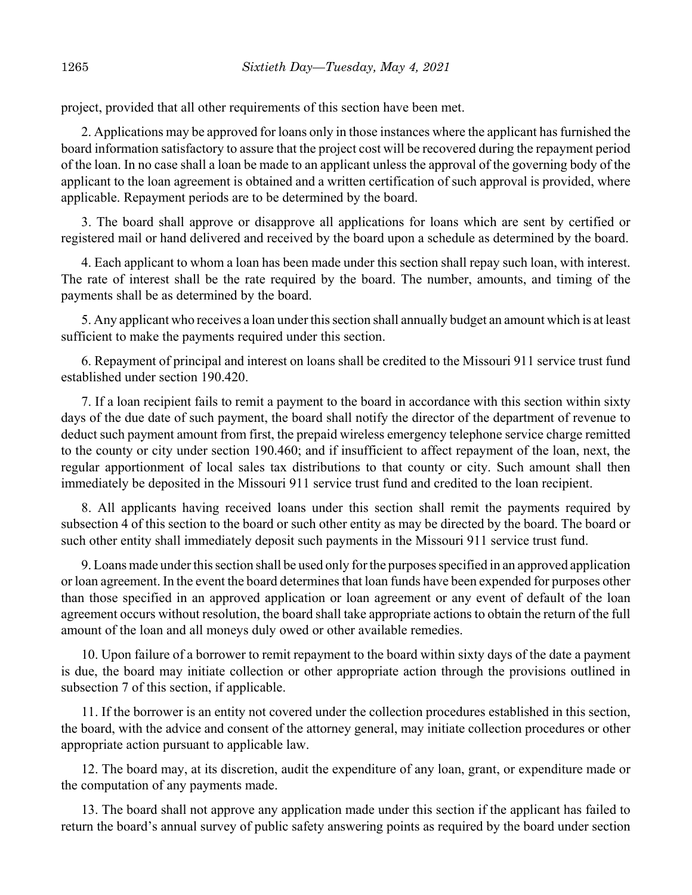project, provided that all other requirements of this section have been met.

2. Applications may be approved for loans only in those instances where the applicant has furnished the board information satisfactory to assure that the project cost will be recovered during the repayment period of the loan. In no case shall a loan be made to an applicant unless the approval of the governing body of the applicant to the loan agreement is obtained and a written certification of such approval is provided, where applicable. Repayment periods are to be determined by the board.

3. The board shall approve or disapprove all applications for loans which are sent by certified or registered mail or hand delivered and received by the board upon a schedule as determined by the board.

4. Each applicant to whom a loan has been made under this section shall repay such loan, with interest. The rate of interest shall be the rate required by the board. The number, amounts, and timing of the payments shall be as determined by the board.

5. Any applicant who receives a loan under this section shall annually budget an amount which is at least sufficient to make the payments required under this section.

6. Repayment of principal and interest on loans shall be credited to the Missouri 911 service trust fund established under section 190.420.

7. If a loan recipient fails to remit a payment to the board in accordance with this section within sixty days of the due date of such payment, the board shall notify the director of the department of revenue to deduct such payment amount from first, the prepaid wireless emergency telephone service charge remitted to the county or city under section 190.460; and if insufficient to affect repayment of the loan, next, the regular apportionment of local sales tax distributions to that county or city. Such amount shall then immediately be deposited in the Missouri 911 service trust fund and credited to the loan recipient.

8. All applicants having received loans under this section shall remit the payments required by subsection 4 of this section to the board or such other entity as may be directed by the board. The board or such other entity shall immediately deposit such payments in the Missouri 911 service trust fund.

9. Loans made under this section shall be used only for the purposes specified in an approved application or loan agreement. In the event the board determines that loan funds have been expended for purposes other than those specified in an approved application or loan agreement or any event of default of the loan agreement occurs without resolution, the board shall take appropriate actions to obtain the return of the full amount of the loan and all moneys duly owed or other available remedies.

10. Upon failure of a borrower to remit repayment to the board within sixty days of the date a payment is due, the board may initiate collection or other appropriate action through the provisions outlined in subsection 7 of this section, if applicable.

11. If the borrower is an entity not covered under the collection procedures established in this section, the board, with the advice and consent of the attorney general, may initiate collection procedures or other appropriate action pursuant to applicable law.

12. The board may, at its discretion, audit the expenditure of any loan, grant, or expenditure made or the computation of any payments made.

13. The board shall not approve any application made under this section if the applicant has failed to return the board's annual survey of public safety answering points as required by the board under section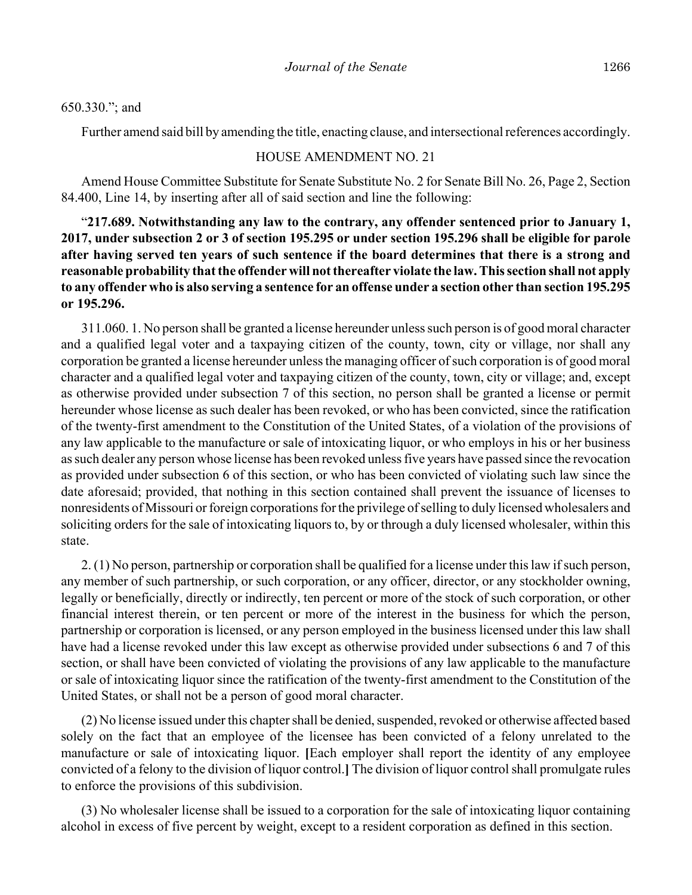650.330."; and

Further amend said bill by amending the title, enacting clause, and intersectional references accordingly.

#### HOUSE AMENDMENT NO. 21

Amend House Committee Substitute for Senate Substitute No. 2 for Senate Bill No. 26, Page 2, Section 84.400, Line 14, by inserting after all of said section and line the following:

"**217.689. Notwithstanding any law to the contrary, any offender sentenced prior to January 1, 2017, under subsection 2 or 3 of section 195.295 or under section 195.296 shall be eligible for parole after having served ten years of such sentence if the board determines that there is a strong and reasonable probability that the offender will not thereafter violate the law. This section shall not apply to any offender who is also serving a sentence for an offense under a section other than section 195.295 or 195.296.**

311.060. 1. No person shall be granted a license hereunder unless such person is of good moral character and a qualified legal voter and a taxpaying citizen of the county, town, city or village, nor shall any corporation be granted a license hereunder unless the managing officer of such corporation is of good moral character and a qualified legal voter and taxpaying citizen of the county, town, city or village; and, except as otherwise provided under subsection 7 of this section, no person shall be granted a license or permit hereunder whose license as such dealer has been revoked, or who has been convicted, since the ratification of the twenty-first amendment to the Constitution of the United States, of a violation of the provisions of any law applicable to the manufacture or sale of intoxicating liquor, or who employs in his or her business as such dealer any person whose license has been revoked unless five years have passed since the revocation as provided under subsection 6 of this section, or who has been convicted of violating such law since the date aforesaid; provided, that nothing in this section contained shall prevent the issuance of licenses to nonresidents of Missouri or foreign corporations for the privilege of selling to duly licensed wholesalers and soliciting orders for the sale of intoxicating liquors to, by or through a duly licensed wholesaler, within this state.

2. (1) No person, partnership or corporation shall be qualified for a license under this law if such person, any member of such partnership, or such corporation, or any officer, director, or any stockholder owning, legally or beneficially, directly or indirectly, ten percent or more of the stock of such corporation, or other financial interest therein, or ten percent or more of the interest in the business for which the person, partnership or corporation is licensed, or any person employed in the business licensed under this law shall have had a license revoked under this law except as otherwise provided under subsections 6 and 7 of this section, or shall have been convicted of violating the provisions of any law applicable to the manufacture or sale of intoxicating liquor since the ratification of the twenty-first amendment to the Constitution of the United States, or shall not be a person of good moral character.

(2) No license issued under this chapter shall be denied, suspended, revoked or otherwise affected based solely on the fact that an employee of the licensee has been convicted of a felony unrelated to the manufacture or sale of intoxicating liquor. **[**Each employer shall report the identity of any employee convicted of a felony to the division of liquor control.**]** The division of liquor control shall promulgate rules to enforce the provisions of this subdivision.

(3) No wholesaler license shall be issued to a corporation for the sale of intoxicating liquor containing alcohol in excess of five percent by weight, except to a resident corporation as defined in this section.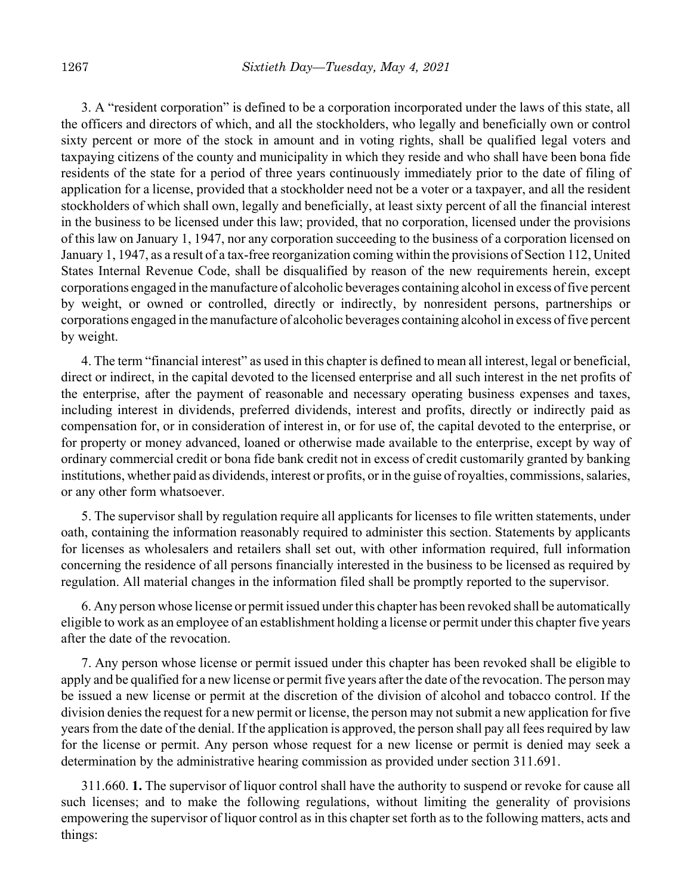3. A "resident corporation" is defined to be a corporation incorporated under the laws of this state, all the officers and directors of which, and all the stockholders, who legally and beneficially own or control sixty percent or more of the stock in amount and in voting rights, shall be qualified legal voters and taxpaying citizens of the county and municipality in which they reside and who shall have been bona fide residents of the state for a period of three years continuously immediately prior to the date of filing of application for a license, provided that a stockholder need not be a voter or a taxpayer, and all the resident stockholders of which shall own, legally and beneficially, at least sixty percent of all the financial interest in the business to be licensed under this law; provided, that no corporation, licensed under the provisions of this law on January 1, 1947, nor any corporation succeeding to the business of a corporation licensed on January 1, 1947, as a result of a tax-free reorganization coming within the provisions of Section 112, United States Internal Revenue Code, shall be disqualified by reason of the new requirements herein, except corporations engaged in the manufacture of alcoholic beverages containing alcohol in excess of five percent by weight, or owned or controlled, directly or indirectly, by nonresident persons, partnerships or corporations engaged in the manufacture of alcoholic beverages containing alcohol in excess of five percent by weight.

4. The term "financial interest" as used in this chapter is defined to mean all interest, legal or beneficial, direct or indirect, in the capital devoted to the licensed enterprise and all such interest in the net profits of the enterprise, after the payment of reasonable and necessary operating business expenses and taxes, including interest in dividends, preferred dividends, interest and profits, directly or indirectly paid as compensation for, or in consideration of interest in, or for use of, the capital devoted to the enterprise, or for property or money advanced, loaned or otherwise made available to the enterprise, except by way of ordinary commercial credit or bona fide bank credit not in excess of credit customarily granted by banking institutions, whether paid as dividends, interest or profits, or in the guise of royalties, commissions, salaries, or any other form whatsoever.

5. The supervisor shall by regulation require all applicants for licenses to file written statements, under oath, containing the information reasonably required to administer this section. Statements by applicants for licenses as wholesalers and retailers shall set out, with other information required, full information concerning the residence of all persons financially interested in the business to be licensed as required by regulation. All material changes in the information filed shall be promptly reported to the supervisor.

6. Any person whose license or permit issued under this chapter has been revoked shall be automatically eligible to work as an employee of an establishment holding a license or permit under this chapter five years after the date of the revocation.

7. Any person whose license or permit issued under this chapter has been revoked shall be eligible to apply and be qualified for a new license or permit five years after the date of the revocation. The person may be issued a new license or permit at the discretion of the division of alcohol and tobacco control. If the division denies the request for a new permit or license, the person may not submit a new application for five years from the date of the denial. If the application is approved, the person shall pay all fees required by law for the license or permit. Any person whose request for a new license or permit is denied may seek a determination by the administrative hearing commission as provided under section 311.691.

311.660. **1.** The supervisor of liquor control shall have the authority to suspend or revoke for cause all such licenses; and to make the following regulations, without limiting the generality of provisions empowering the supervisor of liquor control as in this chapter set forth as to the following matters, acts and things: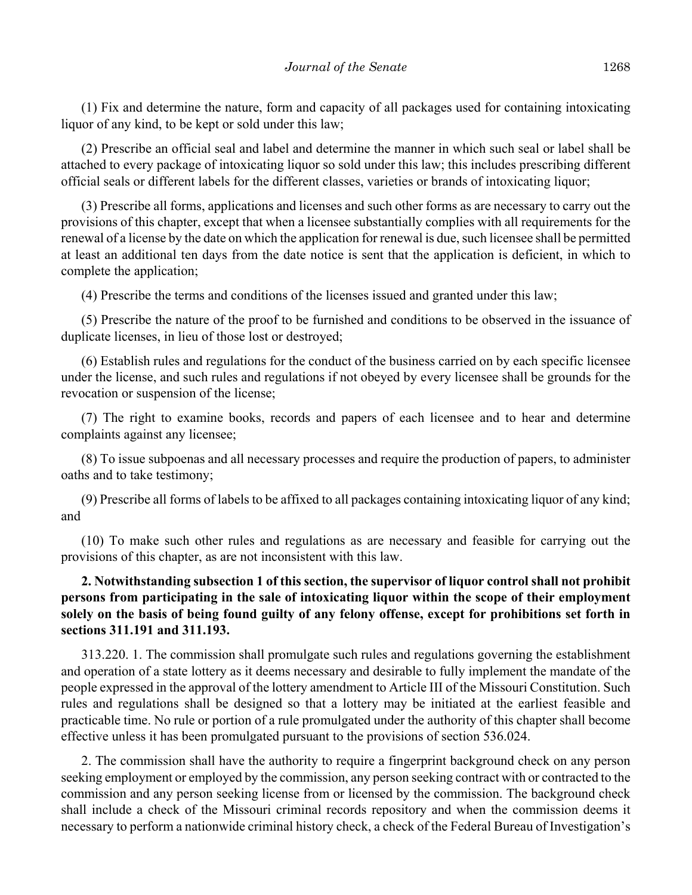(1) Fix and determine the nature, form and capacity of all packages used for containing intoxicating liquor of any kind, to be kept or sold under this law;

(2) Prescribe an official seal and label and determine the manner in which such seal or label shall be attached to every package of intoxicating liquor so sold under this law; this includes prescribing different official seals or different labels for the different classes, varieties or brands of intoxicating liquor;

(3) Prescribe all forms, applications and licenses and such other forms as are necessary to carry out the provisions of this chapter, except that when a licensee substantially complies with all requirements for the renewal of a license by the date on which the application for renewal is due, such licensee shall be permitted at least an additional ten days from the date notice is sent that the application is deficient, in which to complete the application;

(4) Prescribe the terms and conditions of the licenses issued and granted under this law;

(5) Prescribe the nature of the proof to be furnished and conditions to be observed in the issuance of duplicate licenses, in lieu of those lost or destroyed;

(6) Establish rules and regulations for the conduct of the business carried on by each specific licensee under the license, and such rules and regulations if not obeyed by every licensee shall be grounds for the revocation or suspension of the license;

(7) The right to examine books, records and papers of each licensee and to hear and determine complaints against any licensee;

(8) To issue subpoenas and all necessary processes and require the production of papers, to administer oaths and to take testimony;

(9) Prescribe all forms of labels to be affixed to all packages containing intoxicating liquor of any kind; and

(10) To make such other rules and regulations as are necessary and feasible for carrying out the provisions of this chapter, as are not inconsistent with this law.

## **2. Notwithstanding subsection 1 of this section, the supervisor of liquor control shall not prohibit persons from participating in the sale of intoxicating liquor within the scope of their employment solely on the basis of being found guilty of any felony offense, except for prohibitions set forth in sections 311.191 and 311.193.**

313.220. 1. The commission shall promulgate such rules and regulations governing the establishment and operation of a state lottery as it deems necessary and desirable to fully implement the mandate of the people expressed in the approval of the lottery amendment to Article III of the Missouri Constitution. Such rules and regulations shall be designed so that a lottery may be initiated at the earliest feasible and practicable time. No rule or portion of a rule promulgated under the authority of this chapter shall become effective unless it has been promulgated pursuant to the provisions of section 536.024.

2. The commission shall have the authority to require a fingerprint background check on any person seeking employment or employed by the commission, any person seeking contract with or contracted to the commission and any person seeking license from or licensed by the commission. The background check shall include a check of the Missouri criminal records repository and when the commission deems it necessary to perform a nationwide criminal history check, a check of the Federal Bureau of Investigation's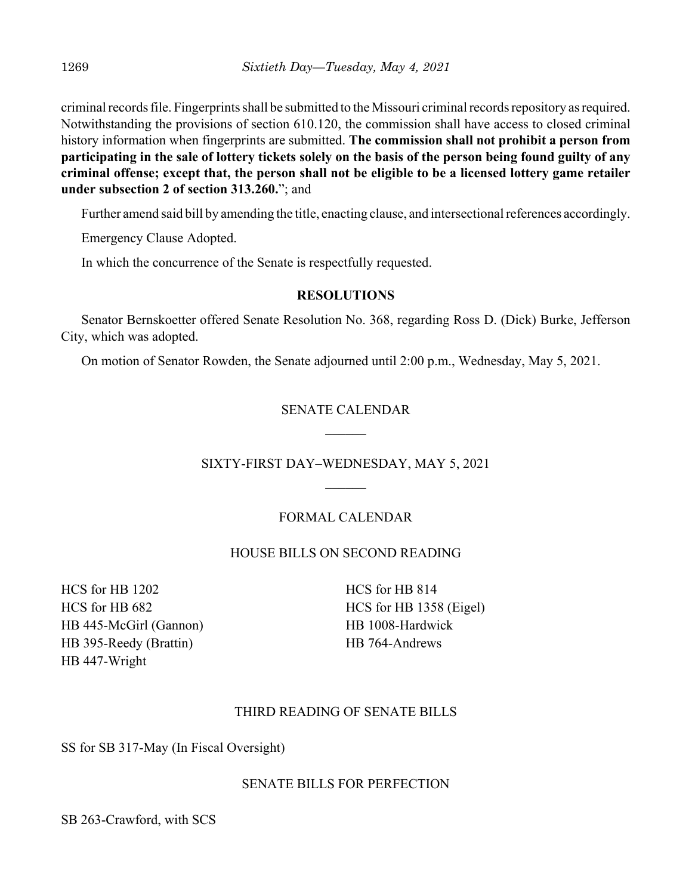criminal records file. Fingerprints shall be submitted to the Missouri criminal records repository as required. Notwithstanding the provisions of section 610.120, the commission shall have access to closed criminal history information when fingerprints are submitted. **The commission shall not prohibit a person from participating in the sale of lottery tickets solely on the basis of the person being found guilty of any criminal offense; except that, the person shall not be eligible to be a licensed lottery game retailer under subsection 2 of section 313.260.**"; and

Further amend said bill by amending the title, enacting clause, and intersectional references accordingly.

Emergency Clause Adopted.

In which the concurrence of the Senate is respectfully requested.

### **RESOLUTIONS**

Senator Bernskoetter offered Senate Resolution No. 368, regarding Ross D. (Dick) Burke, Jefferson City, which was adopted.

On motion of Senator Rowden, the Senate adjourned until 2:00 p.m., Wednesday, May 5, 2021.

## SENATE CALENDAR

# SIXTY-FIRST DAY–WEDNESDAY, MAY 5, 2021  $\mathcal{L}$

## FORMAL CALENDAR

## HOUSE BILLS ON SECOND READING

HCS for HB 1202 HCS for HB 682 HB 445-McGirl (Gannon) HB 395-Reedy (Brattin) HB 447-Wright

HCS for HB 814 HCS for HB 1358 (Eigel) HB 1008-Hardwick HB 764-Andrews

## THIRD READING OF SENATE BILLS

SS for SB 317-May (In Fiscal Oversight)

## SENATE BILLS FOR PERFECTION

SB 263-Crawford, with SCS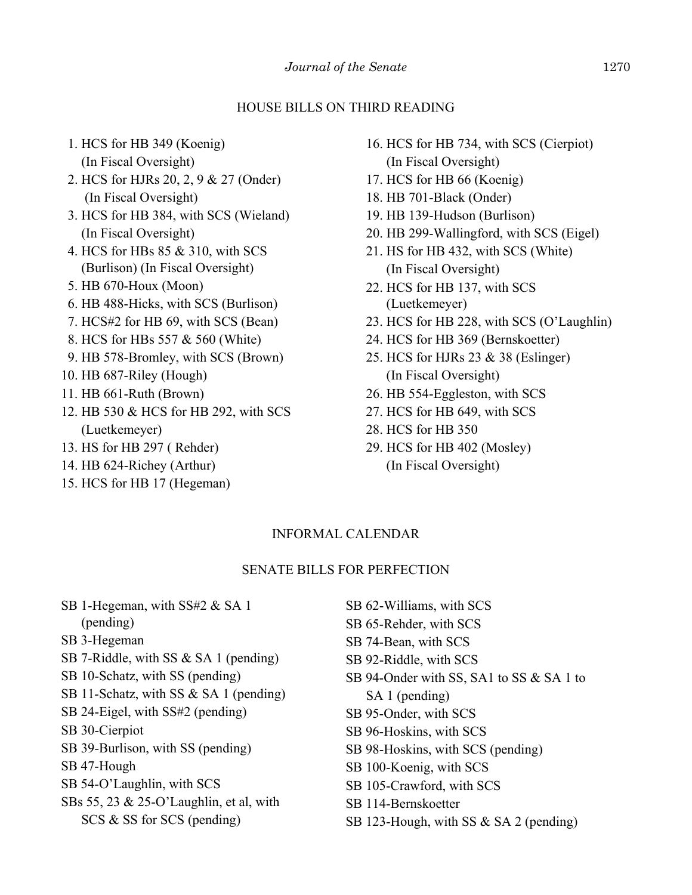#### HOUSE BILLS ON THIRD READING

- 1. HCS for HB 349 (Koenig) (In Fiscal Oversight)
- 2. HCS for HJRs 20, 2, 9 & 27 (Onder) (In Fiscal Oversight)
- 3. HCS for HB 384, with SCS (Wieland) (In Fiscal Oversight)
- 4. HCS for HBs 85 & 310, with SCS (Burlison) (In Fiscal Oversight)
- 5. HB 670-Houx (Moon)
- 6. HB 488-Hicks, with SCS (Burlison)
- 7. HCS#2 for HB 69, with SCS (Bean)
- 8. HCS for HBs 557 & 560 (White)
- 9. HB 578-Bromley, with SCS (Brown)
- 10. HB 687-Riley (Hough)
- 11. HB 661-Ruth (Brown)
- 12. HB 530 & HCS for HB 292, with SCS (Luetkemeyer)
- 13. HS for HB 297 ( Rehder)
- 14. HB 624-Richey (Arthur)
- 15. HCS for HB 17 (Hegeman)
- 16. HCS for HB 734, with SCS (Cierpiot) (In Fiscal Oversight)
- 17. HCS for HB 66 (Koenig)
- 18. HB 701-Black (Onder)
- 19. HB 139-Hudson (Burlison)
- 20. HB 299-Wallingford, with SCS (Eigel)
- 21. HS for HB 432, with SCS (White) (In Fiscal Oversight)
- 22. HCS for HB 137, with SCS (Luetkemeyer)
- 23. HCS for HB 228, with SCS (O'Laughlin)
- 24. HCS for HB 369 (Bernskoetter)
- 25. HCS for HJRs 23 & 38 (Eslinger) (In Fiscal Oversight)
- 26. HB 554-Eggleston, with SCS
- 27. HCS for HB 649, with SCS
- 28. HCS for HB 350
- 29. HCS for HB 402 (Mosley) (In Fiscal Oversight)

### INFORMAL CALENDAR

#### SENATE BILLS FOR PERFECTION

| SB 1-Hegeman, with SS#2 & SA 1             |
|--------------------------------------------|
| (pending)                                  |
| SB 3-Hegeman                               |
| SB 7-Riddle, with SS $&$ SA 1 (pending)    |
| SB 10-Schatz, with SS (pending)            |
| SB 11-Schatz, with SS $&$ SA 1 (pending)   |
| SB 24-Eigel, with SS#2 (pending)           |
| SB 30-Cierpiot                             |
| SB 39-Burlison, with SS (pending)          |
| SB 47-Hough                                |
| SB 54-O'Laughlin, with SCS                 |
| SBs 55, 23 $\&$ 25-O'Laughlin, et al, with |
| $SCS & SS$ for $SCS$ (pending)             |
|                                            |

SB 62-Williams, with SCS SB 65-Rehder, with SCS SB 74-Bean, with SCS SB 92-Riddle, with SCS SB 94-Onder with SS, SA1 to SS & SA 1 to SA 1 (pending) SB 95-Onder, with SCS SB 96-Hoskins, with SCS SB 98-Hoskins, with SCS (pending) SB 100-Koenig, with SCS SB 105-Crawford, with SCS SB 114-Bernskoetter SB 123-Hough, with SS & SA 2 (pending)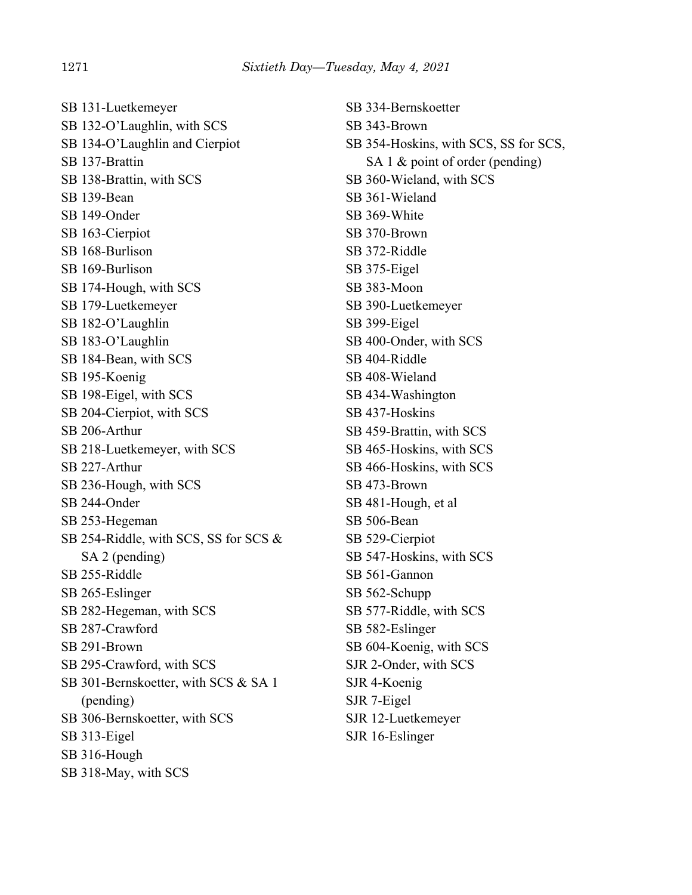SB 131-Luetkemeyer SB 132-O'Laughlin, with SCS SB 134-O'Laughlin and Cierpiot SB 137-Brattin SB 138-Brattin, with SCS SB 139-Bean SB 149-Onder SB 163-Cierpiot SB 168-Burlison SB 169-Burlison SB 174-Hough, with SCS SB 179-Luetkemeyer SB 182-O'Laughlin SB 183-O'Laughlin SB 184-Bean, with SCS SB 195-Koenig SB 198-Eigel, with SCS SB 204-Cierpiot, with SCS SB 206-Arthur SB 218-Luetkemeyer, with SCS SB 227-Arthur SB 236-Hough, with SCS SB 244-Onder SB 253-Hegeman SB 254-Riddle, with SCS, SS for SCS & SA 2 (pending) SB 255-Riddle SB 265-Eslinger SB 282-Hegeman, with SCS SB 287-Crawford SB 291-Brown SB 295-Crawford, with SCS SB 301-Bernskoetter, with SCS & SA 1 (pending) SB 306-Bernskoetter, with SCS SB 313-Eigel SB 316-Hough SB 318-May, with SCS

SB 334-Bernskoetter SB 343-Brown SB 354-Hoskins, with SCS, SS for SCS, SA 1 & point of order (pending) SB 360-Wieland, with SCS SB 361-Wieland SB 369-White SB 370-Brown SB 372-Riddle SB 375-Eigel SB 383-Moon SB 390-Luetkemeyer SB 399-Eigel SB 400-Onder, with SCS SB 404-Riddle SB 408-Wieland SB 434-Washington SB 437-Hoskins SB 459-Brattin, with SCS SB 465-Hoskins, with SCS SB 466-Hoskins, with SCS SB 473-Brown SB 481-Hough, et al SB 506-Bean SB 529-Cierpiot SB 547-Hoskins, with SCS SB 561-Gannon SB 562-Schupp SB 577-Riddle, with SCS SB 582-Eslinger SB 604-Koenig, with SCS SJR 2-Onder, with SCS SJR 4-Koenig SJR 7-Eigel SJR 12-Luetkemeyer SJR 16-Eslinger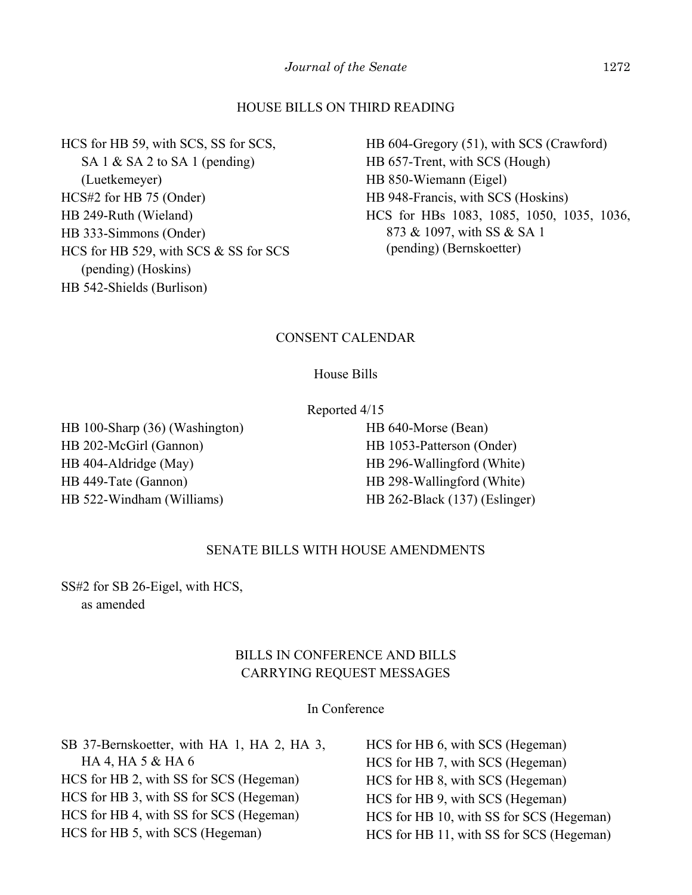#### HOUSE BILLS ON THIRD READING

HCS for HB 59, with SCS, SS for SCS, SA 1 & SA 2 to SA 1 (pending) (Luetkemeyer) HCS#2 for HB 75 (Onder) HB 249-Ruth (Wieland) HB 333-Simmons (Onder) HCS for HB 529, with SCS & SS for SCS (pending) (Hoskins) HB 542-Shields (Burlison)

HB 604-Gregory (51), with SCS (Crawford) HB 657-Trent, with SCS (Hough) HB 850-Wiemann (Eigel) HB 948-Francis, with SCS (Hoskins) HCS for HBs 1083, 1085, 1050, 1035, 1036, 873 & 1097, with SS & SA 1 (pending) (Bernskoetter)

### CONSENT CALENDAR

House Bills

Reported 4/15

HB 100-Sharp (36) (Washington) HB 202-McGirl (Gannon) HB 404-Aldridge (May) HB 449-Tate (Gannon) HB 522-Windham (Williams)

HB 640-Morse (Bean) HB 1053-Patterson (Onder) HB 296-Wallingford (White) HB 298-Wallingford (White) HB 262-Black (137) (Eslinger)

### SENATE BILLS WITH HOUSE AMENDMENTS

SS#2 for SB 26-Eigel, with HCS, as amended

## BILLS IN CONFERENCE AND BILLS CARRYING REQUEST MESSAGES

### In Conference

| SB 37-Bernskoetter, with HA 1, HA 2, HA 3, | HCS for HB 6, with SCS (Hegeman)         |
|--------------------------------------------|------------------------------------------|
| HA 4, HA 5 & HA 6                          | HCS for HB 7, with SCS (Hegeman)         |
| HCS for HB 2, with SS for SCS (Hegeman)    | HCS for HB 8, with SCS (Hegeman)         |
| HCS for HB 3, with SS for SCS (Hegeman)    | HCS for HB 9, with SCS (Hegeman)         |
| HCS for HB 4, with SS for SCS (Hegeman)    | HCS for HB 10, with SS for SCS (Hegeman) |
| HCS for HB 5, with SCS (Hegeman)           | HCS for HB 11, with SS for SCS (Hegeman) |